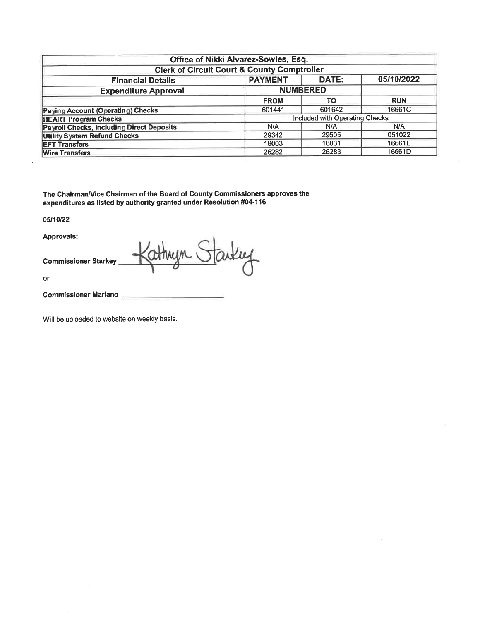| Office of Nikki Alvarez-Sowles, Esq.                   |                |                                |            |  |  |  |  |  |  |  |  |  |
|--------------------------------------------------------|----------------|--------------------------------|------------|--|--|--|--|--|--|--|--|--|
| <b>Clerk of Circuit Court &amp; County Comptroller</b> |                |                                |            |  |  |  |  |  |  |  |  |  |
| <b>Financial Details</b>                               | <b>PAYMENT</b> | DATE:                          | 05/10/2022 |  |  |  |  |  |  |  |  |  |
| <b>Expenditure Approval</b>                            |                | <b>NUMBERED</b>                |            |  |  |  |  |  |  |  |  |  |
|                                                        | <b>FROM</b>    | <b>TO</b>                      | <b>RUN</b> |  |  |  |  |  |  |  |  |  |
| <b>Paying Account (Operating) Checks</b>               | 601441         | 601642                         | 16661C     |  |  |  |  |  |  |  |  |  |
| <b>HEART Program Checks</b>                            |                | Included with Operating Checks |            |  |  |  |  |  |  |  |  |  |
| <b>Payroll Checks, including Direct Deposits</b>       | N/A            | N/A                            | N/A        |  |  |  |  |  |  |  |  |  |
| <b>Utility System Refund Checks</b>                    | 29342          | 29505                          | 051022     |  |  |  |  |  |  |  |  |  |
| <b>EFT Transfers</b>                                   | 18003          | 18031                          | 16661E     |  |  |  |  |  |  |  |  |  |
| <b>Wire Transfers</b>                                  | 26282          | 26283                          | 16661D     |  |  |  |  |  |  |  |  |  |

The Chairman/Vice Chairman of the Board of County Commissioners approves the expenditures as listed by authority granted under Resolution #04-116

05/10/22

Approvals:

**Commissioner Starkey** 

Starting athryn.

or

Commissioner Mariano

Will be uploaded to website on weekly basis.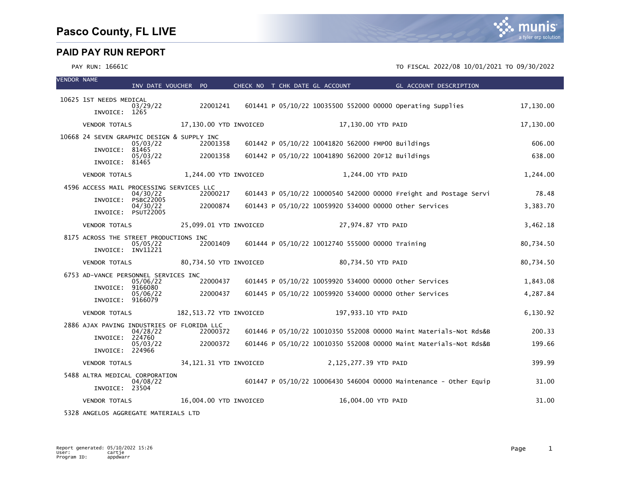#### PAY RUN: 16661C TO FISCAL 2022/08 10/01/2021 TO 09/30/2022

| <b>VENDOR NAME</b> |                                                             | INV DATE VOUCHER PO          |          |                         |  | CHECK NO T CHK DATE GL ACCOUNT                         | GL ACCOUNT DESCRIPTION                                            |           |
|--------------------|-------------------------------------------------------------|------------------------------|----------|-------------------------|--|--------------------------------------------------------|-------------------------------------------------------------------|-----------|
|                    | 10625 1ST NEEDS MEDICAL                                     |                              |          |                         |  |                                                        |                                                                   |           |
|                    | INVOICE: 1265                                               | 03/29/22                     | 22001241 |                         |  |                                                        | 601441 P 05/10/22 10035500 552000 00000 Operating Supplies        | 17,130.00 |
|                    | <b>VENDOR TOTALS</b>                                        |                              |          | 17,130.00 YTD INVOICED  |  | 17,130.00 YTD PAID                                     |                                                                   | 17,130.00 |
|                    | 10668 24 SEVEN GRAPHIC DESIGN & SUPPLY INC                  | 05/03/22                     | 22001358 |                         |  | 601442 P 05/10/22 10041820 562000 FMP00 Buildings      |                                                                   | 606.00    |
|                    | INVOICE: 81465                                              | 05/03/22                     | 22001358 |                         |  | 601442 P 05/10/22 10041890 562000 20F12 Buildings      |                                                                   | 638.00    |
|                    | INVOICE: 81465                                              |                              |          |                         |  |                                                        |                                                                   |           |
|                    | <b>VENDOR TOTALS</b>                                        |                              |          | 1,244.00 YTD INVOICED   |  | 1,244.00 YTD PAID                                      |                                                                   | 1,244.00  |
|                    | 4596 ACCESS MAIL PROCESSING SERVICES LLC                    | 04/30/22                     | 22000217 |                         |  |                                                        | 601443 P 05/10/22 10000540 542000 00000 Freight and Postage Servi | 78.48     |
|                    | INVOICE:                                                    | <b>PSBC22005</b><br>04/30/22 | 22000874 |                         |  | 601443 P 05/10/22 10059920 534000 00000 other Services |                                                                   | 3,383.70  |
|                    | <b>VENDOR TOTALS</b>                                        | INVOICE: PSUT22005           |          | 25,099.01 YTD INVOICED  |  | 27,974.87 YTD PAID                                     |                                                                   |           |
|                    |                                                             |                              |          |                         |  |                                                        |                                                                   | 3,462.18  |
|                    | 8175 ACROSS THE STREET PRODUCTIONS INC<br>INVOICE: INV11221 | 05/05/22                     | 22001409 |                         |  | 601444 P 05/10/22 10012740 555000 00000 Training       |                                                                   | 80,734.50 |
|                    | <b>VENDOR TOTALS</b>                                        |                              |          | 80,734.50 YTD INVOICED  |  | 80,734.50 YTD PAID                                     |                                                                   | 80,734.50 |
|                    | 6753 AD-VANCE PERSONNEL SERVICES INC                        | 05/06/22                     | 22000437 |                         |  | 601445 P 05/10/22 10059920 534000 00000 Other Services |                                                                   | 1,843.08  |
|                    | INVOICE:                                                    | 9166080<br>05/06/22          | 22000437 |                         |  | 601445 P 05/10/22 10059920 534000 00000 other Services |                                                                   | 4,287.84  |
|                    | INVOICE: 9166079                                            |                              |          |                         |  |                                                        |                                                                   |           |
|                    | <b>VENDOR TOTALS</b>                                        |                              |          | 182,513.72 YTD INVOICED |  | 197,933.10 YTD PAID                                    |                                                                   | 6,130.92  |
|                    | 2886 AJAX PAVING INDUSTRIES OF FLORIDA LLC                  | 04/28/22                     | 22000372 |                         |  |                                                        | 601446 P 05/10/22 10010350 552008 00000 Maint Materials-Not Rds&B | 200.33    |
|                    | INVOICE:                                                    | 224760<br>05/03/22           | 22000372 |                         |  |                                                        | 601446 P 05/10/22 10010350 552008 00000 Maint Materials-Not Rds&B | 199.66    |
|                    | INVOICE: 224966                                             |                              |          |                         |  |                                                        |                                                                   |           |
|                    | <b>VENDOR TOTALS</b>                                        |                              |          | 34,121.31 YTD INVOICED  |  | 2,125,277.39 YTD PAID                                  |                                                                   | 399.99    |
|                    | 5488 ALTRA MEDICAL CORPORATION<br>INVOICE: 23504            | 04/08/22                     |          |                         |  |                                                        | 601447 P 05/10/22 10006430 546004 00000 Maintenance - Other Equip | 31.00     |
|                    | <b>VENDOR TOTALS</b>                                        |                              |          | 16,004.00 YTD INVOICED  |  | 16,004.00 YTD PAID                                     |                                                                   | 31.00     |
|                    |                                                             |                              |          |                         |  |                                                        |                                                                   |           |

5328 ANGELOS AGGREGATE MATERIALS LTD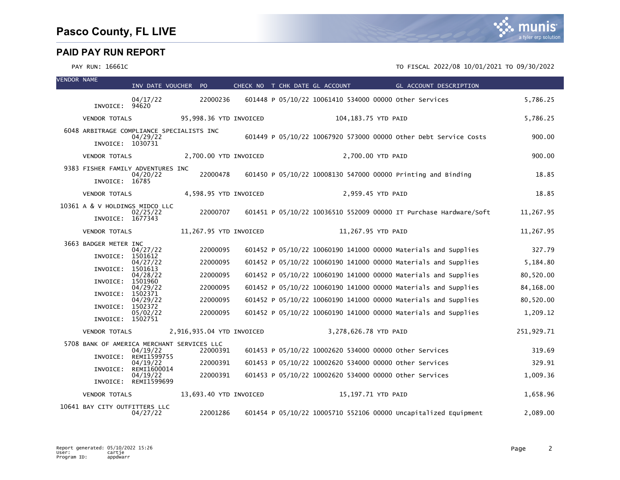| <b>VENDOR NAME</b> |                                                     | INV DATE VOUCHER PO              |                                                        | CHECK NO T CHK DATE GL ACCOUNT |  |                                                        |                   | GL ACCOUNT DESCRIPTION                                            |            |
|--------------------|-----------------------------------------------------|----------------------------------|--------------------------------------------------------|--------------------------------|--|--------------------------------------------------------|-------------------|-------------------------------------------------------------------|------------|
|                    | INVOICE: 94620                                      | 04/17/22                         | 22000236                                               |                                |  | 601448 P 05/10/22 10061410 534000 00000 other Services |                   |                                                                   | 5,786.25   |
|                    | <b>VENDOR TOTALS</b>                                |                                  | 95,998.36 YTD INVOICED                                 |                                |  | 104,183.75 YTD PAID                                    |                   |                                                                   | 5,786.25   |
|                    | 6048 ARBITRAGE COMPLIANCE SPECIALISTS INC           |                                  |                                                        |                                |  |                                                        |                   |                                                                   |            |
|                    | INVOICE: 1030731                                    | 04/29/22                         |                                                        |                                |  |                                                        |                   | 601449 P 05/10/22 10067920 573000 00000 other Debt Service Costs  | 900.00     |
|                    | <b>VENDOR TOTALS</b>                                |                                  | 2,700.00 YTD INVOICED                                  |                                |  |                                                        | 2,700.00 YTD PAID |                                                                   | 900.00     |
|                    | 9383 FISHER FAMILY ADVENTURES INC<br>INVOICE: 16785 | 04/20/22                         | 22000478                                               |                                |  |                                                        |                   | 601450 P 05/10/22 10008130 547000 00000 Printing and Binding      | 18.85      |
|                    | <b>VENDOR TOTALS</b>                                |                                  | 4,598.95 YTD INVOICED                                  |                                |  |                                                        | 2,959.45 YTD PAID |                                                                   | 18.85      |
|                    | 10361 A & V HOLDINGS MIDCO LLC                      | 02/25/22                         | 22000707                                               |                                |  |                                                        |                   | 601451 P 05/10/22 10036510 552009 00000 IT Purchase Hardware/Soft | 11.267.95  |
|                    | INVOICE: 1677343                                    |                                  |                                                        |                                |  |                                                        |                   |                                                                   |            |
|                    | <b>VENDOR TOTALS</b>                                |                                  | 11,267.95 YTD INVOICED                                 |                                |  | 11,267.95 YTD PAID                                     |                   |                                                                   | 11,267.95  |
|                    | 3663 BADGER METER INC                               | 04/27/22                         | 22000095                                               |                                |  |                                                        |                   | 601452 P 05/10/22 10060190 141000 00000 Materials and Supplies    | 327.79     |
|                    | INVOICE:                                            | 1501612<br>04/27/22              | 22000095                                               |                                |  |                                                        |                   | 601452 P 05/10/22 10060190 141000 00000 Materials and Supplies    | 5,184.80   |
|                    | INVOICE:                                            | 1501613<br>04/28/22              | 22000095                                               |                                |  |                                                        |                   | 601452 P 05/10/22 10060190 141000 00000 Materials and Supplies    | 80,520.00  |
|                    | INVOICE:                                            | 1501960<br>04/29/22              | 22000095                                               |                                |  |                                                        |                   | 601452 P 05/10/22 10060190 141000 00000 Materials and Supplies    | 84,168.00  |
|                    | INVOICE:                                            | 1502371                          |                                                        |                                |  |                                                        |                   |                                                                   |            |
|                    | INVOICE:                                            | 04/29/22<br>1502372              | 22000095                                               |                                |  |                                                        |                   | 601452 P 05/10/22 10060190 141000 00000 Materials and Supplies    | 80,520.00  |
|                    | INVOICE: 1502751                                    | 05/02/22                         | 22000095                                               |                                |  |                                                        |                   | 601452 P 05/10/22 10060190 141000 00000 Materials and Supplies    | 1,209.12   |
|                    | <b>VENDOR TOTALS</b>                                |                                  | 2,916,935.04 YTD INVOICED                              |                                |  | 3,278,626.78 YTD PAID                                  |                   |                                                                   | 251,929.71 |
|                    |                                                     | 04/19/22                         | 5708 BANK OF AMERICA MERCHANT SERVICES LLC<br>22000391 |                                |  | 601453 P 05/10/22 10002620 534000 00000 other Services |                   |                                                                   | 319.69     |
|                    | INVOICE:                                            | REMI1599755<br>04/19/22          | 22000391                                               |                                |  | 601453 P 05/10/22 10002620 534000 00000 other Services |                   |                                                                   | 329.91     |
|                    | INVOICE:                                            | REMI1600014                      | 22000391                                               |                                |  |                                                        |                   |                                                                   | 1,009.36   |
|                    |                                                     | 04/19/22<br>INVOICE: REMI1599699 |                                                        |                                |  | 601453 P 05/10/22 10002620 534000 00000 other Services |                   |                                                                   |            |
|                    | <b>VENDOR TOTALS</b>                                |                                  | 13,693.40 YTD INVOICED                                 |                                |  | 15,197.71 YTD PAID                                     |                   |                                                                   | 1.658.96   |
|                    | 10641 BAY CITY OUTFITTERS LLC                       | 04/27/22                         | 22001286                                               |                                |  |                                                        |                   | 601454 P 05/10/22 10005710 552106 00000 Uncapitalized Equipment   | 2,089.00   |

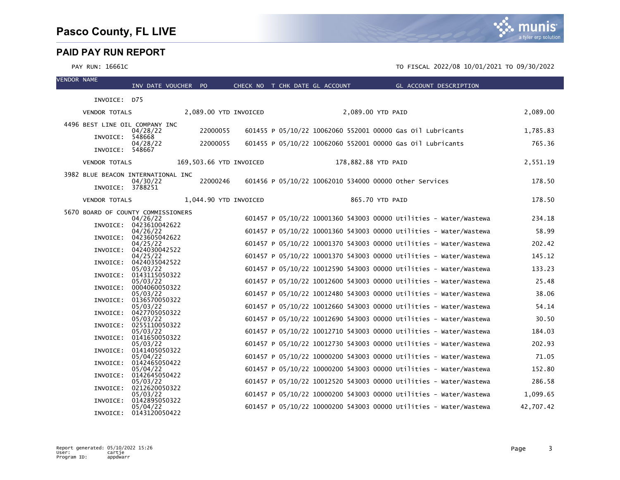| <b>VENDOR NAME</b> |                                    | INV DATE VOUCHER PO                |                         | CHECK NO T CHK DATE GL ACCOUNT |  |                     | <b>Example 20 GL ACCOUNT DESCRIPTION</b>                          |           |
|--------------------|------------------------------------|------------------------------------|-------------------------|--------------------------------|--|---------------------|-------------------------------------------------------------------|-----------|
|                    | INVOICE: D75                       |                                    |                         |                                |  |                     |                                                                   |           |
|                    |                                    |                                    |                         |                                |  |                     |                                                                   |           |
|                    | <b>VENDOR TOTALS</b>               |                                    | 2,089.00 YTD INVOICED   |                                |  | 2,089.00 YTD PAID   |                                                                   | 2,089.00  |
|                    | 4496 BEST LINE OIL COMPANY INC     |                                    |                         |                                |  |                     |                                                                   |           |
|                    | INVOICE: 548668                    | 04/28/22                           | 22000055                |                                |  |                     | 601455 P 05/10/22 10062060 552001 00000 Gas 011 Lubricants        | 1,785.83  |
|                    | INVOICE: 548667                    | 04/28/22                           | 22000055                |                                |  |                     | 601455 P 05/10/22 10062060 552001 00000 Gas 011 Lubricants        | 765.36    |
|                    | <b>VENDOR TOTALS</b>               |                                    | 169,503.66 YTD INVOICED |                                |  | 178,882.88 YTD PAID |                                                                   | 2,551.19  |
|                    | 3982 BLUE BEACON INTERNATIONAL INC |                                    |                         |                                |  |                     |                                                                   |           |
|                    | INVOICE: 3788251                   | 04/30/22                           | 22000246                |                                |  |                     | 601456 P 05/10/22 10062010 534000 00000 other Services            | 178.50    |
|                    |                                    |                                    |                         |                                |  |                     |                                                                   | 178.50    |
|                    | <b>VENDOR TOTALS</b>               |                                    | 1,044.90 YTD INVOICED   |                                |  | 865.70 YTD PAID     |                                                                   |           |
|                    | 5670 BOARD OF COUNTY COMMISSIONERS | 04/26/22                           |                         |                                |  |                     | 601457 P 05/10/22 10001360 543003 00000 Utilities - Water/Wastewa | 234.18    |
|                    |                                    | INVOICE: 0423610042622             |                         |                                |  |                     |                                                                   |           |
|                    |                                    | 04/26/22<br>INVOICE: 0423605042622 |                         |                                |  |                     | 601457 P 05/10/22 10001360 543003 00000 Utilities - Water/Wastewa | 58.99     |
|                    |                                    | 04/25/22<br>INVOICE: 0424030042522 |                         |                                |  |                     | 601457 P 05/10/22 10001370 543003 00000 Utilities - Water/Wastewa | 202.42    |
|                    |                                    | 04/25/22                           |                         |                                |  |                     | 601457 P 05/10/22 10001370 543003 00000 Utilities - Water/Wastewa | 145.12    |
|                    |                                    | INVOICE: 0424035042522<br>05/03/22 |                         |                                |  |                     | 601457 P 05/10/22 10012590 543003 00000 Utilities - Water/Wastewa | 133.23    |
|                    |                                    | INVOICE: 0143115050322             |                         |                                |  |                     |                                                                   | 25.48     |
|                    |                                    | 05/03/22<br>INVOICE: 0004060050322 |                         |                                |  |                     | 601457 P 05/10/22 10012600 543003 00000 Utilities - Water/Wastewa |           |
|                    |                                    | 05/03/22<br>INVOICE: 0136570050322 |                         |                                |  |                     | 601457 P 05/10/22 10012480 543003 00000 Utilities - Water/Wastewa | 38.06     |
|                    |                                    | 05/03/22                           |                         |                                |  |                     | 601457 P 05/10/22 10012660 543003 00000 Utilities - Water/Wastewa | 54.14     |
|                    |                                    | INVOICE: 0427705050322<br>05/03/22 |                         |                                |  |                     | 601457 P 05/10/22 10012690 543003 00000 Utilities - Water/Wastewa | 30.50     |
|                    |                                    | INVOICE: 0255110050322             |                         |                                |  |                     |                                                                   |           |
|                    |                                    | 05/03/22<br>INVOICE: 0141650050322 |                         |                                |  |                     | 601457 P 05/10/22 10012710 543003 00000 Utilities - Water/Wastewa | 184.03    |
|                    |                                    | 05/03/22                           |                         |                                |  |                     | 601457 P 05/10/22 10012730 543003 00000 Utilities - Water/Wastewa | 202.93    |
|                    |                                    | INVOICE: 0141405050322<br>05/04/22 |                         |                                |  |                     | 601457 P 05/10/22 10000200 543003 00000 Utilities - Water/Wastewa | 71.05     |
|                    |                                    | INVOICE: 0142465050422<br>05/04/22 |                         |                                |  |                     | 601457 P 05/10/22 10000200 543003 00000 Utilities - Water/Wastewa | 152.80    |
|                    |                                    | INVOICE: 0142645050422             |                         |                                |  |                     |                                                                   |           |
|                    |                                    | 05/03/22<br>INVOICE: 0212620050322 |                         |                                |  |                     | 601457 P 05/10/22 10012520 543003 00000 Utilities - Water/Wastewa | 286.58    |
|                    |                                    | 05/03/22                           |                         |                                |  |                     | 601457 P 05/10/22 10000200 543003 00000 Utilities - Water/Wastewa | 1,099.65  |
|                    |                                    | INVOICE: 0142895050322<br>05/04/22 |                         |                                |  |                     | 601457 P 05/10/22 10000200 543003 00000 Utilities - Water/Wastewa | 42.707.42 |
|                    | INVOICE:                           | 0143120050422                      |                         |                                |  |                     |                                                                   |           |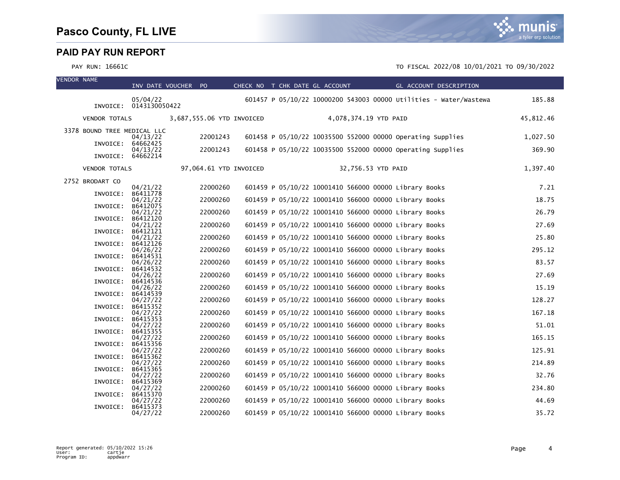| <b>VENDOR NAME</b> |                             | INV DATE VOUCHER PO                |                           | CHECK NO T CHK DATE GL ACCOUNT |                                                       |                       |  | GL ACCOUNT DESCRIPTION                                            |           |
|--------------------|-----------------------------|------------------------------------|---------------------------|--------------------------------|-------------------------------------------------------|-----------------------|--|-------------------------------------------------------------------|-----------|
|                    |                             | 05/04/22<br>INVOICE: 0143130050422 |                           |                                |                                                       |                       |  | 601457 P 05/10/22 10000200 543003 00000 Utilities - Water/Wastewa | 185.88    |
|                    | <b>VENDOR TOTALS</b>        |                                    | 3,687,555.06 YTD INVOICED |                                |                                                       | 4,078,374.19 YTD PAID |  |                                                                   | 45,812.46 |
|                    | 3378 BOUND TREE MEDICAL LLC | 04/13/22                           | 22001243                  |                                |                                                       |                       |  | 601458 P 05/10/22 10035500 552000 00000 Operating Supplies        | 1,027.50  |
|                    | INVOICE:                    | 64662425<br>04/13/22               | 22001243                  |                                |                                                       |                       |  | 601458 P 05/10/22 10035500 552000 00000 Operating Supplies        | 369.90    |
|                    | INVOICE:                    | 64662214                           |                           |                                |                                                       |                       |  |                                                                   |           |
|                    | <b>VENDOR TOTALS</b>        |                                    | 97,064.61 YTD INVOICED    |                                |                                                       | 32,756.53 YTD PAID    |  |                                                                   | 1,397.40  |
|                    | 2752 BRODART CO             | 04/21/22                           | 22000260                  |                                | 601459 P 05/10/22 10001410 566000 00000 Library Books |                       |  |                                                                   | 7.21      |
|                    | INVOICE:                    | B6411778<br>04/21/22               | 22000260                  |                                | 601459 P 05/10/22 10001410 566000 00000 Library Books |                       |  |                                                                   | 18.75     |
|                    | INVOICE:                    | B6412075<br>04/21/22               | 22000260                  |                                | 601459 P 05/10/22 10001410 566000 00000 Library Books |                       |  |                                                                   | 26.79     |
|                    | INVOICE:                    | B6412120                           |                           |                                |                                                       |                       |  |                                                                   |           |
|                    | INVOICE:                    | 04/21/22<br>B6412121               | 22000260                  |                                | 601459 P 05/10/22 10001410 566000 00000 Library Books |                       |  |                                                                   | 27.69     |
|                    | INVOICE:                    | 04/21/22<br>B6412126               | 22000260                  |                                | 601459 P 05/10/22 10001410 566000 00000 Library Books |                       |  |                                                                   | 25.80     |
|                    |                             | 04/26/22<br>B6414531               | 22000260                  |                                | 601459 P 05/10/22 10001410 566000 00000 Library Books |                       |  |                                                                   | 295.12    |
|                    | INVOICE:                    | 04/26/22                           | 22000260                  |                                | 601459 P 05/10/22 10001410 566000 00000 Library Books |                       |  |                                                                   | 83.57     |
|                    | INVOICE:                    | B6414532<br>04/26/22               | 22000260                  |                                | 601459 P 05/10/22 10001410 566000 00000 Library Books |                       |  |                                                                   | 27.69     |
|                    | INVOICE:                    | B6414536<br>04/26/22               | 22000260                  |                                | 601459 P 05/10/22 10001410 566000 00000 Library Books |                       |  |                                                                   | 15.19     |
|                    | INVOICE:                    | B6414539<br>04/27/22               | 22000260                  |                                | 601459 P 05/10/22 10001410 566000 00000 Library Books |                       |  |                                                                   | 128.27    |
|                    | INVOICE:                    | B6415352                           |                           |                                |                                                       |                       |  |                                                                   |           |
|                    | INVOICE:                    | 04/27/22<br>B6415353               | 22000260                  |                                | 601459 P 05/10/22 10001410 566000 00000 Library Books |                       |  |                                                                   | 167.18    |
|                    | INVOICE:                    | 04/27/22<br>B6415355               | 22000260                  |                                | 601459 P 05/10/22 10001410 566000 00000 Library Books |                       |  |                                                                   | 51.01     |
|                    | INVOICE:                    | 04/27/22<br>B6415356               | 22000260                  |                                | 601459 P 05/10/22 10001410 566000 00000 Library Books |                       |  |                                                                   | 165.15    |
|                    |                             | 04/27/22                           | 22000260                  |                                | 601459 P 05/10/22 10001410 566000 00000 Library Books |                       |  |                                                                   | 125.91    |
|                    | INVOICE:                    | B6415362<br>04/27/22               | 22000260                  |                                | 601459 P 05/10/22 10001410 566000 00000 Library Books |                       |  |                                                                   | 214.89    |
|                    | INVOICE:                    | B6415365<br>04/27/22               | 22000260                  |                                | 601459 P 05/10/22 10001410 566000 00000 Library Books |                       |  |                                                                   | 32.76     |
|                    | INVOICE:                    | B6415369<br>04/27/22               | 22000260                  |                                | 601459 P 05/10/22 10001410 566000 00000 Library Books |                       |  |                                                                   | 234.80    |
|                    | INVOICE:                    | B6415370                           |                           |                                |                                                       |                       |  |                                                                   |           |
|                    | INVOICE:                    | 04/27/22<br>B6415373               | 22000260                  |                                | 601459 P 05/10/22 10001410 566000 00000 Library Books |                       |  |                                                                   | 44.69     |
|                    |                             | 04/27/22                           | 22000260                  |                                | 601459 P 05/10/22 10001410 566000 00000 Library Books |                       |  |                                                                   | 35.72     |

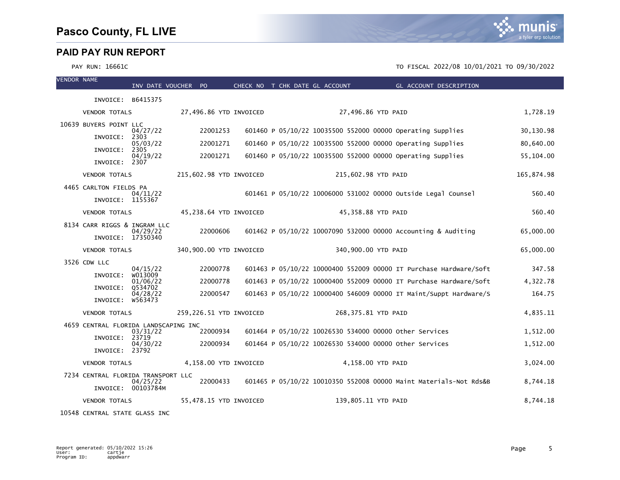PAY RUN: 16661C TO FISCAL 2022/08 10/01/2021 TO 09/30/2022

| <b>VENDOR NAME</b> |                                      | INV DATE VOUCHER PO |                         |  | CHECK NO T CHK DATE GL ACCOUNT |                     | GL ACCOUNT DESCRIPTION                                            |            |
|--------------------|--------------------------------------|---------------------|-------------------------|--|--------------------------------|---------------------|-------------------------------------------------------------------|------------|
|                    | INVOICE: B6415375                    |                     |                         |  |                                |                     |                                                                   |            |
|                    | <b>VENDOR TOTALS</b>                 |                     | 27,496.86 YTD INVOICED  |  |                                | 27,496.86 YTD PAID  |                                                                   | 1,728.19   |
|                    | 10639 BUYERS POINT LLC               | 04/27/22            | 22001253                |  |                                |                     | 601460 P 05/10/22 10035500 552000 00000 Operating Supplies        | 30,130.98  |
|                    | INVOICE:                             | 2303<br>05/03/22    | 22001271                |  |                                |                     | 601460 P 05/10/22 10035500 552000 00000 Operating Supplies        | 80,640.00  |
|                    | INVOICE:                             | 2305<br>04/19/22    | 22001271                |  |                                |                     | 601460 P 05/10/22 10035500 552000 00000 Operating Supplies        | 55,104.00  |
|                    | INVOICE: 2307                        |                     |                         |  |                                |                     |                                                                   |            |
|                    | <b>VENDOR TOTALS</b>                 |                     | 215,602.98 YTD INVOICED |  |                                | 215,602.98 YTD PAID |                                                                   | 165,874.98 |
|                    | 4465 CARLTON FIELDS PA               | 04/11/22            |                         |  |                                |                     | 601461 P 05/10/22 10006000 531002 00000 Outside Legal Counsel     | 560.40     |
|                    | INVOICE: 1155367                     |                     |                         |  |                                |                     |                                                                   |            |
|                    | <b>VENDOR TOTALS</b>                 |                     | 45,238.64 YTD INVOICED  |  |                                | 45,358.88 YTD PAID  |                                                                   | 560.40     |
|                    | 8134 CARR RIGGS & INGRAM LLC         | 04/29/22            | 22000606                |  |                                |                     | 601462 P 05/10/22 10007090 532000 00000 Accounting & Auditing     | 65,000.00  |
|                    | INVOICE: 17350340                    |                     |                         |  |                                |                     |                                                                   |            |
|                    | <b>VENDOR TOTALS</b>                 |                     | 340,900.00 YTD INVOICED |  |                                | 340,900.00 YTD PAID |                                                                   | 65,000.00  |
|                    | 3526 CDW LLC                         | 04/15/22            | 22000778                |  |                                |                     | 601463 P 05/10/22 10000400 552009 00000 IT Purchase Hardware/Soft | 347.58     |
|                    | INVOICE:                             | w013009<br>01/06/22 | 22000778                |  |                                |                     | 601463 P 05/10/22 10000400 552009 00000 IT Purchase Hardware/Soft | 4,322.78   |
|                    | INVOICE:                             | 0534702<br>04/28/22 | 22000547                |  |                                |                     | 601463 P 05/10/22 10000400 546009 00000 IT Maint/Suppt Hardware/S | 164.75     |
|                    | INVOICE:                             | w563473             |                         |  |                                |                     |                                                                   |            |
|                    | <b>VENDOR TOTALS</b>                 |                     | 259,226.51 YTD INVOICED |  |                                | 268,375.81 YTD PAID |                                                                   | 4,835.11   |
|                    | 4659 CENTRAL FLORIDA LANDSCAPING INC | 03/31/22            | 22000934                |  |                                |                     | 601464 P 05/10/22 10026530 534000 00000 other Services            | 1,512.00   |
|                    | INVOICE:                             | 23719<br>04/30/22   | 22000934                |  |                                |                     | 601464 P 05/10/22 10026530 534000 00000 Other Services            | 1,512.00   |
|                    | INVOICE: 23792                       |                     |                         |  |                                |                     |                                                                   |            |
|                    | <b>VENDOR TOTALS</b>                 |                     | 4,158.00 YTD INVOICED   |  |                                | 4,158.00 YTD PAID   |                                                                   | 3,024.00   |
|                    | 7234 CENTRAL FLORIDA TRANSPORT LLC   | 04/25/22            | 22000433                |  |                                |                     | 601465 P 05/10/22 10010350 552008 00000 Maint Materials-Not Rds&B | 8,744.18   |
|                    |                                      | INVOICE: 00103784M  |                         |  |                                |                     |                                                                   |            |
|                    | <b>VENDOR TOTALS</b>                 |                     | 55,478.15 YTD INVOICED  |  |                                | 139,805.11 YTD PAID |                                                                   | 8,744.18   |

10548 CENTRAL STATE GLASS INC

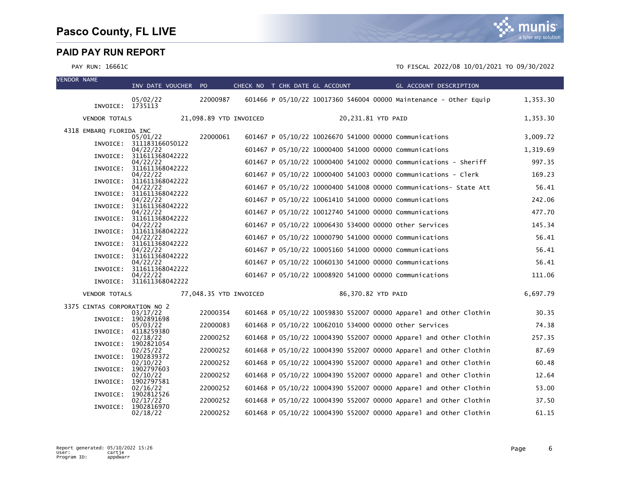| <b>VENDOR NAME</b> |                              | INV DATE VOUCHER PO                  |                        | CHECK NO T CHK DATE GL ACCOUNT |  |                    | GL ACCOUNT DESCRIPTION                                            |          |
|--------------------|------------------------------|--------------------------------------|------------------------|--------------------------------|--|--------------------|-------------------------------------------------------------------|----------|
|                    |                              | 05/02/22                             | 22000987               |                                |  |                    | 601466 P 05/10/22 10017360 546004 00000 Maintenance - Other Equip | 1,353.30 |
|                    | INVOICE:                     | 1735113                              |                        |                                |  |                    |                                                                   |          |
|                    | <b>VENDOR TOTALS</b>         |                                      | 21,098.89 YTD INVOICED |                                |  | 20,231.81 YTD PAID |                                                                   | 1,353.30 |
|                    | 4318 EMBARQ FLORIDA INC      | 05/01/22                             | 22000061               |                                |  |                    | 601467 P 05/10/22 10026670 541000 00000 Communications            | 3.009.72 |
|                    |                              | INVOICE: 311183166050122<br>04/22/22 |                        |                                |  |                    | 601467 P 05/10/22 10000400 541000 00000 Communications            | 1,319.69 |
|                    |                              | INVOICE: 311611368042222<br>04/22/22 |                        |                                |  |                    | 601467 P 05/10/22 10000400 541002 00000 Communications - Sheriff  | 997.35   |
|                    | INVOICE:                     | 311611368042222                      |                        |                                |  |                    |                                                                   | 169.23   |
|                    | INVOICE:                     | 04/22/22<br>311611368042222          |                        |                                |  |                    | 601467 P 05/10/22 10000400 541003 00000 Communications - Clerk    |          |
|                    |                              | 04/22/22<br>INVOICE: 311611368042222 |                        |                                |  |                    | 601467 P 05/10/22 10000400 541008 00000 Communications- State Att | 56.41    |
|                    | INVOICE:                     | 04/22/22<br>311611368042222          |                        |                                |  |                    | 601467 P 05/10/22 10061410 541000 00000 Communications            | 242.06   |
|                    | INVOICE:                     | 04/22/22<br>311611368042222          |                        |                                |  |                    | 601467 P 05/10/22 10012740 541000 00000 Communications            | 477.70   |
|                    |                              | 04/22/22                             |                        |                                |  |                    | 601467 P 05/10/22 10006430 534000 00000 other Services            | 145.34   |
|                    | INVOICE:                     | 311611368042222<br>04/22/22          |                        |                                |  |                    | 601467 P 05/10/22 10000790 541000 00000 Communications            | 56.41    |
|                    |                              | INVOICE: 311611368042222<br>04/22/22 |                        |                                |  |                    | 601467 P 05/10/22 10005160 541000 00000 Communications            | 56.41    |
|                    | INVOICE:                     | 311611368042222<br>04/22/22          |                        |                                |  |                    | 601467 P 05/10/22 10060130 541000 00000 Communications            | 56.41    |
|                    | INVOICE:                     | 311611368042222                      |                        |                                |  |                    |                                                                   |          |
|                    |                              | 04/22/22<br>INVOICE: 311611368042222 |                        |                                |  |                    | 601467 P 05/10/22 10008920 541000 00000 Communications            | 111.06   |
|                    | <b>VENDOR TOTALS</b>         |                                      | 77,048.35 YTD INVOICED |                                |  | 86,370.82 YTD PAID |                                                                   | 6,697.79 |
|                    | 3375 CINTAS CORPORATION NO 2 |                                      | 22000354               |                                |  |                    | 601468 P 05/10/22 10059830 552007 00000 Apparel and Other Clothin | 30.35    |
|                    | INVOICE:                     | 03/17/22<br>1902891698               |                        |                                |  |                    |                                                                   |          |
|                    | INVOICE:                     | 05/03/22<br>4118259380               | 22000083               |                                |  |                    | 601468 P 05/10/22 10062010 534000 00000 Other Services            | 74.38    |
|                    | INVOICE:                     | 02/18/22<br>1902821054               | 22000252               |                                |  |                    | 601468 P 05/10/22 10004390 552007 00000 Apparel and Other Clothin | 257.35   |
|                    | INVOICE:                     | 02/25/22<br>1902839372               | 22000252               |                                |  |                    | 601468 P 05/10/22 10004390 552007 00000 Apparel and Other Clothin | 87.69    |
|                    |                              | 02/10/22                             | 22000252               |                                |  |                    | 601468 P 05/10/22 10004390 552007 00000 Apparel and Other Clothin | 60.48    |
|                    | INVOICE:                     | 1902797603<br>02/10/22               | 22000252               |                                |  |                    | 601468 P 05/10/22 10004390 552007 00000 Apparel and Other Clothin | 12.64    |
|                    | INVOICE:                     | 1902797581<br>02/16/22               | 22000252               |                                |  |                    | 601468 P 05/10/22 10004390 552007 00000 Apparel and Other Clothin | 53.00    |
|                    | INVOICE:                     | 1902812526<br>02/17/22               | 22000252               |                                |  |                    | 601468 P 05/10/22 10004390 552007 00000 Apparel and Other Clothin | 37.50    |
|                    | INVOICE:                     | 1902816970<br>02/18/22               | 22000252               |                                |  |                    | 601468 P 05/10/22 10004390 552007 00000 Apparel and Other Clothin | 61.15    |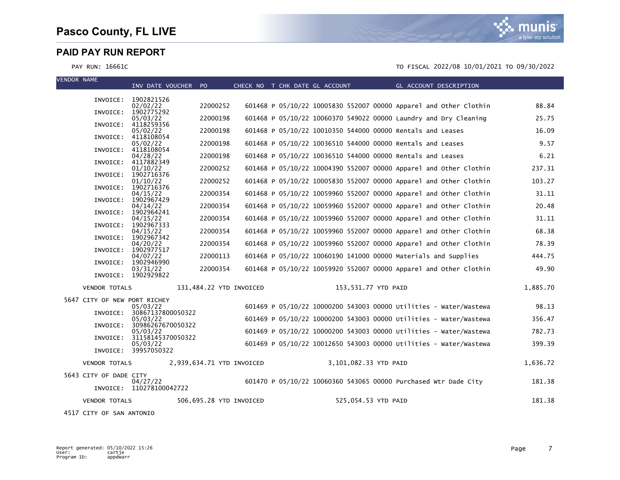#### PAY RUN: 16661C TO FISCAL 2022/08 10/01/2021 TO 09/30/2022

| <b>VENDOR NAME</b>           |                      | INV DATE VOUCHER PO                  |          | CHECK NO T CHK DATE GL ACCOUNT |                                                                  |                       |  | GL ACCOUNT DESCRIPTION |                                                                   |          |
|------------------------------|----------------------|--------------------------------------|----------|--------------------------------|------------------------------------------------------------------|-----------------------|--|------------------------|-------------------------------------------------------------------|----------|
|                              |                      | INVOICE: 1902821526                  |          |                                |                                                                  |                       |  |                        |                                                                   |          |
|                              |                      | 02/02/22                             | 22000252 |                                |                                                                  |                       |  |                        | 601468 P 05/10/22 10005830 552007 00000 Apparel and Other Clothin | 88.84    |
|                              | INVOICE:             | 1902775292<br>05/03/22               | 22000198 |                                | 601468 P 05/10/22 10060370 549022 00000 Laundry and Dry Cleaning |                       |  |                        |                                                                   | 25.75    |
|                              | INVOICE:             | 4118259356                           | 22000198 |                                | 601468 P 05/10/22 10010350 544000 00000 Rentals and Leases       |                       |  |                        |                                                                   |          |
|                              | INVOICE:             | 05/02/22<br>4118108054               |          |                                |                                                                  |                       |  |                        |                                                                   | 16.09    |
|                              | INVOICE:             | 05/02/22<br>4118108054               | 22000198 |                                | 601468 P 05/10/22 10036510 544000 00000 Rentals and Leases       |                       |  |                        |                                                                   | 9.57     |
|                              |                      | 04/28/22                             | 22000198 |                                | 601468 P 05/10/22 10036510 544000 00000 Rentals and Leases       |                       |  |                        |                                                                   | 6.21     |
|                              | INVOICE:             | 4117882349<br>01/10/22               | 22000252 |                                |                                                                  |                       |  |                        | 601468 P 05/10/22 10004390 552007 00000 Apparel and Other Clothin | 237.31   |
|                              | INVOICE:             | 1902716376<br>01/10/22               | 22000252 |                                |                                                                  |                       |  |                        | 601468 P 05/10/22 10005830 552007 00000 Apparel and Other Clothin | 103.27   |
|                              | INVOICE:             | 1902716376                           |          |                                |                                                                  |                       |  |                        |                                                                   |          |
|                              | INVOICE:             | 04/15/22<br>1902967429               | 22000354 |                                |                                                                  |                       |  |                        | 601468 P 05/10/22 10059960 552007 00000 Apparel and Other Clothin | 31.11    |
|                              | INVOICE:             | 04/14/22<br>1902964241               | 22000354 |                                |                                                                  |                       |  |                        | 601468 P 05/10/22 10059960 552007 00000 Apparel and Other Clothin | 20.48    |
|                              |                      | 04/15/22                             | 22000354 |                                |                                                                  |                       |  |                        | 601468 P 05/10/22 10059960 552007 00000 Apparel and Other Clothin | 31.11    |
|                              | INVOICE:             | 1902967333<br>04/15/22               | 22000354 |                                |                                                                  |                       |  |                        | 601468 P 05/10/22 10059960 552007 00000 Apparel and Other Clothin | 68.38    |
|                              | INVOICE:             | 1902967342<br>04/20/22               | 22000354 |                                |                                                                  |                       |  |                        | 601468 P 05/10/22 10059960 552007 00000 Apparel and Other Clothin | 78.39    |
|                              | INVOICE:             | 1902977517                           |          |                                |                                                                  |                       |  |                        |                                                                   |          |
|                              |                      | 04/07/22<br>INVOICE: 1902946990      | 22000113 |                                | 601468 P 05/10/22 10060190 141000 00000 Materials and Supplies   |                       |  |                        |                                                                   | 444.75   |
|                              |                      | 03/31/22<br>INVOICE: 1902929822      | 22000354 |                                |                                                                  |                       |  |                        | 601468 P 05/10/22 10059920 552007 00000 Apparel and Other Clothin | 49.90    |
|                              | <b>VENDOR TOTALS</b> |                                      |          | 131,484.22 YTD INVOICED        |                                                                  | 153,531.77 YTD PAID   |  |                        |                                                                   | 1,885.70 |
| 5647 CITY OF NEW PORT RICHEY |                      | 05/03/22                             |          |                                |                                                                  |                       |  |                        | 601469 P 05/10/22 10000200 543003 00000 Utilities - Water/Wastewa | 98.13    |
|                              | INVOICE:             | 30867137800050322                    |          |                                |                                                                  |                       |  |                        |                                                                   |          |
|                              | INVOICE:             | 05/03/22<br>30986267670050322        |          |                                |                                                                  |                       |  |                        | 601469 P 05/10/22 10000200 543003 00000 Utilities - Water/Wastewa | 356.47   |
|                              | INVOICE:             | 05/03/22<br>31158145370050322        |          |                                |                                                                  |                       |  |                        | 601469 P 05/10/22 10000200 543003 00000 Utilities - Water/Wastewa | 782.73   |
|                              |                      | 05/03/22<br>INVOICE: 39957050322     |          |                                |                                                                  |                       |  |                        | 601469 P 05/10/22 10012650 543003 00000 Utilities - Water/Wastewa | 399.39   |
|                              | <b>VENDOR TOTALS</b> |                                      |          | 2,939,634.71 YTD INVOICED      |                                                                  | 3,101,082.33 YTD PAID |  |                        |                                                                   | 1,636.72 |
| 5643 CITY OF DADE CITY       |                      |                                      |          |                                |                                                                  |                       |  |                        |                                                                   |          |
|                              |                      | 04/27/22<br>INVOICE: 110278100042722 |          |                                | 601470 P 05/10/22 10060360 543065 00000 Purchased Wtr Dade City  |                       |  |                        |                                                                   | 181.38   |
|                              | <b>VENDOR TOTALS</b> |                                      |          | 506,695.28 YTD INVOICED        |                                                                  | 525,054.53 YTD PAID   |  |                        |                                                                   | 181.38   |

4517 CITY OF SAN ANTONIO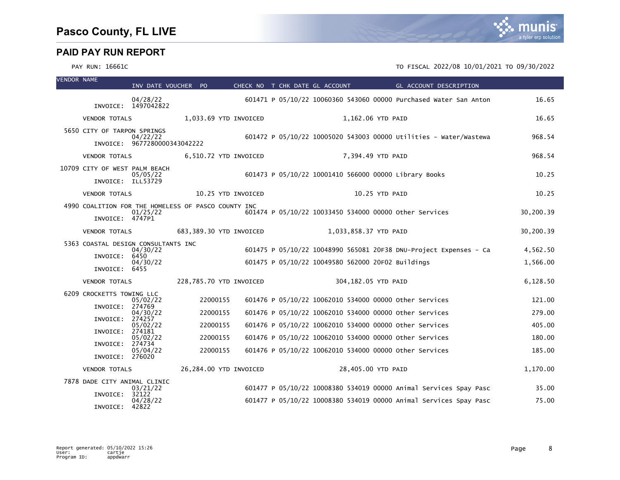| <b>VENDOR NAME</b> |                                                                        | INV DATE VOUCHER PO                      |                      | CHECK NO T CHK DATE GL ACCOUNT |  |                       |                                                                                                                  | <b>Example 2018 GL ACCOUNT DESCRIPTION</b>                                                                                             |                      |
|--------------------|------------------------------------------------------------------------|------------------------------------------|----------------------|--------------------------------|--|-----------------------|------------------------------------------------------------------------------------------------------------------|----------------------------------------------------------------------------------------------------------------------------------------|----------------------|
|                    |                                                                        | 04/28/22<br>INVOICE: 1497042822          |                      |                                |  |                       |                                                                                                                  | 601471 P 05/10/22 10060360 543060 00000 Purchased Water San Anton                                                                      | 16.65                |
|                    | <b>VENDOR TOTALS</b>                                                   |                                          |                      | 1,033.69 YTD INVOICED          |  | 1,162.06 YTD PAID     |                                                                                                                  |                                                                                                                                        | 16.65                |
|                    | 5650 CITY OF TARPON SPRINGS                                            | 04/22/22<br>INVOICE: 9677280000343042222 |                      |                                |  |                       |                                                                                                                  | 601472 P 05/10/22 10005020 543003 00000 Utilities - Water/Wastewa                                                                      | 968.54               |
|                    | <b>VENDOR TOTALS</b>                                                   |                                          |                      | 6,510.72 YTD INVOICED          |  | 7,394.49 YTD PAID     |                                                                                                                  |                                                                                                                                        | 968.54               |
|                    | 10709 CITY OF WEST PALM BEACH<br>INVOICE: ILL53729                     | 05/05/22                                 |                      |                                |  |                       | 601473 P 05/10/22 10001410 566000 00000 Library Books                                                            |                                                                                                                                        | 10.25                |
|                    | <b>VENDOR TOTALS</b>                                                   |                                          |                      | 10.25 YTD INVOICED             |  | 10.25 YTD PAID        |                                                                                                                  |                                                                                                                                        | 10.25                |
|                    | 4990 COALITION FOR THE HOMELESS OF PASCO COUNTY INC<br>INVOICE: 4747P1 | 01/25/22                                 |                      |                                |  |                       | 601474 P 05/10/22 10033450 534000 00000 other Services                                                           |                                                                                                                                        | 30,200.39            |
|                    | <b>VENDOR TOTALS</b>                                                   |                                          |                      | 683,389.30 YTD INVOICED        |  | 1,033,858.37 YTD PAID |                                                                                                                  |                                                                                                                                        | 30,200.39            |
|                    | 5363 COASTAL DESIGN CONSULTANTS INC<br>INVOICE: 6450<br>INVOICE: 6455  | 04/30/22<br>04/30/22                     |                      |                                |  |                       | 601475 P 05/10/22 10049580 562000 20F02 Buildings                                                                | 601475 P 05/10/22 10048990 565081 20F38 DNU-Project Expenses - Ca                                                                      | 4,562.50<br>1,566.00 |
|                    | <b>VENDOR TOTALS</b>                                                   |                                          |                      | 228,785.70 YTD INVOICED        |  | 304,182.05 YTD PAID   |                                                                                                                  |                                                                                                                                        | 6,128.50             |
|                    | 6209 CROCKETTS TOWING LLC<br>INVOICE: 274769<br>INVOICE: 274257        | 05/02/22<br>04/30/22                     | 22000155<br>22000155 |                                |  |                       | 601476 P 05/10/22 10062010 534000 00000 other Services<br>601476 P 05/10/22 10062010 534000 00000 other Services |                                                                                                                                        | 121.00<br>279.00     |
|                    | INVOICE: 274181                                                        | 05/02/22                                 | 22000155             |                                |  |                       | 601476 P 05/10/22 10062010 534000 00000 other Services                                                           |                                                                                                                                        | 405.00               |
|                    | INVOICE: 274734                                                        | 05/02/22                                 | 22000155             |                                |  |                       | 601476 P 05/10/22 10062010 534000 00000 other Services                                                           |                                                                                                                                        | 180.00               |
|                    | INVOICE: 276020                                                        | 05/04/22                                 | 22000155             |                                |  |                       | 601476 P 05/10/22 10062010 534000 00000 Other Services                                                           |                                                                                                                                        | 185.00               |
|                    | <b>VENDOR TOTALS</b>                                                   |                                          |                      | 26,284.00 YTD INVOICED         |  | 28,405.00 YTD PAID    |                                                                                                                  |                                                                                                                                        | 1,170.00             |
|                    | 7878 DADE CITY ANIMAL CLINIC<br>INVOICE:                               | 03/21/22<br>32122<br>04/28/22            |                      |                                |  |                       |                                                                                                                  | 601477 P 05/10/22 10008380 534019 00000 Animal Services Spay Pasc<br>601477 P 05/10/22 10008380 534019 00000 Animal Services Spay Pasc | 35.00<br>75.00       |
|                    | INVOICE: 42822                                                         |                                          |                      |                                |  |                       |                                                                                                                  |                                                                                                                                        |                      |

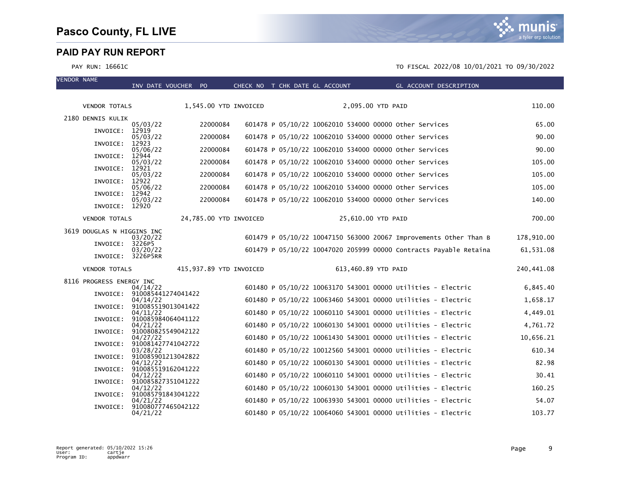VENDOR NAME

munis a tyler erp solution

|                            | INV DATE VOUCHER PO                     |          | CHECK NO T CHK DATE GL ACCOUNT |                                                              |                     |  | GL ACCOUNT DESCRIPTION |                                                                   |            |
|----------------------------|-----------------------------------------|----------|--------------------------------|--------------------------------------------------------------|---------------------|--|------------------------|-------------------------------------------------------------------|------------|
| <b>VENDOR TOTALS</b>       |                                         |          | 1,545.00 YTD INVOICED          |                                                              | 2,095.00 YTD PAID   |  |                        |                                                                   | 110.00     |
| 2180 DENNIS KULIK          |                                         |          |                                |                                                              |                     |  |                        |                                                                   |            |
| INVOICE: 12919             | 05/03/22                                | 22000084 |                                | 601478 P 05/10/22 10062010 534000 00000 other Services       |                     |  |                        |                                                                   | 65.00      |
|                            | 05/03/22                                | 22000084 |                                | 601478 P 05/10/22 10062010 534000 00000 other Services       |                     |  |                        |                                                                   | 90.00      |
| INVOICE:                   | 12923<br>05/06/22                       | 22000084 |                                | 601478 P 05/10/22 10062010 534000 00000 other Services       |                     |  |                        |                                                                   | 90.00      |
| INVOICE: 12944             | 05/03/22                                | 22000084 |                                | 601478 P 05/10/22 10062010 534000 00000 other Services       |                     |  |                        |                                                                   | 105.00     |
| INVOICE:                   | 12921<br>05/03/22                       | 22000084 |                                | 601478 P 05/10/22 10062010 534000 00000 Other Services       |                     |  |                        |                                                                   | 105.00     |
| INVOICE:                   | 12922<br>05/06/22                       | 22000084 |                                | 601478 P 05/10/22 10062010 534000 00000 other Services       |                     |  |                        |                                                                   | 105.00     |
| INVOICE: 12942             |                                         |          |                                |                                                              |                     |  |                        |                                                                   |            |
| INVOICE: 12920             | 05/03/22                                | 22000084 |                                | 601478 P 05/10/22 10062010 534000 00000 other Services       |                     |  |                        |                                                                   | 140.00     |
| <b>VENDOR TOTALS</b>       |                                         |          | 24,785.00 YTD INVOICED         |                                                              | 25,610.00 YTD PAID  |  |                        |                                                                   | 700.00     |
| 3619 DOUGLAS N HIGGINS INC |                                         |          |                                |                                                              |                     |  |                        |                                                                   |            |
| INVOICE: 3226P5            | 03/20/22                                |          |                                |                                                              |                     |  |                        | 601479 P 05/10/22 10047150 563000 20067 Improvements Other Than B | 178,910.00 |
|                            | 03/20/22<br>INVOICE: 3226P5RR           |          |                                |                                                              |                     |  |                        | 601479 P 05/10/22 10047020 205999 00000 Contracts Payable Retaina | 61,531.08  |
| <b>VENDOR TOTALS</b>       |                                         |          | 415,937.89 YTD INVOICED        |                                                              | 613,460.89 YTD PAID |  |                        |                                                                   | 240,441.08 |
| 8116 PROGRESS ENERGY INC   |                                         |          |                                |                                                              |                     |  |                        |                                                                   |            |
|                            | 04/14/22<br>INVOICE: 910085441274041422 |          |                                | 601480 P 05/10/22 10063170 543001 00000 Utilities - Electric |                     |  |                        |                                                                   | 6,845.40   |
|                            | 04/14/22<br>INVOICE: 910085519013041422 |          |                                | 601480 P 05/10/22 10063460 543001 00000 Utilities - Electric |                     |  |                        |                                                                   | 1,658.17   |
|                            | 04/11/22                                |          |                                | 601480 P 05/10/22 10060110 543001 00000 Utilities - Electric |                     |  |                        |                                                                   | 4,449.01   |
|                            | INVOICE: 910085984064041122<br>04/21/22 |          |                                | 601480 P 05/10/22 10060130 543001 00000 Utilities - Electric |                     |  |                        |                                                                   | 4,761.72   |
| INVOICE:                   | 910080825549042122<br>04/27/22          |          |                                | 601480 P 05/10/22 10061430 543001 00000 Utilities - Electric |                     |  |                        |                                                                   | 10,656.21  |
|                            | INVOICE: 910081427741042722<br>03/28/22 |          |                                | 601480 P 05/10/22 10012560 543001 00000 Utilities - Electric |                     |  |                        |                                                                   | 610.34     |
| INVOICE:                   | 910085901213042822<br>04/12/22          |          |                                | 601480 P 05/10/22 10060130 543001 00000 Utilities - Electric |                     |  |                        |                                                                   | 82.98      |
| INVOICE:                   | 910085519162041222                      |          |                                |                                                              |                     |  |                        |                                                                   |            |
| INVOICE:                   | 04/12/22<br>910085827351041222          |          |                                | 601480 P 05/10/22 10060110 543001 00000 Utilities - Electric |                     |  |                        |                                                                   | 30.41      |
| INVOICE:                   | 04/12/22<br>910085791843041222          |          |                                | 601480 P 05/10/22 10060130 543001 00000 Utilities - Electric |                     |  |                        |                                                                   | 160.25     |
|                            | 04/21/22<br>INVOICE: 910080777465042122 |          |                                | 601480 P 05/10/22 10063930 543001 00000 Utilities - Electric |                     |  |                        |                                                                   | 54.07      |
|                            | 04/21/22                                |          |                                | 601480 P 05/10/22 10064060 543001 00000 Utilities - Electric |                     |  |                        |                                                                   | 103.77     |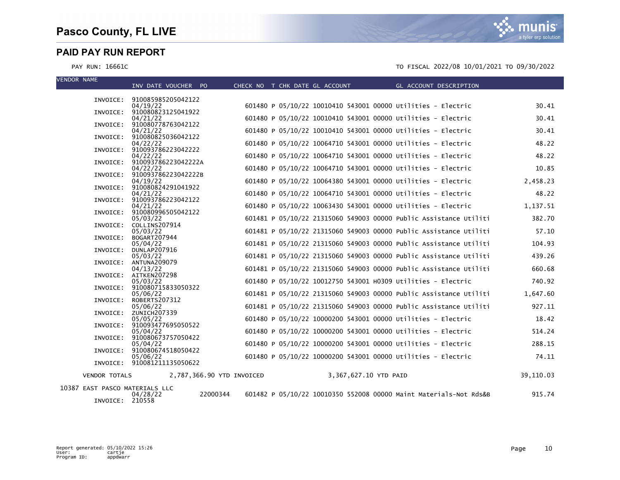VENDOR NAME

PAY RUN: 16661C TO FISCAL 2022/08 10/01/2021 TO 09/30/2022

|                      | INV DATE VOUCHER PO                      |                           | CHECK NO T CHK DATE GL ACCOUNT |  |                       |                                                              | GL ACCOUNT DESCRIPTION                                            |           |
|----------------------|------------------------------------------|---------------------------|--------------------------------|--|-----------------------|--------------------------------------------------------------|-------------------------------------------------------------------|-----------|
|                      | INVOICE: 910085985205042122              |                           |                                |  |                       |                                                              |                                                                   |           |
|                      | 04/19/22                                 |                           |                                |  |                       | 601480 P 05/10/22 10010410 543001 00000 Utilities - Electric |                                                                   | 30.41     |
|                      | INVOICE: 910080823125041922              |                           |                                |  |                       | 601480 P 05/10/22 10010410 543001 00000 Utilities - Electric |                                                                   | 30.41     |
|                      | 04/21/22<br>INVOICE: 910080778763042122  |                           |                                |  |                       |                                                              |                                                                   |           |
|                      | 04/21/22                                 |                           |                                |  |                       | 601480 P 05/10/22 10010410 543001 00000 Utilities - Electric |                                                                   | 30.41     |
|                      | INVOICE: 910080825036042122<br>04/22/22  |                           |                                |  |                       | 601480 P 05/10/22 10064710 543001 00000 Utilities - Electric |                                                                   | 48.22     |
|                      | INVOICE: 910093786223042222              |                           |                                |  |                       |                                                              |                                                                   |           |
|                      | 04/22/22                                 |                           |                                |  |                       | 601480 P 05/10/22 10064710 543001 00000 Utilities - Electric |                                                                   | 48.22     |
|                      | INVOICE: 910093786223042222A<br>04/22/22 |                           |                                |  |                       | 601480 P 05/10/22 10064710 543001 00000 Utilities - Electric |                                                                   | 10.85     |
|                      | INVOICE: 910093786223042222B             |                           |                                |  |                       |                                                              |                                                                   |           |
|                      | 04/19/22<br>INVOICE: 910080824291041922  |                           |                                |  |                       | 601480 P 05/10/22 10064380 543001 00000 Utilities - Electric |                                                                   | 2,458.23  |
|                      | 04/21/22                                 |                           |                                |  |                       | 601480 P 05/10/22 10064710 543001 00000 Utilities - Electric |                                                                   | 48.22     |
|                      | INVOICE: 910093786223042122              |                           |                                |  |                       |                                                              |                                                                   |           |
|                      | 04/21/22<br>INVOICE: 910080996505042122  |                           |                                |  |                       | 601480 P 05/10/22 10063430 543001 00000 Utilities - Electric |                                                                   | 1,137.51  |
|                      | 05/03/22                                 |                           |                                |  |                       |                                                              | 601481 P 05/10/22 21315060 549003 00000 Public Assistance Utiliti | 382.70    |
|                      | INVOICE: COLLINS207914<br>05/03/22       |                           |                                |  |                       |                                                              | 601481 P 05/10/22 21315060 549003 00000 Public Assistance Utiliti | 57.10     |
| INVOICE:             | BOGART207944                             |                           |                                |  |                       |                                                              |                                                                   |           |
|                      | 05/04/22                                 |                           |                                |  |                       |                                                              | 601481 P 05/10/22 21315060 549003 00000 Public Assistance Utiliti | 104.93    |
| INVOICE:             | <b>DUNLAP207916</b><br>05/03/22          |                           |                                |  |                       |                                                              | 601481 P 05/10/22 21315060 549003 00000 Public Assistance Utiliti | 439.26    |
|                      | INVOICE: ANTUNA209079                    |                           |                                |  |                       |                                                              |                                                                   |           |
|                      | 04/13/22<br>INVOICE: AITKEN207298        |                           |                                |  |                       |                                                              | 601481 P 05/10/22 21315060 549003 00000 Public Assistance Utiliti | 660.68    |
|                      | 05/03/22                                 |                           |                                |  |                       | 601480 P 05/10/22 10012750 543001 H0309 Utilities - Electric |                                                                   | 740.92    |
|                      | INVOICE: 910080715833050322              |                           |                                |  |                       |                                                              |                                                                   |           |
| INVOICE:             | 05/06/22<br>ROBERTS207312                |                           |                                |  |                       |                                                              | 601481 P 05/10/22 21315060 549003 00000 Public Assistance Utiliti | 1,647.60  |
|                      | 05/06/22                                 |                           |                                |  |                       |                                                              | 601481 P 05/10/22 21315060 549003 00000 Public Assistance Utiliti | 927.11    |
|                      | INVOICE: ZUNICH207339                    |                           |                                |  |                       | 601480 P 05/10/22 10000200 543001 00000 Utilities - Electric |                                                                   | 18.42     |
|                      | 05/05/22<br>INVOICE: 910093477695050522  |                           |                                |  |                       |                                                              |                                                                   |           |
|                      | 05/04/22                                 |                           |                                |  |                       | 601480 P 05/10/22 10000200 543001 00000 Utilities - Electric |                                                                   | 514.24    |
|                      | INVOICE: 910080673757050422<br>05/04/22  |                           |                                |  |                       | 601480 P 05/10/22 10000200 543001 00000 Utilities - Electric |                                                                   | 288.15    |
|                      | INVOICE: 910080674518050422              |                           |                                |  |                       |                                                              |                                                                   |           |
|                      | 05/06/22<br>INVOICE: 910081211135050622  |                           |                                |  |                       | 601480 P 05/10/22 10000200 543001 00000 Utilities - Electric |                                                                   | 74.11     |
|                      |                                          |                           |                                |  |                       |                                                              |                                                                   |           |
| <b>VENDOR TOTALS</b> |                                          | 2,787,366.90 YTD INVOICED |                                |  | 3,367,627.10 YTD PAID |                                                              |                                                                   | 39,110.03 |
|                      | 10387 EAST PASCO MATERIALS LLC           |                           |                                |  |                       |                                                              |                                                                   |           |
|                      | 04/28/22                                 | 22000344                  |                                |  |                       |                                                              | 601482 P 05/10/22 10010350 552008 00000 Maint Materials-Not Rds&B | 915.74    |

04/28/22<br>INVOICE: 210558

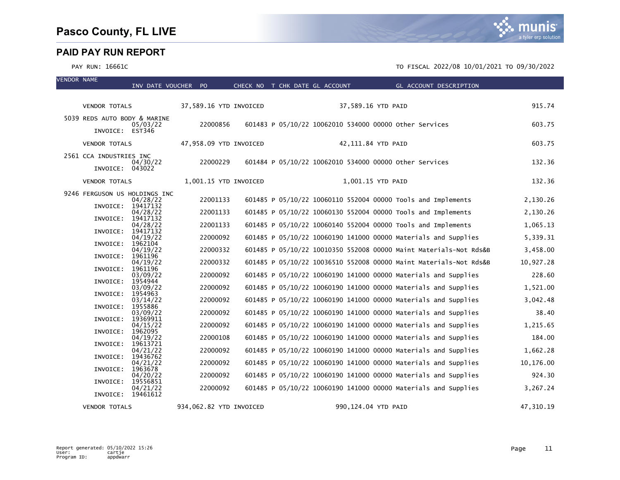| <b>VENDOR NAME</b> |                               | INV DATE VOUCHER PO  |                         |  |  |                     | CHECK NO T CHK DATE GL ACCOUNT GL ACCOUNT DESCRIPTION             |           |
|--------------------|-------------------------------|----------------------|-------------------------|--|--|---------------------|-------------------------------------------------------------------|-----------|
|                    |                               |                      |                         |  |  |                     |                                                                   |           |
|                    | <b>VENDOR TOTALS</b>          |                      | 37,589.16 YTD INVOICED  |  |  | 37,589.16 YTD PAID  |                                                                   | 915.74    |
|                    | 5039 REDS AUTO BODY & MARINE  | 05/03/22             | 22000856                |  |  |                     | 601483 P 05/10/22 10062010 534000 00000 other Services            | 603.75    |
|                    | INVOICE: EST346               |                      |                         |  |  |                     |                                                                   |           |
|                    | <b>VENDOR TOTALS</b>          |                      | 47,958.09 YTD INVOICED  |  |  | 42,111.84 YTD PAID  |                                                                   | 603.75    |
|                    | 2561 CCA INDUSTRIES INC       | 04/30/22             | 22000229                |  |  |                     | 601484 P 05/10/22 10062010 534000 00000 other Services            | 132.36    |
|                    | INVOICE: 043022               |                      |                         |  |  |                     |                                                                   |           |
|                    | <b>VENDOR TOTALS</b>          |                      | 1,001.15 YTD INVOICED   |  |  | 1,001.15 YTD PAID   |                                                                   | 132.36    |
|                    | 9246 FERGUSON US HOLDINGS INC | 04/28/22             | 22001133                |  |  |                     | 601485 P 05/10/22 10060110 552004 00000 Tools and Implements      | 2,130.26  |
|                    | INVOICE:                      | 19417132<br>04/28/22 | 22001133                |  |  |                     | 601485 P 05/10/22 10060130 552004 00000 Tools and Implements      | 2,130.26  |
|                    | INVOICE: 19417132             | 04/28/22             | 22001133                |  |  |                     | 601485 P 05/10/22 10060140 552004 00000 Tools and Implements      | 1,065.13  |
|                    | INVOICE:                      | 19417132<br>04/19/22 | 22000092                |  |  |                     | 601485 P 05/10/22 10060190 141000 00000 Materials and Supplies    | 5,339.31  |
|                    | INVOICE:                      | 1962104<br>04/19/22  | 22000332                |  |  |                     | 601485 P 05/10/22 10010350 552008 00000 Maint Materials-Not Rds&B | 3,458.00  |
|                    | INVOICE:                      | 1961196<br>04/19/22  | 22000332                |  |  |                     | 601485 P 05/10/22 10036510 552008 00000 Maint Materials-Not Rds&B | 10,927.28 |
|                    | INVOICE:                      | 1961196              |                         |  |  |                     |                                                                   |           |
|                    | INVOICE:                      | 03/09/22<br>1954944  | 22000092                |  |  |                     | 601485 P 05/10/22 10060190 141000 00000 Materials and Supplies    | 228.60    |
|                    | INVOICE:                      | 03/09/22<br>1954963  | 22000092                |  |  |                     | 601485 P 05/10/22 10060190 141000 00000 Materials and Supplies    | 1,521.00  |
|                    |                               | 03/14/22             | 22000092                |  |  |                     | 601485 P 05/10/22 10060190 141000 00000 Materials and Supplies    | 3,042.48  |
|                    | INVOICE:                      | 1955886<br>03/09/22  | 22000092                |  |  |                     | 601485 P 05/10/22 10060190 141000 00000 Materials and Supplies    | 38.40     |
|                    | INVOICE:                      | 19369911             |                         |  |  |                     |                                                                   |           |
|                    | INVOICE:                      | 04/15/22<br>1962095  | 22000092                |  |  |                     | 601485 P 05/10/22 10060190 141000 00000 Materials and Supplies    | 1,215.65  |
|                    | INVOICE:                      | 04/19/22<br>19613721 | 22000108                |  |  |                     | 601485 P 05/10/22 10060190 141000 00000 Materials and Supplies    | 184.00    |
|                    |                               | 04/21/22             | 22000092                |  |  |                     | 601485 P 05/10/22 10060190 141000 00000 Materials and Supplies    | 1,662.28  |
|                    | INVOICE:                      | 19436762<br>04/21/22 | 22000092                |  |  |                     | 601485 P 05/10/22 10060190 141000 00000 Materials and Supplies    | 10,176.00 |
|                    | INVOICE:                      | 1963678              |                         |  |  |                     |                                                                   |           |
|                    | INVOICE:                      | 04/20/22<br>19556851 | 22000092                |  |  |                     | 601485 P 05/10/22 10060190 141000 00000 Materials and Supplies    | 924.30    |
|                    | INVOICE: 19461612             | 04/21/22             | 22000092                |  |  |                     | 601485 P 05/10/22 10060190 141000 00000 Materials and Supplies    | 3,267.24  |
|                    | <b>VENDOR TOTALS</b>          |                      | 934,062.82 YTD INVOICED |  |  | 990,124.04 YTD PAID |                                                                   | 47,310.19 |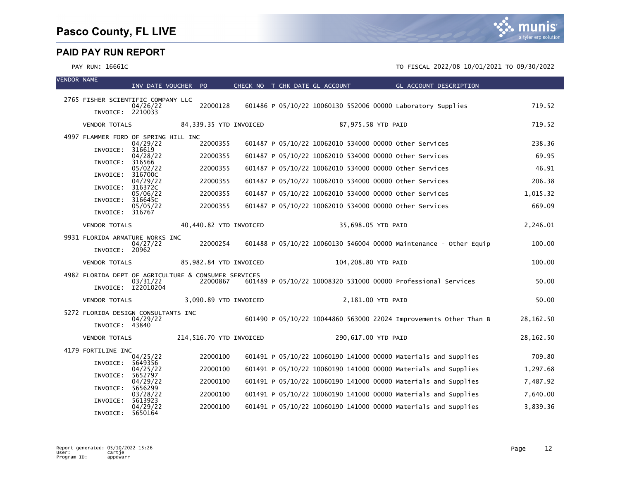VENDOR NAME

|                                                        | INV DATE VOUCHER PO            |          |                         |  | CHECK NO T CHK DATE GL ACCOUNT |                     | GL ACCOUNT DESCRIPTION                                         |                                                                   |            |
|--------------------------------------------------------|--------------------------------|----------|-------------------------|--|--------------------------------|---------------------|----------------------------------------------------------------|-------------------------------------------------------------------|------------|
| 2765 FISHER SCIENTIFIC COMPANY LLC<br>INVOICE: 2210033 | 04/26/22                       | 22000128 |                         |  |                                |                     | 601486 P 05/10/22 10060130 552006 00000 Laboratory Supplies    |                                                                   | 719.52     |
| <b>VENDOR TOTALS</b>                                   |                                |          | 84,339.35 YTD INVOICED  |  |                                | 87,975.58 YTD PAID  |                                                                |                                                                   | 719.52     |
| 4997 FLAMMER FORD OF SPRING HILL INC                   | 04/29/22                       | 22000355 |                         |  |                                |                     | 601487 P 05/10/22 10062010 534000 00000 other Services         |                                                                   | 238.36     |
| INVOICE:                                               | 316619<br>04/28/22             | 22000355 |                         |  |                                |                     | 601487 P 05/10/22 10062010 534000 00000 other Services         |                                                                   | 69.95      |
| INVOICE:                                               | 316566<br>05/02/22             | 22000355 |                         |  |                                |                     | 601487 P 05/10/22 10062010 534000 00000 other Services         |                                                                   | 46.91      |
| INVOICE:                                               | 316700C<br>04/29/22            | 22000355 |                         |  |                                |                     | 601487 P 05/10/22 10062010 534000 00000 other Services         |                                                                   | 206.38     |
| INVOICE:                                               | 316372C<br>05/06/22            | 22000355 |                         |  |                                |                     | 601487 P 05/10/22 10062010 534000 00000 other Services         |                                                                   | 1,015.32   |
| INVOICE:                                               | 316645C<br>05/05/22            | 22000355 |                         |  |                                |                     | 601487 P 05/10/22 10062010 534000 00000 other Services         |                                                                   | 669.09     |
| INVOICE: 316767                                        |                                |          |                         |  |                                |                     |                                                                |                                                                   |            |
| <b>VENDOR TOTALS</b>                                   |                                |          | 40,440.82 YTD INVOICED  |  |                                | 35,698.05 YTD PAID  |                                                                |                                                                   | 2,246.01   |
| 9931 FLORIDA ARMATURE WORKS INC<br>INVOICE: 20962      | 04/27/22                       | 22000254 |                         |  |                                |                     |                                                                | 601488 P 05/10/22 10060130 546004 00000 Maintenance - Other Equip | 100.00     |
| <b>VENDOR TOTALS</b>                                   |                                |          | 85,982.84 YTD INVOICED  |  |                                | 104,208.80 YTD PAID |                                                                |                                                                   | 100.00     |
| 4982 FLORIDA DEPT OF AGRICULTURE & CONSUMER SERVICES   | 03/31/22<br>INVOICE: I22010204 | 22000867 |                         |  |                                |                     | 601489 P 05/10/22 10008320 531000 00000 Professional Services  |                                                                   | 50.00      |
| <b>VENDOR TOTALS</b>                                   |                                |          | 3,090.89 YTD INVOICED   |  |                                | 2,181.00 YTD PAID   |                                                                |                                                                   | 50.00      |
| 5272 FLORIDA DESIGN CONSULTANTS INC                    |                                |          |                         |  |                                |                     |                                                                |                                                                   |            |
| INVOICE: 43840                                         | 04/29/22                       |          |                         |  |                                |                     |                                                                | 601490 P 05/10/22 10044860 563000 22024 Improvements Other Than B | 28,162.50  |
| <b>VENDOR TOTALS</b>                                   |                                |          | 214,516.70 YTD INVOICED |  |                                | 290,617.00 YTD PAID |                                                                |                                                                   | 28, 162.50 |
| 4179 FORTILINE INC                                     |                                |          |                         |  |                                |                     |                                                                |                                                                   |            |
| INVOICE:                                               | 04/25/22<br>5649356            | 22000100 |                         |  |                                |                     | 601491 P 05/10/22 10060190 141000 00000 Materials and Supplies |                                                                   | 709.80     |
| INVOICE:                                               | 04/25/22<br>5652797            | 22000100 |                         |  |                                |                     | 601491 P 05/10/22 10060190 141000 00000 Materials and Supplies |                                                                   | 1,297.68   |
| INVOICE:                                               | 04/29/22<br>5656299            | 22000100 |                         |  |                                |                     | 601491 P 05/10/22 10060190 141000 00000 Materials and Supplies |                                                                   | 7,487.92   |
| INVOICE:                                               | 03/28/22<br>5613923            | 22000100 |                         |  |                                |                     | 601491 P 05/10/22 10060190 141000 00000 Materials and Supplies |                                                                   | 7,640.00   |
| INVOICE:                                               | 04/29/22<br>5650164            | 22000100 |                         |  |                                |                     | 601491 P 05/10/22 10060190 141000 00000 Materials and Supplies |                                                                   | 3,839.36   |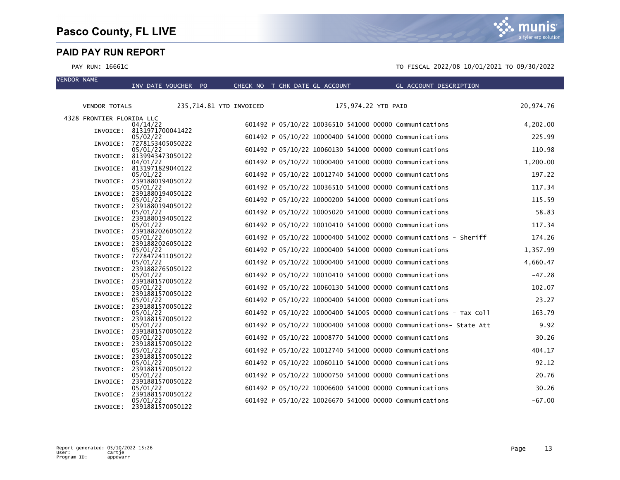VENDOR NAME



|                           | INV DATE VOUCHER PO                   |                         | CHECK NO T CHK DATE GL ACCOUNT |                     | GL ACCOUNT DESCRIPTION                                            |           |
|---------------------------|---------------------------------------|-------------------------|--------------------------------|---------------------|-------------------------------------------------------------------|-----------|
|                           |                                       |                         |                                |                     |                                                                   |           |
| <b>VENDOR TOTALS</b>      |                                       | 235,714.81 YTD INVOICED |                                | 175,974.22 YTD PAID |                                                                   | 20,974.76 |
| 4328 FRONTIER FLORIDA LLC |                                       |                         |                                |                     |                                                                   |           |
|                           | 04/14/22                              |                         |                                |                     | 601492 P 05/10/22 10036510 541000 00000 Communications            | 4,202.00  |
|                           | INVOICE: 8131971700041422<br>05/02/22 |                         |                                |                     | 601492 P 05/10/22 10000400 541000 00000 Communications            | 225.99    |
| INVOICE:                  | 7278153405050222                      |                         |                                |                     |                                                                   |           |
|                           | 05/01/22<br>INVOICE: 8139943473050122 |                         |                                |                     | 601492 P 05/10/22 10060130 541000 00000 Communications            | 110.98    |
|                           | 04/01/22                              |                         |                                |                     | 601492 P 05/10/22 10000400 541000 00000 Communications            | 1,200.00  |
|                           | INVOICE: 8131971829040122<br>05/01/22 |                         |                                |                     | 601492 P 05/10/22 10012740 541000 00000 Communications            | 197.22    |
|                           | INVOICE: 2391880194050122             |                         |                                |                     |                                                                   | 117.34    |
|                           | 05/01/22<br>INVOICE: 2391880194050122 |                         |                                |                     | 601492 P 05/10/22 10036510 541000 00000 Communications            |           |
| INVOICE:                  | 05/01/22<br>2391880194050122          |                         |                                |                     | 601492 P 05/10/22 10000200 541000 00000 Communications            | 115.59    |
|                           | 05/01/22                              |                         |                                |                     | 601492 P 05/10/22 10005020 541000 00000 Communications            | 58.83     |
|                           | INVOICE: 2391880194050122<br>05/01/22 |                         |                                |                     | 601492 P 05/10/22 10010410 541000 00000 Communications            | 117.34    |
| INVOICE:                  | 2391882026050122                      |                         |                                |                     |                                                                   |           |
| INVOICE:                  | 05/01/22<br>2391882026050122          |                         |                                |                     | 601492 P 05/10/22 10000400 541002 00000 Communications - Sheriff  | 174.26    |
|                           | 05/01/22                              |                         |                                |                     | 601492 P 05/10/22 10000400 541000 00000 Communications            | 1,357.99  |
| INVOICE:                  | 7278472411050122<br>05/01/22          |                         |                                |                     | 601492 P 05/10/22 10000400 541000 00000 Communications            | 4,660.47  |
|                           | INVOICE: 2391882765050122             |                         |                                |                     |                                                                   |           |
|                           | 05/01/22<br>INVOICE: 2391881570050122 |                         |                                |                     | 601492 P 05/10/22 10010410 541000 00000 Communications            | $-47.28$  |
|                           | 05/01/22                              |                         |                                |                     | 601492 P 05/10/22 10060130 541000 00000 Communications            | 102.07    |
| INVOICE:                  | 2391881570050122<br>05/01/22          |                         |                                |                     | 601492 P 05/10/22 10000400 541000 00000 Communications            | 23.27     |
| INVOICE:                  | 2391881570050122                      |                         |                                |                     |                                                                   |           |
| INVOICE:                  | 05/01/22<br>2391881570050122          |                         |                                |                     | 601492 P 05/10/22 10000400 541005 00000 Communications - Tax Coll | 163.79    |
|                           | 05/01/22                              |                         |                                |                     | 601492 P 05/10/22 10000400 541008 00000 Communications- State Att | 9.92      |
| INVOICE:                  | 2391881570050122<br>05/01/22          |                         |                                |                     | 601492 P 05/10/22 10008770 541000 00000 Communications            | 30.26     |
|                           | INVOICE: 2391881570050122             |                         |                                |                     |                                                                   |           |
|                           | 05/01/22<br>INVOICE: 2391881570050122 |                         |                                |                     | 601492 P 05/10/22 10012740 541000 00000 Communications            | 404.17    |
|                           | 05/01/22                              |                         |                                |                     | 601492 P 05/10/22 10060110 541000 00000 Communications            | 92.12     |
| INVOICE:                  | 2391881570050122<br>05/01/22          |                         |                                |                     | 601492 P 05/10/22 10000750 541000 00000 Communications            | 20.76     |
|                           | INVOICE: 2391881570050122             |                         |                                |                     |                                                                   |           |
| INVOICE:                  | 05/01/22<br>2391881570050122          |                         |                                |                     | 601492 P 05/10/22 10006600 541000 00000 Communications            | 30.26     |
|                           | 05/01/22                              |                         |                                |                     | 601492 P 05/10/22 10026670 541000 00000 Communications            | $-67.00$  |
|                           | INVOICE: 2391881570050122             |                         |                                |                     |                                                                   |           |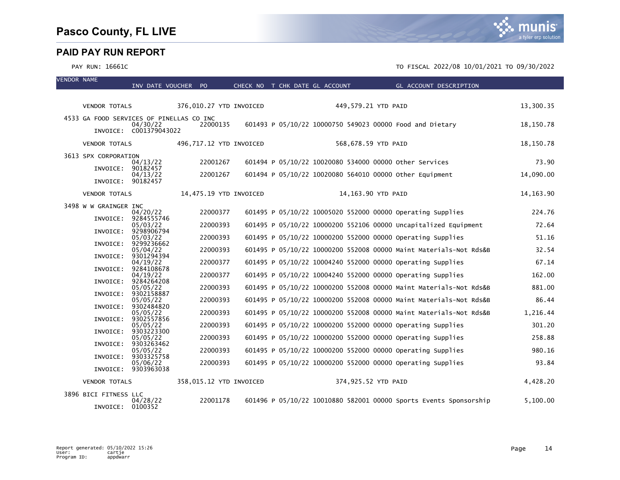VENDOR NAME

|                       | INV DATE VOUCHER PO                      |                         | CHECK NO T CHK DATE GL ACCOUNT |  |                     | GL ACCOUNT DESCRIPTION                                            |             |
|-----------------------|------------------------------------------|-------------------------|--------------------------------|--|---------------------|-------------------------------------------------------------------|-------------|
|                       |                                          |                         |                                |  |                     |                                                                   |             |
| <b>VENDOR TOTALS</b>  |                                          | 376,010.27 YTD INVOICED |                                |  | 449,579.21 YTD PAID |                                                                   | 13,300.35   |
|                       | 4533 GA FOOD SERVICES OF PINELLAS CO INC |                         |                                |  |                     |                                                                   |             |
|                       | 04/30/22<br>INVOICE: C001379043022       | 22000135                |                                |  |                     | 601493 P 05/10/22 10000750 549023 00000 Food and Dietary          | 18,150.78   |
| <b>VENDOR TOTALS</b>  |                                          | 496,717.12 YTD INVOICED |                                |  | 568,678.59 YTD PAID |                                                                   | 18,150.78   |
| 3613 SPX CORPORATION  |                                          |                         |                                |  |                     |                                                                   |             |
| INVOICE:              | 04/13/22<br>90182457                     | 22001267                |                                |  |                     | 601494 P 05/10/22 10020080 534000 00000 other Services            | 73.90       |
| INVOICE:              | 04/13/22<br>90182457                     | 22001267                |                                |  |                     | 601494 P 05/10/22 10020080 564010 00000 other Equipment           | 14,090.00   |
|                       |                                          |                         |                                |  |                     |                                                                   |             |
| <b>VENDOR TOTALS</b>  |                                          | 14,475.19 YTD INVOICED  |                                |  | 14,163.90 YTD PAID  |                                                                   | 14, 163. 90 |
| 3498 W W GRAINGER INC | 04/20/22                                 | 22000377                |                                |  |                     | 601495 P 05/10/22 10005020 552000 00000 Operating Supplies        | 224.76      |
| INVOICE:              | 9284555746<br>05/03/22                   | 22000393                |                                |  |                     | 601495 P 05/10/22 10000200 552106 00000 Uncapitalized Equipment   | 72.64       |
| INVOICE:              | 9298906794                               |                         |                                |  |                     |                                                                   |             |
| INVOICE:              | 05/03/22<br>9299236662                   | 22000393                |                                |  |                     | 601495 P 05/10/22 10000200 552000 00000 Operating Supplies        | 51.16       |
| INVOICE:              | 05/04/22<br>9301294394                   | 22000393                |                                |  |                     | 601495 P 05/10/22 10000200 552008 00000 Maint Materials-Not Rds&B | 32.54       |
|                       | 04/19/22                                 | 22000377                |                                |  |                     | 601495 P 05/10/22 10004240 552000 00000 Operating Supplies        | 67.14       |
| INVOICE:              | 9284108678<br>04/19/22                   | 22000377                |                                |  |                     | 601495 P 05/10/22 10004240 552000 00000 Operating Supplies        | 162.00      |
| INVOICE:              | 9284264208<br>05/05/22                   | 22000393                |                                |  |                     | 601495 P 05/10/22 10000200 552008 00000 Maint Materials-Not Rds&B | 881.00      |
| INVOICE:              | 9302158887                               |                         |                                |  |                     |                                                                   |             |
| INVOICE:              | 05/05/22<br>9302484820                   | 22000393                |                                |  |                     | 601495 P 05/10/22 10000200 552008 00000 Maint Materials-Not Rds&B | 86.44       |
| INVOICE:              | 05/05/22<br>9302557856                   | 22000393                |                                |  |                     | 601495 P 05/10/22 10000200 552008 00000 Maint Materials-Not Rds&B | 1,216.44    |
|                       | 05/05/22                                 | 22000393                |                                |  |                     | 601495 P 05/10/22 10000200 552000 00000 Operating Supplies        | 301.20      |
| INVOICE:              | 9303223300<br>05/05/22                   | 22000393                |                                |  |                     | 601495 P 05/10/22 10000200 552000 00000 Operating Supplies        | 258.88      |
| INVOICE:              | 9303263462<br>05/05/22                   | 22000393                |                                |  |                     | 601495 P 05/10/22 10000200 552000 00000 Operating Supplies        | 980.16      |
| INVOICE:              | 9303325758                               |                         |                                |  |                     |                                                                   |             |
|                       | 05/06/22<br>INVOICE: 9303963038          | 22000393                |                                |  |                     | 601495 P 05/10/22 10000200 552000 00000 Operating Supplies        | 93.84       |
| <b>VENDOR TOTALS</b>  |                                          | 358,015.12 YTD INVOICED |                                |  | 374,925.52 YTD PAID |                                                                   | 4,428.20    |
| 3896 BICI FITNESS LLC |                                          |                         |                                |  |                     |                                                                   |             |
| INVOICE:              | 04/28/22<br>0100352                      | 22001178                |                                |  |                     | 601496 P 05/10/22 10010880 582001 00000 Sports Events Sponsorship | 5,100.00    |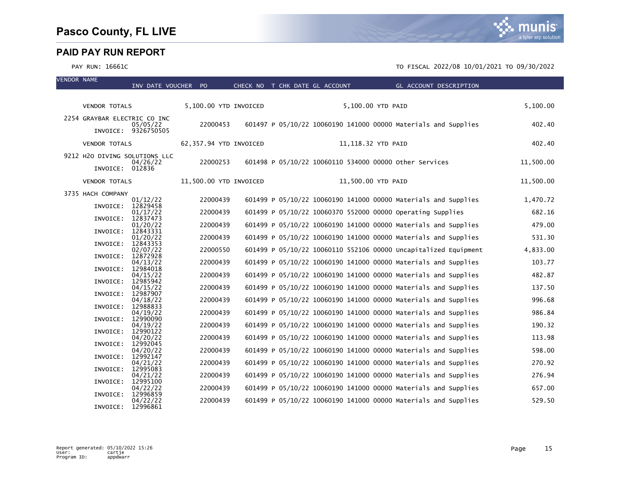VENDOR NAME



|                                           | INV DATE VOUCHER PO    |  | CHECK NO T CHK DATE GL ACCOUNT | GL ACCOUNT DESCRIPTION                                          |           |
|-------------------------------------------|------------------------|--|--------------------------------|-----------------------------------------------------------------|-----------|
|                                           |                        |  |                                |                                                                 |           |
| <b>VENDOR TOTALS</b>                      | 5,100.00 YTD INVOICED  |  |                                | 5,100.00 YTD PAID                                               | 5,100.00  |
| 2254 GRAYBAR ELECTRIC CO INC<br>05/05/22  | 22000453               |  |                                | 601497 P 05/10/22 10060190 141000 00000 Materials and Supplies  | 402.40    |
| INVOICE: 9326750505                       |                        |  |                                |                                                                 |           |
| <b>VENDOR TOTALS</b>                      | 62,357.94 YTD INVOICED |  |                                | 11,118.32 YTD PAID                                              | 402.40    |
| 9212 H2O DIVING SOLUTIONS LLC<br>04/26/22 | 22000253               |  |                                | 601498 P 05/10/22 10060110 534000 00000 Other Services          | 11,500.00 |
| INVOICE: 012836                           |                        |  |                                |                                                                 |           |
| <b>VENDOR TOTALS</b>                      | 11,500.00 YTD INVOICED |  |                                | 11,500.00 YTD PAID                                              | 11,500.00 |
| 3735 HACH COMPANY                         |                        |  |                                |                                                                 |           |
| 01/12/22<br>12829458<br>INVOICE:          | 22000439               |  |                                | 601499 P 05/10/22 10060190 141000 00000 Materials and Supplies  | 1,470.72  |
| 01/17/22<br>12837473<br>INVOICE:          | 22000439               |  |                                | 601499 P 05/10/22 10060370 552000 00000 Operating Supplies      | 682.16    |
| 01/20/22                                  | 22000439               |  |                                | 601499 P 05/10/22 10060190 141000 00000 Materials and Supplies  | 479.00    |
| INVOICE:<br>12843331<br>01/20/22          | 22000439               |  |                                | 601499 P 05/10/22 10060190 141000 00000 Materials and Supplies  | 531.30    |
| INVOICE:<br>12843353<br>02/07/22          | 22000550               |  |                                | 601499 P 05/10/22 10060110 552106 00000 Uncapitalized Equipment | 4,833.00  |
| 12872928<br>INVOICE:<br>04/13/22          | 22000439               |  |                                | 601499 P 05/10/22 10060190 141000 00000 Materials and Supplies  | 103.77    |
| 12984018<br>INVOICE:<br>04/15/22          | 22000439               |  |                                | 601499 P 05/10/22 10060190 141000 00000 Materials and Supplies  | 482.87    |
| INVOICE:<br>12985942<br>04/15/22          | 22000439               |  |                                | 601499 P 05/10/22 10060190 141000 00000 Materials and Supplies  | 137.50    |
| 12987907<br>INVOICE:<br>04/18/22          | 22000439               |  |                                | 601499 P 05/10/22 10060190 141000 00000 Materials and Supplies  | 996.68    |
| 12988833<br>INVOICE:                      |                        |  |                                |                                                                 |           |
| 04/19/22<br>INVOICE:<br>12990090          | 22000439               |  |                                | 601499 P 05/10/22 10060190 141000 00000 Materials and Supplies  | 986.84    |
| 04/19/22<br>12990122<br>INVOICE:          | 22000439               |  |                                | 601499 P 05/10/22 10060190 141000 00000 Materials and Supplies  | 190.32    |
| 04/20/22<br>INVOICE:<br>12992045          | 22000439               |  |                                | 601499 P 05/10/22 10060190 141000 00000 Materials and Supplies  | 113.98    |
| 04/20/22<br>12992147<br>INVOICE:          | 22000439               |  |                                | 601499 P 05/10/22 10060190 141000 00000 Materials and Supplies  | 598.00    |
| 04/21/22                                  | 22000439               |  |                                | 601499 P 05/10/22 10060190 141000 00000 Materials and Supplies  | 270.92    |
| 12995083<br>INVOICE:<br>04/21/22          | 22000439               |  |                                | 601499 P 05/10/22 10060190 141000 00000 Materials and Supplies  | 276.94    |
| 12995100<br>INVOICE:<br>04/22/22          | 22000439               |  |                                | 601499 P 05/10/22 10060190 141000 00000 Materials and Supplies  | 657.00    |
| INVOICE:<br>12996859                      | 22000439               |  |                                | 601499 P 05/10/22 10060190 141000 00000 Materials and Supplies  | 529.50    |
| 04/22/22<br>12996861<br>INVOICE:          |                        |  |                                |                                                                 |           |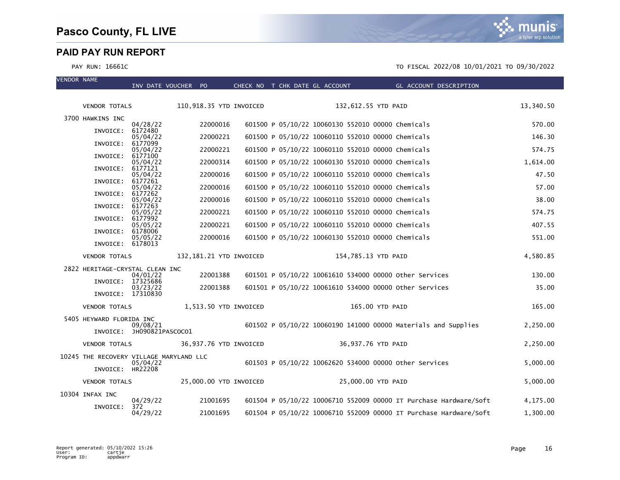mı IS a tyler erp solution

| <b>VENDOR NAME</b> |                          | INV DATE VOUCHER PO                     |                         |  | CHECK NO T CHK DATE GL ACCOUNT                    | <b>Example 2016 GL ACCOUNT DESCRIPTION</b>                        |           |
|--------------------|--------------------------|-----------------------------------------|-------------------------|--|---------------------------------------------------|-------------------------------------------------------------------|-----------|
|                    |                          |                                         |                         |  |                                                   |                                                                   |           |
|                    | <b>VENDOR TOTALS</b>     |                                         | 110,918.35 YTD INVOICED |  | 132,612.55 YTD PAID                               |                                                                   | 13,340.50 |
|                    | 3700 HAWKINS INC         | 04/28/22                                | 22000016                |  | 601500 P 05/10/22 10060130 552010 00000 Chemicals |                                                                   | 570.00    |
|                    | INVOICE:                 | 6172480<br>05/04/22                     | 22000221                |  | 601500 P 05/10/22 10060110 552010 00000 Chemicals |                                                                   | 146.30    |
|                    | INVOICE:                 | 6177099                                 | 22000221                |  | 601500 P 05/10/22 10060110 552010 00000 Chemicals |                                                                   | 574.75    |
|                    | INVOICE:                 | 05/04/22<br>6177100                     |                         |  |                                                   |                                                                   |           |
|                    | INVOICE:                 | 05/04/22<br>6177121                     | 22000314                |  | 601500 P 05/10/22 10060130 552010 00000 Chemicals |                                                                   | 1,614.00  |
|                    |                          | 05/04/22                                | 22000016                |  | 601500 P 05/10/22 10060110 552010 00000 Chemicals |                                                                   | 47.50     |
|                    | INVOICE:                 | 6177261<br>05/04/22                     | 22000016                |  | 601500 P 05/10/22 10060110 552010 00000 Chemicals |                                                                   | 57.00     |
|                    | INVOICE:                 | 6177262<br>05/04/22                     | 22000016                |  | 601500 P 05/10/22 10060110 552010 00000 Chemicals |                                                                   | 38.00     |
|                    | INVOICE:                 | 6177263                                 |                         |  |                                                   |                                                                   |           |
|                    | INVOICE:                 | 05/05/22<br>6177992                     | 22000221                |  | 601500 P 05/10/22 10060110 552010 00000 Chemicals |                                                                   | 574.75    |
|                    | INVOICE:                 | 05/05/22<br>6178006                     | 22000221                |  | 601500 P 05/10/22 10060110 552010 00000 Chemicals |                                                                   | 407.55    |
|                    |                          | 05/05/22                                | 22000016                |  | 601500 P 05/10/22 10060130 552010 00000 Chemicals |                                                                   | 551.00    |
|                    | INVOICE: 6178013         |                                         |                         |  |                                                   |                                                                   |           |
|                    | <b>VENDOR TOTALS</b>     |                                         | 132,181.21 YTD INVOICED |  | 154,785.13 YTD PAID                               |                                                                   | 4,580.85  |
|                    |                          | 2822 HERITAGE-CRYSTAL CLEAN INC         |                         |  |                                                   |                                                                   |           |
|                    | INVOICE: 17325686        | 04/01/22                                | 22001388                |  |                                                   | 601501 P 05/10/22 10061610 534000 00000 other Services            | 130.00    |
|                    | INVOICE: 17310830        | 03/23/22                                | 22001388                |  |                                                   | 601501 P 05/10/22 10061610 534000 00000 Other Services            | 35.00     |
|                    | <b>VENDOR TOTALS</b>     |                                         | 1,513.50 YTD INVOICED   |  |                                                   | 165.00 YTD PAID                                                   | 165.00    |
|                    | 5405 HEYWARD FLORIDA INC |                                         |                         |  |                                                   |                                                                   |           |
|                    |                          | 09/08/21<br>INVOICE: JH090821PASCOCO1   |                         |  |                                                   | 601502 P 05/10/22 10060190 141000 00000 Materials and Supplies    | 2,250.00  |
|                    | <b>VENDOR TOTALS</b>     |                                         | 36,937.76 YTD INVOICED  |  | 36,937.76 YTD PAID                                |                                                                   | 2,250.00  |
|                    |                          | 10245 THE RECOVERY VILLAGE MARYLAND LLC |                         |  |                                                   |                                                                   |           |
|                    | INVOICE: HR22208         | 05/04/22                                |                         |  |                                                   | 601503 P 05/10/22 10062620 534000 00000 other Services            | 5,000.00  |
|                    | <b>VENDOR TOTALS</b>     |                                         | 25,000.00 YTD INVOICED  |  | 25,000.00 YTD PAID                                |                                                                   | 5,000.00  |
|                    | 10304 INFAX INC          |                                         |                         |  |                                                   |                                                                   |           |
|                    | INVOICE:                 | 04/29/22<br>372                         | 21001695                |  |                                                   | 601504 P 05/10/22 10006710 552009 00000 IT Purchase Hardware/Soft | 4,175.00  |
|                    |                          | 04/29/22                                | 21001695                |  |                                                   | 601504 P 05/10/22 10006710 552009 00000 IT Purchase Hardware/Soft | 1,300.00  |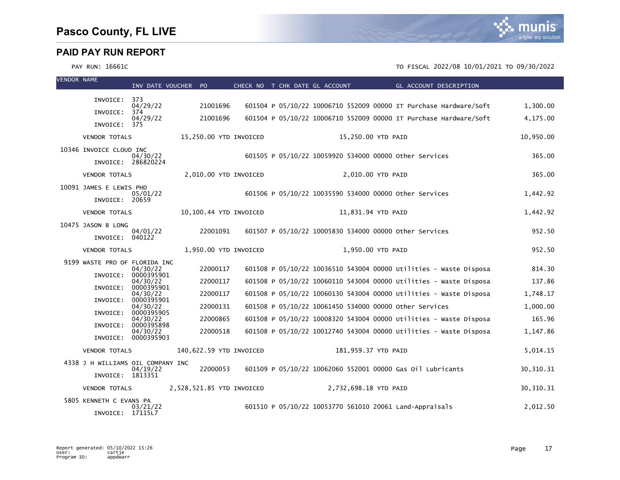

| <b>VENDOR NAME</b> |                                             | INV DATE VOUCHER PO             |                           |          |                       |  | CHECK NO T CHK DATE GL ACCOUNT | <b>Example 2018 GL ACCOUNT DESCRIPTION</b>                        |             |
|--------------------|---------------------------------------------|---------------------------------|---------------------------|----------|-----------------------|--|--------------------------------|-------------------------------------------------------------------|-------------|
|                    | INVOICE: 373                                |                                 |                           |          |                       |  |                                |                                                                   |             |
|                    | INVOICE:                                    | 04/29/22<br>374                 |                           | 21001696 |                       |  |                                | 601504 P 05/10/22 10006710 552009 00000 IT Purchase Hardware/Soft | 1,300.00    |
|                    | INVOICE: 375                                | 04/29/22                        |                           | 21001696 |                       |  |                                | 601504 P 05/10/22 10006710 552009 00000 IT Purchase Hardware/Soft | 4,175.00    |
|                    | <b>VENDOR TOTALS</b>                        |                                 | 15,250.00 YTD INVOICED    |          |                       |  | 15,250.00 YTD PAID             |                                                                   | 10.950.00   |
|                    |                                             |                                 |                           |          |                       |  |                                |                                                                   |             |
|                    | 10346 INVOICE CLOUD INC                     | 04/30/22<br>INVOICE: 286820224  |                           |          |                       |  |                                | 601505 P 05/10/22 10059920 534000 00000 Other Services            | 365.00      |
|                    | <b>VENDOR TOTALS</b>                        |                                 |                           |          | 2,010.00 YTD INVOICED |  | 2,010.00 YTD PAID              |                                                                   | 365.00      |
|                    | 10091 JAMES E LEWIS PHD                     | 05/01/22                        |                           |          |                       |  |                                | 601506 P 05/10/22 10035590 534000 00000 other Services            | 1,442.92    |
|                    | INVOICE: 20659                              |                                 |                           |          |                       |  |                                |                                                                   |             |
|                    | <b>VENDOR TOTALS</b>                        |                                 | 10,100.44 YTD INVOICED    |          |                       |  | 11,831.94 YTD PAID             |                                                                   | 1,442.92    |
|                    | 10475 JASON B LONG<br>INVOICE: 040122       | 04/01/22                        |                           | 22001091 |                       |  |                                | 601507 P 05/10/22 10005830 534000 00000 Other Services            | 952.50      |
|                    | <b>VENDOR TOTALS</b>                        |                                 |                           |          | 1,950.00 YTD INVOICED |  | 1,950.00 YTD PAID              |                                                                   | 952.50      |
|                    | 9199 WASTE PRO OF FLORIDA INC               | 04/30/22                        |                           | 22000117 |                       |  |                                | 601508 P 05/10/22 10036510 543004 00000 Utilities - Waste Disposa | 814.30      |
|                    | INVOICE:                                    | 0000395901<br>04/30/22          |                           | 22000117 |                       |  |                                | 601508 P 05/10/22 10060110 543004 00000 Utilities - Waste Disposa | 137.86      |
|                    | INVOICE:                                    | 0000395901                      |                           |          |                       |  |                                |                                                                   |             |
|                    | INVOICE:                                    | 04/30/22<br>0000395901          |                           | 22000117 |                       |  |                                | 601508 P 05/10/22 10060130 543004 00000 Utilities - Waste Disposa | 1,748.17    |
|                    | INVOICE:                                    | 04/30/22<br>0000395905          |                           | 22000131 |                       |  |                                | 601508 P 05/10/22 10061450 534000 00000 other Services            | 1,000.00    |
|                    | INVOICE:                                    | 04/30/22<br>0000395898          |                           | 22000865 |                       |  |                                | 601508 P 05/10/22 10008320 543004 00000 Utilities - Waste Disposa | 165.96      |
|                    |                                             | 04/30/22<br>INVOICE: 0000395903 |                           | 22000518 |                       |  |                                | 601508 P 05/10/22 10012740 543004 00000 Utilities - Waste Disposa | 1,147.86    |
|                    | <b>VENDOR TOTALS</b>                        |                                 | 140,622.59 YTD INVOICED   |          |                       |  | 181,959.37 YTD PAID            |                                                                   | 5,014.15    |
|                    | 4338 J H WILLIAMS OIL COMPANY INC           | 04/19/22                        |                           | 22000053 |                       |  |                                | 601509 P 05/10/22 10062060 552001 00000 Gas 01l Lubricants        | 30, 310. 31 |
|                    | INVOICE: 1813351                            |                                 |                           |          |                       |  |                                |                                                                   |             |
|                    | <b>VENDOR TOTALS</b>                        |                                 | 2,528,521.85 YTD INVOICED |          |                       |  | 2,732,698.18 YTD PAID          |                                                                   | 30, 310. 31 |
|                    | 5805 KENNETH C EVANS PA<br>INVOICE: 17115L7 | 03/21/22                        |                           |          |                       |  |                                | 601510 P 05/10/22 10053770 561010 20061 Land-Appraisals           | 2,012.50    |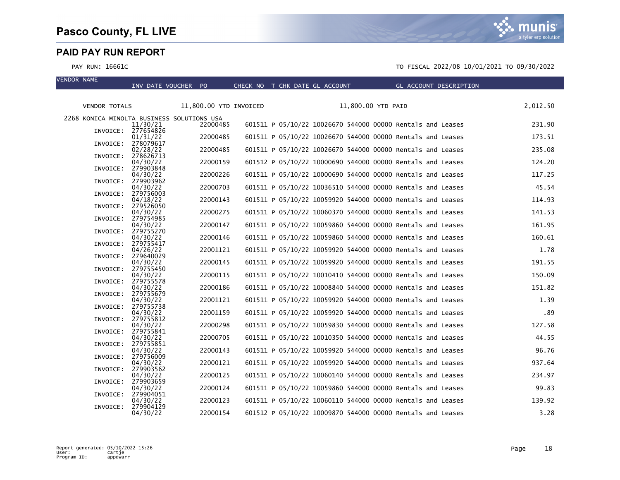VENDOR NAME

munis a tyler erp solution

|                                            | INV DATE VOUCHER PO            |                        | CHECK NO T CHK DATE GL ACCOUNT |  |                    |                                                            | GL ACCOUNT DESCRIPTION |          |
|--------------------------------------------|--------------------------------|------------------------|--------------------------------|--|--------------------|------------------------------------------------------------|------------------------|----------|
| <b>VENDOR TOTALS</b>                       |                                | 11,800.00 YTD INVOICED |                                |  | 11,800.00 YTD PAID |                                                            |                        | 2,012.50 |
|                                            |                                |                        |                                |  |                    |                                                            |                        |          |
| 2268 KONICA MINOLTA BUSINESS SOLUTIONS USA | 11/30/21<br>INVOICE: 277654826 | 22000485               |                                |  |                    | 601511 P 05/10/22 10026670 544000 00000 Rentals and Leases |                        | 231.90   |
|                                            | 01/31/22<br>INVOICE: 278079617 | 22000485               |                                |  |                    | 601511 P 05/10/22 10026670 544000 00000 Rentals and Leases |                        | 173.51   |
|                                            | 02/28/22                       | 22000485               |                                |  |                    | 601511 P 05/10/22 10026670 544000 00000 Rentals and Leases |                        | 235.08   |
| INVOICE:                                   | 278626713<br>04/30/22          | 22000159               |                                |  |                    | 601512 P 05/10/22 10000690 544000 00000 Rentals and Leases |                        | 124.20   |
| INVOICE:                                   | 279903848<br>04/30/22          | 22000226               |                                |  |                    | 601511 P 05/10/22 10000690 544000 00000 Rentals and Leases |                        | 117.25   |
| INVOICE:                                   | 279903962<br>04/30/22          | 22000703               |                                |  |                    | 601511 P 05/10/22 10036510 544000 00000 Rentals and Leases |                        | 45.54    |
|                                            | INVOICE: 279756003<br>04/18/22 | 22000143               |                                |  |                    | 601511 P 05/10/22 10059920 544000 00000 Rentals and Leases |                        | 114.93   |
| INVOICE:                                   | 279526050<br>04/30/22          | 22000275               |                                |  |                    | 601511 P 05/10/22 10060370 544000 00000 Rentals and Leases |                        | 141.53   |
| INVOICE:                                   | 279754985<br>04/30/22          | 22000147               |                                |  |                    | 601511 P 05/10/22 10059860 544000 00000 Rentals and Leases |                        | 161.95   |
|                                            | INVOICE: 279755270<br>04/30/22 | 22000146               |                                |  |                    | 601511 P 05/10/22 10059860 544000 00000 Rentals and Leases |                        | 160.61   |
| INVOICE:                                   | 279755417<br>04/26/22          | 22001121               |                                |  |                    | 601511 P 05/10/22 10059920 544000 00000 Rentals and Leases |                        | 1.78     |
|                                            | INVOICE: 279640029<br>04/30/22 | 22000145               |                                |  |                    | 601511 P 05/10/22 10059920 544000 00000 Rentals and Leases |                        | 191.55   |
| INVOICE:                                   | 279755450<br>04/30/22          | 22000115               |                                |  |                    | 601511 P 05/10/22 10010410 544000 00000 Rentals and Leases |                        | 150.09   |
| INVOICE:                                   | 279755578<br>04/30/22          | 22000186               |                                |  |                    | 601511 P 05/10/22 10008840 544000 00000 Rentals and Leases |                        | 151.82   |
|                                            | INVOICE: 279755679<br>04/30/22 | 22001121               |                                |  |                    | 601511 P 05/10/22 10059920 544000 00000 Rentals and Leases |                        | 1.39     |
| INVOICE:                                   | 279755738<br>04/30/22          | 22001159               |                                |  |                    | 601511 P 05/10/22 10059920 544000 00000 Rentals and Leases |                        | .89      |
| INVOICE:                                   | 279755812<br>04/30/22          | 22000298               |                                |  |                    | 601511 P 05/10/22 10059830 544000 00000 Rentals and Leases |                        | 127.58   |
|                                            | INVOICE: 279755841<br>04/30/22 | 22000705               |                                |  |                    | 601511 P 05/10/22 10010350 544000 00000 Rentals and Leases |                        | 44.55    |
|                                            | INVOICE: 279755851<br>04/30/22 | 22000143               |                                |  |                    | 601511 P 05/10/22 10059920 544000 00000 Rentals and Leases |                        | 96.76    |
|                                            | INVOICE: 279756009<br>04/30/22 | 22000121               |                                |  |                    | 601511 P 05/10/22 10059920 544000 00000 Rentals and Leases |                        | 937.64   |
| INVOICE:                                   | 279903562<br>04/30/22          | 22000125               |                                |  |                    | 601511 P 05/10/22 10060140 544000 00000 Rentals and Leases |                        | 234.97   |
| INVOICE:                                   | 279903659<br>04/30/22          | 22000124               |                                |  |                    | 601511 P 05/10/22 10059860 544000 00000 Rentals and Leases |                        | 99.83    |
|                                            | INVOICE: 279904051<br>04/30/22 | 22000123               |                                |  |                    | 601511 P 05/10/22 10060110 544000 00000 Rentals and Leases |                        | 139.92   |
|                                            | INVOICE: 279904129<br>04/30/22 | 22000154               |                                |  |                    | 601512 P 05/10/22 10009870 544000 00000 Rentals and Leases |                        | 3.28     |
|                                            |                                |                        |                                |  |                    |                                                            |                        |          |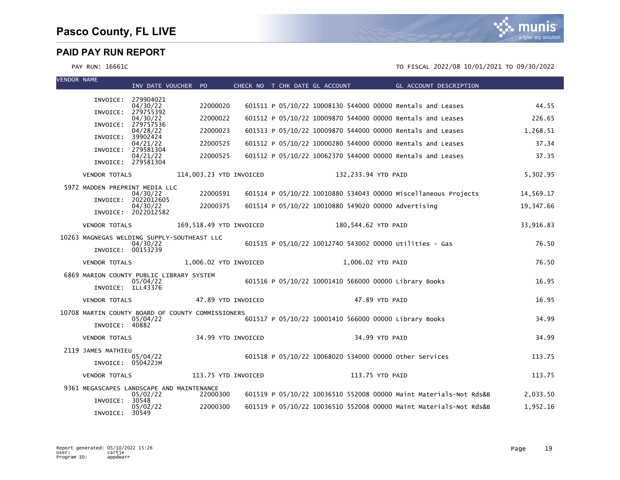

| <b>VENDOR NAME</b> |                      | INV DATE VOUCHER PO                                           |                         | CHECK NO T CHK DATE GL ACCOUNT | GL ACCOUNT DESCRIPTION                                            |           |
|--------------------|----------------------|---------------------------------------------------------------|-------------------------|--------------------------------|-------------------------------------------------------------------|-----------|
|                    |                      | INVOICE: 279904021<br>04/30/22                                | 22000020                |                                | 601511 P 05/10/22 10008130 544000 00000 Rentals and Leases        | 44.55     |
|                    | INVOICE:             | 279755392<br>04/30/22                                         | 22000022                |                                | 601512 P 05/10/22 10009870 544000 00000 Rentals and Leases        | 226.65    |
|                    |                      | INVOICE: 279757536<br>04/28/22                                | 22000023                |                                | 601513 P 05/10/22 10009870 544000 00000 Rentals and Leases        | 1.268.51  |
|                    | INVOICE:             | 39902424                                                      | 22000525                |                                | 601512 P 05/10/22 10000280 544000 00000 Rentals and Leases        | 37.34     |
|                    | INVOICE:             | 04/21/22<br>279581304                                         |                         |                                |                                                                   |           |
|                    |                      | 04/21/22<br>INVOICE: 279581304                                | 22000525                |                                | 601512 P 05/10/22 10062370 544000 00000 Rentals and Leases        | 37.35     |
|                    | <b>VENDOR TOTALS</b> |                                                               | 114,003.23 YTD INVOICED |                                | 132,233.94 YTD PAID                                               | 5,302.95  |
|                    |                      | 5972 MADDEN PREPRINT MEDIA LLC                                |                         |                                |                                                                   |           |
|                    |                      | 04/30/22<br>INVOICE: 2022012605                               | 22000591                |                                | 601514 P 05/10/22 10010880 534043 00000 Miscellaneous Projects    | 14,569.17 |
|                    |                      | 04/30/22<br>INVOICE: 2022012582                               | 22000375                |                                | 601514 P 05/10/22 10010880 549020 00000 Advertising               | 19,347.66 |
|                    | <b>VENDOR TOTALS</b> |                                                               | 169,518.49 YTD INVOICED |                                | 180,544.62 YTD PAID                                               | 33,916.83 |
|                    |                      | 10263 MAGNEGAS WELDING SUPPLY-SOUTHEAST LLC                   |                         |                                |                                                                   |           |
|                    | INVOICE: 00153239    | 04/30/22                                                      |                         |                                | 601515 P 05/10/22 10012740 543002 00000 Utilities - Gas           | 76.50     |
|                    | <b>VENDOR TOTALS</b> |                                                               | 1.006.02 YTD INVOICED   |                                | 1,006.02 YTD PAID                                                 | 76.50     |
|                    |                      | 6869 MARION COUNTY PUBLIC LIBRARY SYSTEM<br>05/04/22          |                         |                                | 601516 P 05/10/22 10001410 566000 00000 Library Books             | 16.95     |
|                    | INVOICE: ILL43376    |                                                               |                         |                                |                                                                   |           |
|                    | <b>VENDOR TOTALS</b> |                                                               | 47.89 YTD INVOICED      |                                | 47.89 YTD PAID                                                    | 16.95     |
|                    |                      | 10708 MARTIN COUNTY BOARD OF COUNTY COMMISSIONERS<br>05/04/22 |                         |                                | 601517 P 05/10/22 10001410 566000 00000 Library Books             | 34.99     |
|                    | INVOICE: 40882       |                                                               |                         |                                |                                                                   |           |
|                    | <b>VENDOR TOTALS</b> |                                                               | 34.99 YTD INVOICED      |                                | 34.99 YTD PAID                                                    | 34.99     |
|                    | 2119 JAMES MATHIEU   | 05/04/22                                                      |                         |                                | 601518 P 05/10/22 10068020 534000 00000 other Services            | 113.75    |
|                    | INVOICE: 050422JM    |                                                               |                         |                                |                                                                   |           |
|                    | <b>VENDOR TOTALS</b> |                                                               | 113.75 YTD INVOICED     |                                | 113.75 YTD PAID                                                   | 113.75    |
|                    |                      | 9361 MEGASCAPES LANDSCAPE AND MAINTENANCE<br>05/02/22         | 22000300                |                                | 601519 P 05/10/22 10036510 552008 00000 Maint Materials-Not Rds&B | 2,033.50  |
|                    | INVOICE:             | 30548                                                         |                         |                                | 601519 P 05/10/22 10036510 552008 00000 Maint Materials-Not Rds&B |           |
|                    | INVOICE:             | 05/02/22<br>30549                                             | 22000300                |                                |                                                                   | 1,952.16  |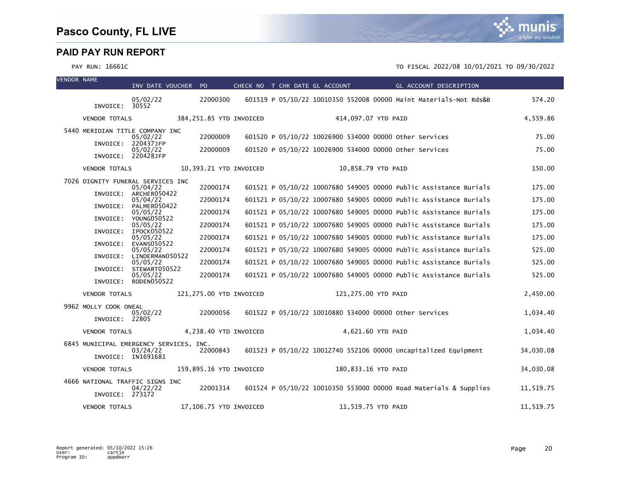VENDOR NAME

munis a tyler erp solution

| VENDUK NAME |                                                    | INV DATE VOUCHER                 | PO.                      | CHECK NO T CHK DATE GL ACCOUNT | GL ACCOUNT DESCRIPTION                                            |           |
|-------------|----------------------------------------------------|----------------------------------|--------------------------|--------------------------------|-------------------------------------------------------------------|-----------|
|             | INVOICE: 30552                                     | 05/02/22                         | 22000300                 |                                | 601519 P 05/10/22 10010350 552008 00000 Maint Materials-Not Rds&B | 574.20    |
|             | <b>VENDOR TOTALS</b>                               |                                  | 384, 251.85 YTD INVOICED |                                | 414,097.07 YTD PAID                                               | 4,559.86  |
|             | 5440 MERIDIAN TITLE COMPANY INC                    | 05/02/22                         | 22000009                 |                                | 601520 P 05/10/22 10026900 534000 00000 other Services            | 75.00     |
|             | INVOICE:                                           | 220437JFP<br>05/02/22            | 22000009                 |                                | 601520 P 05/10/22 10026900 534000 00000 other Services            | 75.00     |
|             |                                                    | INVOICE: 220428JFP               |                          |                                |                                                                   |           |
|             | <b>VENDOR TOTALS</b>                               |                                  | 10,393.21 YTD INVOICED   |                                | 10,858.79 YTD PAID                                                | 150.00    |
|             | 7026 DIGNITY FUNERAL SERVICES INC                  | 05/04/22                         | 22000174                 |                                | 601521 P 05/10/22 10007680 549005 00000 Public Assistance Burials | 175.00    |
|             | INVOICE:                                           | ARCHER050422<br>05/04/22         | 22000174                 |                                | 601521 P 05/10/22 10007680 549005 00000 Public Assistance Burials | 175.00    |
|             | INVOICE:                                           | PALMER050422<br>05/05/22         | 22000174                 |                                | 601521 P 05/10/22 10007680 549005 00000 Public Assistance Burials | 175.00    |
|             |                                                    | INVOICE: YOUNG050522<br>05/05/22 | 22000174                 |                                | 601521 P 05/10/22 10007680 549005 00000 Public Assistance Burials | 175.00    |
|             |                                                    | INVOICE: IPOCK050522<br>05/05/22 | 22000174                 |                                | 601521 P 05/10/22 10007680 549005 00000 Public Assistance Burials | 175.00    |
|             | INVOICE:                                           | EVANS050522<br>05/05/22          | 22000174                 |                                | 601521 P 05/10/22 10007680 549005 00000 Public Assistance Burials | 525.00    |
|             | INVOICE:                                           | LINDERMAN050522<br>05/05/22      | 22000174                 |                                | 601521 P 05/10/22 10007680 549005 00000 Public Assistance Burials | 525.00    |
|             | INVOICE:                                           | STEWART050522<br>05/05/22        | 22000174                 |                                | 601521 P 05/10/22 10007680 549005 00000 Public Assistance Burials | 525.00    |
|             |                                                    | INVOICE: RODEN050522             |                          |                                |                                                                   |           |
|             | <b>VENDOR TOTALS</b>                               |                                  | 121,275.00 YTD INVOICED  |                                | 121,275.00 YTD PAID                                               | 2,450.00  |
|             | 9962 MOLLY COOK ONEAL                              | 05/02/22                         | 22000056                 |                                | 601522 P 05/10/22 10010880 534000 00000 other Services            | 1.034.40  |
|             | INVOICE: 22805                                     |                                  |                          |                                |                                                                   |           |
|             | <b>VENDOR TOTALS</b>                               |                                  | 4,238.40 YTD INVOICED    |                                | 4,621.60 YTD PAID                                                 | 1,034.40  |
|             | 6845 MUNICIPAL EMERGENCY SERVICES, INC.            |                                  |                          |                                |                                                                   |           |
|             |                                                    | 03/24/22<br>INVOICE: IN1691681   | 22000843                 |                                | 601523 P 05/10/22 10012740 552106 00000 Uncapitalized Equipment   | 34,030.08 |
|             | <b>VENDOR TOTALS</b>                               |                                  | 159,895.16 YTD INVOICED  |                                | 180,833.16 YTD PAID                                               | 34,030.08 |
|             | 4666 NATIONAL TRAFFIC SIGNS INC<br>INVOICE: 273172 | 04/22/22                         | 22001314                 |                                | 601524 P 05/10/22 10010350 553000 00000 Road Materials & Supplies | 11,519.75 |
|             | <b>VENDOR TOTALS</b>                               |                                  | 17,106.75 YTD INVOICED   |                                | 11,519.75 YTD PAID                                                | 11,519.75 |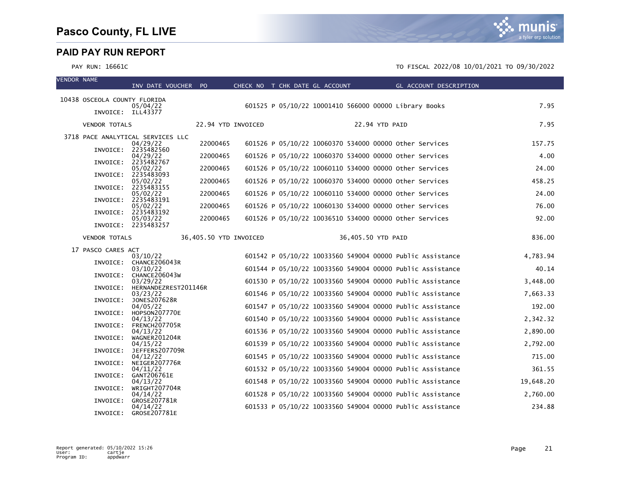VENDOR NAME

|                                                   | INV DATE VOUCHER PO               |                        | CHECK NO T CHK DATE GL ACCOUNT | GL ACCOUNT DESCRIPTION                                    |           |
|---------------------------------------------------|-----------------------------------|------------------------|--------------------------------|-----------------------------------------------------------|-----------|
| 10438 OSCEOLA COUNTY FLORIDA<br>INVOICE: ILL43377 | 05/04/22                          |                        |                                | 601525 P 05/10/22 10001410 566000 00000 Library Books     | 7.95      |
| <b>VENDOR TOTALS</b>                              |                                   | 22.94 YTD INVOICED     |                                | 22.94 YTD PAID                                            | 7.95      |
| 3718 PACE ANALYTICAL SERVICES LLC                 |                                   |                        |                                |                                                           |           |
|                                                   | 04/29/22<br>INVOICE: 2235482560   | 22000465               |                                | 601526 P 05/10/22 10060370 534000 00000 other Services    | 157.75    |
|                                                   | 04/29/22                          | 22000465               |                                | 601526 P 05/10/22 10060370 534000 00000 Other Services    | 4.00      |
|                                                   | INVOICE: 2235482767               |                        |                                |                                                           |           |
|                                                   | 05/02/22<br>INVOICE: 2235483093   | 22000465               |                                | 601526 P 05/10/22 10060110 534000 00000 other Services    | 24.00     |
|                                                   | 05/02/22                          | 22000465               |                                | 601526 P 05/10/22 10060370 534000 00000 other Services    | 458.25    |
| INVOICE:                                          | 2235483155<br>05/02/22            | 22000465               |                                | 601526 P 05/10/22 10060110 534000 00000 other Services    | 24.00     |
| INVOICE:                                          | 2235483191                        |                        |                                |                                                           |           |
| INVOICE:                                          | 05/02/22<br>2235483192            | 22000465               |                                | 601526 P 05/10/22 10060130 534000 00000 other Services    | 76.00     |
|                                                   | 05/03/22                          | 22000465               |                                | 601526 P 05/10/22 10036510 534000 00000 Other Services    | 92.00     |
|                                                   | INVOICE: 2235483257               |                        |                                |                                                           |           |
| <b>VENDOR TOTALS</b>                              |                                   | 36,405.50 YTD INVOICED |                                | 36,405.50 YTD PAID                                        | 836.00    |
| 17 PASCO CARES ACT                                |                                   |                        |                                |                                                           |           |
|                                                   | 03/10/22                          |                        |                                | 601542 P 05/10/22 10033560 549004 00000 Public Assistance | 4,783.94  |
|                                                   | INVOICE: CHANCE206043R            |                        |                                |                                                           |           |
| INVOICE:                                          | 03/10/22<br>CHANCE206043W         |                        |                                | 601544 P 05/10/22 10033560 549004 00000 Public Assistance | 40.14     |
|                                                   | 03/29/22                          |                        |                                | 601530 P 05/10/22 10033560 549004 00000 Public Assistance | 3,448.00  |
| INVOICE:                                          | HERNANDEZREST201146R<br>03/23/22  |                        |                                | 601546 P 05/10/22 10033560 549004 00000 Public Assistance | 7,663.33  |
| INVOICE:                                          | JONES207628R                      |                        |                                |                                                           |           |
| INVOICE:                                          | 04/05/22<br>HOPSON207770E         |                        |                                | 601547 P 05/10/22 10033560 549004 00000 Public Assistance | 192.00    |
|                                                   | 04/13/22                          |                        |                                | 601540 P 05/10/22 10033560 549004 00000 Public Assistance | 2,342.32  |
| INVOICE:                                          | FRENCH207705R<br>04/13/22         |                        |                                | 601536 P 05/10/22 10033560 549004 00000 Public Assistance | 2,890.00  |
| INVOICE:                                          | WAGNER201204R                     |                        |                                |                                                           |           |
| INVOICE:                                          | 04/15/22<br>JEFFERS207709R        |                        |                                | 601539 P 05/10/22 10033560 549004 00000 Public Assistance | 2,792.00  |
|                                                   | 04/12/22                          |                        |                                | 601545 P 05/10/22 10033560 549004 00000 Public Assistance | 715.00    |
| INVOICE:                                          | NEIGER207776R                     |                        |                                |                                                           | 361.55    |
|                                                   | 04/11/22<br>INVOICE: GANT206761E  |                        |                                | 601532 P 05/10/22 10033560 549004 00000 Public Assistance |           |
|                                                   | 04/13/22                          |                        |                                | 601548 P 05/10/22 10033560 549004 00000 Public Assistance | 19,648.20 |
| INVOICE:                                          | WRIGHT207704R<br>04/14/22         |                        |                                | 601528 P 05/10/22 10033560 549004 00000 Public Assistance | 2,760.00  |
| INVOICE:                                          | GROSE207781R                      |                        |                                |                                                           |           |
|                                                   | 04/14/22<br>INVOICE: GROSE207781E |                        |                                | 601533 P 05/10/22 10033560 549004 00000 Public Assistance | 234.88    |
|                                                   |                                   |                        |                                |                                                           |           |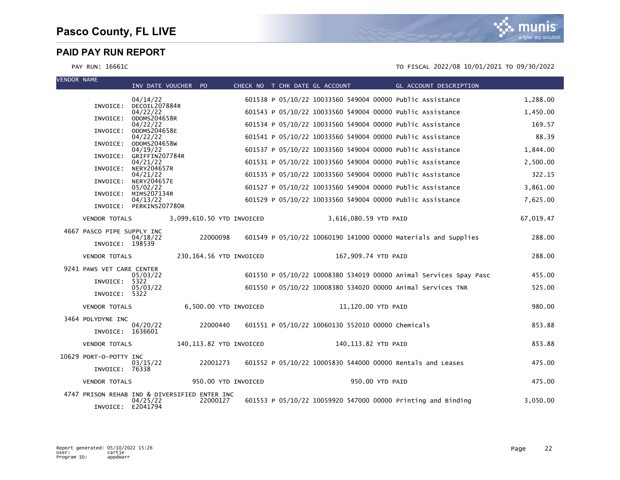| <b>VENDOR NAME</b> |                            | INV DATE VOUCHER PO            |                                               | CHECK NO T CHK DATE GL ACCOUNT | <b>Example 2016 GL ACCOUNT DESCRIPTION</b>                        |           |
|--------------------|----------------------------|--------------------------------|-----------------------------------------------|--------------------------------|-------------------------------------------------------------------|-----------|
|                    |                            | 04/14/22                       |                                               |                                | 601538 P 05/10/22 10033560 549004 00000 Public Assistance         | 1,288.00  |
|                    | INVOICE:                   | DECOIL207884R<br>04/22/22      |                                               |                                | 601543 P 05/10/22 10033560 549004 00000 Public Assistance         | 1,450.00  |
|                    | INVOICE:                   | ODOMS204658R<br>04/22/22       |                                               |                                | 601534 P 05/10/22 10033560 549004 00000 Public Assistance         | 169.57    |
|                    | INVOICE:                   | ODOMS204658E<br>04/22/22       |                                               |                                | 601541 P 05/10/22 10033560 549004 00000 Public Assistance         | 88.39     |
|                    | INVOICE:                   | ODOMS204658W<br>04/19/22       |                                               |                                | 601537 P 05/10/22 10033560 549004 00000 Public Assistance         | 1,844.00  |
|                    | INVOICE:                   | GRIFFIN207784R<br>04/21/22     |                                               |                                | 601531 P 05/10/22 10033560 549004 00000 Public Assistance         | 2,500.00  |
|                    | INVOICE:                   | <b>NERY204657R</b><br>04/21/22 |                                               |                                | 601535 P 05/10/22 10033560 549004 00000 Public Assistance         | 322.15    |
|                    | INVOICE:                   | <b>NERY204657E</b><br>05/02/22 |                                               |                                | 601527 P 05/10/22 10033560 549004 00000 Public Assistance         | 3,861.00  |
|                    | INVOICE:                   | MIMS207134R<br>04/13/22        |                                               |                                | 601529 P 05/10/22 10033560 549004 00000 Public Assistance         | 7,625.00  |
|                    |                            | INVOICE: PERKINS207780R        |                                               |                                |                                                                   |           |
|                    | <b>VENDOR TOTALS</b>       |                                | 3,099,610.50 YTD INVOICED                     |                                | 3,616,080.59 YTD PAID                                             | 67,019.47 |
|                    | 4667 PASCO PIPE SUPPLY INC |                                |                                               |                                |                                                                   |           |
|                    | INVOICE: 198539            | 04/18/22                       | 22000098                                      |                                | 601549 P 05/10/22 10060190 141000 00000 Materials and Supplies    | 288.00    |
|                    | <b>VENDOR TOTALS</b>       |                                | 230,164.56 YTD INVOICED                       |                                | 167,909.74 YTD PAID                                               | 288.00    |
|                    | 9241 PAWS VET CARE CENTER  |                                |                                               |                                |                                                                   |           |
|                    | INVOICE:                   | 05/03/22<br>5322               |                                               |                                | 601550 P 05/10/22 10008380 534019 00000 Animal Services Spay Pasc | 455.00    |
|                    | INVOICE: 5322              | 05/03/22                       |                                               |                                | 601550 P 05/10/22 10008380 534020 00000 Animal Services TNR       | 525.00    |
|                    | <b>VENDOR TOTALS</b>       |                                | 6,500.00 YTD INVOICED                         |                                | 11,120.00 YTD PAID                                                | 980.00    |
|                    | 3464 POLYDYNE INC          |                                |                                               |                                |                                                                   |           |
|                    | INVOICE: 1636601           | 04/20/22                       | 22000440                                      |                                | 601551 P 05/10/22 10060130 552010 00000 Chemicals                 | 853.88    |
|                    | <b>VENDOR TOTALS</b>       |                                | 140, 113.82 YTD INVOICED                      |                                | 140,113.82 YTD PAID                                               | 853.88    |
|                    | 10629 PORT-O-POTTY INC     |                                |                                               |                                |                                                                   |           |
|                    | INVOICE: 76338             | 03/15/22                       | 22001273                                      |                                | 601552 P 05/10/22 10005830 544000 00000 Rentals and Leases        | 475.00    |
|                    | <b>VENDOR TOTALS</b>       |                                | 950.00 YTD INVOICED                           |                                | 950.00 YTD PAID                                                   | 475.00    |
|                    |                            |                                | 4747 PRISON REHAB IND & DIVERSIFIED ENTER INC |                                |                                                                   |           |
|                    | INVOICE: E2041794          | 04/25/22                       | 22000127                                      |                                | 601553 P 05/10/22 10059920 547000 00000 Printing and Binding      | 3,050.00  |

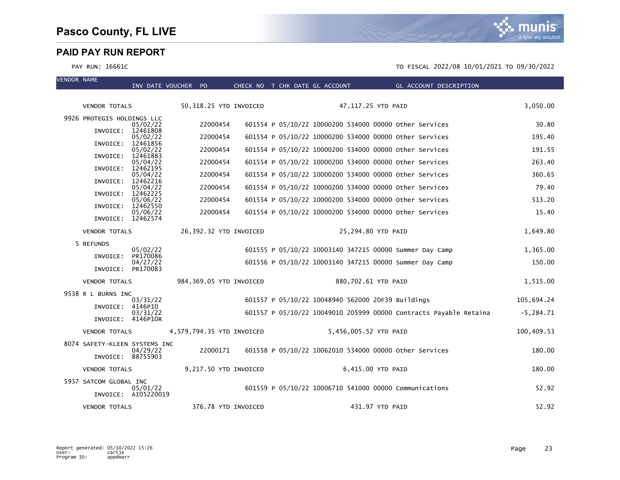munis a tyler erp solution

| <b>VENDOR NAME</b> |                               |                                 |          |                           |                                |                                                   |                                                                   |              |
|--------------------|-------------------------------|---------------------------------|----------|---------------------------|--------------------------------|---------------------------------------------------|-------------------------------------------------------------------|--------------|
|                    |                               | INV DATE VOUCHER PO             |          |                           | CHECK NO T CHK DATE GL ACCOUNT |                                                   | <b>Example 2018 GL ACCOUNT DESCRIPTION</b>                        |              |
|                    | <b>VENDOR TOTALS</b>          |                                 |          | 50,318.25 YTD INVOICED    |                                | 47,117.25 YTD PAID                                |                                                                   | 3,050.00     |
|                    | 9926 PROTEGIS HOLDINGS LLC    | 05/02/22                        | 22000454 |                           |                                |                                                   | 601554 P 05/10/22 10000200 534000 00000 other Services            | 30.80        |
|                    | INVOICE: 12461808             | 05/02/22                        | 22000454 |                           |                                |                                                   | 601554 P 05/10/22 10000200 534000 00000 other Services            | 195.40       |
|                    | INVOICE:                      | 12461856<br>05/02/22            | 22000454 |                           |                                |                                                   | 601554 P 05/10/22 10000200 534000 00000 other Services            | 191.55       |
|                    | INVOICE: 12461883             | 05/04/22                        | 22000454 |                           |                                |                                                   | 601554 P 05/10/22 10000200 534000 00000 other Services            | 263.40       |
|                    | INVOICE: 12462195             | 05/04/22                        | 22000454 |                           |                                |                                                   | 601554 P 05/10/22 10000200 534000 00000 other Services            | 360.65       |
|                    | INVOICE:                      | 12462216                        | 22000454 |                           |                                |                                                   |                                                                   | 79.40        |
|                    | INVOICE:                      | 05/04/22<br>12462225            |          |                           |                                |                                                   | 601554 P 05/10/22 10000200 534000 00000 other Services            |              |
|                    | INVOICE:                      | 05/06/22<br>12462550            | 22000454 |                           |                                |                                                   | 601554 P 05/10/22 10000200 534000 00000 other Services            | 513.20       |
|                    | INVOICE: 12462574             | 05/06/22                        | 22000454 |                           |                                |                                                   | 601554 P 05/10/22 10000200 534000 00000 Other Services            | 15.40        |
|                    | <b>VENDOR TOTALS</b>          |                                 |          | 26,392.32 YTD INVOICED    |                                | 25,294.80 YTD PAID                                |                                                                   | 1,649.80     |
|                    | 5 REFUNDS                     | 05/02/22                        |          |                           |                                |                                                   | 601555 P 05/10/22 10003140 347215 00000 Summer Day Camp           | 1,365.00     |
|                    | INVOICE:                      | PR170086<br>04/27/22            |          |                           |                                |                                                   | 601556 P 05/10/22 10003140 347215 00000 Summer Day Camp           | 150.00       |
|                    | INVOICE: PR170083             |                                 |          |                           |                                |                                                   |                                                                   |              |
|                    | <b>VENDOR TOTALS</b>          |                                 |          | 984,369.05 YTD INVOICED   |                                | 880,702.61 YTD PAID                               |                                                                   | 1,515.00     |
|                    | 9538 R L BURNS INC            | 03/31/22                        |          |                           |                                | 601557 P 05/10/22 10048940 562000 20F39 Buildings |                                                                   | 105,694.24   |
|                    | INVOICE: 4146P10              | 03/31/22                        |          |                           |                                |                                                   | 601557 P 05/10/22 10049010 205999 00000 Contracts Payable Retaina | $-5, 284.71$ |
|                    | INVOICE: 4146P10R             |                                 |          |                           |                                |                                                   |                                                                   |              |
|                    | <b>VENDOR TOTALS</b>          |                                 |          | 4,579,794.35 YTD INVOICED |                                | 5,456,005.52 YTD PAID                             |                                                                   | 100,409.53   |
|                    | 8074 SAFETY-KLEEN SYSTEMS INC | 04/29/22                        | 22000171 |                           |                                |                                                   | 601558 P 05/10/22 10062010 534000 00000 other Services            | 180.00       |
|                    | INVOICE: 88755903             |                                 |          |                           |                                |                                                   |                                                                   |              |
|                    | <b>VENDOR TOTALS</b>          |                                 |          | 9,217.50 YTD INVOICED     |                                | 6,415.00 YTD PAID                                 |                                                                   | 180.00       |
|                    | 5937 SATCOM GLOBAL INC        | 05/01/22<br>INVOICE: AI05220019 |          |                           |                                |                                                   | 601559 P 05/10/22 10006710 541000 00000 Communications            | 52.92        |
|                    | <b>VENDOR TOTALS</b>          |                                 |          | 376.78 YTD INVOICED       |                                | 431.97 YTD PAID                                   |                                                                   | 52.92        |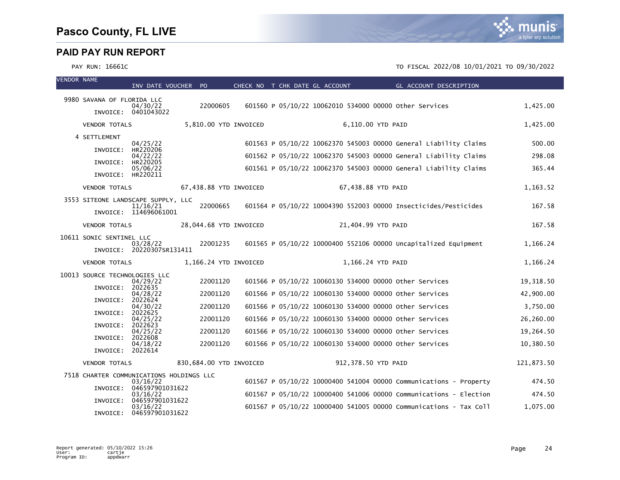

| <b>VENDOR NAME</b> |                               | INV DATE VOUCHER PO                                  |                         |                       | CHECK NO T CHK DATE GL ACCOUNT | GL ACCOUNT DESCRIPTION                                            |            |
|--------------------|-------------------------------|------------------------------------------------------|-------------------------|-----------------------|--------------------------------|-------------------------------------------------------------------|------------|
|                    | 9980 SAVANA OF FLORIDA LLC    |                                                      |                         |                       |                                |                                                                   |            |
|                    |                               | 04/30/22<br>INVOICE: 0401043022                      | 22000605                |                       |                                | 601560 P 05/10/22 10062010 534000 00000 Other Services            | 1,425.00   |
|                    | <b>VENDOR TOTALS</b>          |                                                      |                         | 5,810.00 YTD INVOICED |                                | 6,110.00 YTD PAID                                                 | 1,425.00   |
|                    | 4 SETTLEMENT                  |                                                      |                         |                       |                                |                                                                   |            |
|                    |                               | 04/25/22<br>HR220206                                 |                         |                       |                                | 601563 P 05/10/22 10062370 545003 00000 General Liability Claims  | 500.00     |
|                    | INVOICE:                      | 04/22/22                                             |                         |                       |                                | 601562 P 05/10/22 10062370 545003 00000 General Liability Claims  | 298.08     |
|                    | INVOICE:                      | HR220205<br>05/06/22                                 |                         |                       |                                | 601561 P 05/10/22 10062370 545003 00000 General Liability Claims  | 365.44     |
|                    | INVOICE: HR220211             |                                                      |                         |                       |                                |                                                                   |            |
|                    | <b>VENDOR TOTALS</b>          |                                                      | 67,438.88 YTD INVOICED  |                       |                                | 67,438.88 YTD PAID                                                | 1,163.52   |
|                    |                               | 3553 SITEONE LANDSCAPE SUPPLY, LLC                   |                         |                       |                                |                                                                   |            |
|                    |                               | 11/16/21<br>INVOICE: 114696061001                    | 22000665                |                       |                                | 601564 P 05/10/22 10004390 552003 00000 Insecticides/Pesticides   | 167.58     |
|                    | <b>VENDOR TOTALS</b>          |                                                      | 28,044.68 YTD INVOICED  |                       |                                | 21,404.99 YTD PAID                                                | 167.58     |
|                    | 10611 SONIC SENTINEL LLC      |                                                      |                         |                       |                                |                                                                   |            |
|                    |                               | 03/28/22<br>INVOICE: 20220307SR131411                | 22001235                |                       |                                | 601565 P 05/10/22 10000400 552106 00000 Uncapitalized Equipment   | 1,166.24   |
|                    | <b>VENDOR TOTALS</b>          |                                                      |                         | 1,166.24 YTD INVOICED |                                | 1,166.24 YTD PAID                                                 | 1,166.24   |
|                    | 10013 SOURCE TECHNOLOGIES LLC | 04/29/22                                             | 22001120                |                       |                                | 601566 P 05/10/22 10060130 534000 00000 other Services            | 19,318.50  |
|                    | INVOICE:                      | 2022635                                              |                         |                       |                                |                                                                   |            |
|                    | INVOICE:                      | 04/28/22<br>2022624                                  | 22001120                |                       |                                | 601566 P 05/10/22 10060130 534000 00000 Other Services            | 42,900.00  |
|                    | INVOICE:                      | 04/30/22<br>2022625                                  | 22001120                |                       |                                | 601566 P 05/10/22 10060130 534000 00000 other Services            | 3,750.00   |
|                    |                               | 04/25/22<br>2022623                                  | 22001120                |                       |                                | 601566 P 05/10/22 10060130 534000 00000 other Services            | 26,260.00  |
|                    | INVOICE:                      | 04/25/22                                             | 22001120                |                       |                                | 601566 P 05/10/22 10060130 534000 00000 Other Services            | 19,264.50  |
|                    | INVOICE:                      | 2022608<br>04/18/22                                  | 22001120                |                       |                                | 601566 P 05/10/22 10060130 534000 00000 other Services            | 10,380.50  |
|                    | INVOICE: 2022614              |                                                      |                         |                       |                                |                                                                   |            |
|                    | <b>VENDOR TOTALS</b>          |                                                      | 830,684.00 YTD INVOICED |                       |                                | 912,378.50 YTD PAID                                               | 121,873.50 |
|                    |                               | 7518 CHARTER COMMUNICATIONS HOLDINGS LLC<br>03/16/22 |                         |                       |                                | 601567 P 05/10/22 10000400 541004 00000 Communications - Property | 474.50     |
|                    | INVOICE:                      | 046597901031622<br>03/16/22                          |                         |                       |                                | 601567 P 05/10/22 10000400 541006 00000 Communications - Election | 474.50     |
|                    | INVOICE:                      | 046597901031622                                      |                         |                       |                                |                                                                   |            |
|                    | INVOICE:                      | 03/16/22<br>046597901031622                          |                         |                       |                                | 601567 P 05/10/22 10000400 541005 00000 Communications - Tax Coll | 1.075.00   |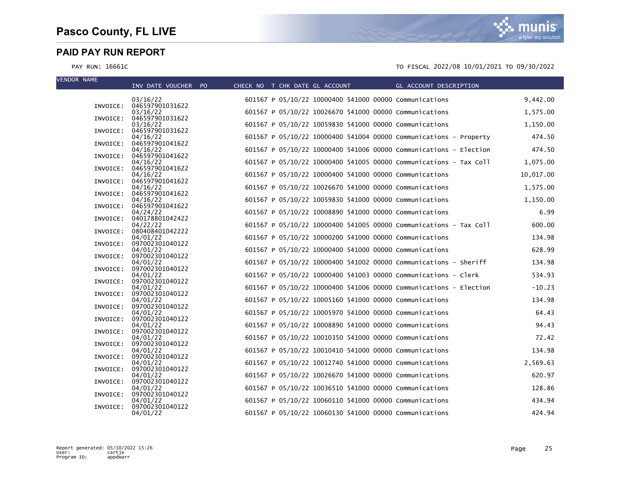| <b>VENDOR NAME</b> | INV DATE VOUCHER PO                  | CHECK NO T CHK DATE GL ACCOUNT |                                                        | GL ACCOUNT DESCRIPTION                                            |           |
|--------------------|--------------------------------------|--------------------------------|--------------------------------------------------------|-------------------------------------------------------------------|-----------|
|                    | 03/16/22                             |                                | 601567 P 05/10/22 10000400 541000 00000 Communications |                                                                   | 9,442.00  |
|                    | INVOICE: 046597901031622<br>03/16/22 |                                | 601567 P 05/10/22 10026670 541000 00000 Communications |                                                                   | 1,575.00  |
| INVOICE:           | 046597901031622<br>03/16/22          |                                | 601567 P 05/10/22 10059830 541000 00000 Communications |                                                                   | 1,150.00  |
| INVOICE:           | 046597901031622                      |                                |                                                        |                                                                   |           |
| INVOICE:           | 04/16/22<br>046597901041622          |                                |                                                        | 601567 P 05/10/22 10000400 541004 00000 Communications - Property | 474.50    |
| INVOICE:           | 04/16/22<br>046597901041622          |                                |                                                        | 601567 P 05/10/22 10000400 541006 00000 Communications - Election | 474.50    |
|                    | 04/16/22                             |                                |                                                        | 601567 P 05/10/22 10000400 541005 00000 Communications - Tax Coll | 1,075.00  |
| INVOICE:           | 046597901041622<br>04/16/22          |                                | 601567 P 05/10/22 10000400 541000 00000 Communications |                                                                   | 10,017.00 |
| INVOICE:           | 046597901041622<br>04/16/22          |                                | 601567 P 05/10/22 10026670 541000 00000 Communications |                                                                   | 1,575.00  |
|                    | INVOICE: 046597901041622<br>04/16/22 |                                | 601567 P 05/10/22 10059830 541000 00000 Communications |                                                                   | 1,150.00  |
|                    | INVOICE: 046597901041622             |                                |                                                        |                                                                   |           |
| INVOICE:           | 04/24/22<br>040178801042422          |                                | 601567 P 05/10/22 10008890 541000 00000 Communications |                                                                   | 6.99      |
| INVOICE:           | 04/22/22<br>080408401042222          |                                |                                                        | 601567 P 05/10/22 10000400 541005 00000 Communications - Tax Coll | 600.00    |
| INVOICE:           | 04/01/22<br>097002301040122          |                                | 601567 P 05/10/22 10000200 541000 00000 Communications |                                                                   | 134.98    |
|                    | 04/01/22                             |                                | 601567 P 05/10/22 10000400 541000 00000 Communications |                                                                   | 628.99    |
| INVOICE:           | 097002301040122<br>04/01/22          |                                |                                                        | 601567 P 05/10/22 10000400 541002 00000 Communications - Sheriff  | 134.98    |
| INVOICE:           | 097002301040122<br>04/01/22          |                                |                                                        | 601567 P 05/10/22 10000400 541003 00000 Communications - Clerk    | 534.93    |
| INVOICE:           | 097002301040122<br>04/01/22          |                                |                                                        | 601567 P 05/10/22 10000400 541006 00000 Communications - Election | $-10.23$  |
| INVOICE:           | 097002301040122                      |                                |                                                        |                                                                   |           |
| INVOICE:           | 04/01/22<br>097002301040122          |                                | 601567 P 05/10/22 10005160 541000 00000 Communications |                                                                   | 134.98    |
| INVOICE:           | 04/01/22<br>097002301040122          |                                | 601567 P 05/10/22 10005970 541000 00000 Communications |                                                                   | 64.43     |
| INVOICE:           | 04/01/22<br>097002301040122          |                                | 601567 P 05/10/22 10008890 541000 00000 Communications |                                                                   | 94.43     |
|                    | 04/01/22                             |                                | 601567 P 05/10/22 10010350 541000 00000 Communications |                                                                   | 72.42     |
| INVOICE:           | 097002301040122<br>04/01/22          |                                | 601567 P 05/10/22 10010410 541000 00000 Communications |                                                                   | 134.98    |
| INVOICE:           | 097002301040122<br>04/01/22          |                                | 601567 P 05/10/22 10012740 541000 00000 Communications |                                                                   | 2,569.63  |
| INVOICE:           | 097002301040122<br>04/01/22          |                                | 601567 P 05/10/22 10026670 541000 00000 Communications |                                                                   | 620.97    |
| INVOICE:           | 097002301040122                      |                                |                                                        |                                                                   |           |
| INVOICE:           | 04/01/22<br>097002301040122          |                                | 601567 P 05/10/22 10036510 541000 00000 Communications |                                                                   | 128.86    |
| INVOICE:           | 04/01/22<br>097002301040122          |                                | 601567 P 05/10/22 10060110 541000 00000 Communications |                                                                   | 434.94    |
|                    | 04/01/22                             |                                | 601567 P 05/10/22 10060130 541000 00000 Communications |                                                                   | 424.94    |

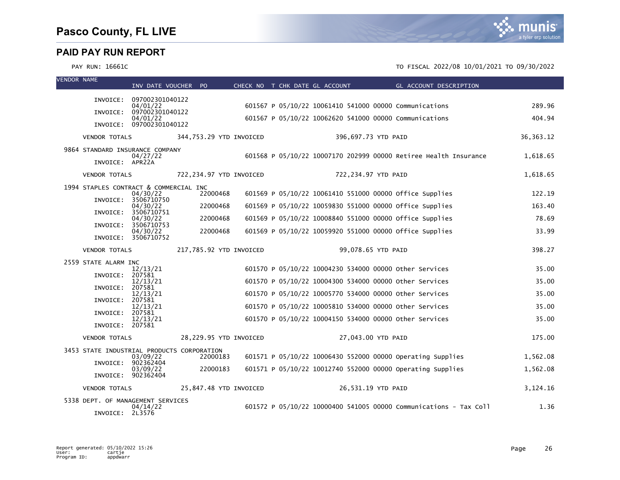| <b>VENDOR NAME</b> |                                            | INV DATE VOUCHER PO                  |                         |  | CHECK NO T CHK DATE GL ACCOUNT                         | GL ACCOUNT DESCRIPTION                                            |             |
|--------------------|--------------------------------------------|--------------------------------------|-------------------------|--|--------------------------------------------------------|-------------------------------------------------------------------|-------------|
|                    |                                            |                                      |                         |  |                                                        |                                                                   |             |
|                    |                                            | INVOICE: 097002301040122<br>04/01/22 |                         |  | 601567 P 05/10/22 10061410 541000 00000 Communications |                                                                   | 289.96      |
|                    | INVOICE:                                   | 097002301040122<br>04/01/22          |                         |  | 601567 P 05/10/22 10062620 541000 00000 Communications |                                                                   | 404.94      |
|                    |                                            | INVOICE: 097002301040122             |                         |  |                                                        |                                                                   |             |
|                    | <b>VENDOR TOTALS</b>                       |                                      | 344,753.29 YTD INVOICED |  | 396,697.73 YTD PAID                                    |                                                                   | 36, 363. 12 |
|                    | 9864 STANDARD INSURANCE COMPANY            |                                      |                         |  |                                                        | 601568 P 05/10/22 10007170 202999 00000 Retiree Health Insurance  | 1,618.65    |
|                    | INVOICE: APR22A                            | 04/27/22                             |                         |  |                                                        |                                                                   |             |
|                    | <b>VENDOR TOTALS</b>                       |                                      | 722,234.97 YTD INVOICED |  | 722,234.97 YTD PAID                                    |                                                                   | 1,618.65    |
|                    | 1994 STAPLES CONTRACT & COMMERCIAL INC     |                                      |                         |  |                                                        |                                                                   |             |
|                    | INVOICE:                                   | 04/30/22<br>3506710750               | 22000468                |  |                                                        | 601569 P 05/10/22 10061410 551000 00000 office Supplies           | 122.19      |
|                    | INVOICE:                                   | 04/30/22<br>3506710751               | 22000468                |  |                                                        | 601569 P 05/10/22 10059830 551000 00000 office Supplies           | 163.40      |
|                    | INVOICE:                                   | 04/30/22<br>3506710753               | 22000468                |  |                                                        | 601569 P 05/10/22 10008840 551000 00000 office Supplies           | 78.69       |
|                    |                                            | 04/30/22                             | 22000468                |  |                                                        | 601569 P 05/10/22 10059920 551000 00000 office Supplies           | 33.99       |
|                    |                                            | INVOICE: 3506710752                  |                         |  |                                                        |                                                                   |             |
|                    | <b>VENDOR TOTALS</b>                       |                                      | 217,785.92 YTD INVOICED |  | 99,078.65 YTD PAID                                     |                                                                   | 398.27      |
|                    | 2559 STATE ALARM INC                       | 12/13/21                             |                         |  | 601570 P 05/10/22 10004230 534000 00000 Other Services |                                                                   | 35.00       |
|                    | INVOICE:                                   | 207581<br>12/13/21                   |                         |  | 601570 P 05/10/22 10004300 534000 00000 other Services |                                                                   | 35.00       |
|                    | INVOICE:                                   | 207581<br>12/13/21                   |                         |  | 601570 P 05/10/22 10005770 534000 00000 Other Services |                                                                   | 35.00       |
|                    | INVOICE:                                   | 207581                               |                         |  |                                                        |                                                                   |             |
|                    | INVOICE:                                   | 12/13/21<br>207581                   |                         |  | 601570 P 05/10/22 10005810 534000 00000 other Services |                                                                   | 35.00       |
|                    | INVOICE: 207581                            | 12/13/21                             |                         |  | 601570 P 05/10/22 10004150 534000 00000 Other Services |                                                                   | 35.00       |
|                    | <b>VENDOR TOTALS</b>                       |                                      | 28,229.95 YTD INVOICED  |  | 27,043.00 YTD PAID                                     |                                                                   | 175.00      |
|                    | 3453 STATE INDUSTRIAL PRODUCTS CORPORATION |                                      |                         |  |                                                        |                                                                   |             |
|                    | INVOICE:                                   | 03/09/22<br>902362404                | 22000183                |  |                                                        | 601571 P 05/10/22 10006430 552000 00000 Operating Supplies        | 1,562.08    |
|                    |                                            | 03/09/22<br>INVOICE: 902362404       | 22000183                |  |                                                        | 601571 P 05/10/22 10012740 552000 00000 Operating Supplies        | 1,562.08    |
|                    | <b>VENDOR TOTALS</b>                       |                                      | 25,847.48 YTD INVOICED  |  | 26,531.19 YTD PAID                                     |                                                                   | 3,124.16    |
|                    | 5338 DEPT. OF MANAGEMENT SERVICES          |                                      |                         |  |                                                        |                                                                   |             |
|                    | INVOICE: 2L3576                            | 04/14/22                             |                         |  |                                                        | 601572 P 05/10/22 10000400 541005 00000 Communications - Tax Coll | 1.36        |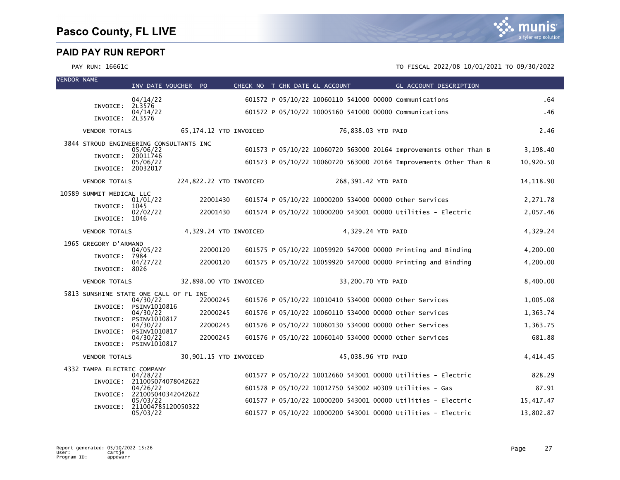

| <b>VENDOR NAME</b> |                             | INV DATE VOUCHER PO                                 |                         | CHECK NO T CHK DATE GL ACCOUNT |                     |                    | <b>Example 2016 GL ACCOUNT DESCRIPTION</b>                        |            |
|--------------------|-----------------------------|-----------------------------------------------------|-------------------------|--------------------------------|---------------------|--------------------|-------------------------------------------------------------------|------------|
|                    | INVOICE: 2L3576             | 04/14/22                                            |                         |                                |                     |                    | 601572 P 05/10/22 10060110 541000 00000 Communications            | .64        |
|                    | INVOICE: 2L3576             | 04/14/22                                            |                         |                                |                     |                    | 601572 P 05/10/22 10005160 541000 00000 Communications            | .46        |
|                    | <b>VENDOR TOTALS</b>        |                                                     | 65,174.12 YTD INVOICED  |                                |                     | 76,838.03 YTD PAID |                                                                   | 2.46       |
|                    |                             | 3844 STROUD ENGINEERING CONSULTANTS INC<br>05/06/22 |                         |                                |                     |                    | 601573 P 05/10/22 10060720 563000 20164 Improvements Other Than B | 3,198.40   |
|                    | INVOICE:                    | 20011746<br>05/06/22                                |                         |                                |                     |                    | 601573 P 05/10/22 10060720 563000 20164 Improvements Other Than B | 10,920.50  |
|                    | INVOICE: 20032017           |                                                     |                         |                                |                     |                    |                                                                   |            |
|                    | <b>VENDOR TOTALS</b>        |                                                     | 224,822.22 YTD INVOICED |                                | 268,391.42 YTD PAID |                    |                                                                   | 14, 118.90 |
|                    | 10589 SUMMIT MEDICAL LLC    | 01/01/22                                            | 22001430                |                                |                     |                    | 601574 P 05/10/22 10000200 534000 00000 other Services            | 2,271.78   |
|                    | INVOICE: 1045               | 02/02/22                                            | 22001430                |                                |                     |                    | 601574 P 05/10/22 10000200 543001 00000 Utilities - Electric      | 2,057.46   |
|                    | INVOICE: 1046               |                                                     |                         |                                |                     |                    |                                                                   |            |
|                    | <b>VENDOR TOTALS</b>        |                                                     | 4,329.24 YTD INVOICED   |                                |                     | 4,329.24 YTD PAID  |                                                                   | 4,329.24   |
|                    | 1965 GREGORY D'ARMAND       | 04/05/22                                            | 22000120                |                                |                     |                    | 601575 P 05/10/22 10059920 547000 00000 Printing and Binding      | 4,200.00   |
|                    | INVOICE:                    | 7984<br>04/27/22                                    | 22000120                |                                |                     |                    | 601575 P 05/10/22 10059920 547000 00000 Printing and Binding      | 4,200.00   |
|                    | INVOICE:                    | 8026                                                |                         |                                |                     |                    |                                                                   |            |
|                    | <b>VENDOR TOTALS</b>        |                                                     | 32,898.00 YTD INVOICED  |                                |                     | 33,200.70 YTD PAID |                                                                   | 8,400.00   |
|                    |                             | 5813 SUNSHINE STATE ONE CALL OF FL INC<br>04/30/22  | 22000245                |                                |                     |                    | 601576 P 05/10/22 10010410 534000 00000 other Services            | 1,005.08   |
|                    |                             | INVOICE: PSINV1010816<br>04/30/22                   | 22000245                |                                |                     |                    | 601576 P 05/10/22 10060110 534000 00000 other Services            | 1,363.74   |
|                    | INVOICE:                    | PSINV1010817<br>04/30/22                            | 22000245                |                                |                     |                    | 601576 P 05/10/22 10060130 534000 00000 Other Services            | 1,363.75   |
|                    | INVOICE:                    | PSINV1010817<br>04/30/22                            | 22000245                |                                |                     |                    | 601576 P 05/10/22 10060140 534000 00000 Other Services            | 681.88     |
|                    |                             | INVOICE: PSINV1010817                               |                         |                                |                     |                    |                                                                   |            |
|                    | <b>VENDOR TOTALS</b>        |                                                     | 30,901.15 YTD INVOICED  |                                |                     | 45,038.96 YTD PAID |                                                                   | 4,414.45   |
|                    | 4332 TAMPA ELECTRIC COMPANY | 04/28/22                                            |                         |                                |                     |                    | 601577 P 05/10/22 10012660 543001 00000 Utilities - Electric      | 828.29     |
|                    |                             | INVOICE: 211005074078042622<br>04/26/22             |                         |                                |                     |                    | 601578 P 05/10/22 10012750 543002 H0309 Utilities - Gas           | 87.91      |
|                    |                             | INVOICE: 221005040342042622<br>05/03/22             |                         |                                |                     |                    | 601577 P 05/10/22 10000200 543001 00000 Utilities - Electric      | 15,417.47  |
|                    |                             | INVOICE: 211004785120050322<br>05/03/22             |                         |                                |                     |                    | 601577 P 05/10/22 10000200 543001 00000 Utilities - Electric      | 13,802.87  |
|                    |                             |                                                     |                         |                                |                     |                    |                                                                   |            |

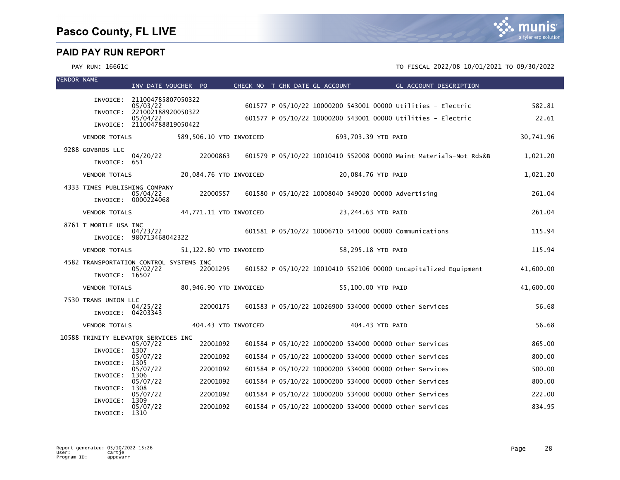| <b>VENDOR NAME</b> |                               | INV DATE VOUCHER PO                     |                         |  | CHECK NO T CHK DATE GL ACCOUNT | <b>Example 2016 GL ACCOUNT DESCRIPTION</b>                               |           |
|--------------------|-------------------------------|-----------------------------------------|-------------------------|--|--------------------------------|--------------------------------------------------------------------------|-----------|
|                    |                               | INVOICE: 211004785807050322<br>05/03/22 |                         |  |                                | 601577 P 05/10/22 10000200 543001 00000 Utilities - Electric             | 582.81    |
|                    |                               | INVOICE: 221002188920050322             |                         |  |                                |                                                                          |           |
|                    |                               | 05/04/22<br>INVOICE: 211004788819050422 |                         |  |                                | 601577 P 05/10/22 10000200 543001 00000 Utilities - Electric             | 22.61     |
|                    | <b>VENDOR TOTALS</b>          |                                         | 589,506.10 YTD INVOICED |  | 693,703.39 YTD PAID            |                                                                          | 30,741.96 |
|                    | 9288 GOVBROS LLC              |                                         |                         |  |                                |                                                                          |           |
|                    | INVOICE: 651                  | 04/20/22                                | 22000863                |  |                                | 601579 P 05/10/22 10010410 552008 00000 Maint Materials-Not Rds&B        | 1,021.20  |
|                    | <b>VENDOR TOTALS</b>          |                                         | 20,084.76 YTD INVOICED  |  |                                | 20,084.76 YTD PAID                                                       | 1,021.20  |
|                    | 4333 TIMES PUBLISHING COMPANY |                                         |                         |  |                                |                                                                          |           |
|                    |                               | 05/04/22<br>INVOICE: 0000224068         | 22000557                |  |                                | 601580 P 05/10/22 10008040 549020 00000 Advertising                      | 261.04    |
|                    | <b>VENDOR TOTALS</b>          |                                         | 44,771.11 YTD INVOICED  |  |                                | 23,244.63 YTD PAID                                                       | 261.04    |
|                    | 8761 T MOBILE USA INC         |                                         |                         |  |                                |                                                                          |           |
|                    |                               | 04/23/22<br>INVOICE: 980713468042322    |                         |  |                                | 601581 P 05/10/22 10006710 541000 00000 Communications                   | 115.94    |
|                    | <b>VENDOR TOTALS</b>          |                                         | 51,122.80 YTD INVOICED  |  |                                | 58,295.18 YTD PAID                                                       | 115.94    |
|                    |                               | 4582 TRANSPORTATION CONTROL SYSTEMS INC |                         |  |                                |                                                                          |           |
|                    | INVOICE: 16507                | 05/02/22                                |                         |  |                                | 22001295 601582 P 05/10/22 10010410 552106 00000 Uncapitalized Equipment | 41,600.00 |
|                    | <b>VENDOR TOTALS</b>          |                                         | 80,946.90 YTD INVOICED  |  |                                | 55,100.00 YTD PAID                                                       | 41,600.00 |
|                    | 7530 TRANS UNION LLC          |                                         |                         |  |                                |                                                                          |           |
|                    | INVOICE: 04203343             | 04/25/22                                | 22000175                |  |                                | 601583 P 05/10/22 10026900 534000 00000 other Services                   | 56.68     |
|                    | <b>VENDOR TOTALS</b>          |                                         | 404.43 YTD INVOICED     |  |                                | 404.43 YTD PAID                                                          | 56.68     |
|                    |                               | 10588 TRINITY ELEVATOR SERVICES INC     |                         |  |                                |                                                                          |           |
|                    | INVOICE:                      | 05/07/22<br>1307                        | 22001092                |  |                                | 601584 P 05/10/22 10000200 534000 00000 other Services                   | 865.00    |
|                    | INVOICE:                      | 05/07/22<br>1305                        | 22001092                |  |                                | 601584 P 05/10/22 10000200 534000 00000 other Services                   | 800.00    |
|                    | INVOICE:                      | 05/07/22<br>1306                        | 22001092                |  |                                | 601584 P 05/10/22 10000200 534000 00000 other Services                   | 500.00    |
|                    |                               | 05/07/22                                | 22001092                |  |                                | 601584 P 05/10/22 10000200 534000 00000 other Services                   | 800.00    |
|                    | INVOICE:                      | 1308<br>05/07/22                        | 22001092                |  |                                | 601584 P 05/10/22 10000200 534000 00000 Other Services                   | 222.00    |
|                    | INVOICE:                      | 1309<br>05/07/22                        | 22001092                |  |                                | 601584 P 05/10/22 10000200 534000 00000 other Services                   | 834.95    |
|                    | INVOICE:                      | 1310                                    |                         |  |                                |                                                                          |           |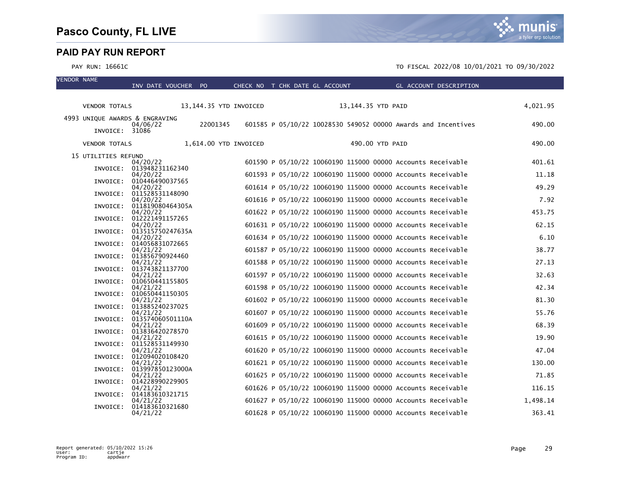VENDOR NAME



|                                | INV DATE VOUCHER PO                   |                        | CHECK NO T CHK DATE GL ACCOUNT |                    | GL ACCOUNT DESCRIPTION                                        |          |
|--------------------------------|---------------------------------------|------------------------|--------------------------------|--------------------|---------------------------------------------------------------|----------|
| <b>VENDOR TOTALS</b>           |                                       | 13,144.35 YTD INVOICED |                                | 13,144.35 YTD PAID |                                                               | 4,021.95 |
| 4993 UNIQUE AWARDS & ENGRAVING |                                       |                        |                                |                    |                                                               |          |
| INVOICE: 31086                 | 04/06/22                              | 22001345               |                                |                    | 601585 P 05/10/22 10028530 549052 00000 Awards and Incentives | 490.00   |
|                                | VENDOR TOTALS 1,614.00 YTD INVOICED   |                        |                                | 490.00 YTD PAID    |                                                               | 490.00   |
| 15 UTILITIES REFUND            |                                       |                        |                                |                    |                                                               |          |
|                                | 04/20/22                              |                        |                                |                    | 601590 P 05/10/22 10060190 115000 00000 Accounts Receivable   | 401.61   |
|                                | INVOICE: 013948231162340<br>04/20/22  |                        |                                |                    | 601593 P 05/10/22 10060190 115000 00000 Accounts Receivable   | 11.18    |
|                                | INVOICE: 010446490037565              |                        |                                |                    |                                                               |          |
|                                | 04/20/22                              |                        |                                |                    | 601614 P 05/10/22 10060190 115000 00000 Accounts Receivable   | 49.29    |
|                                | INVOICE: 011528531148090<br>04/20/22  |                        |                                |                    | 601616 P 05/10/22 10060190 115000 00000 Accounts Receivable   | 7.92     |
|                                | INVOICE: 011819080464305A             |                        |                                |                    |                                                               |          |
|                                | 04/20/22                              |                        |                                |                    | 601622 P 05/10/22 10060190 115000 00000 Accounts Receivable   | 453.75   |
|                                | INVOICE: 012221491157265<br>04/20/22  |                        |                                |                    | 601631 P 05/10/22 10060190 115000 00000 Accounts Receivable   | 62.15    |
|                                | INVOICE: 013515750247635A             |                        |                                |                    |                                                               |          |
|                                | 04/20/22                              |                        |                                |                    | 601634 P 05/10/22 10060190 115000 00000 Accounts Receivable   | 6.10     |
| INVOICE:                       | 014056831072665<br>04/21/22           |                        |                                |                    | 601587 P 05/10/22 10060190 115000 00000 Accounts Receivable   | 38.77    |
|                                | INVOICE: 013856790924460              |                        |                                |                    |                                                               |          |
|                                | 04/21/22                              |                        |                                |                    | 601588 P 05/10/22 10060190 115000 00000 Accounts Receivable   | 27.13    |
|                                | INVOICE: 013743821137700<br>04/21/22  |                        |                                |                    | 601597 P 05/10/22 10060190 115000 00000 Accounts Receivable   | 32.63    |
|                                | INVOICE: 010650441155805              |                        |                                |                    |                                                               |          |
|                                | 04/21/22                              |                        |                                |                    | 601598 P 05/10/22 10060190 115000 00000 Accounts Receivable   | 42.34    |
|                                | INVOICE: 010650441150305<br>04/21/22  |                        |                                |                    | 601602 P 05/10/22 10060190 115000 00000 Accounts Receivable   | 81.30    |
|                                | INVOICE: 013885240237025              |                        |                                |                    |                                                               |          |
|                                | 04/21/22                              |                        |                                |                    | 601607 P 05/10/22 10060190 115000 00000 Accounts Receivable   | 55.76    |
|                                | INVOICE: 013574060501110A<br>04/21/22 |                        |                                |                    | 601609 P 05/10/22 10060190 115000 00000 Accounts Receivable   | 68.39    |
|                                | INVOICE: 013836420278570              |                        |                                |                    |                                                               |          |
|                                | 04/21/22                              |                        |                                |                    | 601615 P 05/10/22 10060190 115000 00000 Accounts Receivable   | 19.90    |
|                                | INVOICE: 011528531149930<br>04/21/22  |                        |                                |                    | 601620 P 05/10/22 10060190 115000 00000 Accounts Receivable   | 47.04    |
|                                | INVOICE: 012094020108420              |                        |                                |                    |                                                               |          |
|                                | 04/21/22                              |                        |                                |                    | 601621 P 05/10/22 10060190 115000 00000 Accounts Receivable   | 130.00   |
|                                | INVOICE: 013997850123000A<br>04/21/22 |                        |                                |                    | 601625 P 05/10/22 10060190 115000 00000 Accounts Receivable   | 71.85    |
|                                | INVOICE: 014228990229905              |                        |                                |                    |                                                               |          |
|                                | 04/21/22<br>INVOICE: 014183610321715  |                        |                                |                    | 601626 P 05/10/22 10060190 115000 00000 Accounts Receivable   | 116.15   |
|                                | 04/21/22                              |                        |                                |                    | 601627 P 05/10/22 10060190 115000 00000 Accounts Receivable   | 1,498.14 |
|                                | INVOICE: 014183610321680              |                        |                                |                    |                                                               |          |
|                                | 04/21/22                              |                        |                                |                    | 601628 P 05/10/22 10060190 115000 00000 Accounts Receivable   | 363.41   |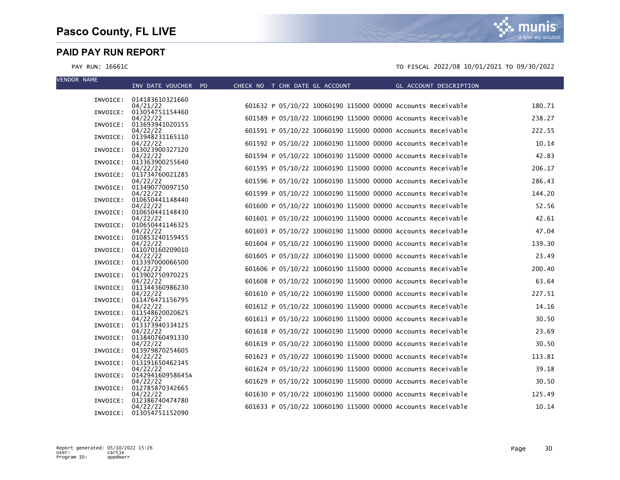| <b>VENDOR NAME</b> | INV DATE VOUCHER PO                   |  | CHECK NO T CHK DATE GL ACCOUNT | GL ACCOUNT DESCRIPTION                                      |        |
|--------------------|---------------------------------------|--|--------------------------------|-------------------------------------------------------------|--------|
|                    |                                       |  |                                |                                                             |        |
|                    | INVOICE: 014183610321660<br>04/21/22  |  |                                | 601632 P 05/10/22 10060190 115000 00000 Accounts Receivable | 180.71 |
| INVOICE:           | 013054751154460                       |  |                                |                                                             |        |
| INVOICE:           | 04/22/22<br>013693941020155           |  |                                | 601589 P 05/10/22 10060190 115000 00000 Accounts Receivable | 238.27 |
|                    | 04/22/22                              |  |                                | 601591 P 05/10/22 10060190 115000 00000 Accounts Receivable | 222.55 |
|                    | INVOICE: 013948231165110<br>04/22/22  |  |                                | 601592 P 05/10/22 10060190 115000 00000 Accounts Receivable | 10.14  |
|                    | INVOICE: 013023900327120              |  |                                |                                                             |        |
|                    | 04/22/22<br>INVOICE: 013363900255640  |  |                                | 601594 P 05/10/22 10060190 115000 00000 Accounts Receivable | 42.83  |
|                    | 04/22/22                              |  |                                | 601595 P 05/10/22 10060190 115000 00000 Accounts Receivable | 206.17 |
|                    | INVOICE: 013734760021285<br>04/22/22  |  |                                | 601596 P 05/10/22 10060190 115000 00000 Accounts Receivable | 286.43 |
| INVOICE:           | 013490770097150                       |  |                                |                                                             |        |
|                    | 04/22/22<br>INVOICE: 010650441148440  |  |                                | 601599 P 05/10/22 10060190 115000 00000 Accounts Receivable | 144.20 |
|                    | 04/22/22                              |  |                                | 601600 P 05/10/22 10060190 115000 00000 Accounts Receivable | 52.56  |
|                    | INVOICE: 010650441148430<br>04/22/22  |  |                                | 601601 P 05/10/22 10060190 115000 00000 Accounts Receivable | 42.61  |
|                    | INVOICE: 010650441146325              |  |                                |                                                             |        |
|                    | 04/22/22<br>INVOICE: 010853240159455  |  |                                | 601603 P 05/10/22 10060190 115000 00000 Accounts Receivable | 47.04  |
|                    | 04/22/22                              |  |                                | 601604 P 05/10/22 10060190 115000 00000 Accounts Receivable | 139.30 |
|                    | INVOICE: 011070160209010              |  |                                |                                                             |        |
|                    | 04/22/22<br>INVOICE: 013397000066500  |  |                                | 601605 P 05/10/22 10060190 115000 00000 Accounts Receivable | 23.49  |
|                    | 04/22/22                              |  |                                | 601606 P 05/10/22 10060190 115000 00000 Accounts Receivable | 200.40 |
|                    | INVOICE: 013902750970225<br>04/22/22  |  |                                | 601608 P 05/10/22 10060190 115000 00000 Accounts Receivable | 63.64  |
|                    | INVOICE: 011344360986230              |  |                                |                                                             |        |
|                    | 04/22/22<br>INVOICE: 011476471156795  |  |                                | 601610 P 05/10/22 10060190 115000 00000 Accounts Receivable | 227.51 |
|                    | 04/22/22                              |  |                                | 601612 P 05/10/22 10060190 115000 00000 Accounts Receivable | 14.16  |
|                    | INVOICE: 011548620020625<br>04/22/22  |  |                                | 601613 P 05/10/22 10060190 115000 00000 Accounts Receivable | 30.50  |
|                    | INVOICE: 013373940334125              |  |                                |                                                             |        |
|                    | 04/22/22<br>INVOICE: 013840760491330  |  |                                | 601618 P 05/10/22 10060190 115000 00000 Accounts Receivable | 23.69  |
|                    | 04/22/22                              |  |                                | 601619 P 05/10/22 10060190 115000 00000 Accounts Receivable | 30.50  |
|                    | INVOICE: 013979870254605<br>04/22/22  |  |                                | 601623 P 05/10/22 10060190 115000 00000 Accounts Receivable | 113.81 |
|                    | INVOICE: 013191650462345              |  |                                |                                                             |        |
|                    | 04/22/22<br>INVOICE: 014294160958645A |  |                                | 601624 P 05/10/22 10060190 115000 00000 Accounts Receivable | 39.18  |
|                    | 04/22/22                              |  |                                | 601629 P 05/10/22 10060190 115000 00000 Accounts Receivable | 30.50  |
|                    | INVOICE: 012785870342665<br>04/22/22  |  |                                | 601630 P 05/10/22 10060190 115000 00000 Accounts Receivable | 125.49 |
| INVOICE:           | 012386740474780                       |  |                                |                                                             |        |
|                    | 04/22/22<br>INVOICE: 013054751152090  |  |                                | 601633 P 05/10/22 10060190 115000 00000 Accounts Receivable | 10.14  |

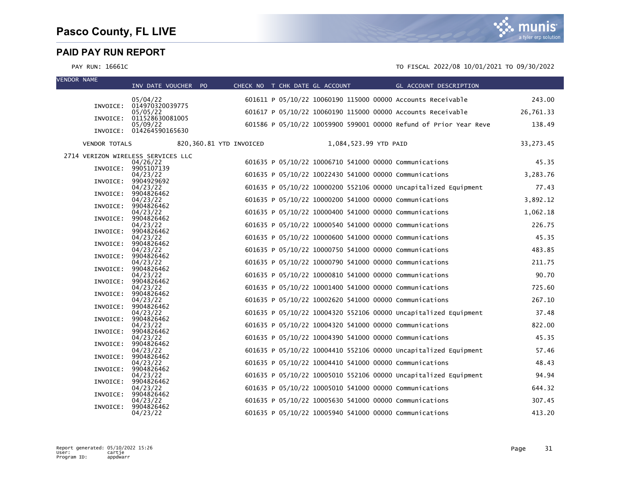| <b>VENDOR NAME</b> |                      | INV DATE VOUCHER PO                  |                         |  |                       | CHECK NO T CHK DATE GL ACCOUNT GL ACCOUNT DESCRIPTION             |            |
|--------------------|----------------------|--------------------------------------|-------------------------|--|-----------------------|-------------------------------------------------------------------|------------|
|                    |                      | 05/04/22                             |                         |  |                       | 601611 P 05/10/22 10060190 115000 00000 Accounts Receivable       | 243.00     |
|                    |                      | INVOICE: 014970320039775             |                         |  |                       |                                                                   |            |
|                    |                      | 05/05/22<br>INVOICE: 011528630081005 |                         |  |                       | 601617 P 05/10/22 10060190 115000 00000 Accounts Receivable       | 26,761.33  |
|                    |                      | 05/09/22<br>INVOICE: 014264590165630 |                         |  |                       | 601586 P 05/10/22 10059900 599001 00000 Refund of Prior Year Reve | 138.49     |
|                    | <b>VENDOR TOTALS</b> |                                      | 820,360.81 YTD INVOICED |  | 1,084,523.99 YTD PAID |                                                                   | 33, 273.45 |
|                    |                      | 2714 VERIZON WIRELESS SERVICES LLC   |                         |  |                       |                                                                   |            |
|                    |                      | 04/26/22<br>INVOICE: 9905107139      |                         |  |                       | 601635 P 05/10/22 10006710 541000 00000 Communications            | 45.35      |
|                    |                      | 04/23/22                             |                         |  |                       | 601635 P 05/10/22 10022430 541000 00000 Communications            | 3,283.76   |
|                    |                      | INVOICE: 9904929692<br>04/23/22      |                         |  |                       | 601635 P 05/10/22 10000200 552106 00000 Uncapitalized Equipment   | 77.43      |
|                    |                      | INVOICE: 9904826462                  |                         |  |                       | 601635 P 05/10/22 10000200 541000 00000 Communications            | 3,892.12   |
|                    |                      | 04/23/22<br>INVOICE: 9904826462      |                         |  |                       |                                                                   |            |
|                    | INVOICE:             | 04/23/22<br>9904826462               |                         |  |                       | 601635 P 05/10/22 10000400 541000 00000 Communications            | 1,062.18   |
|                    |                      | 04/23/22                             |                         |  |                       | 601635 P 05/10/22 10000540 541000 00000 Communications            | 226.75     |
|                    |                      | INVOICE: 9904826462<br>04/23/22      |                         |  |                       | 601635 P 05/10/22 10000600 541000 00000 Communications            | 45.35      |
|                    |                      | INVOICE: 9904826462<br>04/23/22      |                         |  |                       | 601635 P 05/10/22 10000750 541000 00000 Communications            | 483.85     |
|                    |                      | INVOICE: 9904826462                  |                         |  |                       |                                                                   |            |
|                    | INVOICE:             | 04/23/22<br>9904826462               |                         |  |                       | 601635 P 05/10/22 10000790 541000 00000 Communications            | 211.75     |
|                    |                      | 04/23/22<br>INVOICE: 9904826462      |                         |  |                       | 601635 P 05/10/22 10000810 541000 00000 Communications            | 90.70      |
|                    |                      | 04/23/22                             |                         |  |                       | 601635 P 05/10/22 10001400 541000 00000 Communications            | 725.60     |
|                    |                      | INVOICE: 9904826462<br>04/23/22      |                         |  |                       | 601635 P 05/10/22 10002620 541000 00000 Communications            | 267.10     |
|                    |                      | INVOICE: 9904826462                  |                         |  |                       |                                                                   |            |
|                    | INVOICE:             | 04/23/22<br>9904826462               |                         |  |                       | 601635 P 05/10/22 10004320 552106 00000 Uncapitalized Equipment   | 37.48      |
|                    |                      | 04/23/22<br>INVOICE: 9904826462      |                         |  |                       | 601635 P 05/10/22 10004320 541000 00000 Communications            | 822.00     |
|                    |                      | 04/23/22                             |                         |  |                       | 601635 P 05/10/22 10004390 541000 00000 Communications            | 45.35      |
|                    |                      | INVOICE: 9904826462<br>04/23/22      |                         |  |                       | 601635 P 05/10/22 10004410 552106 00000 Uncapitalized Equipment   | 57.46      |
|                    |                      | INVOICE: 9904826462                  |                         |  |                       |                                                                   |            |
|                    |                      | 04/23/22<br>INVOICE: 9904826462      |                         |  |                       | 601635 P 05/10/22 10004410 541000 00000 Communications            | 48.43      |
|                    |                      | 04/23/22<br>INVOICE: 9904826462      |                         |  |                       | 601635 P 05/10/22 10005010 552106 00000 Uncapitalized Equipment   | 94.94      |
|                    |                      | 04/23/22                             |                         |  |                       | 601635 P 05/10/22 10005010 541000 00000 Communications            | 644.32     |
|                    |                      | INVOICE: 9904826462<br>04/23/22      |                         |  |                       | 601635 P 05/10/22 10005630 541000 00000 Communications            | 307.45     |
|                    | INVOICE:             | 9904826462<br>04/23/22               |                         |  |                       | 601635 P 05/10/22 10005940 541000 00000 Communications            | 413.20     |

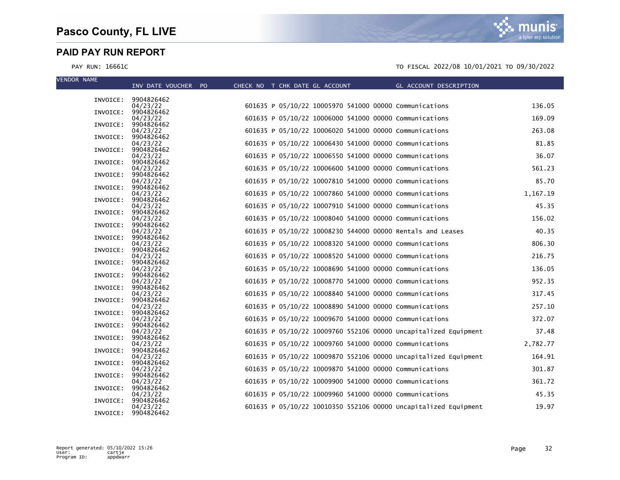| <b>VENDOR NAME</b> |                                 |                                |                                                        |                                                                 |          |
|--------------------|---------------------------------|--------------------------------|--------------------------------------------------------|-----------------------------------------------------------------|----------|
|                    | INV DATE VOUCHER PO             | CHECK NO T CHK DATE GL ACCOUNT |                                                        | GL ACCOUNT DESCRIPTION                                          |          |
|                    | INVOICE: 9904826462             |                                |                                                        |                                                                 |          |
|                    | 04/23/22<br>INVOICE: 9904826462 |                                | 601635 P 05/10/22 10005970 541000 00000 Communications |                                                                 | 136.05   |
|                    | 04/23/22                        |                                | 601635 P 05/10/22 10006000 541000 00000 Communications |                                                                 | 169.09   |
| INVOICE:           | 9904826462                      |                                |                                                        |                                                                 | 263.08   |
| INVOICE:           | 04/23/22<br>9904826462          |                                | 601635 P 05/10/22 10006020 541000 00000 Communications |                                                                 |          |
|                    | 04/23/22                        |                                | 601635 P 05/10/22 10006430 541000 00000 Communications |                                                                 | 81.85    |
| INVOICE:           | 9904826462<br>04/23/22          |                                | 601635 P 05/10/22 10006550 541000 00000 Communications |                                                                 | 36.07    |
| INVOICE:           | 9904826462                      |                                |                                                        |                                                                 |          |
|                    | 04/23/22                        |                                | 601635 P 05/10/22 10006600 541000 00000 Communications |                                                                 | 561.23   |
| INVOICE:           | 9904826462<br>04/23/22          |                                | 601635 P 05/10/22 10007810 541000 00000 Communications |                                                                 | 85.70    |
|                    | INVOICE: 9904826462             |                                |                                                        |                                                                 |          |
| INVOICE:           | 04/23/22<br>9904826462          |                                | 601635 P 05/10/22 10007860 541000 00000 Communications |                                                                 | 1,167.19 |
|                    | 04/23/22                        |                                | 601635 P 05/10/22 10007910 541000 00000 Communications |                                                                 | 45.35    |
| INVOICE:           | 9904826462                      |                                |                                                        |                                                                 |          |
| INVOICE:           | 04/23/22<br>9904826462          |                                | 601635 P 05/10/22 10008040 541000 00000 Communications |                                                                 | 156.02   |
|                    | 04/23/22                        |                                |                                                        | 601635 P 05/10/22 10008230 544000 00000 Rentals and Leases      | 40.35    |
|                    | INVOICE: 9904826462             |                                | 601635 P 05/10/22 10008320 541000 00000 Communications |                                                                 | 806.30   |
| INVOICE:           | 04/23/22<br>9904826462          |                                |                                                        |                                                                 |          |
|                    | 04/23/22                        |                                | 601635 P 05/10/22 10008520 541000 00000 Communications |                                                                 | 216.75   |
| INVOICE:           | 9904826462<br>04/23/22          |                                | 601635 P 05/10/22 10008690 541000 00000 Communications |                                                                 | 136.05   |
|                    | INVOICE: 9904826462             |                                |                                                        |                                                                 |          |
|                    | 04/23/22                        |                                | 601635 P 05/10/22 10008770 541000 00000 Communications |                                                                 | 952.35   |
| INVOICE:           | 9904826462<br>04/23/22          |                                | 601635 P 05/10/22 10008840 541000 00000 Communications |                                                                 | 317.45   |
| INVOICE:           | 9904826462                      |                                |                                                        |                                                                 |          |
| INVOICE:           | 04/23/22<br>9904826462          |                                | 601635 P 05/10/22 10008890 541000 00000 Communications |                                                                 | 257.10   |
|                    | 04/23/22                        |                                | 601635 P 05/10/22 10009670 541000 00000 Communications |                                                                 | 372.07   |
| INVOICE:           | 9904826462                      |                                |                                                        |                                                                 |          |
|                    | 04/23/22<br>INVOICE: 9904826462 |                                |                                                        | 601635 P 05/10/22 10009760 552106 00000 Uncapitalized Equipment | 37.48    |
|                    | 04/23/22                        |                                | 601635 P 05/10/22 10009760 541000 00000 Communications |                                                                 | 2,782.77 |
| INVOICE:           | 9904826462<br>04/23/22          |                                |                                                        | 601635 P 05/10/22 10009870 552106 00000 Uncapitalized Equipment | 164.91   |
| INVOICE:           | 9904826462                      |                                |                                                        |                                                                 |          |
|                    | 04/23/22                        |                                | 601635 P 05/10/22 10009870 541000 00000 Communications |                                                                 | 301.87   |
|                    | INVOICE: 9904826462<br>04/23/22 |                                | 601635 P 05/10/22 10009900 541000 00000 Communications |                                                                 | 361.72   |
|                    | INVOICE: 9904826462             |                                |                                                        |                                                                 |          |
|                    | 04/23/22                        |                                | 601635 P 05/10/22 10009960 541000 00000 Communications |                                                                 | 45.35    |
| INVOICE:           | 9904826462<br>04/23/22          |                                |                                                        | 601635 P 05/10/22 10010350 552106 00000 Uncapitalized Equipment | 19.97    |
| INVOICE:           | 9904826462                      |                                |                                                        |                                                                 |          |

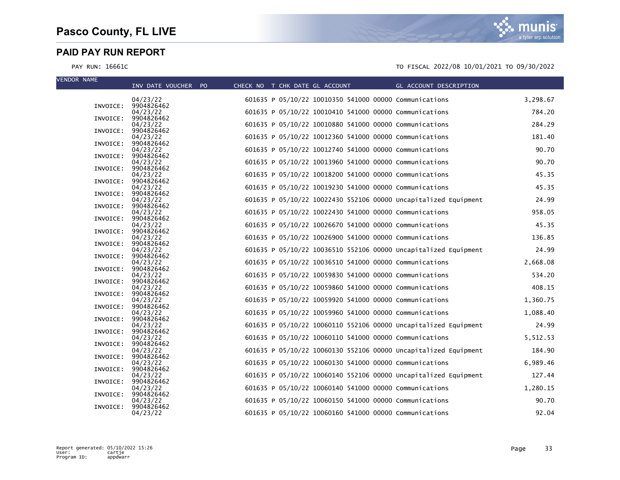| <b>VENDOR NAME</b> |          | INV DATE VOUCHER PO    | CHECK NO T CHK DATE GL ACCOUNT |  |  | GL ACCOUNT DESCRIPTION                                          |          |
|--------------------|----------|------------------------|--------------------------------|--|--|-----------------------------------------------------------------|----------|
|                    |          |                        |                                |  |  |                                                                 |          |
|                    |          | 04/23/22               |                                |  |  | 601635 P 05/10/22 10010350 541000 00000 Communications          | 3,298.67 |
|                    | INVOICE: | 9904826462<br>04/23/22 |                                |  |  | 601635 P 05/10/22 10010410 541000 00000 Communications          | 784.20   |
|                    | INVOICE: | 9904826462             |                                |  |  |                                                                 |          |
|                    |          | 04/23/22               |                                |  |  | 601635 P 05/10/22 10010880 541000 00000 Communications          | 284.29   |
|                    | INVOICE: | 9904826462<br>04/23/22 |                                |  |  | 601635 P 05/10/22 10012360 541000 00000 Communications          | 181.40   |
|                    | INVOICE: | 9904826462             |                                |  |  |                                                                 |          |
|                    |          | 04/23/22               |                                |  |  | 601635 P 05/10/22 10012740 541000 00000 Communications          | 90.70    |
|                    | INVOICE: | 9904826462<br>04/23/22 |                                |  |  | 601635 P 05/10/22 10013960 541000 00000 Communications          | 90.70    |
|                    | INVOICE: | 9904826462             |                                |  |  |                                                                 |          |
|                    |          | 04/23/22               |                                |  |  | 601635 P 05/10/22 10018200 541000 00000 Communications          | 45.35    |
|                    | INVOICE: | 9904826462<br>04/23/22 |                                |  |  | 601635 P 05/10/22 10019230 541000 00000 Communications          | 45.35    |
|                    | INVOICE: | 9904826462             |                                |  |  |                                                                 |          |
|                    |          | 04/23/22               |                                |  |  | 601635 P 05/10/22 10022430 552106 00000 Uncapitalized Equipment | 24.99    |
|                    | INVOICE: | 9904826462<br>04/23/22 |                                |  |  | 601635 P 05/10/22 10022430 541000 00000 Communications          | 958.05   |
|                    | INVOICE: | 9904826462             |                                |  |  |                                                                 |          |
|                    | INVOICE: | 04/23/22<br>9904826462 |                                |  |  | 601635 P 05/10/22 10026670 541000 00000 Communications          | 45.35    |
|                    |          | 04/23/22               |                                |  |  | 601635 P 05/10/22 10026900 541000 00000 Communications          | 136.85   |
|                    | INVOICE: | 9904826462             |                                |  |  |                                                                 |          |
|                    | INVOICE: | 04/23/22<br>9904826462 |                                |  |  | 601635 P 05/10/22 10036510 552106 00000 Uncapitalized Equipment | 24.99    |
|                    |          | 04/23/22               |                                |  |  | 601635 P 05/10/22 10036510 541000 00000 Communications          | 2,668.08 |
|                    | INVOICE: | 9904826462             |                                |  |  |                                                                 |          |
|                    | INVOICE: | 04/23/22<br>9904826462 |                                |  |  | 601635 P 05/10/22 10059830 541000 00000 Communications          | 534.20   |
|                    |          | 04/23/22               |                                |  |  | 601635 P 05/10/22 10059860 541000 00000 Communications          | 408.15   |
|                    | INVOICE: | 9904826462             |                                |  |  | 601635 P 05/10/22 10059920 541000 00000 Communications          |          |
|                    | INVOICE: | 04/23/22<br>9904826462 |                                |  |  |                                                                 | 1,360.75 |
|                    |          | 04/23/22               |                                |  |  | 601635 P 05/10/22 10059960 541000 00000 Communications          | 1,088.40 |
|                    | INVOICE: | 9904826462<br>04/23/22 |                                |  |  | 601635 P 05/10/22 10060110 552106 00000 Uncapitalized Equipment | 24.99    |
|                    | INVOICE: | 9904826462             |                                |  |  |                                                                 |          |
|                    |          | 04/23/22               |                                |  |  | 601635 P 05/10/22 10060110 541000 00000 Communications          | 5,512.53 |
|                    | INVOICE: | 9904826462<br>04/23/22 |                                |  |  | 601635 P 05/10/22 10060130 552106 00000 Uncapitalized Equipment | 184.90   |
|                    | INVOICE: | 9904826462             |                                |  |  |                                                                 |          |
|                    |          | 04/23/22               |                                |  |  | 601635 P 05/10/22 10060130 541000 00000 Communications          | 6,989.46 |
|                    | INVOICE: | 9904826462<br>04/23/22 |                                |  |  | 601635 P 05/10/22 10060140 552106 00000 Uncapitalized Equipment | 127.44   |
|                    | INVOICE: | 9904826462             |                                |  |  |                                                                 |          |
|                    | INVOICE: | 04/23/22<br>9904826462 |                                |  |  | 601635 P 05/10/22 10060140 541000 00000 Communications          | 1,280.15 |
|                    |          | 04/23/22               |                                |  |  | 601635 P 05/10/22 10060150 541000 00000 Communications          | 90.70    |
|                    | INVOICE: | 9904826462             |                                |  |  |                                                                 |          |
|                    |          | 04/23/22               |                                |  |  | 601635 P 05/10/22 10060160 541000 00000 Communications          | 92.04    |

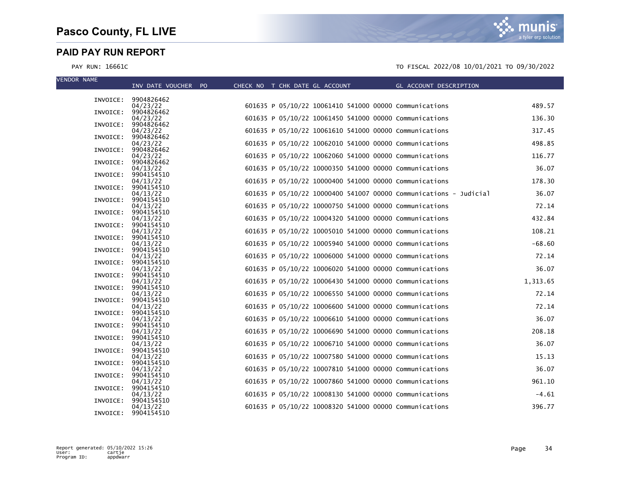| <b>VENDOR NAME</b> |                                 |                                |                                                        |                                                                   |          |
|--------------------|---------------------------------|--------------------------------|--------------------------------------------------------|-------------------------------------------------------------------|----------|
|                    | INV DATE VOUCHER PO             | CHECK NO T CHK DATE GL ACCOUNT |                                                        | GL ACCOUNT DESCRIPTION                                            |          |
|                    | INVOICE: 9904826462             |                                |                                                        |                                                                   |          |
|                    | 04/23/22<br>INVOICE: 9904826462 |                                | 601635 P 05/10/22 10061410 541000 00000 Communications |                                                                   | 489.57   |
|                    | 04/23/22                        |                                | 601635 P 05/10/22 10061450 541000 00000 Communications |                                                                   | 136.30   |
| INVOICE:           | 9904826462                      |                                | 601635 P 05/10/22 10061610 541000 00000 Communications |                                                                   | 317.45   |
| INVOICE:           | 04/23/22<br>9904826462          |                                |                                                        |                                                                   |          |
|                    | 04/23/22                        |                                | 601635 P 05/10/22 10062010 541000 00000 Communications |                                                                   | 498.85   |
| INVOICE:           | 9904826462<br>04/23/22          |                                | 601635 P 05/10/22 10062060 541000 00000 Communications |                                                                   | 116.77   |
| INVOICE:           | 9904826462                      |                                |                                                        |                                                                   |          |
| INVOICE:           | 04/13/22<br>9904154510          |                                | 601635 P 05/10/22 10000350 541000 00000 Communications |                                                                   | 36.07    |
|                    | 04/13/22                        |                                | 601635 P 05/10/22 10000400 541000 00000 Communications |                                                                   | 178.30   |
| INVOICE:           | 9904154510                      |                                |                                                        |                                                                   |          |
| INVOICE:           | 04/13/22<br>9904154510          |                                |                                                        | 601635 P 05/10/22 10000400 541007 00000 Communications - Judicial | 36.07    |
|                    | 04/13/22                        |                                | 601635 P 05/10/22 10000750 541000 00000 Communications |                                                                   | 72.14    |
| INVOICE:           | 9904154510<br>04/13/22          |                                | 601635 P 05/10/22 10004320 541000 00000 Communications |                                                                   | 432.84   |
| INVOICE:           | 9904154510                      |                                |                                                        |                                                                   |          |
|                    | 04/13/22                        |                                | 601635 P 05/10/22 10005010 541000 00000 Communications |                                                                   | 108.21   |
| INVOICE:           | 9904154510<br>04/13/22          |                                | 601635 P 05/10/22 10005940 541000 00000 Communications |                                                                   | $-68.60$ |
| INVOICE:           | 9904154510                      |                                |                                                        |                                                                   |          |
| INVOICE:           | 04/13/22<br>9904154510          |                                | 601635 P 05/10/22 10006000 541000 00000 Communications |                                                                   | 72.14    |
|                    | 04/13/22                        |                                | 601635 P 05/10/22 10006020 541000 00000 Communications |                                                                   | 36.07    |
|                    | INVOICE: 9904154510             |                                |                                                        |                                                                   |          |
| INVOICE:           | 04/13/22<br>9904154510          |                                | 601635 P 05/10/22 10006430 541000 00000 Communications |                                                                   | 1,313.65 |
|                    | 04/13/22                        |                                | 601635 P 05/10/22 10006550 541000 00000 Communications |                                                                   | 72.14    |
| INVOICE:           | 9904154510<br>04/13/22          |                                | 601635 P 05/10/22 10006600 541000 00000 Communications |                                                                   | 72.14    |
| INVOICE:           | 9904154510                      |                                |                                                        |                                                                   |          |
|                    | 04/13/22                        |                                | 601635 P 05/10/22 10006610 541000 00000 Communications |                                                                   | 36.07    |
| INVOICE:           | 9904154510<br>04/13/22          |                                | 601635 P 05/10/22 10006690 541000 00000 Communications |                                                                   | 208.18   |
|                    | INVOICE: 9904154510             |                                |                                                        |                                                                   |          |
| INVOICE:           | 04/13/22<br>9904154510          |                                | 601635 P 05/10/22 10006710 541000 00000 Communications |                                                                   | 36.07    |
|                    | 04/13/22                        |                                | 601635 P 05/10/22 10007580 541000 00000 Communications |                                                                   | 15.13    |
| INVOICE:           | 9904154510                      |                                |                                                        |                                                                   |          |
|                    | 04/13/22<br>INVOICE: 9904154510 |                                | 601635 P 05/10/22 10007810 541000 00000 Communications |                                                                   | 36.07    |
|                    | 04/13/22                        |                                | 601635 P 05/10/22 10007860 541000 00000 Communications |                                                                   | 961.10   |
| INVOICE:           | 9904154510<br>04/13/22          |                                | 601635 P 05/10/22 10008130 541000 00000 Communications |                                                                   | $-4.61$  |
| INVOICE:           | 9904154510                      |                                |                                                        |                                                                   |          |
|                    | 04/13/22                        |                                | 601635 P 05/10/22 10008320 541000 00000 Communications |                                                                   | 396.77   |
| INVOICE:           | 9904154510                      |                                |                                                        |                                                                   |          |

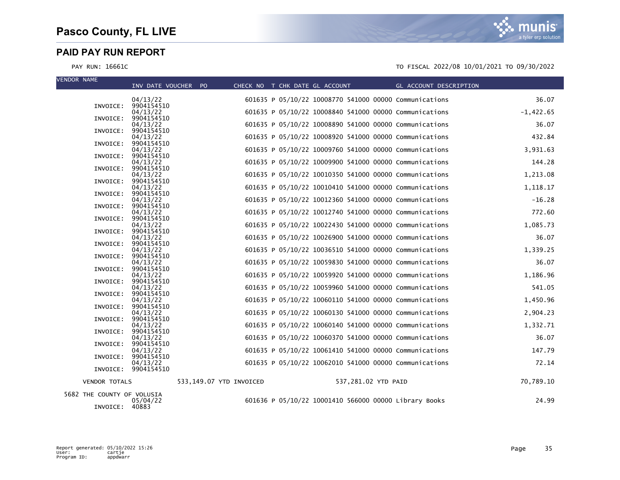| <b>VENDOR NAME</b>         |                      | INV DATE VOUCHER PO    |                         | CHECK NO T CHK DATE GL ACCOUNT |                     | GL ACCOUNT DESCRIPTION                                 |             |
|----------------------------|----------------------|------------------------|-------------------------|--------------------------------|---------------------|--------------------------------------------------------|-------------|
|                            |                      |                        |                         |                                |                     |                                                        |             |
|                            |                      | 04/13/22               |                         |                                |                     | 601635 P 05/10/22 10008770 541000 00000 Communications | 36.07       |
|                            | INVOICE:             | 9904154510<br>04/13/22 |                         |                                |                     | 601635 P 05/10/22 10008840 541000 00000 Communications | $-1,422.65$ |
|                            | INVOICE:             | 9904154510             |                         |                                |                     |                                                        |             |
|                            |                      | 04/13/22               |                         |                                |                     | 601635 P 05/10/22 10008890 541000 00000 Communications | 36.07       |
|                            | INVOICE:             | 9904154510             |                         |                                |                     | 601635 P 05/10/22 10008920 541000 00000 Communications | 432.84      |
|                            | INVOICE:             | 04/13/22<br>9904154510 |                         |                                |                     |                                                        |             |
|                            |                      | 04/13/22               |                         |                                |                     | 601635 P 05/10/22 10009760 541000 00000 Communications | 3,931.63    |
|                            | INVOICE:             | 9904154510             |                         |                                |                     |                                                        |             |
|                            | INVOICE:             | 04/13/22<br>9904154510 |                         |                                |                     | 601635 P 05/10/22 10009900 541000 00000 Communications | 144.28      |
|                            |                      | 04/13/22               |                         |                                |                     | 601635 P 05/10/22 10010350 541000 00000 Communications | 1,213.08    |
|                            | INVOICE:             | 9904154510             |                         |                                |                     |                                                        |             |
|                            | INVOICE:             | 04/13/22<br>9904154510 |                         |                                |                     | 601635 P 05/10/22 10010410 541000 00000 Communications | 1,118.17    |
|                            |                      | 04/13/22               |                         |                                |                     | 601635 P 05/10/22 10012360 541000 00000 Communications | $-16.28$    |
|                            | INVOICE:             | 9904154510             |                         |                                |                     |                                                        |             |
|                            | INVOICE:             | 04/13/22<br>9904154510 |                         |                                |                     | 601635 P 05/10/22 10012740 541000 00000 Communications | 772.60      |
|                            |                      | 04/13/22               |                         |                                |                     | 601635 P 05/10/22 10022430 541000 00000 Communications | 1,085.73    |
|                            | INVOICE:             | 9904154510             |                         |                                |                     |                                                        |             |
|                            |                      | 04/13/22               |                         |                                |                     | 601635 P 05/10/22 10026900 541000 00000 Communications | 36.07       |
|                            | INVOICE:             | 9904154510<br>04/13/22 |                         |                                |                     | 601635 P 05/10/22 10036510 541000 00000 Communications | 1,339.25    |
|                            | INVOICE:             | 9904154510             |                         |                                |                     |                                                        |             |
|                            |                      | 04/13/22               |                         |                                |                     | 601635 P 05/10/22 10059830 541000 00000 Communications | 36.07       |
|                            | INVOICE:             | 9904154510<br>04/13/22 |                         |                                |                     | 601635 P 05/10/22 10059920 541000 00000 Communications | 1,186.96    |
|                            | INVOICE:             | 9904154510             |                         |                                |                     |                                                        |             |
|                            |                      | 04/13/22               |                         |                                |                     | 601635 P 05/10/22 10059960 541000 00000 Communications | 541.05      |
|                            | INVOICE:             | 9904154510             |                         |                                |                     |                                                        | 1,450.96    |
|                            | INVOICE:             | 04/13/22<br>9904154510 |                         |                                |                     | 601635 P 05/10/22 10060110 541000 00000 Communications |             |
|                            |                      | 04/13/22               |                         |                                |                     | 601635 P 05/10/22 10060130 541000 00000 Communications | 2,904.23    |
|                            | INVOICE:             | 9904154510             |                         |                                |                     |                                                        |             |
|                            | INVOICE:             | 04/13/22<br>9904154510 |                         |                                |                     | 601635 P 05/10/22 10060140 541000 00000 Communications | 1,332.71    |
|                            |                      | 04/13/22               |                         |                                |                     | 601635 P 05/10/22 10060370 541000 00000 Communications | 36.07       |
|                            | INVOICE:             | 9904154510             |                         |                                |                     |                                                        |             |
|                            | INVOICE:             | 04/13/22<br>9904154510 |                         |                                |                     | 601635 P 05/10/22 10061410 541000 00000 Communications | 147.79      |
|                            |                      | 04/13/22               |                         |                                |                     | 601635 P 05/10/22 10062010 541000 00000 Communications | 72.14       |
|                            |                      | INVOICE: 9904154510    |                         |                                |                     |                                                        |             |
|                            | <b>VENDOR TOTALS</b> |                        | 533,149.07 YTD INVOICED |                                | 537,281.02 YTD PAID |                                                        | 70,789.10   |
| 5682 THE COUNTY OF VOLUSIA |                      |                        |                         |                                |                     |                                                        |             |
|                            | INVOICE:             | 05/04/22<br>40883      |                         |                                |                     | 601636 P 05/10/22 10001410 566000 00000 Library Books  | 24.99       |

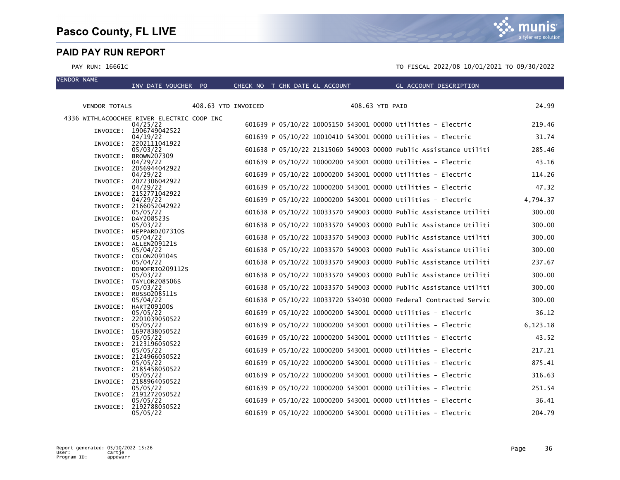VENDOR NAME

a tyler erp solutior

#### PAY RUN: 16661C TO FISCAL 2022/08 10/01/2021 TO 09/30/2022

| <b>VENDOR TOTALS</b>                       |                                    | 408.63 YTD INVOICED |  |  | 408.63 YTD PAID |                                                                   | 24.99    |
|--------------------------------------------|------------------------------------|---------------------|--|--|-----------------|-------------------------------------------------------------------|----------|
|                                            |                                    |                     |  |  |                 |                                                                   |          |
| 4336 WITHLACOOCHEE RIVER ELECTRIC COOP INC | 04/25/22                           |                     |  |  |                 | 601639 P 05/10/22 10005150 543001 00000 Utilities - Electric      | 219.46   |
|                                            | INVOICE: 1906749042522<br>04/19/22 |                     |  |  |                 | 601639 P 05/10/22 10010410 543001 00000 Utilities - Electric      | 31.74    |
| INVOICE:                                   | 2202111041922<br>05/03/22          |                     |  |  |                 | 601638 P 05/10/22 21315060 549003 00000 Public Assistance Utiliti | 285.46   |
| INVOICE:                                   | BROWN207309                        |                     |  |  |                 |                                                                   |          |
| INVOICE:                                   | 04/29/22<br>2056944042922          |                     |  |  |                 | 601639 P 05/10/22 10000200 543001 00000 Utilities - Electric      | 43.16    |
|                                            | 04/29/22                           |                     |  |  |                 | 601639 P 05/10/22 10000200 543001 00000 Utilities - Electric      | 114.26   |
| INVOICE:                                   | 2072306042922<br>04/29/22          |                     |  |  |                 | 601639 P 05/10/22 10000200 543001 00000 Utilities - Electric      | 47.32    |
| INVOICE:                                   | 2152771042922                      |                     |  |  |                 |                                                                   |          |
|                                            | 04/29/22                           |                     |  |  |                 | 601639 P 05/10/22 10000200 543001 00000 Utilities - Electric      | 4,794.37 |
|                                            | INVOICE: 2166052042922<br>05/05/22 |                     |  |  |                 | 601638 P 05/10/22 10033570 549003 00000 Public Assistance Utiliti | 300.00   |
| INVOICE:                                   | DAY208523S                         |                     |  |  |                 |                                                                   |          |
| INVOICE:                                   | 05/03/22<br>HEPPARD207310S         |                     |  |  |                 | 601638 P 05/10/22 10033570 549003 00000 Public Assistance Utiliti | 300.00   |
|                                            | 05/04/22                           |                     |  |  |                 | 601638 P 05/10/22 10033570 549003 00000 Public Assistance Utiliti | 300.00   |
| INVOICE:                                   | ALLEN209121S<br>05/04/22           |                     |  |  |                 | 601638 P 05/10/22 10033570 549003 00000 Public Assistance Utiliti | 300.00   |
| INVOICE:                                   | COLON209104S                       |                     |  |  |                 |                                                                   |          |
| INVOICE:                                   | 05/04/22<br>DONOFRIO209112S        |                     |  |  |                 | 601638 P 05/10/22 10033570 549003 00000 Public Assistance Utiliti | 237.67   |
|                                            | 05/03/22                           |                     |  |  |                 | 601638 P 05/10/22 10033570 549003 00000 Public Assistance Utiliti | 300.00   |
| INVOICE:                                   | TAYLOR208506S<br>05/03/22          |                     |  |  |                 | 601638 P 05/10/22 10033570 549003 00000 Public Assistance Utiliti | 300.00   |
| INVOICE:                                   | RUSS0208511S                       |                     |  |  |                 |                                                                   |          |
|                                            | 05/04/22                           |                     |  |  |                 | 601638 P 05/10/22 10033720 534030 00000 Federal Contracted Servic | 300.00   |
| INVOICE:                                   | HART209100S<br>05/05/22            |                     |  |  |                 | 601639 P 05/10/22 10000200 543001 00000 Utilities - Electric      | 36.12    |
| INVOICE:                                   | 2201039050522                      |                     |  |  |                 |                                                                   |          |
| INVOICE:                                   | 05/05/22<br>1697838050522          |                     |  |  |                 | 601639 P 05/10/22 10000200 543001 00000 Utilities - Electric      | 6,123.18 |
|                                            | 05/05/22                           |                     |  |  |                 | 601639 P 05/10/22 10000200 543001 00000 Utilities - Electric      | 43.52    |
| INVOICE:                                   | 2123196050522<br>05/05/22          |                     |  |  |                 | 601639 P 05/10/22 10000200 543001 00000 Utilities - Electric      | 217.21   |
| INVOICE:                                   | 2124966050522                      |                     |  |  |                 |                                                                   |          |
|                                            | 05/05/22<br>INVOICE: 2185458050522 |                     |  |  |                 | 601639 P 05/10/22 10000200 543001 00000 Utilities - Electric      | 875.41   |
|                                            | 05/05/22                           |                     |  |  |                 | 601639 P 05/10/22 10000200 543001 00000 Utilities - Electric      | 316.63   |
| INVOICE:                                   | 2188964050522<br>05/05/22          |                     |  |  |                 | 601639 P 05/10/22 10000200 543001 00000 Utilities - Electric      | 251.54   |
| INVOICE:                                   | 2191272050522                      |                     |  |  |                 |                                                                   |          |
| INVOICE:                                   | 05/05/22<br>2192788050522          |                     |  |  |                 | 601639 P 05/10/22 10000200 543001 00000 Utilities - Electric      | 36.41    |
|                                            | 05/05/22                           |                     |  |  |                 | 601639 P 05/10/22 10000200 543001 00000 Utilities - Electric      | 204.79   |

INV DATE VOUCHER PO CHECK NO T CHK DATE GL ACCOUNT GL ACCOUNT DESCRIPTION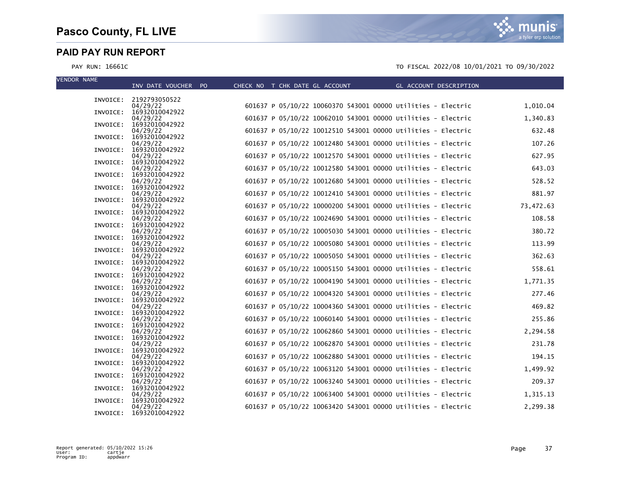| <b>VENDOR NAME</b> | INV DATE VOUCHER PO                 | CHECK NO T CHK DATE GL ACCOUNT |  | <b>Example 2018 GL ACCOUNT DESCRIPTION</b>                   |           |
|--------------------|-------------------------------------|--------------------------------|--|--------------------------------------------------------------|-----------|
|                    |                                     |                                |  |                                                              |           |
|                    | INVOICE: 2192793050522<br>04/29/22  |                                |  | 601637 P 05/10/22 10060370 543001 00000 Utilities - Electric | 1,010.04  |
|                    | INVOICE: 16932010042922<br>04/29/22 |                                |  | 601637 P 05/10/22 10062010 543001 00000 Utilities - Electric | 1,340.83  |
|                    | INVOICE: 16932010042922<br>04/29/22 |                                |  | 601637 P 05/10/22 10012510 543001 00000 Utilities - Electric | 632.48    |
|                    | INVOICE: 16932010042922             |                                |  |                                                              |           |
| INVOICE:           | 04/29/22<br>16932010042922          |                                |  | 601637 P 05/10/22 10012480 543001 00000 Utilities - Electric | 107.26    |
|                    | 04/29/22<br>INVOICE: 16932010042922 |                                |  | 601637 P 05/10/22 10012570 543001 00000 Utilities - Electric | 627.95    |
|                    | 04/29/22<br>INVOICE: 16932010042922 |                                |  | 601637 P 05/10/22 10012580 543001 00000 Utilities - Electric | 643.03    |
|                    | 04/29/22<br>INVOICE: 16932010042922 |                                |  | 601637 P 05/10/22 10012680 543001 00000 Utilities - Electric | 528.52    |
|                    | 04/29/22                            |                                |  | 601637 P 05/10/22 10012410 543001 00000 Utilities - Electric | 881.97    |
|                    | INVOICE: 16932010042922<br>04/29/22 |                                |  | 601637 P 05/10/22 10000200 543001 00000 Utilities - Electric | 73,472.63 |
|                    | INVOICE: 16932010042922<br>04/29/22 |                                |  | 601637 P 05/10/22 10024690 543001 00000 Utilities - Electric | 108.58    |
|                    | INVOICE: 16932010042922<br>04/29/22 |                                |  | 601637 P 05/10/22 10005030 543001 00000 Utilities - Electric | 380.72    |
| INVOICE:           | 16932010042922<br>04/29/22          |                                |  | 601637 P 05/10/22 10005080 543001 00000 Utilities - Electric | 113.99    |
|                    | INVOICE: 16932010042922<br>04/29/22 |                                |  | 601637 P 05/10/22 10005050 543001 00000 Utilities - Electric | 362.63    |
|                    | INVOICE: 16932010042922             |                                |  |                                                              |           |
|                    | 04/29/22<br>INVOICE: 16932010042922 |                                |  | 601637 P 05/10/22 10005150 543001 00000 Utilities - Electric | 558.61    |
|                    | 04/29/22<br>INVOICE: 16932010042922 |                                |  | 601637 P 05/10/22 10004190 543001 00000 Utilities - Electric | 1,771.35  |
|                    | 04/29/22<br>INVOICE: 16932010042922 |                                |  | 601637 P 05/10/22 10004320 543001 00000 Utilities - Electric | 277.46    |
|                    | 04/29/22<br>INVOICE: 16932010042922 |                                |  | 601637 P 05/10/22 10004360 543001 00000 Utilities - Electric | 469.82    |
|                    | 04/29/22<br>INVOICE: 16932010042922 |                                |  | 601637 P 05/10/22 10060140 543001 00000 Utilities - Electric | 255.86    |
|                    | 04/29/22<br>INVOICE: 16932010042922 |                                |  | 601637 P 05/10/22 10062860 543001 00000 Utilities - Electric | 2,294.58  |
|                    | 04/29/22                            |                                |  | 601637 P 05/10/22 10062870 543001 00000 Utilities - Electric | 231.78    |
| INVOICE:           | 16932010042922<br>04/29/22          |                                |  | 601637 P 05/10/22 10062880 543001 00000 Utilities - Electric | 194.15    |
|                    | INVOICE: 16932010042922<br>04/29/22 |                                |  | 601637 P 05/10/22 10063120 543001 00000 Utilities - Electric | 1,499.92  |
|                    | INVOICE: 16932010042922<br>04/29/22 |                                |  | 601637 P 05/10/22 10063240 543001 00000 Utilities - Electric | 209.37    |
|                    | INVOICE: 16932010042922<br>04/29/22 |                                |  | 601637 P 05/10/22 10063400 543001 00000 Utilities - Electric | 1,315.13  |
| INVOICE:           | 16932010042922<br>04/29/22          |                                |  | 601637 P 05/10/22 10063420 543001 00000 Utilities - Electric | 2,299.38  |
|                    | INVOICE: 16932010042922             |                                |  |                                                              |           |

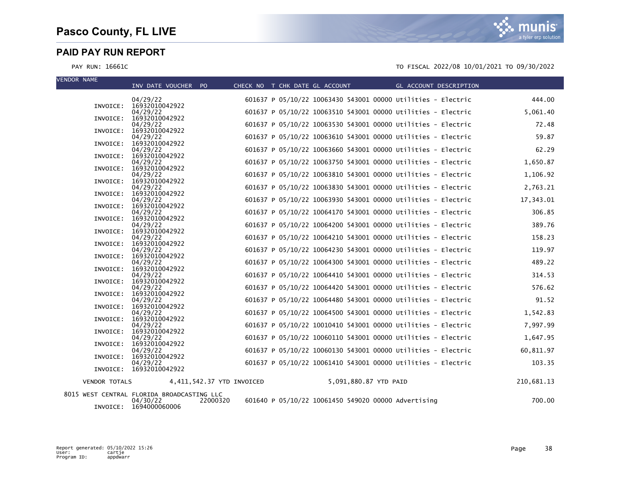PAY RUN: 16661C TO FISCAL 2022/08 10/01/2021 TO 09/30/2022

| <b>VENDOR NAME</b>   | INV DATE VOUCHER PO                        | CHECK NO T CHK DATE GL ACCOUNT |                       | <b>GL ACCOUNT DESCRIPTION</b>                                |            |
|----------------------|--------------------------------------------|--------------------------------|-----------------------|--------------------------------------------------------------|------------|
|                      | 04/29/22                                   |                                |                       | 601637 P 05/10/22 10063430 543001 00000 Utilities - Electric | 444.00     |
| INVOICE:             | 16932010042922                             |                                |                       |                                                              |            |
| INVOICE:             | 04/29/22<br>16932010042922                 |                                |                       | 601637 P 05/10/22 10063510 543001 00000 Utilities - Electric | 5,061.40   |
|                      | 04/29/22                                   |                                |                       | 601637 P 05/10/22 10063530 543001 00000 Utilities - Electric | 72.48      |
|                      | INVOICE: 16932010042922<br>04/29/22        |                                |                       | 601637 P 05/10/22 10063610 543001 00000 Utilities - Electric | 59.87      |
|                      | INVOICE: 16932010042922                    |                                |                       |                                                              |            |
|                      | 04/29/22<br>INVOICE: 16932010042922        |                                |                       | 601637 P 05/10/22 10063660 543001 00000 Utilities - Electric | 62.29      |
|                      | 04/29/22                                   |                                |                       | 601637 P 05/10/22 10063750 543001 00000 Utilities - Electric | 1,650.87   |
|                      | INVOICE: 16932010042922<br>04/29/22        |                                |                       | 601637 P 05/10/22 10063810 543001 00000 Utilities - Electric | 1,106.92   |
|                      | INVOICE: 16932010042922                    |                                |                       |                                                              |            |
| INVOICE:             | 04/29/22<br>16932010042922                 |                                |                       | 601637 P 05/10/22 10063830 543001 00000 Utilities - Electric | 2,763.21   |
|                      | 04/29/22                                   |                                |                       | 601637 P 05/10/22 10063930 543001 00000 Utilities - Electric | 17,343.01  |
| INVOICE:             | 16932010042922                             |                                |                       |                                                              | 306.85     |
| INVOICE:             | 04/29/22<br>16932010042922                 |                                |                       | 601637 P 05/10/22 10064170 543001 00000 Utilities - Electric |            |
|                      | 04/29/22                                   |                                |                       | 601637 P 05/10/22 10064200 543001 00000 Utilities - Electric | 389.76     |
| INVOICE:             | 16932010042922<br>04/29/22                 |                                |                       | 601637 P 05/10/22 10064210 543001 00000 Utilities - Electric | 158.23     |
| INVOICE:             | 16932010042922                             |                                |                       |                                                              |            |
| INVOICE:             | 04/29/22<br>16932010042922                 |                                |                       | 601637 P 05/10/22 10064230 543001 00000 Utilities - Electric | 119.97     |
|                      | 04/29/22                                   |                                |                       | 601637 P 05/10/22 10064300 543001 00000 Utilities - Electric | 489.22     |
|                      | INVOICE: 16932010042922<br>04/29/22        |                                |                       | 601637 P 05/10/22 10064410 543001 00000 Utilities - Electric | 314.53     |
|                      | INVOICE: 16932010042922                    |                                |                       |                                                              |            |
|                      | 04/29/22<br>INVOICE: 16932010042922        |                                |                       | 601637 P 05/10/22 10064420 543001 00000 Utilities - Electric | 576.62     |
|                      | 04/29/22                                   |                                |                       | 601637 P 05/10/22 10064480 543001 00000 Utilities - Electric | 91.52      |
|                      | INVOICE: 16932010042922<br>04/29/22        |                                |                       | 601637 P 05/10/22 10064500 543001 00000 Utilities - Electric | 1,542.83   |
|                      | INVOICE: 16932010042922                    |                                |                       |                                                              |            |
|                      | 04/29/22<br>16932010042922                 |                                |                       | 601637 P 05/10/22 10010410 543001 00000 Utilities - Electric | 7,997.99   |
| INVOICE:             | 04/29/22                                   |                                |                       | 601637 P 05/10/22 10060110 543001 00000 Utilities - Electric | 1,647.95   |
| INVOICE:             | 16932010042922                             |                                |                       |                                                              |            |
| INVOICE:             | 04/29/22<br>16932010042922                 |                                |                       | 601637 P 05/10/22 10060130 543001 00000 Utilities - Electric | 60,811.97  |
|                      | 04/29/22                                   |                                |                       | 601637 P 05/10/22 10061410 543001 00000 Utilities - Electric | 103.35     |
|                      | INVOICE: 16932010042922                    |                                |                       |                                                              |            |
| <b>VENDOR TOTALS</b> | 4,411,542.37 YTD INVOICED                  |                                | 5,091,880.87 YTD PAID |                                                              | 210,681.13 |
|                      | 8015 WEST CENTRAL FLORIDA BROADCASTING LLC |                                |                       |                                                              |            |

INVOICE: 1694000060006

04/30/22 22000320 601640 P 05/10/22 10061450 549020 00000 Advertising 700.00

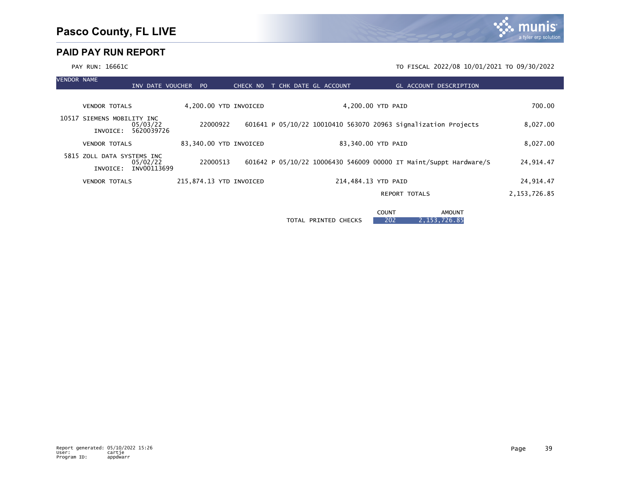| VENDOR NAME |                            | INV DATE VOUCHER PO |                         |  |  | CHECK NO T CHK DATE GL ACCOUNT |                     | GL ACCOUNT DESCRIPTION                                            |                |
|-------------|----------------------------|---------------------|-------------------------|--|--|--------------------------------|---------------------|-------------------------------------------------------------------|----------------|
|             |                            |                     |                         |  |  |                                |                     |                                                                   |                |
|             | <b>VENDOR TOTALS</b>       |                     | 4,200.00 YTD INVOICED   |  |  |                                | 4,200.00 YTD PAID   |                                                                   | 700.00         |
|             | 10517 SIEMENS MOBILITY INC | 05/03/22            | 22000922                |  |  |                                |                     | 601641 P 05/10/22 10010410 563070 20963 Signalization Projects    | 8,027.00       |
|             | INVOICE:                   | 5620039726          |                         |  |  |                                |                     |                                                                   |                |
|             | <b>VENDOR TOTALS</b>       |                     | 83,340.00 YTD INVOICED  |  |  |                                | 83,340.00 YTD PAID  |                                                                   | 8,027.00       |
|             | 5815 ZOLL DATA SYSTEMS INC | 05/02/22            | 22000513                |  |  |                                |                     | 601642 P 05/10/22 10006430 546009 00000 IT Maint/Suppt Hardware/S | 24,914.47      |
|             | INVOICE:                   | INV00113699         |                         |  |  |                                |                     |                                                                   |                |
|             | <b>VENDOR TOTALS</b>       |                     | 215,874.13 YTD INVOICED |  |  |                                | 214,484.13 YTD PAID |                                                                   | 24,914.47      |
|             |                            |                     |                         |  |  |                                |                     | <b>REPORT TOTALS</b>                                              | 2, 153, 726.85 |
|             |                            |                     |                         |  |  |                                |                     |                                                                   |                |

**COUNT AMOUNT** TOTAL PRINTED CHECKS 202 2,153,726.85

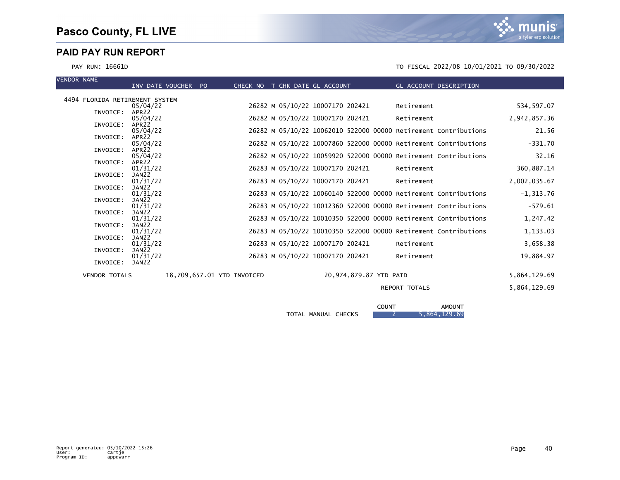mı INIS a tyler erp solution

#### PAY RUN: 16661D TO FISCAL 2022/08 10/01/2021 TO 09/30/2022

| <b>VENDOR NAME</b>             | INV DATE VOUCHER PO           |                            | CHECK NO T CHK DATE GL ACCOUNT   | GL ACCOUNT DESCRIPTION                                          |              |
|--------------------------------|-------------------------------|----------------------------|----------------------------------|-----------------------------------------------------------------|--------------|
|                                |                               |                            |                                  |                                                                 |              |
| 4494 FLORIDA RETIREMENT SYSTEM |                               |                            |                                  |                                                                 |              |
|                                | 05/04/22                      |                            | 26282 M 05/10/22 10007170 202421 | Retirement                                                      | 534,597.07   |
| INVOICE:                       | APR <sub>22</sub>             |                            |                                  |                                                                 |              |
|                                | 05/04/22                      |                            | 26282 M 05/10/22 10007170 202421 | Retirement                                                      | 2,942,857.36 |
| INVOICE:                       | APR <sub>22</sub>             |                            |                                  |                                                                 | 21.56        |
| INVOICE:                       | 05/04/22<br>APR <sub>22</sub> |                            |                                  | 26282 M 05/10/22 10062010 522000 00000 Retirement Contributions |              |
|                                | 05/04/22                      |                            |                                  | 26282 M 05/10/22 10007860 522000 00000 Retirement Contributions | $-331.70$    |
| INVOICE:                       | APR22                         |                            |                                  |                                                                 |              |
|                                | 05/04/22                      |                            |                                  | 26282 M 05/10/22 10059920 522000 00000 Retirement Contributions | 32.16        |
| INVOICE:                       | APR <sub>22</sub>             |                            |                                  |                                                                 |              |
|                                | 01/31/22                      |                            | 26283 M 05/10/22 10007170 202421 | Retirement                                                      | 360,887.14   |
| INVOICE:                       | JAN22                         |                            |                                  |                                                                 |              |
|                                | 01/31/22                      |                            | 26283 M 05/10/22 10007170 202421 | Retirement                                                      | 2,002,035.67 |
| INVOICE:                       | JAN22                         |                            |                                  | 26283 M 05/10/22 10060140 522000 00000 Retirement Contributions | $-1, 313.76$ |
| INVOICE:                       | 01/31/22<br>JAN22             |                            |                                  |                                                                 |              |
|                                | 01/31/22                      |                            |                                  | 26283 M 05/10/22 10012360 522000 00000 Retirement Contributions | $-579.61$    |
| INVOICE:                       | JAN22                         |                            |                                  |                                                                 |              |
|                                | 01/31/22                      |                            |                                  | 26283 M 05/10/22 10010350 522000 00000 Retirement Contributions | 1,247.42     |
| INVOICE:                       | JAN22                         |                            |                                  |                                                                 |              |
|                                | 01/31/22                      |                            |                                  | 26283 M 05/10/22 10010350 522000 00000 Retirement Contributions | 1,133.03     |
| INVOICE:                       | JAN22                         |                            |                                  |                                                                 |              |
|                                | 01/31/22                      |                            | 26283 M 05/10/22 10007170 202421 | Retirement                                                      | 3,658.38     |
| INVOICE:                       | JAN22<br>01/31/22             |                            | 26283 M 05/10/22 10007170 202421 | Retirement                                                      | 19,884.97    |
| INVOICE:                       | JAN22                         |                            |                                  |                                                                 |              |
|                                |                               |                            |                                  |                                                                 |              |
| <b>VENDOR TOTALS</b>           |                               | 18,709,657.01 YTD INVOICED | 20,974,879.87 YTD PAID           |                                                                 | 5,864,129.69 |

#### REPORT TOTALS 5,864,129.69

|                                         | <b>COUNT</b> | <b>AMOUNT</b> |
|-----------------------------------------|--------------|---------------|
| <b>CHECKS</b><br>MANUAL<br><b>TOTAL</b> |              | 5,864,129.69  |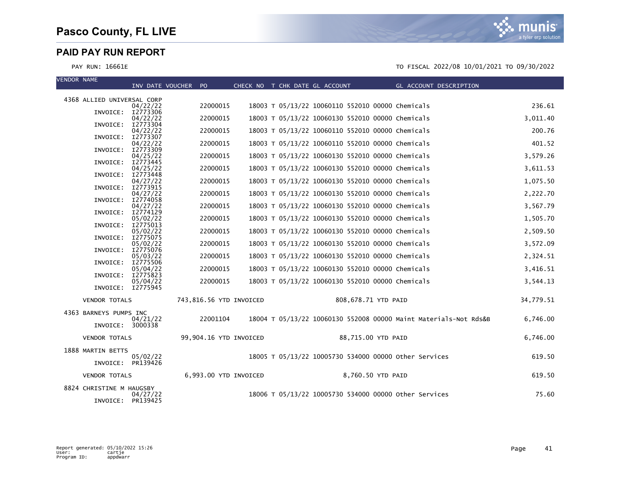| <b>VENDOR NAME</b>         | INV DATE VOUCHER PO  |                         |  | CHECK NO T CHK DATE GL ACCOUNT                   |                   | GL ACCOUNT DESCRIPTION                                           |           |
|----------------------------|----------------------|-------------------------|--|--------------------------------------------------|-------------------|------------------------------------------------------------------|-----------|
|                            |                      |                         |  |                                                  |                   |                                                                  |           |
| 4368 ALLIED UNIVERSAL CORP | 04/22/22             | 22000015                |  | 18003 T 05/13/22 10060110 552010 00000 Chemicals |                   |                                                                  | 236.61    |
| INVOICE: I2773306          | 04/22/22             | 22000015                |  | 18003 T 05/13/22 10060130 552010 00000 Chemicals |                   |                                                                  | 3,011.40  |
| INVOICE:                   | I2773304<br>04/22/22 | 22000015                |  | 18003 T 05/13/22 10060110 552010 00000 Chemicals |                   |                                                                  | 200.76    |
| INVOICE:                   | I2773307<br>04/22/22 | 22000015                |  | 18003 T 05/13/22 10060110 552010 00000 Chemicals |                   |                                                                  | 401.52    |
| INVOICE:                   | I2773309<br>04/25/22 | 22000015                |  | 18003 T 05/13/22 10060130 552010 00000 Chemicals |                   |                                                                  | 3,579.26  |
| INVOICE:                   | I2773445             | 22000015                |  |                                                  |                   |                                                                  |           |
| INVOICE:                   | 04/25/22<br>I2773448 |                         |  | 18003 T 05/13/22 10060130 552010 00000 Chemicals |                   |                                                                  | 3,611.53  |
| INVOICE:                   | 04/27/22<br>12773915 | 22000015                |  | 18003 T 05/13/22 10060130 552010 00000 Chemicals |                   |                                                                  | 1,075.50  |
| INVOICE:                   | 04/27/22<br>I2774058 | 22000015                |  | 18003 T 05/13/22 10060130 552010 00000 Chemicals |                   |                                                                  | 2,222.70  |
| INVOICE:                   | 04/27/22<br>I2774129 | 22000015                |  | 18003 T 05/13/22 10060130 552010 00000 Chemicals |                   |                                                                  | 3,567.79  |
| INVOICE:                   | 05/02/22<br>I2775013 | 22000015                |  | 18003 T 05/13/22 10060130 552010 00000 Chemicals |                   |                                                                  | 1,505.70  |
|                            | 05/02/22             | 22000015                |  | 18003 T 05/13/22 10060130 552010 00000 Chemicals |                   |                                                                  | 2,509.50  |
| INVOICE:                   | I2775075<br>05/02/22 | 22000015                |  | 18003 T 05/13/22 10060130 552010 00000 Chemicals |                   |                                                                  | 3,572.09  |
| INVOICE:                   | I2775076<br>05/03/22 | 22000015                |  | 18003 T 05/13/22 10060130 552010 00000 Chemicals |                   |                                                                  | 2,324.51  |
| INVOICE:                   | 12775506<br>05/04/22 | 22000015                |  | 18003 T 05/13/22 10060130 552010 00000 Chemicals |                   |                                                                  | 3,416.51  |
| INVOICE:                   | I2775823<br>05/04/22 | 22000015                |  | 18003 T 05/13/22 10060130 552010 00000 Chemicals |                   |                                                                  | 3,544.13  |
| INVOICE: I2775945          |                      |                         |  |                                                  |                   |                                                                  |           |
| <b>VENDOR TOTALS</b>       |                      | 743,816.56 YTD INVOICED |  | 808,678.71 YTD PAID                              |                   |                                                                  | 34,779.51 |
| 4363 BARNEYS PUMPS INC     |                      |                         |  |                                                  |                   |                                                                  |           |
| INVOICE: 3000338           | 04/21/22             | 22001104                |  |                                                  |                   | 18004 T 05/13/22 10060130 552008 00000 Maint Materials-Not Rds&B | 6,746.00  |
| <b>VENDOR TOTALS</b>       |                      | 99,904.16 YTD INVOICED  |  | 88,715.00 YTD PAID                               |                   |                                                                  | 6,746.00  |
| 1888 MARTIN BETTS          |                      |                         |  |                                                  |                   | 18005 T 05/13/22 10005730 534000 00000 other Services            | 619.50    |
| INVOICE: PR139426          | 05/02/22             |                         |  |                                                  |                   |                                                                  |           |
| <b>VENDOR TOTALS</b>       |                      | 6,993.00 YTD INVOICED   |  |                                                  | 8,760.50 YTD PAID |                                                                  | 619.50    |
| 8824 CHRISTINE M HAUGSBY   | 04/27/22             |                         |  |                                                  |                   | 18006 T 05/13/22 10005730 534000 00000 other Services            | 75.60     |
| INVOICE: PR139425          |                      |                         |  |                                                  |                   |                                                                  |           |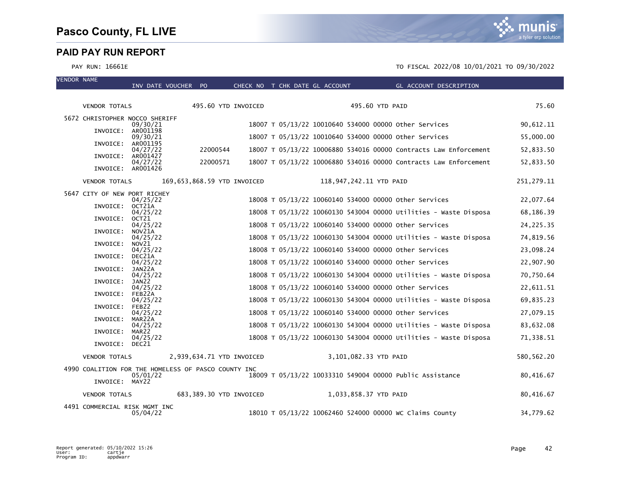VENDOR NAME

munis a tyler erp solution

|                                | INV DATE VOUCHER PO                                 |                           | CHECK NO T CHK DATE GL ACCOUNT |  |                         | GL ACCOUNT DESCRIPTION                                           |             |
|--------------------------------|-----------------------------------------------------|---------------------------|--------------------------------|--|-------------------------|------------------------------------------------------------------|-------------|
| <b>VENDOR TOTALS</b>           |                                                     | 495.60 YTD INVOICED       |                                |  | 495.60 YTD PAID         |                                                                  | 75.60       |
|                                |                                                     |                           |                                |  |                         |                                                                  |             |
| 5672 CHRISTOPHER NOCCO SHERIFF | 09/30/21                                            |                           |                                |  |                         | 18007 T 05/13/22 10010640 534000 00000 other Services            | 90,612.11   |
|                                | INVOICE: AR001198<br>09/30/21                       |                           |                                |  |                         | 18007 T 05/13/22 10010640 534000 00000 Other Services            | 55,000.00   |
|                                | INVOICE: AR001195<br>04/27/22                       | 22000544                  |                                |  |                         | 18007 T 05/13/22 10006880 534016 00000 Contracts Law Enforcement | 52,833.50   |
|                                | INVOICE: AR001427                                   |                           |                                |  |                         |                                                                  |             |
|                                | 04/27/22<br>INVOICE: AR001426                       | 22000571                  |                                |  |                         | 18007 T 05/13/22 10006880 534016 00000 Contracts Law Enforcement | 52,833.50   |
| VENDOR TOTALS                  |                                                     |                           | 169,653,868.59 YTD INVOICED    |  | 118,947,242.11 YTD PAID |                                                                  | 251,279.11  |
| 5647 CITY OF NEW PORT RICHEY   |                                                     |                           |                                |  |                         |                                                                  |             |
| INVOICE: OCT21A                | 04/25/22                                            |                           |                                |  |                         | 18008 T 05/13/22 10060140 534000 00000 other Services            | 22,077.64   |
| INVOICE: OCT21                 | 04/25/22                                            |                           |                                |  |                         | 18008 T 05/13/22 10060130 543004 00000 Utilities - Waste Disposa | 68,186.39   |
|                                | 04/25/22<br>INVOICE: NOV21A                         |                           |                                |  |                         | 18008 T 05/13/22 10060140 534000 00000 other Services            | 24, 225. 35 |
|                                | 04/25/22                                            |                           |                                |  |                         | 18008 T 05/13/22 10060130 543004 00000 Utilities - Waste Disposa | 74,819.56   |
| INVOICE:                       | NOV21<br>04/25/22                                   |                           |                                |  |                         | 18008 T 05/13/22 10060140 534000 00000 other Services            | 23,098.24   |
| INVOICE:                       | DEC21A<br>04/25/22                                  |                           |                                |  |                         | 18008 T 05/13/22 10060140 534000 00000 other Services            | 22,907.90   |
| INVOICE:                       | JAN22A<br>04/25/22                                  |                           |                                |  |                         | 18008 T 05/13/22 10060130 543004 00000 Utilities - Waste Disposa | 70,750.64   |
| INVOICE:                       | JAN22                                               |                           |                                |  |                         |                                                                  |             |
| INVOICE:                       | 04/25/22<br>FEB22A                                  |                           |                                |  |                         | 18008 T 05/13/22 10060140 534000 00000 other Services            | 22,611.51   |
| INVOICE:                       | 04/25/22<br>FEB22                                   |                           |                                |  |                         | 18008 T 05/13/22 10060130 543004 00000 Utilities - Waste Disposa | 69,835.23   |
|                                | 04/25/22                                            |                           |                                |  |                         | 18008 T 05/13/22 10060140 534000 00000 other Services            | 27,079.15   |
| INVOICE:                       | MAR22A<br>04/25/22                                  |                           |                                |  |                         | 18008 T 05/13/22 10060130 543004 00000 Utilities - Waste Disposa | 83,632.08   |
| INVOICE:                       | MAR22<br>04/25/22                                   |                           |                                |  |                         | 18008 T 05/13/22 10060130 543004 00000 Utilities - Waste Disposa | 71,338.51   |
| INVOICE: DEC21                 |                                                     |                           |                                |  |                         |                                                                  |             |
| <b>VENDOR TOTALS</b>           |                                                     | 2,939,634.71 YTD INVOICED |                                |  | 3,101,082.33 YTD PAID   |                                                                  | 580,562.20  |
|                                | 4990 COALITION FOR THE HOMELESS OF PASCO COUNTY INC |                           |                                |  |                         | 18009 T 05/13/22 10033310 549004 00000 Public Assistance         |             |
| INVOICE: MAY22                 | 05/01/22                                            |                           |                                |  |                         |                                                                  | 80,416.67   |
| <b>VENDOR TOTALS</b>           | 683,389.30 YTD INVOICED                             |                           |                                |  | 1,033,858.37 YTD PAID   |                                                                  | 80,416.67   |
| 4491 COMMERCIAL RISK MGMT INC  | 05/04/22                                            |                           |                                |  |                         | 18010 T 05/13/22 10062460 524000 00000 WC Claims County          | 34,779.62   |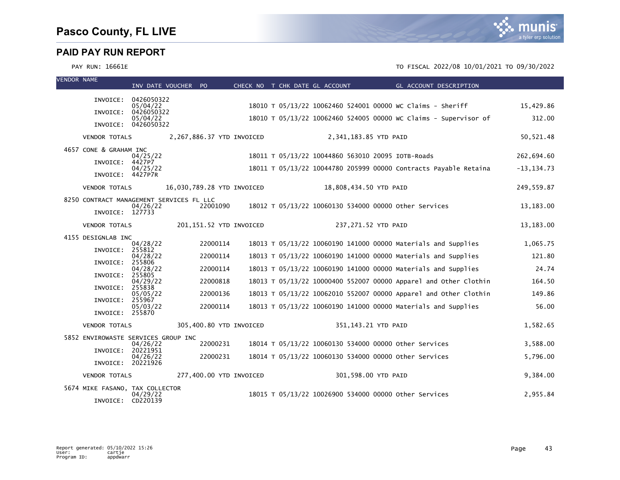

| <b>VENDOR NAME</b> |                                          | INV DATE VOUCHER PO    |                            |  | CHECK NO T CHK DATE GL ACCOUNT | <b>Example 2018 GL ACCOUNT DESCRIPTION</b>                       |               |
|--------------------|------------------------------------------|------------------------|----------------------------|--|--------------------------------|------------------------------------------------------------------|---------------|
|                    |                                          |                        |                            |  |                                |                                                                  |               |
|                    | INVOICE:                                 | 0426050322<br>05/04/22 |                            |  |                                | 18010 T 05/13/22 10062460 524001 00000 WC Claims - Sheriff       | 15,429.86     |
|                    | INVOICE:                                 | 0426050322<br>05/04/22 |                            |  |                                | 18010 T 05/13/22 10062460 524005 00000 WC Claims - Supervisor of | 312.00        |
|                    | INVOICE: 0426050322                      |                        |                            |  |                                |                                                                  |               |
|                    | <b>VENDOR TOTALS</b>                     |                        | 2,267,886.37 YTD INVOICED  |  | 2,341,183.85 YTD PAID          |                                                                  | 50, 521.48    |
|                    | 4657 CONE & GRAHAM INC                   | 04/25/22               |                            |  |                                | 18011 T 05/13/22 10044860 563010 20095 IOTB-Roads                | 262,694.60    |
|                    | INVOICE:                                 | 4427P7                 |                            |  |                                |                                                                  |               |
|                    | INVOICE: 4427P7R                         | 04/25/22               |                            |  |                                | 18011 T 05/13/22 10044780 205999 00000 Contracts Payable Retaina | $-13, 134.73$ |
|                    | <b>VENDOR TOTALS</b>                     |                        | 16,030,789.28 YTD INVOICED |  | 18,808,434.50 YTD PAID         |                                                                  | 249,559.87    |
|                    | 8250 CONTRACT MANAGEMENT SERVICES FL LLC |                        | 22001090                   |  |                                |                                                                  |               |
|                    | INVOICE: 127733                          | 04/26/22               |                            |  |                                | 18012 T 05/13/22 10060130 534000 00000 Other Services            | 13,183.00     |
|                    | <b>VENDOR TOTALS</b>                     |                        | 201,151.52 YTD INVOICED    |  | 237,271.52 YTD PAID            |                                                                  | 13,183.00     |
|                    | 4155 DESIGNLAB INC                       | 04/28/22               | 22000114                   |  |                                | 18013 T 05/13/22 10060190 141000 00000 Materials and Supplies    | 1,065.75      |
|                    | INVOICE:                                 | 255812                 |                            |  |                                |                                                                  |               |
|                    | INVOICE:                                 | 04/28/22<br>255806     | 22000114                   |  |                                | 18013 T 05/13/22 10060190 141000 00000 Materials and Supplies    | 121.80        |
|                    | INVOICE:                                 | 04/28/22<br>255805     | 22000114                   |  |                                | 18013 T 05/13/22 10060190 141000 00000 Materials and Supplies    | 24.74         |
|                    | INVOICE:                                 | 04/29/22<br>255838     | 22000818                   |  |                                | 18013 T 05/13/22 10000400 552007 00000 Apparel and Other Clothin | 164.50        |
|                    |                                          | 05/05/22               | 22000136                   |  |                                | 18013 T 05/13/22 10062010 552007 00000 Apparel and Other Clothin | 149.86        |
|                    | INVOICE:<br>INVOICE: 255870              | 255967<br>05/03/22     | 22000114                   |  |                                | 18013 T 05/13/22 10060190 141000 00000 Materials and Supplies    | 56.00         |
|                    | VENDOR TOTALS                            |                        | 305,400.80 YTD INVOICED    |  |                                | 351,143.21 YTD PAID                                              | 1,582.65      |
|                    | 5852 ENVIROWASTE SERVICES GROUP INC      |                        |                            |  |                                |                                                                  |               |
|                    | INVOICE:                                 | 04/26/22<br>20221951   | 22000231                   |  |                                | 18014 T 05/13/22 10060130 534000 00000 Other Services            | 3,588.00      |
|                    | INVOICE: 20221926                        | 04/26/22               | 22000231                   |  |                                | 18014 T 05/13/22 10060130 534000 00000 other Services            | 5,796.00      |
|                    | <b>VENDOR TOTALS</b>                     |                        | 277,400.00 YTD INVOICED    |  |                                | 301,598.00 YTD PAID                                              | 9,384.00      |
|                    | 5674 MIKE FASANO, TAX COLLECTOR          |                        |                            |  |                                |                                                                  |               |
|                    | INVOICE:                                 | 04/29/22<br>CD220139   |                            |  |                                | 18015 T 05/13/22 10026900 534000 00000 other Services            | 2,955.84      |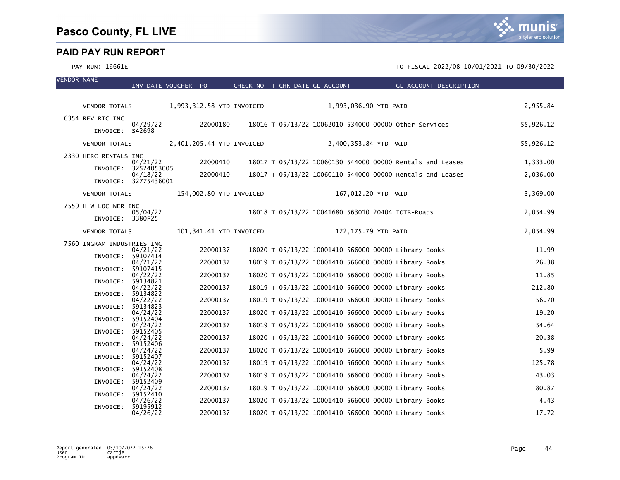| <b>VENDOR NAME</b> |                            | INV DATE VOUCHER PO     |                           |          |                         | CHECK NO T CHK DATE GL ACCOUNT                        |                       | GL ACCOUNT DESCRIPTION                                    |           |
|--------------------|----------------------------|-------------------------|---------------------------|----------|-------------------------|-------------------------------------------------------|-----------------------|-----------------------------------------------------------|-----------|
|                    |                            |                         |                           |          |                         |                                                       |                       |                                                           |           |
|                    | VENDOR TOTALS              |                         | 1,993,312.58 YTD INVOICED |          |                         |                                                       | 1,993,036.90 YTD PAID |                                                           | 2,955.84  |
|                    | 6354 REV RTC INC           | 04/29/22                |                           | 22000180 |                         | 18016 T 05/13/22 10062010 534000 00000 other Services |                       |                                                           | 55,926.12 |
|                    | INVOICE: S42698            |                         |                           |          |                         |                                                       |                       |                                                           |           |
|                    | <b>VENDOR TOTALS</b>       |                         | 2,401,205.44 YTD INVOICED |          |                         |                                                       | 2,400,353.84 YTD PAID |                                                           | 55,926.12 |
|                    | 2330 HERC RENTALS INC      | 04/21/22                |                           | 22000410 |                         |                                                       |                       | 18017 T 05/13/22 10060130 544000 00000 Rentals and Leases | 1,333.00  |
|                    | INVOICE:                   | 32524053005<br>04/18/22 |                           | 22000410 |                         |                                                       |                       | 18017 T 05/13/22 10060110 544000 00000 Rentals and Leases | 2,036.00  |
|                    |                            | INVOICE: 32775436001    |                           |          |                         |                                                       |                       |                                                           |           |
|                    | <b>VENDOR TOTALS</b>       |                         |                           |          | 154,002.80 YTD INVOICED |                                                       | 167,012.20 YTD PAID   |                                                           | 3,369.00  |
|                    | 7559 H W LOCHNER INC       | 05/04/22                |                           |          |                         | 18018 T 05/13/22 10041680 563010 20404 IOTB-Roads     |                       |                                                           | 2,054.99  |
|                    | INVOICE: 3380P25           |                         |                           |          |                         |                                                       |                       |                                                           |           |
|                    | <b>VENDOR TOTALS</b>       |                         |                           |          | 101,341.41 YTD INVOICED |                                                       | 122,175.79 YTD PAID   |                                                           | 2,054.99  |
|                    | 7560 INGRAM INDUSTRIES INC |                         |                           | 22000137 |                         | 18020 T 05/13/22 10001410 566000 00000 Library Books  |                       |                                                           | 11.99     |
|                    | INVOICE: 59107414          | 04/21/22                |                           |          |                         |                                                       |                       |                                                           |           |
|                    | INVOICE:                   | 04/21/22<br>59107415    |                           | 22000137 |                         | 18019 T 05/13/22 10001410 566000 00000 Library Books  |                       |                                                           | 26.38     |
|                    | INVOICE:                   | 04/22/22<br>59134821    |                           | 22000137 |                         | 18020 T 05/13/22 10001410 566000 00000 Library Books  |                       |                                                           | 11.85     |
|                    | INVOICE:                   | 04/22/22<br>59134822    |                           | 22000137 |                         | 18019 T 05/13/22 10001410 566000 00000 Library Books  |                       |                                                           | 212.80    |
|                    | INVOICE:                   | 04/22/22<br>59134823    |                           | 22000137 |                         | 18019 T 05/13/22 10001410 566000 00000 Library Books  |                       |                                                           | 56.70     |
|                    | INVOICE:                   | 04/24/22<br>59152404    |                           | 22000137 |                         | 18020 T 05/13/22 10001410 566000 00000 Library Books  |                       |                                                           | 19.20     |
|                    | INVOICE:                   | 04/24/22<br>59152405    |                           | 22000137 |                         | 18019 T 05/13/22 10001410 566000 00000 Library Books  |                       |                                                           | 54.64     |
|                    | INVOICE:                   | 04/24/22<br>59152406    |                           | 22000137 |                         | 18020 T 05/13/22 10001410 566000 00000 Library Books  |                       |                                                           | 20.38     |
|                    | INVOICE:                   | 04/24/22<br>59152407    |                           | 22000137 |                         | 18020 T 05/13/22 10001410 566000 00000 Library Books  |                       |                                                           | 5.99      |
|                    | INVOICE:                   | 04/24/22<br>59152408    |                           | 22000137 |                         | 18019 T 05/13/22 10001410 566000 00000 Library Books  |                       |                                                           | 125.78    |
|                    | INVOICE:                   | 04/24/22<br>59152409    |                           | 22000137 |                         | 18019 T 05/13/22 10001410 566000 00000 Library Books  |                       |                                                           | 43.03     |
|                    | INVOICE:                   | 04/24/22<br>59152410    |                           | 22000137 |                         | 18019 T 05/13/22 10001410 566000 00000 Library Books  |                       |                                                           | 80.87     |
|                    | INVOICE:                   | 04/26/22<br>59195912    |                           | 22000137 |                         | 18020 T 05/13/22 10001410 566000 00000 Library Books  |                       |                                                           | 4.43      |
|                    |                            | 04/26/22                |                           | 22000137 |                         | 18020 T 05/13/22 10001410 566000 00000 Library Books  |                       |                                                           | 17.72     |

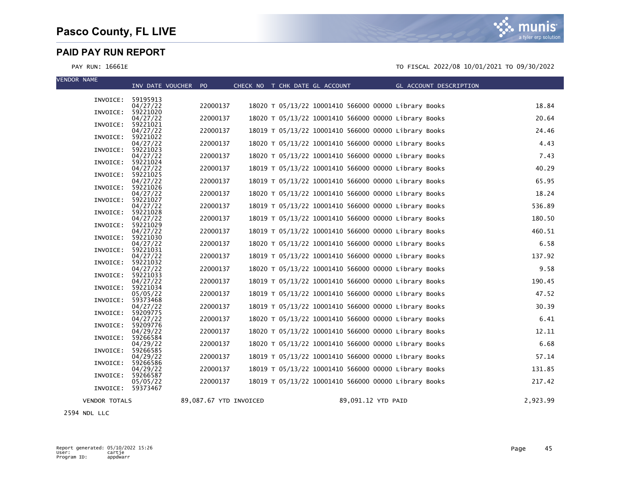munis a tyler erp solution

#### PAY RUN: 16661E TO FISCAL 2022/08 10/01/2021 TO 09/30/2022

| <b>VENDOR NAME</b>   | INV DATE VOUCHER PO           |                        |  | CHECK NO T CHK DATE GL ACCOUNT | $\mathcal{L}^{\text{max}}_{\text{max}}$ and $\mathcal{L}^{\text{max}}_{\text{max}}$ and $\mathcal{L}^{\text{max}}_{\text{max}}$ | GL ACCOUNT DESCRIPTION |          |
|----------------------|-------------------------------|------------------------|--|--------------------------------|---------------------------------------------------------------------------------------------------------------------------------|------------------------|----------|
|                      | INVOICE: 59195913             |                        |  |                                |                                                                                                                                 |                        |          |
|                      | 04/27/22                      | 22000137               |  |                                | 18020 T 05/13/22 10001410 566000 00000 Library Books                                                                            |                        | 18.84    |
| INVOICE:             | 59221020<br>04/27/22          | 22000137               |  |                                | 18020 T 05/13/22 10001410 566000 00000 Library Books                                                                            |                        | 20.64    |
| INVOICE:             | 59221021<br>04/27/22          | 22000137               |  |                                | 18019 T 05/13/22 10001410 566000 00000 Library Books                                                                            |                        | 24.46    |
| INVOICE:             | 59221022                      | 22000137               |  |                                |                                                                                                                                 |                        | 4.43     |
| INVOICE:             | 04/27/22<br>59221023          |                        |  |                                | 18020 T 05/13/22 10001410 566000 00000 Library Books                                                                            |                        |          |
| INVOICE:             | 04/27/22<br>59221024          | 22000137               |  |                                | 18020 T 05/13/22 10001410 566000 00000 Library Books                                                                            |                        | 7.43     |
| INVOICE:             | 04/27/22<br>59221025          | 22000137               |  |                                | 18019 T 05/13/22 10001410 566000 00000 Library Books                                                                            |                        | 40.29    |
|                      | 04/27/22                      | 22000137               |  |                                | 18019 T 05/13/22 10001410 566000 00000 Library Books                                                                            |                        | 65.95    |
| INVOICE:             | 59221026<br>04/27/22          | 22000137               |  |                                | 18020 T 05/13/22 10001410 566000 00000 Library Books                                                                            |                        | 18.24    |
| INVOICE:             | 59221027<br>04/27/22          | 22000137               |  |                                | 18019 T 05/13/22 10001410 566000 00000 Library Books                                                                            |                        | 536.89   |
| INVOICE:             | 59221028                      |                        |  |                                |                                                                                                                                 |                        |          |
| INVOICE:             | 04/27/22<br>59221029          | 22000137               |  |                                | 18019 T 05/13/22 10001410 566000 00000 Library Books                                                                            |                        | 180.50   |
| INVOICE:             | 04/27/22<br>59221030          | 22000137               |  |                                | 18019 T 05/13/22 10001410 566000 00000 Library Books                                                                            |                        | 460.51   |
| INVOICE:             | 04/27/22                      | 22000137               |  |                                | 18020 T 05/13/22 10001410 566000 00000 Library Books                                                                            |                        | 6.58     |
|                      | 59221031<br>04/27/22          | 22000137               |  |                                | 18019 T 05/13/22 10001410 566000 00000 Library Books                                                                            |                        | 137.92   |
| INVOICE:             | 59221032<br>04/27/22          | 22000137               |  |                                | 18020 T 05/13/22 10001410 566000 00000 Library Books                                                                            |                        | 9.58     |
| INVOICE:             | 59221033<br>04/27/22          | 22000137               |  |                                | 18019 T 05/13/22 10001410 566000 00000 Library Books                                                                            |                        | 190.45   |
| INVOICE:             | 59221034                      |                        |  |                                |                                                                                                                                 |                        |          |
| INVOICE:             | 05/05/22<br>59373468          | 22000137               |  |                                | 18019 T 05/13/22 10001410 566000 00000 Library Books                                                                            |                        | 47.52    |
| INVOICE:             | 04/27/22<br>59209775          | 22000137               |  |                                | 18019 T 05/13/22 10001410 566000 00000 Library Books                                                                            |                        | 30.39    |
|                      | 04/27/22                      | 22000137               |  |                                | 18020 T 05/13/22 10001410 566000 00000 Library Books                                                                            |                        | 6.41     |
| INVOICE:             | 59209776<br>04/29/22          | 22000137               |  |                                | 18020 T 05/13/22 10001410 566000 00000 Library Books                                                                            |                        | 12.11    |
| INVOICE:             | 59266584<br>04/29/22          | 22000137               |  |                                | 18020 T 05/13/22 10001410 566000 00000 Library Books                                                                            |                        | 6.68     |
| INVOICE:             | 59266585<br>04/29/22          | 22000137               |  |                                | 18019 T 05/13/22 10001410 566000 00000 Library Books                                                                            |                        | 57.14    |
| INVOICE:             | 59266586                      |                        |  |                                |                                                                                                                                 |                        |          |
| INVOICE:             | 04/29/22<br>59266587          | 22000137               |  |                                | 18019 T 05/13/22 10001410 566000 00000 Library Books                                                                            |                        | 131.85   |
|                      | 05/05/22<br>INVOICE: 59373467 | 22000137               |  |                                | 18019 T 05/13/22 10001410 566000 00000 Library Books                                                                            |                        | 217.42   |
| <b>VENDOR TOTALS</b> |                               | 89,087.67 YTD INVOICED |  |                                | 89,091.12 YTD PAID                                                                                                              |                        | 2,923.99 |

2594 NDL LLC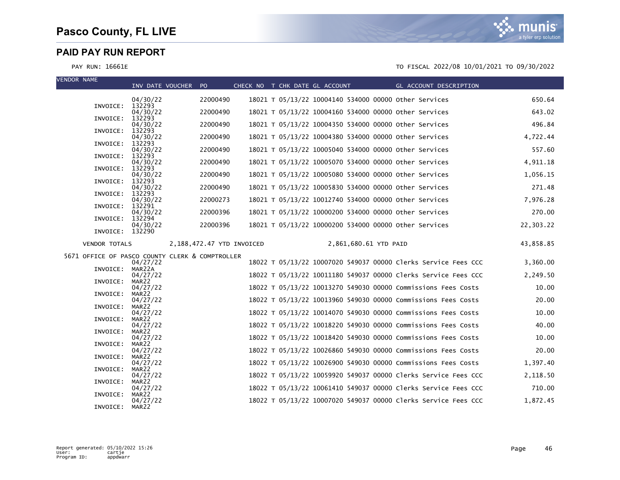| <b>VENDOR NAME</b>                              | INV DATE VOUCHER PO |                           | CHECK NO T CHK DATE GL ACCOUNT |                                                       | GL ACCOUNT DESCRIPTION                                         |           |
|-------------------------------------------------|---------------------|---------------------------|--------------------------------|-------------------------------------------------------|----------------------------------------------------------------|-----------|
|                                                 | 04/30/22            | 22000490                  |                                | 18021 T 05/13/22 10004140 534000 00000 other Services |                                                                | 650.64    |
| INVOICE:                                        | 132293<br>04/30/22  | 22000490                  |                                | 18021 T 05/13/22 10004160 534000 00000 other Services |                                                                | 643.02    |
| INVOICE:                                        | 132293<br>04/30/22  | 22000490                  |                                | 18021 T 05/13/22 10004350 534000 00000 other Services |                                                                | 496.84    |
| INVOICE:                                        | 132293<br>04/30/22  | 22000490                  |                                | 18021 T 05/13/22 10004380 534000 00000 other Services |                                                                | 4,722.44  |
| INVOICE:                                        | 132293<br>04/30/22  | 22000490                  |                                | 18021 T 05/13/22 10005040 534000 00000 other Services |                                                                | 557.60    |
| INVOICE:                                        | 132293<br>04/30/22  | 22000490                  |                                | 18021 T 05/13/22 10005070 534000 00000 other Services |                                                                | 4,911.18  |
| INVOICE:                                        | 132293<br>04/30/22  | 22000490                  |                                | 18021 T 05/13/22 10005080 534000 00000 other Services |                                                                | 1,056.15  |
| INVOICE:                                        | 132293<br>04/30/22  | 22000490                  |                                | 18021 T 05/13/22 10005830 534000 00000 other Services |                                                                | 271.48    |
| INVOICE:                                        | 132293              |                           |                                |                                                       |                                                                |           |
| INVOICE:                                        | 04/30/22<br>132291  | 22000273                  |                                | 18021 T 05/13/22 10012740 534000 00000 other Services |                                                                | 7,976.28  |
| INVOICE:                                        | 04/30/22<br>132294  | 22000396                  |                                | 18021 T 05/13/22 10000200 534000 00000 other Services |                                                                | 270.00    |
| INVOICE: 132290                                 | 04/30/22            | 22000396                  |                                | 18021 T 05/13/22 10000200 534000 00000 other Services |                                                                | 22,303.22 |
| <b>VENDOR TOTALS</b>                            |                     | 2,188,472.47 YTD INVOICED |                                | 2,861,680.61 YTD PAID                                 |                                                                | 43,858.85 |
| 5671 OFFICE OF PASCO COUNTY CLERK & COMPTROLLER |                     |                           |                                |                                                       | 18022 T 05/13/22 10007020 549037 00000 Clerks Service Fees CCC |           |
| INVOICE:                                        | 04/27/22<br>MAR22A  |                           |                                |                                                       |                                                                | 3,360.00  |
| INVOICE:                                        | 04/27/22<br>MAR22   |                           |                                |                                                       | 18022 T 05/13/22 10011180 549037 00000 Clerks Service Fees CCC | 2,249.50  |
| INVOICE:                                        | 04/27/22<br>MAR22   |                           |                                |                                                       | 18022 T 05/13/22 10013270 549030 00000 Commissions Fees Costs  | 10.00     |
| INVOICE:                                        | 04/27/22<br>MAR22   |                           |                                |                                                       | 18022 T 05/13/22 10013960 549030 00000 Commissions Fees Costs  | 20.00     |
| INVOICE:                                        | 04/27/22<br>MAR22   |                           |                                |                                                       | 18022 T 05/13/22 10014070 549030 00000 Commissions Fees Costs  | 10.00     |
| INVOICE:                                        | 04/27/22<br>MAR22   |                           |                                |                                                       | 18022 T 05/13/22 10018220 549030 00000 Commissions Fees Costs  | 40.00     |
| INVOICE:                                        | 04/27/22<br>MAR22   |                           |                                |                                                       | 18022 T 05/13/22 10018420 549030 00000 Commissions Fees Costs  | 10.00     |
|                                                 | 04/27/22<br>MAR22   |                           |                                |                                                       | 18022 T 05/13/22 10026860 549030 00000 Commissions Fees Costs  | 20.00     |
| INVOICE:                                        | 04/27/22            |                           |                                |                                                       | 18022 T 05/13/22 10026900 549030 00000 Commissions Fees Costs  | 1,397.40  |
| INVOICE:                                        | MAR22<br>04/27/22   |                           |                                |                                                       | 18022 T 05/13/22 10059920 549037 00000 Clerks Service Fees CCC | 2,118.50  |
| INVOICE:                                        | MAR22<br>04/27/22   |                           |                                |                                                       | 18022 T 05/13/22 10061410 549037 00000 Clerks Service Fees CCC | 710.00    |
| INVOICE:                                        | MAR22<br>04/27/22   |                           |                                |                                                       | 18022 T 05/13/22 10007020 549037 00000 Clerks Service Fees CCC | 1,872.45  |
| INVOICE:                                        | MAR22               |                           |                                |                                                       |                                                                |           |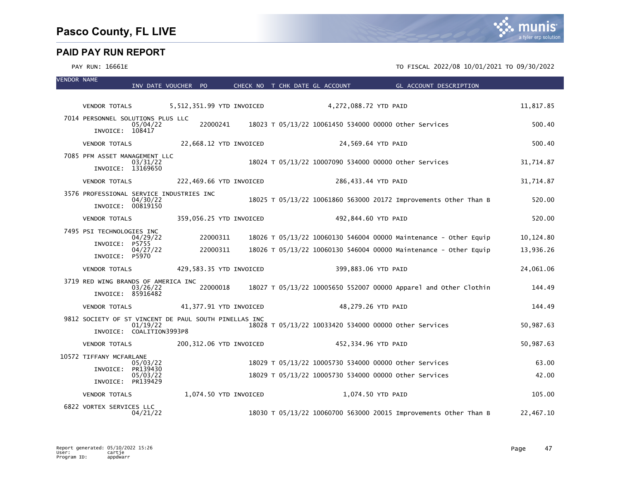| <b>VENDOR NAME</b> |                                                       | INV DATE VOUCHER PO |          |                           |                        | CHECK NO T CHK DATE GL ACCOUNT | GL ACCOUNT DESCRIPTION                                           |           |
|--------------------|-------------------------------------------------------|---------------------|----------|---------------------------|------------------------|--------------------------------|------------------------------------------------------------------|-----------|
|                    |                                                       |                     |          |                           |                        |                                |                                                                  |           |
|                    | VENDOR TOTALS                                         |                     |          | 5,512,351.99 YTD INVOICED |                        | 4,272,088.72 YTD PAID          |                                                                  | 11,817.85 |
|                    | 7014 PERSONNEL SOLUTIONS PLUS LLC<br>INVOICE: 108417  | 05/04/22            |          |                           |                        |                                | 22000241 18023 T 05/13/22 10061450 534000 00000 other Services   | 500.40    |
|                    | <b>VENDOR TOTALS</b>                                  |                     |          |                           | 22,668.12 YTD INVOICED |                                | 24,569.64 YTD PAID                                               | 500.40    |
|                    | 7085 PFM ASSET MANAGEMENT LLC                         |                     |          |                           |                        |                                |                                                                  |           |
|                    | INVOICE: 13169650                                     | 03/31/22            |          |                           |                        |                                | 18024 T 05/13/22 10007090 534000 00000 other Services            | 31,714.87 |
|                    | <b>VENDOR TOTALS</b>                                  |                     |          | 222,469.66 YTD INVOICED   |                        |                                | 286,433.44 YTD PAID                                              | 31,714.87 |
|                    | 3576 PROFESSIONAL SERVICE INDUSTRIES INC              | 04/30/22            |          |                           |                        |                                | 18025 T 05/13/22 10061860 563000 20172 Improvements Other Than B | 520.00    |
|                    | INVOICE: 00819150                                     |                     |          |                           |                        |                                |                                                                  |           |
|                    | <b>VENDOR TOTALS</b>                                  |                     |          | 359,056.25 YTD INVOICED   |                        |                                | 492,844.60 YTD PAID                                              | 520.00    |
|                    | 7495 PSI TECHNOLOGIES INC                             |                     |          |                           |                        |                                |                                                                  |           |
|                    | INVOICE: P5755                                        | 04/29/22            | 22000311 |                           |                        |                                | 18026 T 05/13/22 10060130 546004 00000 Maintenance - Other Equip | 10,124.80 |
|                    | INVOICE: P5970                                        | 04/27/22            | 22000311 |                           |                        |                                | 18026 T 05/13/22 10060130 546004 00000 Maintenance - Other Equip | 13,936.26 |
|                    | <b>VENDOR TOTALS</b>                                  |                     |          | 429,583.35 YTD INVOICED   |                        |                                | 399,883.06 YTD PAID                                              | 24,061.06 |
|                    | 3719 RED WING BRANDS OF AMERICA INC                   |                     |          |                           |                        |                                |                                                                  |           |
|                    | INVOICE: 85916482                                     | 03/26/22            | 22000018 |                           |                        |                                | 18027 T 05/13/22 10005650 552007 00000 Apparel and Other Clothin | 144.49    |
|                    | <b>VENDOR TOTALS</b>                                  |                     |          | 41,377.91 YTD INVOICED    |                        |                                | 48,279.26 YTD PAID                                               | 144.49    |
|                    | 9812 SOCIETY OF ST VINCENT DE PAUL SOUTH PINELLAS INC |                     |          |                           |                        |                                |                                                                  |           |
|                    | INVOICE: COALITION3993P8                              | 01/19/22            |          |                           |                        |                                | 18028 T 05/13/22 10033420 534000 00000 other Services            | 50,987.63 |
|                    | <b>VENDOR TOTALS</b>                                  |                     |          | 200,312.06 YTD INVOICED   |                        |                                | 452,334.96 YTD PAID                                              | 50,987.63 |
|                    | 10572 TIFFANY MCFARLANE                               |                     |          |                           |                        |                                |                                                                  |           |
|                    | INVOICE: PR139430                                     | 05/03/22            |          |                           |                        |                                | 18029 T 05/13/22 10005730 534000 00000 other Services            | 63.00     |
|                    | INVOICE: PR139429                                     | 05/03/22            |          |                           |                        |                                | 18029 T 05/13/22 10005730 534000 00000 other Services            | 42.00     |
|                    | <b>VENDOR TOTALS</b>                                  |                     |          | 1,074.50 YTD INVOICED     |                        |                                | 1,074.50 YTD PAID                                                | 105.00    |
|                    | 6822 VORTEX SERVICES LLC                              | 04/21/22            |          |                           |                        |                                | 18030 T 05/13/22 10060700 563000 20015 Improvements Other Than B | 22,467.10 |

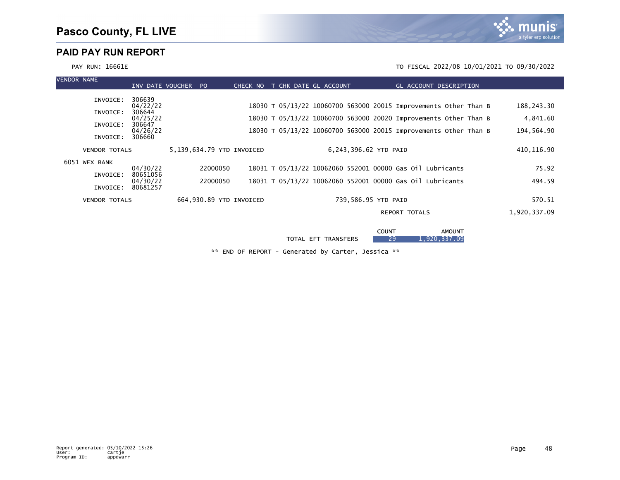

PAY RUN: 16661E TO FISCAL 2022/08 10/01/2021 TO 09/30/2022

| <b>VENDOR NAME</b> |          |                                                                                                          | P <sub>O</sub>   | CHECK NO             |                                                      |  |                                              |                                                                                            |                                                                                                                                                         |                                                                                                                                                                                                                                    |
|--------------------|----------|----------------------------------------------------------------------------------------------------------|------------------|----------------------|------------------------------------------------------|--|----------------------------------------------|--------------------------------------------------------------------------------------------|---------------------------------------------------------------------------------------------------------------------------------------------------------|------------------------------------------------------------------------------------------------------------------------------------------------------------------------------------------------------------------------------------|
| INVOICE:           | 306639   |                                                                                                          |                  |                      |                                                      |  |                                              |                                                                                            |                                                                                                                                                         |                                                                                                                                                                                                                                    |
| INVOICE:           | 306644   |                                                                                                          |                  |                      |                                                      |  |                                              |                                                                                            |                                                                                                                                                         | 188,243.30                                                                                                                                                                                                                         |
| INVOICE:           | 306647   |                                                                                                          |                  |                      |                                                      |  |                                              |                                                                                            |                                                                                                                                                         | 4,841.60                                                                                                                                                                                                                           |
| INVOICE:           | 306660   |                                                                                                          |                  |                      |                                                      |  |                                              |                                                                                            |                                                                                                                                                         | 194,564.90                                                                                                                                                                                                                         |
|                    |          |                                                                                                          |                  |                      |                                                      |  |                                              |                                                                                            |                                                                                                                                                         | 410,116.90                                                                                                                                                                                                                         |
| 6051 WEX BANK      |          |                                                                                                          |                  |                      |                                                      |  |                                              |                                                                                            |                                                                                                                                                         | 75.92                                                                                                                                                                                                                              |
| INVOICE:           | 80651056 |                                                                                                          |                  |                      |                                                      |  |                                              |                                                                                            |                                                                                                                                                         | 494.59                                                                                                                                                                                                                             |
| INVOICE:           | 80681257 |                                                                                                          |                  |                      |                                                      |  |                                              |                                                                                            |                                                                                                                                                         |                                                                                                                                                                                                                                    |
|                    |          |                                                                                                          |                  |                      |                                                      |  |                                              |                                                                                            |                                                                                                                                                         | 570.51                                                                                                                                                                                                                             |
|                    |          |                                                                                                          |                  |                      |                                                      |  |                                              |                                                                                            |                                                                                                                                                         | 1,920,337.09                                                                                                                                                                                                                       |
|                    |          |                                                                                                          |                  |                      |                                                      |  |                                              |                                                                                            |                                                                                                                                                         |                                                                                                                                                                                                                                    |
|                    |          | 04/22/22<br>04/25/22<br>04/26/22<br><b>VENDOR TOTALS</b><br>04/30/22<br>04/30/22<br><b>VENDOR TOTALS</b> | INV DATE VOUCHER | 22000050<br>22000050 | 5,139,634.79 YTD INVOICED<br>664,930.89 YTD INVOICED |  | T CHK DATE GL ACCOUNT<br>TOTAL EFT TRANSFERS | 6.243,396.62 YTD PAID<br>739,586.95 YTD PAID<br><b>REPORT TOTALS</b><br><b>COUNT</b><br>29 | 18031 T 05/13/22 10062060 552001 00000 Gas 01l Lubricants<br>18031 T 05/13/22 10062060 552001 00000 Gas 01l Lubricants<br><b>AMOUNT</b><br>1,920,337.09 | GL ACCOUNT DESCRIPTION<br>18030 T 05/13/22 10060700 563000 20015 Improvements Other Than B<br>18030 T 05/13/22 10060700 563000 20020 Improvements Other Than B<br>18030 T 05/13/22 10060700 563000 20015 Improvements Other Than B |

\*\* END OF REPORT - Generated by Carter, Jessica \*\*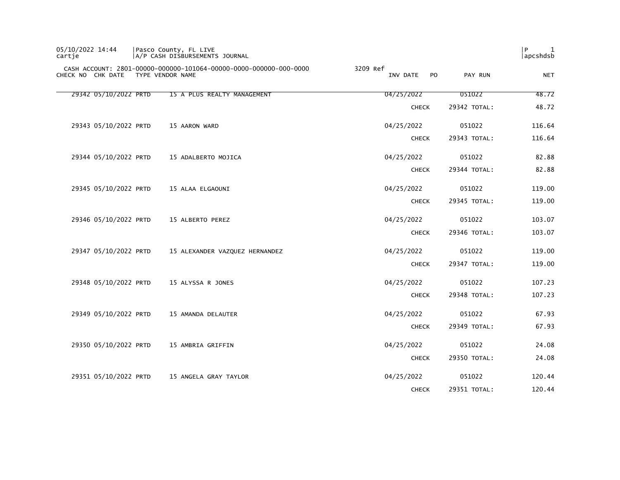| 05/10/2022 14:44<br>cartje | Pasco County, FL LIVE<br>A/P CASH DISBURSEMENTS JOURNAL                               |                            |              | l P<br>1<br>apcshdsb |
|----------------------------|---------------------------------------------------------------------------------------|----------------------------|--------------|----------------------|
| CHECK NO CHK DATE          | CASH ACCOUNT: 2801-00000-000000-101064-00000-0000-000000-000-0000<br>TYPE VENDOR NAME | 3209 Ref<br>INV DATE<br>PO | PAY RUN      | <b>NET</b>           |
| 29342 05/10/2022 PRTD      | 15 A PLUS REALTY MANAGEMENT                                                           | 04/25/2022                 | 051022       | 48.72                |
|                            |                                                                                       | <b>CHECK</b>               | 29342 TOTAL: | 48.72                |
| 29343 05/10/2022 PRTD      | 15 AARON WARD                                                                         | 04/25/2022                 | 051022       | 116.64               |
|                            |                                                                                       | <b>CHECK</b>               | 29343 TOTAL: | 116.64               |
| 29344 05/10/2022 PRTD      | 15 ADALBERTO MOJICA                                                                   | 04/25/2022                 | 051022       | 82.88                |
|                            |                                                                                       | <b>CHECK</b>               | 29344 TOTAL: | 82.88                |
| 29345 05/10/2022 PRTD      | 15 ALAA ELGAOUNI                                                                      | 04/25/2022                 | 051022       | 119.00               |
|                            |                                                                                       | <b>CHECK</b>               | 29345 TOTAL: | 119.00               |
| 29346 05/10/2022 PRTD      | 15 ALBERTO PEREZ                                                                      | 04/25/2022                 | 051022       | 103.07               |
|                            |                                                                                       | <b>CHECK</b>               | 29346 TOTAL: | 103.07               |
| 29347 05/10/2022 PRTD      | 15 ALEXANDER VAZQUEZ HERNANDEZ                                                        | 04/25/2022                 | 051022       | 119.00               |
|                            |                                                                                       | <b>CHECK</b>               | 29347 TOTAL: | 119.00               |
| 29348 05/10/2022 PRTD      | 15 ALYSSA R JONES                                                                     | 04/25/2022                 | 051022       | 107.23               |
|                            |                                                                                       | <b>CHECK</b>               | 29348 TOTAL: | 107.23               |
| 29349 05/10/2022 PRTD      | 15 AMANDA DELAUTER                                                                    | 04/25/2022                 | 051022       | 67.93                |
|                            |                                                                                       | <b>CHECK</b>               | 29349 TOTAL: | 67.93                |
| 29350 05/10/2022 PRTD      | 15 AMBRIA GRIFFIN                                                                     | 04/25/2022                 | 051022       | 24.08                |
|                            |                                                                                       | <b>CHECK</b>               | 29350 TOTAL: | 24.08                |
| 29351 05/10/2022 PRTD      | 15 ANGELA GRAY TAYLOR                                                                 | 04/25/2022                 | 051022       | 120.44               |
|                            |                                                                                       | <b>CHECK</b>               | 29351 TOTAL: | 120.44               |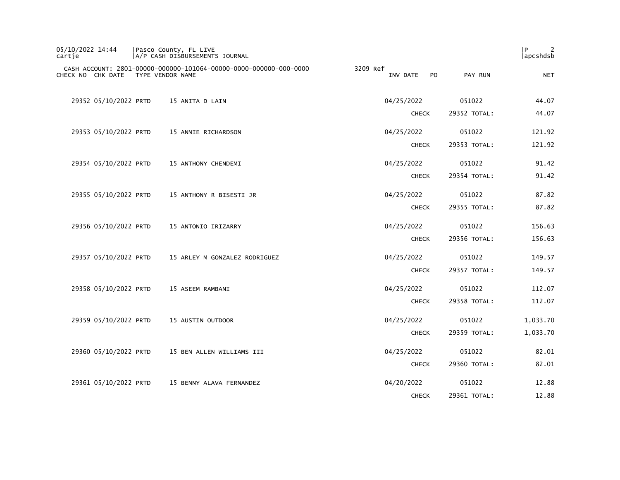| 05/10/2022 14:44<br>cartie         | Pasco County, FL LIVE<br>A/P CASH DISBURSEMENTS JOURNAL           |                                        |              | l P<br>2<br>apcshdsb |
|------------------------------------|-------------------------------------------------------------------|----------------------------------------|--------------|----------------------|
| CHECK NO CHK DATE TYPE VENDOR NAME | CASH ACCOUNT: 2801-00000-000000-101064-00000-0000-000000-000-0000 | 3209 Ref<br>INV DATE<br>P <sub>0</sub> | PAY RUN      | <b>NET</b>           |
| 29352 05/10/2022 PRTD              | 15 ANITA D LAIN                                                   | 04/25/2022                             | 051022       | 44.07                |
|                                    |                                                                   | <b>CHECK</b>                           | 29352 TOTAL: | 44.07                |
| 29353 05/10/2022 PRTD              | 15 ANNIE RICHARDSON                                               | 04/25/2022                             | 051022       | 121.92               |
|                                    |                                                                   | <b>CHECK</b>                           | 29353 TOTAL: | 121.92               |
| 29354 05/10/2022 PRTD              | 15 ANTHONY CHENDEMI                                               | 04/25/2022                             | 051022       | 91.42                |
|                                    |                                                                   | <b>CHECK</b>                           | 29354 TOTAL: | 91.42                |
| 29355 05/10/2022 PRTD              | 15 ANTHONY R BISESTI JR                                           | 04/25/2022                             | 051022       | 87.82                |
|                                    |                                                                   | <b>CHECK</b>                           | 29355 TOTAL: | 87.82                |
| 29356 05/10/2022 PRTD              | 15 ANTONIO IRIZARRY                                               | 04/25/2022                             | 051022       | 156.63               |
|                                    |                                                                   | <b>CHECK</b>                           | 29356 TOTAL: | 156.63               |
| 29357 05/10/2022 PRTD              | 15 ARLEY M GONZALEZ RODRIGUEZ                                     | 04/25/2022                             | 051022       | 149.57               |
|                                    |                                                                   | <b>CHECK</b>                           | 29357 TOTAL: | 149.57               |
| 29358 05/10/2022 PRTD              | 15 ASEEM RAMBANI                                                  | 04/25/2022                             | 051022       | 112.07               |
|                                    |                                                                   | <b>CHECK</b>                           | 29358 TOTAL: | 112.07               |
| 29359 05/10/2022 PRTD              | 15 AUSTIN OUTDOOR                                                 | 04/25/2022                             | 051022       | 1,033.70             |
|                                    |                                                                   | <b>CHECK</b>                           | 29359 TOTAL: | 1,033.70             |
| 29360 05/10/2022 PRTD              | 15 BEN ALLEN WILLIAMS III                                         | 04/25/2022                             | 051022       | 82.01                |
|                                    |                                                                   | <b>CHECK</b>                           | 29360 TOTAL: | 82.01                |
| 29361 05/10/2022 PRTD              | 15 BENNY ALAVA FERNANDEZ                                          | 04/20/2022                             | 051022       | 12.88                |
|                                    |                                                                   | <b>CHECK</b>                           | 29361 TOTAL: | 12.88                |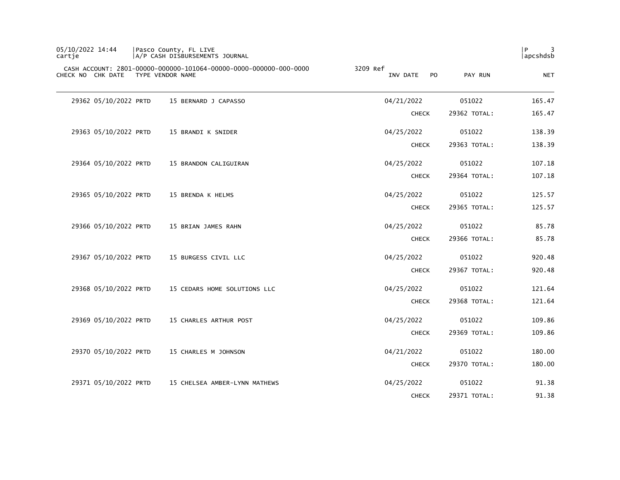| 05/10/2022 14:44<br>cartie | Pasco County, FL LIVE<br>A/P CASH DISBURSEMENTS JOURNAL                               |                             |              | l P<br>3<br>apcshdsb |
|----------------------------|---------------------------------------------------------------------------------------|-----------------------------|--------------|----------------------|
| CHECK NO CHK DATE          | CASH ACCOUNT: 2801-00000-000000-101064-00000-0000-000000-000-0000<br>TYPE VENDOR NAME | 3209 Ref<br>INV DATE<br>PO. | PAY RUN      | <b>NET</b>           |
| 29362 05/10/2022 PRTD      | 15 BERNARD J CAPASSO                                                                  | 04/21/2022                  | 051022       | 165.47               |
|                            |                                                                                       | <b>CHECK</b>                | 29362 TOTAL: | 165.47               |
| 29363 05/10/2022 PRTD      | 15 BRANDI K SNIDER                                                                    | 04/25/2022                  | 051022       | 138.39               |
|                            |                                                                                       | <b>CHECK</b>                | 29363 TOTAL: | 138.39               |
| 29364 05/10/2022 PRTD      | 15 BRANDON CALIGUIRAN                                                                 | 04/25/2022                  | 051022       | 107.18               |
|                            |                                                                                       | <b>CHECK</b>                | 29364 TOTAL: | 107.18               |
| 29365 05/10/2022 PRTD      | 15 BRENDA K HELMS                                                                     | 04/25/2022                  | 051022       | 125.57               |
|                            |                                                                                       | <b>CHECK</b>                | 29365 TOTAL: | 125.57               |
| 29366 05/10/2022 PRTD      | 15 BRIAN JAMES RAHN                                                                   | 04/25/2022                  | 051022       | 85.78                |
|                            |                                                                                       | <b>CHECK</b>                | 29366 TOTAL: | 85.78                |
| 29367 05/10/2022 PRTD      | 15 BURGESS CIVIL LLC                                                                  | 04/25/2022                  | 051022       | 920.48               |
|                            |                                                                                       | <b>CHECK</b>                | 29367 TOTAL: | 920.48               |
| 29368 05/10/2022 PRTD      | 15 CEDARS HOME SOLUTIONS LLC                                                          | 04/25/2022                  | 051022       | 121.64               |
|                            |                                                                                       | <b>CHECK</b>                | 29368 TOTAL: | 121.64               |
| 29369 05/10/2022 PRTD      | 15 CHARLES ARTHUR POST                                                                | 04/25/2022                  | 051022       | 109.86               |
|                            |                                                                                       | <b>CHECK</b>                | 29369 TOTAL: | 109.86               |
| 29370 05/10/2022 PRTD      | 15 CHARLES M JOHNSON                                                                  | 04/21/2022                  | 051022       | 180.00               |
|                            |                                                                                       | <b>CHECK</b>                | 29370 TOTAL: | 180.00               |
| 29371 05/10/2022 PRTD      | 15 CHELSEA AMBER-LYNN MATHEWS                                                         | 04/25/2022                  | 051022       | 91.38                |
|                            |                                                                                       | <b>CHECK</b>                | 29371 TOTAL: | 91.38                |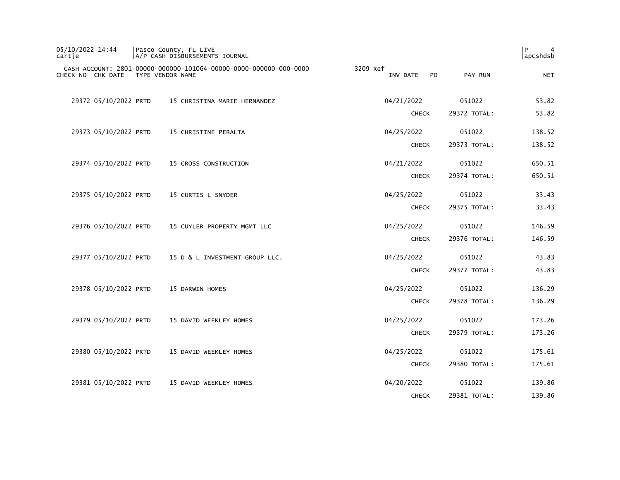| 05/10/2022 14:44<br>cartje |                       | Pasco County, FL LIVE<br>A/P CASH DISBURSEMENTS JOURNAL                               |                                        |              | P<br>4<br>  apcshdsb |
|----------------------------|-----------------------|---------------------------------------------------------------------------------------|----------------------------------------|--------------|----------------------|
|                            | CHECK NO CHK DATE     | CASH ACCOUNT: 2801-00000-000000-101064-00000-0000-000000-000-0000<br>TYPE VENDOR NAME | 3209 Ref<br>INV DATE<br>P <sub>O</sub> | PAY RUN      | <b>NET</b>           |
|                            | 29372 05/10/2022 PRTD | 15 CHRISTINA MARIE HERNANDEZ                                                          | 04/21/2022                             | 051022       | 53.82                |
|                            |                       |                                                                                       | <b>CHECK</b>                           | 29372 TOTAL: | 53.82                |
|                            | 29373 05/10/2022 PRTD | 15 CHRISTINE PERALTA                                                                  | 04/25/2022                             | 051022       | 138.52               |
|                            |                       |                                                                                       | <b>CHECK</b>                           | 29373 TOTAL: | 138.52               |
|                            | 29374 05/10/2022 PRTD | 15 CROSS CONSTRUCTION                                                                 | 04/21/2022                             | 051022       | 650.51               |
|                            |                       |                                                                                       | <b>CHECK</b>                           | 29374 TOTAL: | 650.51               |
|                            | 29375 05/10/2022 PRTD | 15 CURTIS L SNYDER                                                                    | 04/25/2022                             | 051022       | 33.43                |
|                            |                       |                                                                                       | <b>CHECK</b>                           | 29375 TOTAL: | 33.43                |
|                            | 29376 05/10/2022 PRTD | 15 CUYLER PROPERTY MGMT LLC                                                           | 04/25/2022                             | 051022       | 146.59               |
|                            |                       |                                                                                       | <b>CHECK</b>                           | 29376 TOTAL: | 146.59               |
|                            | 29377 05/10/2022 PRTD | 15 D & L INVESTMENT GROUP LLC.                                                        | 04/25/2022                             | 051022       | 43.83                |
|                            |                       |                                                                                       | <b>CHECK</b>                           | 29377 TOTAL: | 43.83                |
|                            | 29378 05/10/2022 PRTD | 15 DARWIN HOMES                                                                       | 04/25/2022                             | 051022       | 136.29               |
|                            |                       |                                                                                       | <b>CHECK</b>                           | 29378 TOTAL: | 136.29               |
|                            | 29379 05/10/2022 PRTD | 15 DAVID WEEKLEY HOMES                                                                | 04/25/2022                             | 051022       | 173.26               |
|                            |                       |                                                                                       | <b>CHECK</b>                           | 29379 TOTAL: | 173.26               |
|                            | 29380 05/10/2022 PRTD | 15 DAVID WEEKLEY HOMES                                                                | 04/25/2022                             | 051022       | 175.61               |
|                            |                       |                                                                                       | <b>CHECK</b>                           | 29380 TOTAL: | 175.61               |
|                            | 29381 05/10/2022 PRTD | 15 DAVID WEEKLEY HOMES                                                                | 04/20/2022                             | 051022       | 139.86               |
|                            |                       |                                                                                       | <b>CHECK</b>                           | 29381 TOTAL: | 139.86               |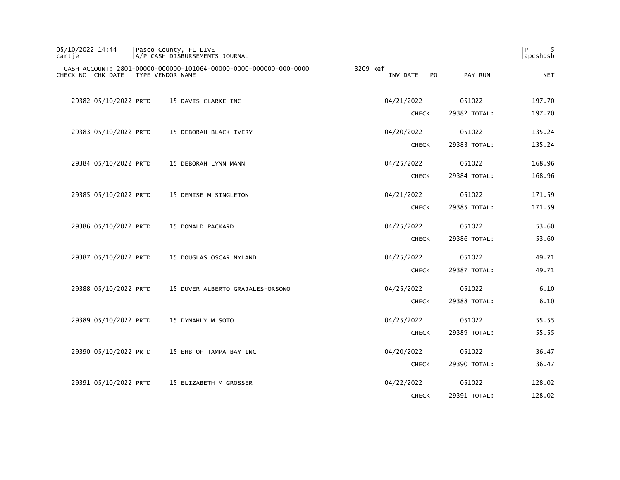| 05/10/2022 14:44<br>cartje |                       | Pasco County, FL LIVE<br>A/P CASH DISBURSEMENTS JOURNAL                               |                             |              | 5<br>P<br>apcshdsb |
|----------------------------|-----------------------|---------------------------------------------------------------------------------------|-----------------------------|--------------|--------------------|
|                            | CHECK NO CHK DATE     | CASH ACCOUNT: 2801-00000-000000-101064-00000-0000-000000-000-0000<br>TYPE VENDOR NAME | 3209 Ref<br>INV DATE<br>PO. | PAY RUN      | <b>NET</b>         |
|                            | 29382 05/10/2022 PRTD | 15 DAVIS-CLARKE INC                                                                   | 04/21/2022                  | 051022       | 197.70             |
|                            |                       |                                                                                       | <b>CHECK</b>                | 29382 TOTAL: | 197.70             |
|                            | 29383 05/10/2022 PRTD | 15 DEBORAH BLACK IVERY                                                                | 04/20/2022                  | 051022       | 135.24             |
|                            |                       |                                                                                       | <b>CHECK</b>                | 29383 TOTAL: | 135.24             |
|                            | 29384 05/10/2022 PRTD | 15 DEBORAH LYNN MANN                                                                  | 04/25/2022                  | 051022       | 168.96             |
|                            |                       |                                                                                       | <b>CHECK</b>                | 29384 TOTAL: | 168.96             |
|                            | 29385 05/10/2022 PRTD | 15 DENISE M SINGLETON                                                                 | 04/21/2022                  | 051022       | 171.59             |
|                            |                       |                                                                                       | <b>CHECK</b>                | 29385 TOTAL: | 171.59             |
|                            | 29386 05/10/2022 PRTD | 15 DONALD PACKARD                                                                     | 04/25/2022                  | 051022       | 53.60              |
|                            |                       |                                                                                       | <b>CHECK</b>                | 29386 TOTAL: | 53.60              |
|                            | 29387 05/10/2022 PRTD | 15 DOUGLAS OSCAR NYLAND                                                               | 04/25/2022                  | 051022       | 49.71              |
|                            |                       |                                                                                       | <b>CHECK</b>                | 29387 TOTAL: | 49.71              |
|                            | 29388 05/10/2022 PRTD | 15 DUVER ALBERTO GRAJALES-ORSONO                                                      | 04/25/2022                  | 051022       | 6.10               |
|                            |                       |                                                                                       | <b>CHECK</b>                | 29388 TOTAL: | 6.10               |
|                            | 29389 05/10/2022 PRTD | 15 DYNAHLY M SOTO                                                                     | 04/25/2022                  | 051022       | 55.55              |
|                            |                       |                                                                                       | <b>CHECK</b>                | 29389 TOTAL: | 55.55              |
|                            | 29390 05/10/2022 PRTD | 15 EHB OF TAMPA BAY INC                                                               | 04/20/2022                  | 051022       | 36.47              |
|                            |                       |                                                                                       | <b>CHECK</b>                | 29390 TOTAL: | 36.47              |
|                            | 29391 05/10/2022 PRTD | 15 ELIZABETH M GROSSER                                                                | 04/22/2022                  | 051022       | 128.02             |
|                            |                       |                                                                                       | <b>CHECK</b>                | 29391 TOTAL: | 128.02             |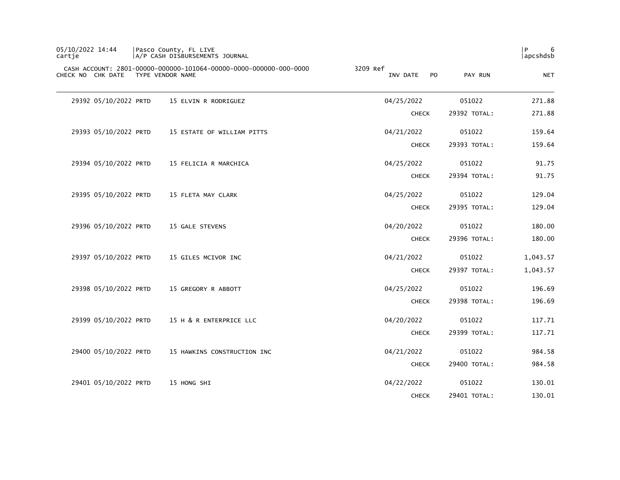| 05/10/2022 14:44<br>cartje |                       | Pasco County, FL LIVE<br>A/P CASH DISBURSEMENTS JOURNAL                               |                             |              | 6<br>P<br> apcshdsb |
|----------------------------|-----------------------|---------------------------------------------------------------------------------------|-----------------------------|--------------|---------------------|
|                            | CHECK NO CHK DATE     | CASH ACCOUNT: 2801-00000-000000-101064-00000-0000-000000-000-0000<br>TYPE VENDOR NAME | 3209 Ref<br>INV DATE<br>PO. | PAY RUN      | <b>NET</b>          |
|                            | 29392 05/10/2022 PRTD | 15 ELVIN R RODRIGUEZ                                                                  | 04/25/2022                  | 051022       | 271.88              |
|                            |                       |                                                                                       | <b>CHECK</b>                | 29392 TOTAL: | 271.88              |
|                            | 29393 05/10/2022 PRTD | 15 ESTATE OF WILLIAM PITTS                                                            | 04/21/2022                  | 051022       | 159.64              |
|                            |                       |                                                                                       | <b>CHECK</b>                | 29393 TOTAL: | 159.64              |
|                            | 29394 05/10/2022 PRTD | 15 FELICIA R MARCHICA                                                                 | 04/25/2022                  | 051022       | 91.75               |
|                            |                       |                                                                                       | <b>CHECK</b>                | 29394 TOTAL: | 91.75               |
|                            | 29395 05/10/2022 PRTD | 15 FLETA MAY CLARK                                                                    | 04/25/2022                  | 051022       | 129.04              |
|                            |                       |                                                                                       | <b>CHECK</b>                | 29395 TOTAL: | 129.04              |
|                            | 29396 05/10/2022 PRTD | 15 GALE STEVENS                                                                       | 04/20/2022                  | 051022       | 180.00              |
|                            |                       |                                                                                       | <b>CHECK</b>                | 29396 TOTAL: | 180.00              |
|                            | 29397 05/10/2022 PRTD | 15 GILES MCIVOR INC                                                                   | 04/21/2022                  | 051022       | 1,043.57            |
|                            |                       |                                                                                       | <b>CHECK</b>                | 29397 TOTAL: | 1,043.57            |
|                            | 29398 05/10/2022 PRTD | 15 GREGORY R ABBOTT                                                                   | 04/25/2022                  | 051022       | 196.69              |
|                            |                       |                                                                                       | <b>CHECK</b>                | 29398 TOTAL: | 196.69              |
|                            | 29399 05/10/2022 PRTD | 15 H & R ENTERPRICE LLC                                                               | 04/20/2022                  | 051022       | 117.71              |
|                            |                       |                                                                                       | <b>CHECK</b>                | 29399 TOTAL: | 117.71              |
|                            | 29400 05/10/2022 PRTD | 15 HAWKINS CONSTRUCTION INC                                                           | 04/21/2022                  | 051022       | 984.58              |
|                            |                       |                                                                                       | <b>CHECK</b>                | 29400 TOTAL: | 984.58              |
|                            | 29401 05/10/2022 PRTD | 15 HONG SHI                                                                           | 04/22/2022                  | 051022       | 130.01              |
|                            |                       |                                                                                       | <b>CHECK</b>                | 29401 TOTAL: | 130.01              |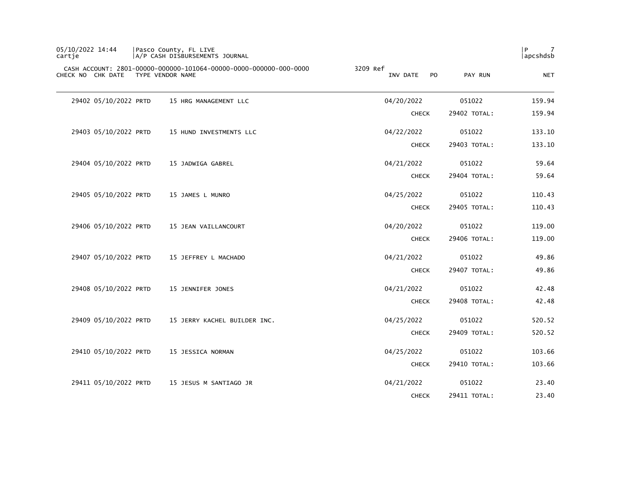| 05/10/2022 14:44<br>cartie | Pasco County, FL LIVE<br>A/P CASH DISBURSEMENTS JOURNAL                               |                                        |              | l P<br>7<br>  apcshdsb |
|----------------------------|---------------------------------------------------------------------------------------|----------------------------------------|--------------|------------------------|
| CHECK NO CHK DATE          | CASH ACCOUNT: 2801-00000-000000-101064-00000-0000-000000-000-0000<br>TYPE VENDOR NAME | 3209 Ref<br>P <sub>O</sub><br>INV DATE | PAY RUN      | <b>NET</b>             |
| 29402 05/10/2022 PRTD      | 15 HRG MANAGEMENT LLC                                                                 | 04/20/2022                             | 051022       | 159.94                 |
|                            |                                                                                       | <b>CHECK</b>                           | 29402 TOTAL: | 159.94                 |
| 29403 05/10/2022 PRTD      | 15 HUND INVESTMENTS LLC                                                               | 04/22/2022                             | 051022       | 133.10                 |
|                            |                                                                                       | <b>CHECK</b>                           | 29403 TOTAL: | 133.10                 |
| 29404 05/10/2022 PRTD      | 15 JADWIGA GABREL                                                                     | 04/21/2022                             | 051022       | 59.64                  |
|                            |                                                                                       | <b>CHECK</b>                           | 29404 TOTAL: | 59.64                  |
| 29405 05/10/2022 PRTD      | 15 JAMES L MUNRO                                                                      | 04/25/2022                             | 051022       | 110.43                 |
|                            |                                                                                       | <b>CHECK</b>                           | 29405 TOTAL: | 110.43                 |
| 29406 05/10/2022 PRTD      | 15 JEAN VAILLANCOURT                                                                  | 04/20/2022                             | 051022       | 119.00                 |
|                            |                                                                                       | <b>CHECK</b>                           | 29406 TOTAL: | 119.00                 |
| 29407 05/10/2022 PRTD      | 15 JEFFREY L MACHADO                                                                  | 04/21/2022                             | 051022       | 49.86                  |
|                            |                                                                                       | <b>CHECK</b>                           | 29407 TOTAL: | 49.86                  |
| 29408 05/10/2022 PRTD      | 15 JENNIFER JONES                                                                     | 04/21/2022                             | 051022       | 42.48                  |
|                            |                                                                                       | <b>CHECK</b>                           | 29408 TOTAL: | 42.48                  |
| 29409 05/10/2022 PRTD      | 15 JERRY KACHEL BUILDER INC.                                                          | 04/25/2022                             | 051022       | 520.52                 |
|                            |                                                                                       | <b>CHECK</b>                           | 29409 TOTAL: | 520.52                 |
| 29410 05/10/2022 PRTD      | 15 JESSICA NORMAN                                                                     | 04/25/2022                             | 051022       | 103.66                 |
|                            |                                                                                       | <b>CHECK</b>                           | 29410 TOTAL: | 103.66                 |
| 29411 05/10/2022 PRTD      | 15 JESUS M SANTIAGO JR                                                                | 04/21/2022                             | 051022       | 23.40                  |
|                            |                                                                                       | <b>CHECK</b>                           | 29411 TOTAL: | 23.40                  |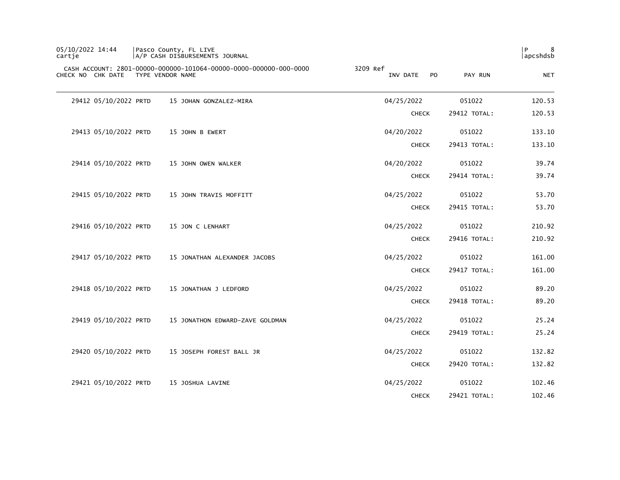| 05/10/2022 14:44<br>cartie | Pasco County, FL LIVE<br>A/P CASH DISBURSEMENTS JOURNAL                               |                             |              | 8<br>l P<br>apcshdsb |
|----------------------------|---------------------------------------------------------------------------------------|-----------------------------|--------------|----------------------|
| CHECK NO CHK DATE          | CASH ACCOUNT: 2801-00000-000000-101064-00000-0000-000000-000-0000<br>TYPE VENDOR NAME | 3209 Ref<br>INV DATE<br>PO. | PAY RUN      | <b>NET</b>           |
| 29412 05/10/2022 PRTD      | 15 JOHAN GONZALEZ-MIRA                                                                | 04/25/2022                  | 051022       | 120.53               |
|                            |                                                                                       | <b>CHECK</b>                | 29412 TOTAL: | 120.53               |
| 29413 05/10/2022 PRTD      | 15 JOHN B EWERT                                                                       | 04/20/2022                  | 051022       | 133.10               |
|                            |                                                                                       | <b>CHECK</b>                | 29413 TOTAL: | 133.10               |
| 29414 05/10/2022 PRTD      | 15 JOHN OWEN WALKER                                                                   | 04/20/2022                  | 051022       | 39.74                |
|                            |                                                                                       | <b>CHECK</b>                | 29414 TOTAL: | 39.74                |
| 29415 05/10/2022 PRTD      | 15 JOHN TRAVIS MOFFITT                                                                | 04/25/2022                  | 051022       | 53.70                |
|                            |                                                                                       | <b>CHECK</b>                | 29415 TOTAL: | 53.70                |
| 29416 05/10/2022 PRTD      | 15 JON C LENHART                                                                      | 04/25/2022                  | 051022       | 210.92               |
|                            |                                                                                       | <b>CHECK</b>                | 29416 TOTAL: | 210.92               |
| 29417 05/10/2022 PRTD      | 15 JONATHAN ALEXANDER JACOBS                                                          | 04/25/2022                  | 051022       | 161.00               |
|                            |                                                                                       | <b>CHECK</b>                | 29417 TOTAL: | 161.00               |
| 29418 05/10/2022 PRTD      | 15 JONATHAN J LEDFORD                                                                 | 04/25/2022                  | 051022       | 89.20                |
|                            |                                                                                       | <b>CHECK</b>                | 29418 TOTAL: | 89.20                |
| 29419 05/10/2022 PRTD      | 15 JONATHON EDWARD-ZAVE GOLDMAN                                                       | 04/25/2022                  | 051022       | 25.24                |
|                            |                                                                                       | <b>CHECK</b>                | 29419 TOTAL: | 25.24                |
| 29420 05/10/2022 PRTD      | 15 JOSEPH FOREST BALL JR                                                              | 04/25/2022                  | 051022       | 132.82               |
|                            |                                                                                       | <b>CHECK</b>                | 29420 TOTAL: | 132.82               |
| 29421 05/10/2022 PRTD      | 15 JOSHUA LAVINE                                                                      | 04/25/2022                  | 051022       | 102.46               |
|                            |                                                                                       | <b>CHECK</b>                | 29421 TOTAL: | 102.46               |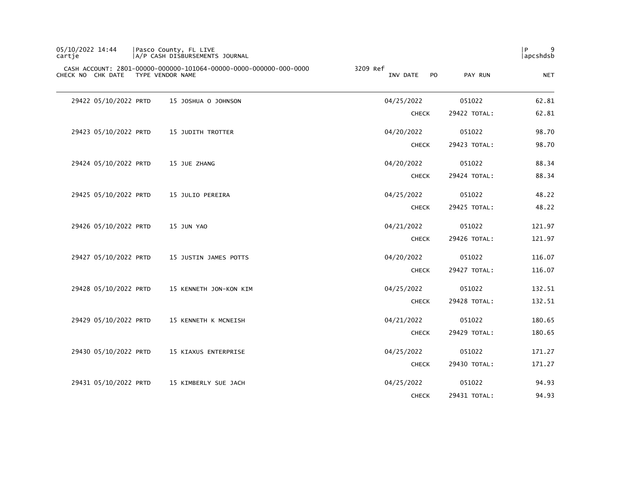| 05/10/2022 14:44<br>cartje |                       | Pasco County, FL LIVE<br> A/P CASH DISBURSEMENTS JOURNAL                              |                             |              | 9<br>P<br> apcshdsb |
|----------------------------|-----------------------|---------------------------------------------------------------------------------------|-----------------------------|--------------|---------------------|
|                            | CHECK NO CHK DATE     | CASH ACCOUNT: 2801-00000-000000-101064-00000-0000-000000-000-0000<br>TYPE VENDOR NAME | 3209 Ref<br>INV DATE<br>PO. | PAY RUN      | <b>NET</b>          |
|                            | 29422 05/10/2022 PRTD | 15 JOSHUA O JOHNSON                                                                   | 04/25/2022                  | 051022       | 62.81               |
|                            |                       |                                                                                       | <b>CHECK</b>                | 29422 TOTAL: | 62.81               |
|                            | 29423 05/10/2022 PRTD | 15 JUDITH TROTTER                                                                     | 04/20/2022                  | 051022       | 98.70               |
|                            |                       |                                                                                       | <b>CHECK</b>                | 29423 TOTAL: | 98.70               |
|                            | 29424 05/10/2022 PRTD | 15 JUE ZHANG                                                                          | 04/20/2022                  | 051022       | 88.34               |
|                            |                       |                                                                                       | <b>CHECK</b>                | 29424 TOTAL: | 88.34               |
|                            | 29425 05/10/2022 PRTD | 15 JULIO PEREIRA                                                                      | 04/25/2022                  | 051022       | 48.22               |
|                            |                       |                                                                                       | <b>CHECK</b>                | 29425 TOTAL: | 48.22               |
|                            | 29426 05/10/2022 PRTD | 15 JUN YAO                                                                            | 04/21/2022                  | 051022       | 121.97              |
|                            |                       |                                                                                       | <b>CHECK</b>                | 29426 TOTAL: | 121.97              |
|                            | 29427 05/10/2022 PRTD | 15 JUSTIN JAMES POTTS                                                                 | 04/20/2022                  | 051022       | 116.07              |
|                            |                       |                                                                                       | <b>CHECK</b>                | 29427 TOTAL: | 116.07              |
|                            | 29428 05/10/2022 PRTD | 15 KENNETH JON-KON KIM                                                                | 04/25/2022                  | 051022       | 132.51              |
|                            |                       |                                                                                       | <b>CHECK</b>                | 29428 TOTAL: | 132.51              |
|                            | 29429 05/10/2022 PRTD | 15 KENNETH K MCNEISH                                                                  | 04/21/2022                  | 051022       | 180.65              |
|                            |                       |                                                                                       | <b>CHECK</b>                | 29429 TOTAL: | 180.65              |
|                            | 29430 05/10/2022 PRTD | 15 KIAXUS ENTERPRISE                                                                  | 04/25/2022                  | 051022       | 171.27              |
|                            |                       |                                                                                       | <b>CHECK</b>                | 29430 TOTAL: | 171.27              |
|                            | 29431 05/10/2022 PRTD | 15 KIMBERLY SUE JACH                                                                  | 04/25/2022                  | 051022       | 94.93               |
|                            |                       |                                                                                       | <b>CHECK</b>                | 29431 TOTAL: | 94.93               |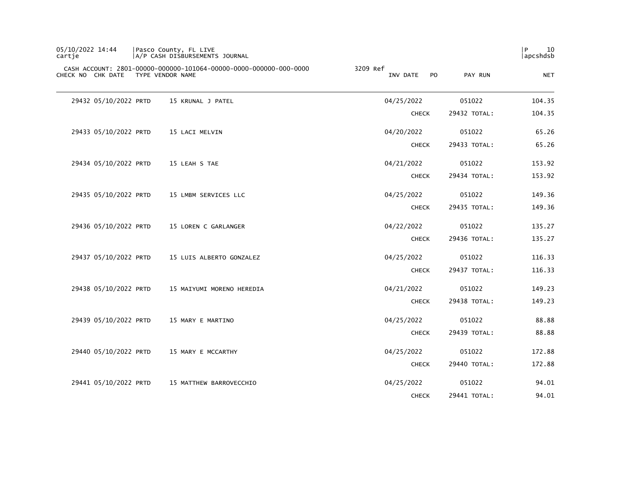| 05/10/2022 14:44<br>cartje | Pasco County, FL LIVE | A/P CASH DISBURSEMENTS JOURNAL                                    |          |              |                |              | P<br>10<br>apcshdsb |
|----------------------------|-----------------------|-------------------------------------------------------------------|----------|--------------|----------------|--------------|---------------------|
| CHECK NO CHK DATE          | TYPE VENDOR NAME      | CASH ACCOUNT: 2801-00000-000000-101064-00000-0000-000000-000-0000 | 3209 Ref | INV DATE     | P <sub>O</sub> | PAY RUN      | <b>NET</b>          |
| 29432 05/10/2022 PRTD      |                       | 15 KRUNAL J PATEL                                                 |          | 04/25/2022   |                | 051022       | 104.35              |
|                            |                       |                                                                   |          | <b>CHECK</b> |                | 29432 TOTAL: | 104.35              |
| 29433 05/10/2022 PRTD      |                       | 15 LACI MELVIN                                                    |          | 04/20/2022   |                | 051022       | 65.26               |
|                            |                       |                                                                   |          | <b>CHECK</b> |                | 29433 TOTAL: | 65.26               |
| 29434 05/10/2022 PRTD      |                       | 15 LEAH S TAE                                                     |          | 04/21/2022   |                | 051022       | 153.92              |
|                            |                       |                                                                   |          | <b>CHECK</b> |                | 29434 TOTAL: | 153.92              |
| 29435 05/10/2022 PRTD      |                       | 15 LMBM SERVICES LLC                                              |          | 04/25/2022   |                | 051022       | 149.36              |
|                            |                       |                                                                   |          | <b>CHECK</b> |                | 29435 TOTAL: | 149.36              |
| 29436 05/10/2022 PRTD      |                       | 15 LOREN C GARLANGER                                              |          | 04/22/2022   |                | 051022       | 135.27              |
|                            |                       |                                                                   |          | <b>CHECK</b> |                | 29436 TOTAL: | 135.27              |
| 29437 05/10/2022 PRTD      |                       | 15 LUIS ALBERTO GONZALEZ                                          |          | 04/25/2022   |                | 051022       | 116.33              |
|                            |                       |                                                                   |          | <b>CHECK</b> |                | 29437 TOTAL: | 116.33              |
| 29438 05/10/2022 PRTD      |                       | 15 MAIYUMI MORENO HEREDIA                                         |          | 04/21/2022   |                | 051022       | 149.23              |
|                            |                       |                                                                   |          | <b>CHECK</b> |                | 29438 TOTAL: | 149.23              |
| 29439 05/10/2022 PRTD      |                       | 15 MARY E MARTINO                                                 |          | 04/25/2022   |                | 051022       | 88.88               |
|                            |                       |                                                                   |          | <b>CHECK</b> |                | 29439 TOTAL: | 88.88               |
| 29440 05/10/2022 PRTD      |                       | 15 MARY E MCCARTHY                                                |          | 04/25/2022   |                | 051022       | 172.88              |
|                            |                       |                                                                   |          | <b>CHECK</b> |                | 29440 TOTAL: | 172.88              |
| 29441 05/10/2022 PRTD      |                       | 15 MATTHEW BARROVECCHIO                                           |          | 04/25/2022   |                | 051022       | 94.01               |
|                            |                       |                                                                   |          | <b>CHECK</b> |                | 29441 TOTAL: | 94.01               |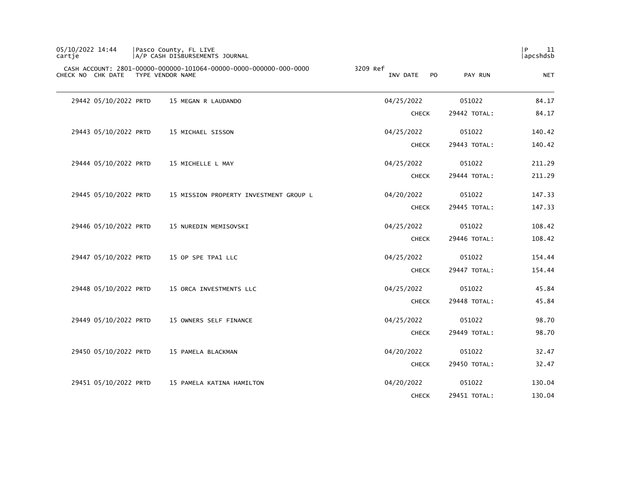| 05/10/2022 14:44<br>cartje         | Pasco County, FL LIVE<br> A/P CASH DISBURSEMENTS JOURNAL          |                             |              | P<br>11<br> apcshdsb |
|------------------------------------|-------------------------------------------------------------------|-----------------------------|--------------|----------------------|
| CHECK NO CHK DATE TYPE VENDOR NAME | CASH ACCOUNT: 2801-00000-000000-101064-00000-0000-000000-000-0000 | 3209 Ref<br>INV DATE<br>PO. | PAY RUN      | <b>NET</b>           |
| 29442 05/10/2022 PRTD              | 15 MEGAN R LAUDANDO                                               | 04/25/2022                  | 051022       | 84.17                |
|                                    |                                                                   | <b>CHECK</b>                | 29442 TOTAL: | 84.17                |
| 29443 05/10/2022 PRTD              | 15 MICHAEL SISSON                                                 | 04/25/2022                  | 051022       | 140.42               |
|                                    |                                                                   | <b>CHECK</b>                | 29443 TOTAL: | 140.42               |
| 29444 05/10/2022 PRTD              | 15 MICHELLE L MAY                                                 | 04/25/2022                  | 051022       | 211.29               |
|                                    |                                                                   | <b>CHECK</b>                | 29444 TOTAL: | 211.29               |
| 29445 05/10/2022 PRTD              | 15 MISSION PROPERTY INVESTMENT GROUP L                            | 04/20/2022                  | 051022       | 147.33               |
|                                    |                                                                   | <b>CHECK</b>                | 29445 TOTAL: | 147.33               |
| 29446 05/10/2022 PRTD              | 15 NUREDIN MEMISOVSKI                                             | 04/25/2022                  | 051022       | 108.42               |
|                                    |                                                                   | <b>CHECK</b>                | 29446 TOTAL: | 108.42               |
| 29447 05/10/2022 PRTD              | 15 OP SPE TPA1 LLC                                                | 04/25/2022                  | 051022       | 154.44               |
|                                    |                                                                   | <b>CHECK</b>                | 29447 TOTAL: | 154.44               |
| 29448 05/10/2022 PRTD              | 15 ORCA INVESTMENTS LLC                                           | 04/25/2022                  | 051022       | 45.84                |
|                                    |                                                                   | <b>CHECK</b>                | 29448 TOTAL: | 45.84                |
| 29449 05/10/2022 PRTD              | 15 OWNERS SELF FINANCE                                            | 04/25/2022                  | 051022       | 98.70                |
|                                    |                                                                   | <b>CHECK</b>                | 29449 TOTAL: | 98.70                |
| 29450 05/10/2022 PRTD              | 15 PAMELA BLACKMAN                                                | 04/20/2022                  | 051022       | 32.47                |
|                                    |                                                                   | <b>CHECK</b>                | 29450 TOTAL: | 32.47                |
| 29451 05/10/2022 PRTD              | 15 PAMELA KATINA HAMILTON                                         | 04/20/2022                  | 051022       | 130.04               |
|                                    |                                                                   | <b>CHECK</b>                | 29451 TOTAL: | 130.04               |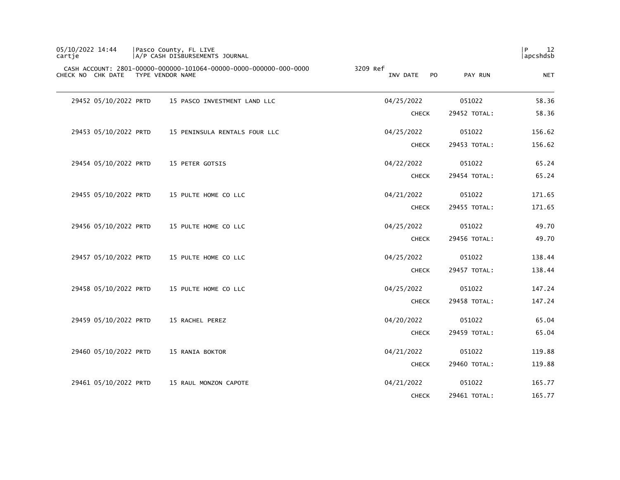| 05/10/2022 14:44<br>cartje | Pasco County, FL LIVE<br>A/P CASH DISBURSEMENTS JOURNAL                               |          |                            |              | P<br>12<br>apcshdsb |
|----------------------------|---------------------------------------------------------------------------------------|----------|----------------------------|--------------|---------------------|
| CHECK NO CHK DATE          | CASH ACCOUNT: 2801-00000-000000-101064-00000-0000-000000-000-0000<br>TYPE VENDOR NAME | 3209 Ref | INV DATE<br>P <sub>0</sub> | PAY RUN      | <b>NET</b>          |
| 29452 05/10/2022 PRTD      | 15 PASCO INVESTMENT LAND LLC                                                          |          | 04/25/2022                 | 051022       | 58.36               |
|                            |                                                                                       |          | <b>CHECK</b>               | 29452 TOTAL: | 58.36               |
| 29453 05/10/2022 PRTD      | 15 PENINSULA RENTALS FOUR LLC                                                         |          | 04/25/2022                 | 051022       | 156.62              |
|                            |                                                                                       |          | <b>CHECK</b>               | 29453 TOTAL: | 156.62              |
| 29454 05/10/2022 PRTD      | 15 PETER GOTSIS                                                                       |          | 04/22/2022                 | 051022       | 65.24               |
|                            |                                                                                       |          | <b>CHECK</b>               | 29454 TOTAL: | 65.24               |
| 29455 05/10/2022 PRTD      | 15 PULTE HOME CO LLC                                                                  |          | 04/21/2022                 | 051022       | 171.65              |
|                            |                                                                                       |          | <b>CHECK</b>               | 29455 TOTAL: | 171.65              |
| 29456 05/10/2022 PRTD      | 15 PULTE HOME CO LLC                                                                  |          | 04/25/2022                 | 051022       | 49.70               |
|                            |                                                                                       |          | <b>CHECK</b>               | 29456 TOTAL: | 49.70               |
| 29457 05/10/2022 PRTD      | 15 PULTE HOME CO LLC                                                                  |          | 04/25/2022                 | 051022       | 138.44              |
|                            |                                                                                       |          | <b>CHECK</b>               | 29457 TOTAL: | 138.44              |
| 29458 05/10/2022 PRTD      | 15 PULTE HOME CO LLC                                                                  |          | 04/25/2022                 | 051022       | 147.24              |
|                            |                                                                                       |          | <b>CHECK</b>               | 29458 TOTAL: | 147.24              |
| 29459 05/10/2022 PRTD      | 15 RACHEL PEREZ                                                                       |          | 04/20/2022                 | 051022       | 65.04               |
|                            |                                                                                       |          | <b>CHECK</b>               | 29459 TOTAL: | 65.04               |
| 29460 05/10/2022 PRTD      | 15 RANIA BOKTOR                                                                       |          | 04/21/2022                 | 051022       | 119.88              |
|                            |                                                                                       |          | <b>CHECK</b>               | 29460 TOTAL: | 119.88              |
| 29461 05/10/2022 PRTD      | 15 RAUL MONZON CAPOTE                                                                 |          | 04/21/2022                 | 051022       | 165.77              |
|                            |                                                                                       |          | <b>CHECK</b>               | 29461 TOTAL: | 165.77              |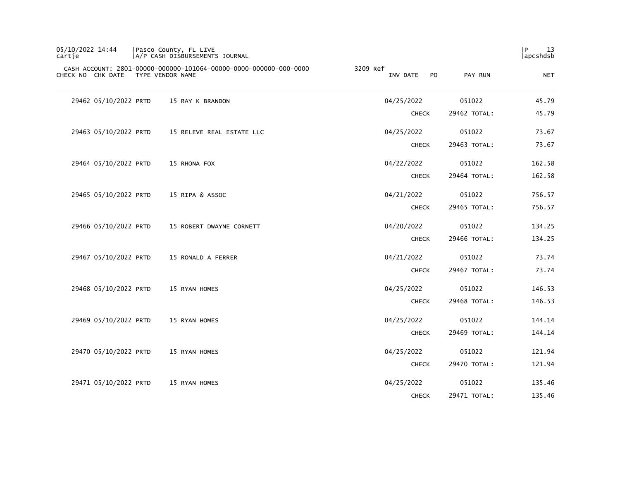| 05/10/2022 14:44<br>cartje |                       | Pasco County, FL LIVE<br> A/P CASH DISBURSEMENTS JOURNAL                              |                             |              | 13<br>P<br> apcshdsb |
|----------------------------|-----------------------|---------------------------------------------------------------------------------------|-----------------------------|--------------|----------------------|
|                            | CHECK NO CHK DATE     | CASH ACCOUNT: 2801-00000-000000-101064-00000-0000-000000-000-0000<br>TYPE VENDOR NAME | 3209 Ref<br>PO.<br>INV DATE | PAY RUN      | <b>NET</b>           |
|                            | 29462 05/10/2022 PRTD | 15 RAY K BRANDON                                                                      | 04/25/2022                  | 051022       | 45.79                |
|                            |                       |                                                                                       | <b>CHECK</b>                | 29462 TOTAL: | 45.79                |
|                            | 29463 05/10/2022 PRTD | 15 RELEVE REAL ESTATE LLC                                                             | 04/25/2022                  | 051022       | 73.67                |
|                            |                       |                                                                                       | <b>CHECK</b>                | 29463 TOTAL: | 73.67                |
|                            | 29464 05/10/2022 PRTD | 15 RHONA FOX                                                                          | 04/22/2022                  | 051022       | 162.58               |
|                            |                       |                                                                                       | <b>CHECK</b>                | 29464 TOTAL: | 162.58               |
|                            | 29465 05/10/2022 PRTD | 15 RIPA & ASSOC                                                                       | 04/21/2022                  | 051022       | 756.57               |
|                            |                       |                                                                                       | <b>CHECK</b>                | 29465 TOTAL: | 756.57               |
|                            | 29466 05/10/2022 PRTD | 15 ROBERT DWAYNE CORNETT                                                              | 04/20/2022                  | 051022       | 134.25               |
|                            |                       |                                                                                       | <b>CHECK</b>                | 29466 TOTAL: | 134.25               |
|                            | 29467 05/10/2022 PRTD | 15 RONALD A FERRER                                                                    | 04/21/2022                  | 051022       | 73.74                |
|                            |                       |                                                                                       | <b>CHECK</b>                | 29467 TOTAL: | 73.74                |
|                            | 29468 05/10/2022 PRTD | 15 RYAN HOMES                                                                         | 04/25/2022                  | 051022       | 146.53               |
|                            |                       |                                                                                       | <b>CHECK</b>                | 29468 TOTAL: | 146.53               |
|                            | 29469 05/10/2022 PRTD | 15 RYAN HOMES                                                                         | 04/25/2022                  | 051022       | 144.14               |
|                            |                       |                                                                                       | <b>CHECK</b>                | 29469 TOTAL: | 144.14               |
|                            | 29470 05/10/2022 PRTD | 15 RYAN HOMES                                                                         | 04/25/2022                  | 051022       | 121.94               |
|                            |                       |                                                                                       | <b>CHECK</b>                | 29470 TOTAL: | 121.94               |
|                            | 29471 05/10/2022 PRTD | 15 RYAN HOMES                                                                         | 04/25/2022                  | 051022       | 135.46               |
|                            |                       |                                                                                       | <b>CHECK</b>                | 29471 TOTAL: | 135.46               |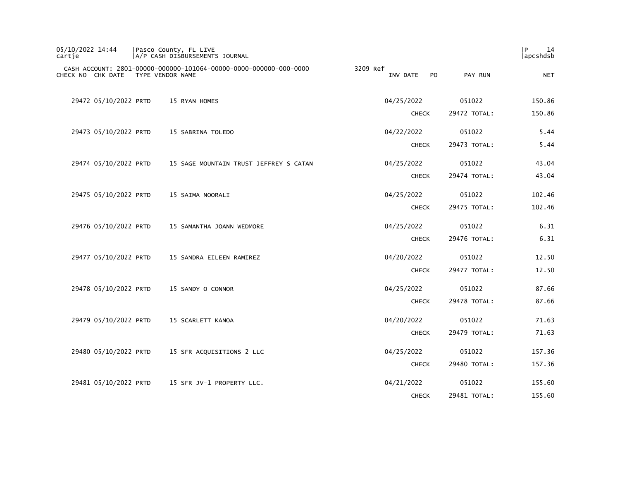| 05/10/2022 14:44<br>cartje | Pasco County, FL LIVE<br> A/P CASH DISBURSEMENTS JOURNAL                              |                                        |              | P<br>14<br>apcshdsb |
|----------------------------|---------------------------------------------------------------------------------------|----------------------------------------|--------------|---------------------|
| CHECK NO CHK DATE          | CASH ACCOUNT: 2801-00000-000000-101064-00000-0000-000000-000-0000<br>TYPE VENDOR NAME | 3209 Ref<br>INV DATE<br>P <sub>O</sub> | PAY RUN      | <b>NET</b>          |
| 29472 05/10/2022 PRTD      | 15 RYAN HOMES                                                                         | 04/25/2022                             | 051022       | 150.86              |
|                            |                                                                                       | <b>CHECK</b>                           | 29472 TOTAL: | 150.86              |
| 29473 05/10/2022 PRTD      | 15 SABRINA TOLEDO                                                                     | 04/22/2022                             | 051022       | 5.44                |
|                            |                                                                                       | <b>CHECK</b>                           | 29473 TOTAL: | 5.44                |
| 29474 05/10/2022 PRTD      | 15 SAGE MOUNTAIN TRUST JEFFREY S CATAN                                                | 04/25/2022                             | 051022       | 43.04               |
|                            |                                                                                       | <b>CHECK</b>                           | 29474 TOTAL: | 43.04               |
| 29475 05/10/2022 PRTD      | 15 SAIMA NOORALI                                                                      | 04/25/2022                             | 051022       | 102.46              |
|                            |                                                                                       | <b>CHECK</b>                           | 29475 TOTAL: | 102.46              |
| 29476 05/10/2022 PRTD      | 15 SAMANTHA JOANN WEDMORE                                                             | 04/25/2022                             | 051022       | 6.31                |
|                            |                                                                                       | <b>CHECK</b>                           | 29476 TOTAL: | 6.31                |
| 29477 05/10/2022 PRTD      | 15 SANDRA EILEEN RAMIREZ                                                              | 04/20/2022                             | 051022       | 12.50               |
|                            |                                                                                       | <b>CHECK</b>                           | 29477 TOTAL: | 12.50               |
| 29478 05/10/2022 PRTD      | 15 SANDY O CONNOR                                                                     | 04/25/2022                             | 051022       | 87.66               |
|                            |                                                                                       | <b>CHECK</b>                           | 29478 TOTAL: | 87.66               |
| 29479 05/10/2022 PRTD      | 15 SCARLETT KANOA                                                                     | 04/20/2022                             | 051022       | 71.63               |
|                            |                                                                                       | <b>CHECK</b>                           | 29479 TOTAL: | 71.63               |
| 29480 05/10/2022 PRTD      | 15 SFR ACQUISITIONS 2 LLC                                                             | 04/25/2022                             | 051022       | 157.36              |
|                            |                                                                                       | <b>CHECK</b>                           | 29480 TOTAL: | 157.36              |
| 29481 05/10/2022 PRTD      | 15 SFR JV-1 PROPERTY LLC.                                                             | 04/21/2022                             | 051022       | 155.60              |
|                            |                                                                                       | <b>CHECK</b>                           | 29481 TOTAL: | 155.60              |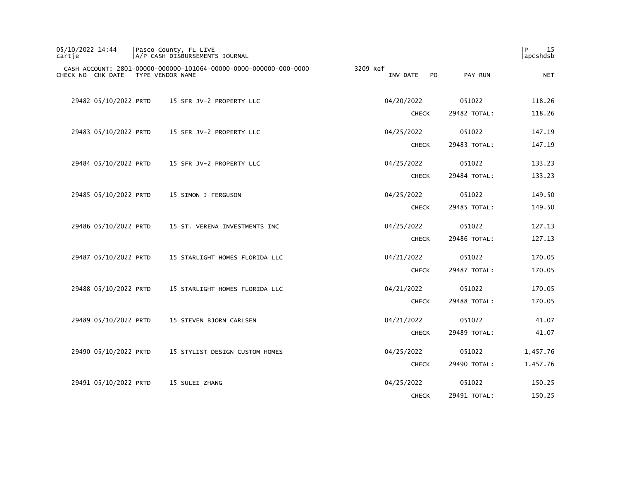| 05/10/2022 14:44<br>cartie | Pasco County, FL LIVE<br>A/P CASH DISBURSEMENTS JOURNAL                               |                             |              | 15<br>l P<br>apcshdsb |
|----------------------------|---------------------------------------------------------------------------------------|-----------------------------|--------------|-----------------------|
| CHECK NO CHK DATE          | CASH ACCOUNT: 2801-00000-000000-101064-00000-0000-000000-000-0000<br>TYPE VENDOR NAME | 3209 Ref<br>INV DATE<br>PO. | PAY RUN      | <b>NET</b>            |
| 29482 05/10/2022 PRTD      | 15 SFR JV-2 PROPERTY LLC                                                              | 04/20/2022                  | 051022       | 118.26                |
|                            |                                                                                       | <b>CHECK</b>                | 29482 TOTAL: | 118.26                |
| 29483 05/10/2022 PRTD      | 15 SFR JV-2 PROPERTY LLC                                                              | 04/25/2022                  | 051022       | 147.19                |
|                            |                                                                                       | <b>CHECK</b>                | 29483 TOTAL: | 147.19                |
| 29484 05/10/2022 PRTD      | 15 SFR JV-2 PROPERTY LLC                                                              | 04/25/2022                  | 051022       | 133.23                |
|                            |                                                                                       | <b>CHECK</b>                | 29484 TOTAL: | 133.23                |
| 29485 05/10/2022 PRTD      | 15 SIMON J FERGUSON                                                                   | 04/25/2022                  | 051022       | 149.50                |
|                            |                                                                                       | <b>CHECK</b>                | 29485 TOTAL: | 149.50                |
| 29486 05/10/2022 PRTD      | 15 ST. VERENA INVESTMENTS INC                                                         | 04/25/2022                  | 051022       | 127.13                |
|                            |                                                                                       | <b>CHECK</b>                | 29486 TOTAL: | 127.13                |
| 29487 05/10/2022 PRTD      | 15 STARLIGHT HOMES FLORIDA LLC                                                        | 04/21/2022                  | 051022       | 170.05                |
|                            |                                                                                       | <b>CHECK</b>                | 29487 TOTAL: | 170.05                |
| 29488 05/10/2022 PRTD      | 15 STARLIGHT HOMES FLORIDA LLC                                                        | 04/21/2022                  | 051022       | 170.05                |
|                            |                                                                                       | <b>CHECK</b>                | 29488 TOTAL: | 170.05                |
| 29489 05/10/2022 PRTD      | 15 STEVEN BJORN CARLSEN                                                               | 04/21/2022                  | 051022       | 41.07                 |
|                            |                                                                                       | <b>CHECK</b>                | 29489 TOTAL: | 41.07                 |
| 29490 05/10/2022 PRTD      | 15 STYLIST DESIGN CUSTOM HOMES                                                        | 04/25/2022                  | 051022       | 1,457.76              |
|                            |                                                                                       | <b>CHECK</b>                | 29490 TOTAL: | 1,457.76              |
| 29491 05/10/2022 PRTD      | 15 SULEI ZHANG                                                                        | 04/25/2022                  | 051022       | 150.25                |
|                            |                                                                                       | <b>CHECK</b>                | 29491 TOTAL: | 150.25                |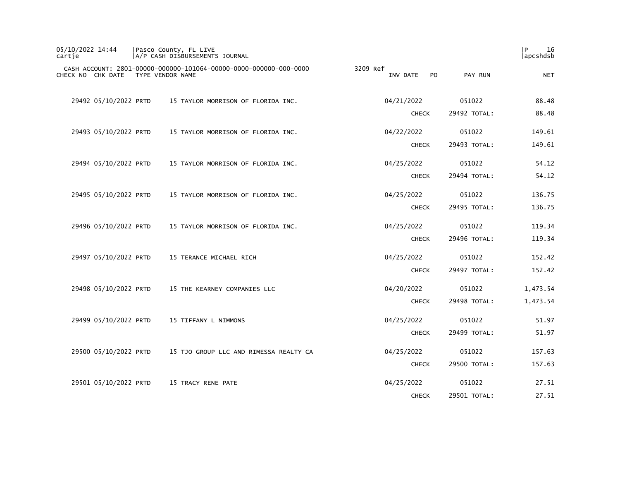| 05/10/2022 14:44<br>cartie         | Pasco County, FL LIVE<br>A/P CASH DISBURSEMENTS JOURNAL           |                             |              | 16<br>l P<br>apcshdsb |
|------------------------------------|-------------------------------------------------------------------|-----------------------------|--------------|-----------------------|
| CHECK NO CHK DATE TYPE VENDOR NAME | CASH ACCOUNT: 2801-00000-000000-101064-00000-0000-000000-000-0000 | 3209 Ref<br>INV DATE<br>PO. | PAY RUN      | <b>NET</b>            |
| 29492 05/10/2022 PRTD              | 15 TAYLOR MORRISON OF FLORIDA INC.                                | 04/21/2022                  | 051022       | 88.48                 |
|                                    |                                                                   | <b>CHECK</b>                | 29492 TOTAL: | 88.48                 |
| 29493 05/10/2022 PRTD              | 15 TAYLOR MORRISON OF FLORIDA INC.                                | 04/22/2022                  | 051022       | 149.61                |
|                                    |                                                                   | <b>CHECK</b>                | 29493 TOTAL: | 149.61                |
| 29494 05/10/2022 PRTD              | 15 TAYLOR MORRISON OF FLORIDA INC.                                | 04/25/2022                  | 051022       | 54.12                 |
|                                    |                                                                   | <b>CHECK</b>                | 29494 TOTAL: | 54.12                 |
| 29495 05/10/2022 PRTD              | 15 TAYLOR MORRISON OF FLORIDA INC.                                | 04/25/2022                  | 051022       | 136.75                |
|                                    |                                                                   | <b>CHECK</b>                | 29495 TOTAL: | 136.75                |
| 29496 05/10/2022 PRTD              | 15 TAYLOR MORRISON OF FLORIDA INC.                                | 04/25/2022                  | 051022       | 119.34                |
|                                    |                                                                   | <b>CHECK</b>                | 29496 TOTAL: | 119.34                |
| 29497 05/10/2022 PRTD              | 15 TERANCE MICHAEL RICH                                           | 04/25/2022                  | 051022       | 152.42                |
|                                    |                                                                   | <b>CHECK</b>                | 29497 TOTAL: | 152.42                |
| 29498 05/10/2022 PRTD              | 15 THE KEARNEY COMPANIES LLC                                      | 04/20/2022                  | 051022       | 1,473.54              |
|                                    |                                                                   | <b>CHECK</b>                | 29498 TOTAL: | 1,473.54              |
| 29499 05/10/2022 PRTD              | 15 TIFFANY L NIMMONS                                              | 04/25/2022                  | 051022       | 51.97                 |
|                                    |                                                                   | <b>CHECK</b>                | 29499 TOTAL: | 51.97                 |
| 29500 05/10/2022 PRTD              | 15 TJO GROUP LLC AND RIMESSA REALTY CA                            | 04/25/2022                  | 051022       | 157.63                |
|                                    |                                                                   | <b>CHECK</b>                | 29500 TOTAL: | 157.63                |
| 29501 05/10/2022 PRTD              | 15 TRACY RENE PATE                                                | 04/25/2022                  | 051022       | 27.51                 |
|                                    |                                                                   | <b>CHECK</b>                | 29501 TOTAL: | 27.51                 |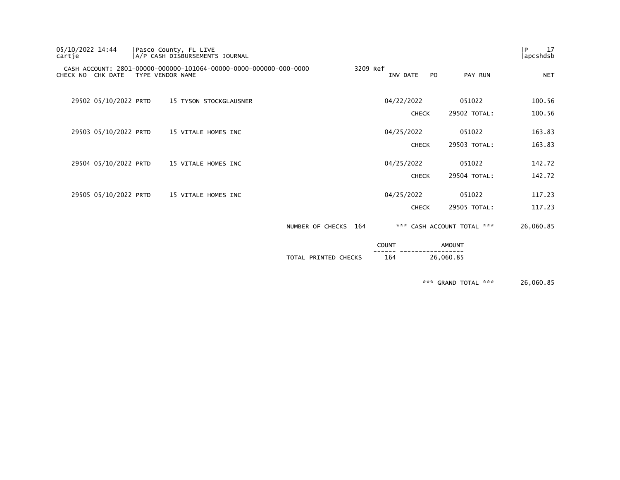| 05/10/2022 14:44<br>cartje | Pasco County, FL LIVE | A/P CASH DISBURSEMENTS JOURNAL                                    |                      |              |              |     |                            | 17<br>l P<br> apcshdsb |
|----------------------------|-----------------------|-------------------------------------------------------------------|----------------------|--------------|--------------|-----|----------------------------|------------------------|
| CHECK NO CHK DATE          | TYPE VENDOR NAME      | CASH ACCOUNT: 2801-00000-000000-101064-00000-0000-000000-000-0000 |                      | 3209 Ref     | INV DATE     | PO. | PAY RUN                    | <b>NET</b>             |
| 29502 05/10/2022 PRTD      |                       | 15 TYSON STOCKGLAUSNER                                            |                      |              | 04/22/2022   |     | 051022                     | 100.56                 |
|                            |                       |                                                                   |                      |              | <b>CHECK</b> |     | 29502 TOTAL:               | 100.56                 |
| 29503 05/10/2022 PRTD      |                       | 15 VITALE HOMES INC                                               |                      |              | 04/25/2022   |     | 051022                     | 163.83                 |
|                            |                       |                                                                   |                      |              | <b>CHECK</b> |     | 29503 TOTAL:               | 163.83                 |
| 29504 05/10/2022 PRTD      |                       | 15 VITALE HOMES INC                                               |                      |              | 04/25/2022   |     | 051022                     | 142.72                 |
|                            |                       |                                                                   |                      |              | <b>CHECK</b> |     | 29504 TOTAL:               | 142.72                 |
| 29505 05/10/2022 PRTD      |                       | 15 VITALE HOMES INC                                               |                      |              | 04/25/2022   |     | 051022                     | 117.23                 |
|                            |                       |                                                                   |                      |              | <b>CHECK</b> |     | 29505 TOTAL:               | 117.23                 |
|                            |                       |                                                                   | NUMBER OF CHECKS 164 |              |              |     | *** CASH ACCOUNT TOTAL *** | 26,060.85              |
|                            |                       |                                                                   |                      | <b>COUNT</b> |              |     | <b>AMOUNT</b>              |                        |
|                            |                       |                                                                   | TOTAL PRINTED CHECKS |              | 164          |     | 26,060.85                  |                        |
|                            |                       |                                                                   |                      |              |              |     |                            |                        |

\*\*\* GRAND TOTAL \*\*\* 26,060.85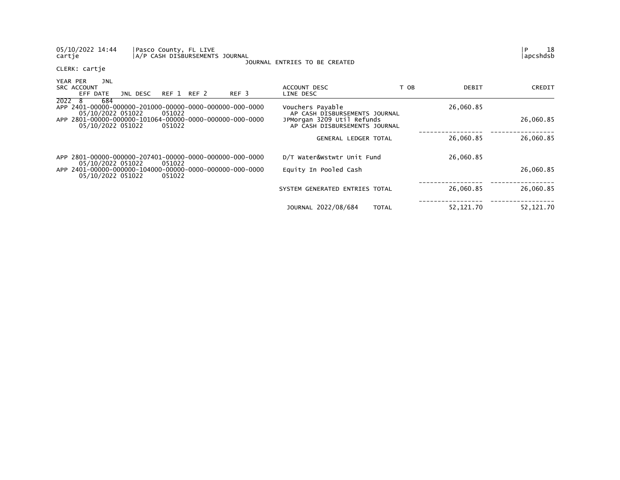| 05/10/2022 14:44<br>Pasco County, FL LIVE<br>cartje                                    | A/P CASH DISBURSEMENTS JOURNAL | JOURNAL ENTRIES TO BE CREATED                               |              |            | 18<br>P<br>lapcshdsb |
|----------------------------------------------------------------------------------------|--------------------------------|-------------------------------------------------------------|--------------|------------|----------------------|
| CLERK: cartje                                                                          |                                |                                                             |              |            |                      |
| YEAR PER<br>JNL<br><b>SRC ACCOUNT</b><br>JNL DESC<br>EFF DATE                          | REF 1 REF 2<br>REF 3           | ACCOUNT DESC<br>LINE DESC                                   | T OB         | DEBIT      | CREDIT               |
| 2022 8<br>684<br>05/10/2022 051022<br>051022                                           |                                | Vouchers Payable<br>AP CASH DISBURSEMENTS JOURNAL           |              | 26,060.85  |                      |
| APP 2801-00000-000000-101064-00000-0000-000000-000-0000<br>05/10/2022 051022<br>051022 |                                | JPMorgan 3209 Util Refunds<br>AP CASH DISBURSEMENTS JOURNAL |              |            | 26,060.85            |
|                                                                                        |                                | <b>GENERAL LEDGER TOTAL</b>                                 |              | 26,060.85  | 26,060.85            |
| APP 2801-00000-000000-207401-00000-0000-000000-000-0000<br>05/10/2022 051022<br>051022 |                                | D/T Water&Wstwtr Unit Fund                                  |              | 26,060.85  |                      |
| 05/10/2022 051022<br>051022                                                            |                                | Equity In Pooled Cash                                       |              |            | 26,060.85            |
|                                                                                        |                                | SYSTEM GENERATED ENTRIES TOTAL                              |              | 26,060.85  | 26,060.85            |
|                                                                                        |                                | JOURNAL 2022/08/684                                         | <b>TOTAL</b> | 52, 121.70 | 52, 121. 70          |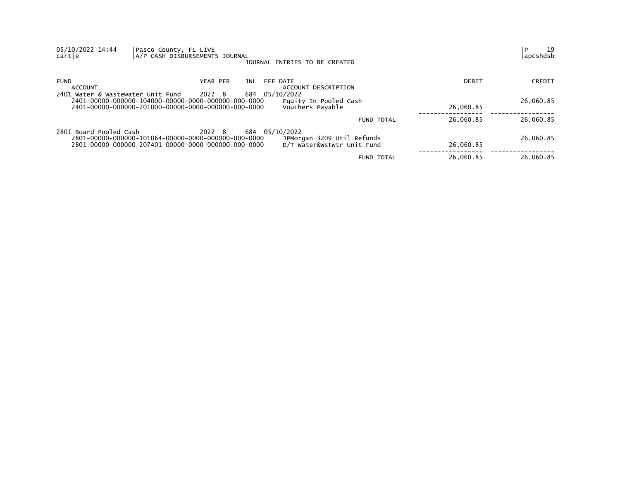| 05/10/2022 14:44<br>cartie        | Pasco County, FL LIVE<br>A/P CASH DISBURSEMENTS JOURNAL                                                              | JOURNAL ENTRIES TO BE CREATED                                              |           | 19<br>P<br>apcshdsb |
|-----------------------------------|----------------------------------------------------------------------------------------------------------------------|----------------------------------------------------------------------------|-----------|---------------------|
| <b>FUND</b><br>ACCOUNT            | YEAR PER<br>JNL                                                                                                      | EFF DATE<br>ACCOUNT DESCRIPTION                                            | DEBIT     | CREDIT              |
| 2401 Water & Wastewater Unit Fund | 2022 8<br>684                                                                                                        | 05/10/2022<br>Equity In Pooled Cash<br>Vouchers Payable                    | 26,060.85 | 26,060.85           |
|                                   |                                                                                                                      | FUND TOTAL                                                                 | 26,060.85 | 26,060.85           |
| 2801 Board Pooled Cash            | 2022 8<br>2801-00000-000000-101064-00000-0000-000000-000-0000<br>2801-00000-000000-207401-00000-0000-000000-000-0000 | 684 05/10/2022<br>JPMorgan 3209 Util Refunds<br>D/T Water&Wstwtr Unit Fund | 26,060.85 | 26,060.85           |
|                                   |                                                                                                                      | <b>FUND TOTAL</b>                                                          | 26,060.85 | 26,060.85           |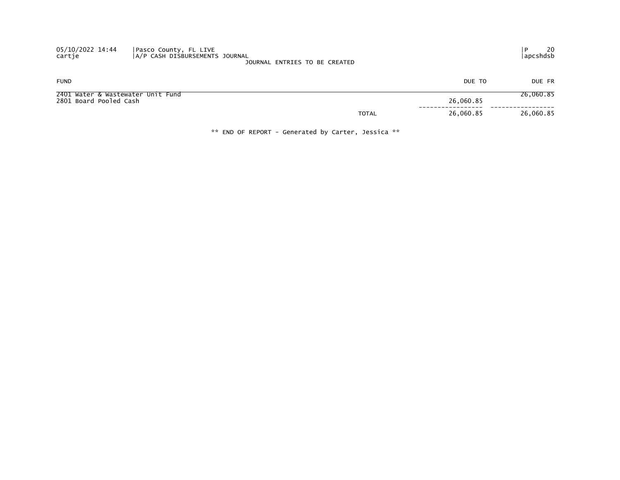| 05/10/2022 14:44<br>cartje                                  | Pasco County, FL LIVE<br> A/P CASH DISBURSEMENTS JOURNAL | JOURNAL ENTRIES TO BE CREATED |                           | 20<br>  apcshdsb |
|-------------------------------------------------------------|----------------------------------------------------------|-------------------------------|---------------------------|------------------|
| <b>FUND</b>                                                 |                                                          |                               | DUE TO                    | DUE FR           |
| 2401 Water & Wastewater Unit Fund<br>2801 Board Pooled Cash |                                                          |                               | 26,060.85                 | 26,060.85        |
|                                                             |                                                          |                               | 26,060.85<br><b>TOTAL</b> | 26,060.85        |

\*\* END OF REPORT - Generated by Carter, Jessica \*\*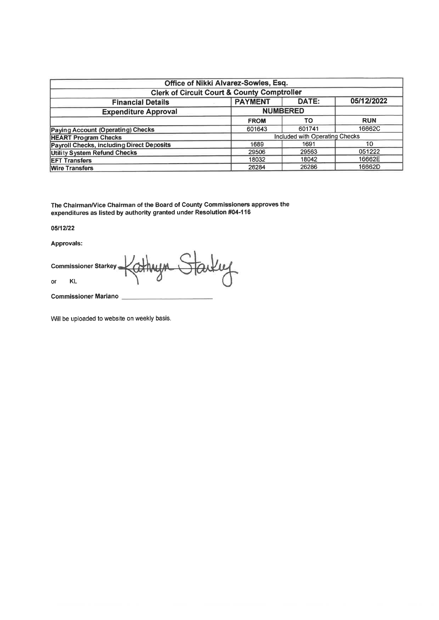| Office of Nikki Alvarez-Sowles, Esq.                   |                |                                |            |  |  |  |  |  |  |
|--------------------------------------------------------|----------------|--------------------------------|------------|--|--|--|--|--|--|
| <b>Clerk of Circuit Court &amp; County Comptroller</b> |                |                                |            |  |  |  |  |  |  |
| <b>Financial Details</b>                               | <b>PAYMENT</b> | DATE:                          | 05/12/2022 |  |  |  |  |  |  |
| <b>Expenditure Approval</b>                            |                | <b>NUMBERED</b>                |            |  |  |  |  |  |  |
|                                                        | <b>FROM</b>    | TO                             | <b>RUN</b> |  |  |  |  |  |  |
| <b>Paying Account (Operating) Checks</b>               | 601643         | 601741                         | 16662C     |  |  |  |  |  |  |
| <b>HEART Program Checks</b>                            |                | Included with Operating Checks |            |  |  |  |  |  |  |
| <b>Payroll Checks, including Direct Deposits</b>       | 1689           | 1691                           | 10         |  |  |  |  |  |  |
| <b>Utility System Refund Checks</b>                    | 29506          | 29563                          | 051222     |  |  |  |  |  |  |
| <b>EFT Transfers</b>                                   | 18032          | 18042                          | 16662E     |  |  |  |  |  |  |
| <b>Wire Transfers</b>                                  | 26284          | 26286                          | 16662D     |  |  |  |  |  |  |

The Chairman/Vice Chairman of the Board of County Commissioners approves the<br>expenditures as listed by authority granted under Resolution #04-116

05/12/22

Approvals:

Farkey **Commissioner Starkey KL**  $\circ$ 

**Commissioner Mariano** 

Will be uploaded to website on weekly basis.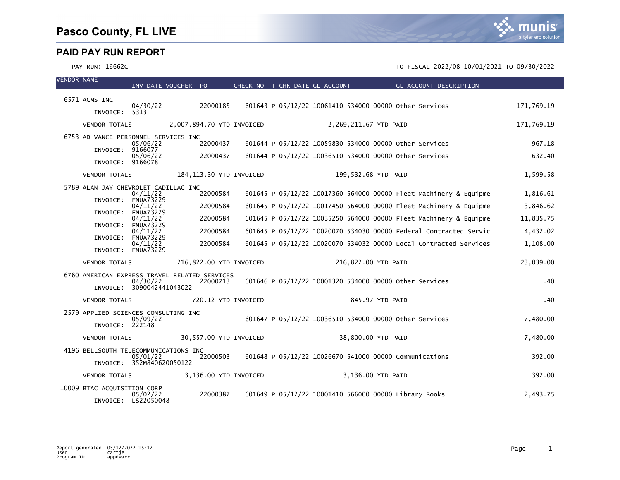| <b>VENDOR NAME</b> |                                               | INV DATE VOUCHER PO             |                           | CHECK NO T CHK DATE GL ACCOUNT                                                       |  |                                                        |                     |  | <b>Example 2018 GL ACCOUNT DESCRIPTION</b>                        |            |
|--------------------|-----------------------------------------------|---------------------------------|---------------------------|--------------------------------------------------------------------------------------|--|--------------------------------------------------------|---------------------|--|-------------------------------------------------------------------|------------|
|                    | 6571 ACMS INC                                 |                                 |                           |                                                                                      |  |                                                        |                     |  |                                                                   |            |
|                    | INVOICE: 5313                                 | 04/30/22                        | 22000185                  |                                                                                      |  | 601643 P 05/12/22 10061410 534000 00000 other Services |                     |  |                                                                   | 171,769.19 |
|                    | <b>VENDOR TOTALS</b>                          |                                 | 2,007,894.70 YTD INVOICED |                                                                                      |  | 2,269,211.67 YTD PAID                                  |                     |  |                                                                   | 171,769.19 |
|                    | 6753 AD-VANCE PERSONNEL SERVICES INC          |                                 |                           |                                                                                      |  |                                                        |                     |  |                                                                   |            |
|                    | INVOICE: 9166077                              | 05/06/22                        | 22000437                  |                                                                                      |  | 601644 P 05/12/22 10059830 534000 00000 other Services |                     |  |                                                                   | 967.18     |
|                    | INVOICE: 9166078                              | 05/06/22                        | 22000437                  |                                                                                      |  | 601644 P 05/12/22 10036510 534000 00000 other Services |                     |  |                                                                   | 632.40     |
|                    | <b>VENDOR TOTALS</b>                          |                                 | 184,113.30 YTD INVOICED   |                                                                                      |  |                                                        | 199,532.68 YTD PAID |  |                                                                   | 1,599.58   |
|                    | 5789 ALAN JAY CHEVROLET CADILLAC INC          | 04/11/22                        | 22000584                  |                                                                                      |  |                                                        |                     |  | 601645 P 05/12/22 10017360 564000 00000 Fleet Machinery & Equipme | 1,816.61   |
|                    | INVOICE:                                      | <b>FNUA73229</b>                | 22000584                  |                                                                                      |  |                                                        |                     |  |                                                                   |            |
|                    | INVOICE:                                      | 04/11/22<br><b>FNUA73229</b>    |                           |                                                                                      |  |                                                        |                     |  | 601645 P 05/12/22 10017450 564000 00000 Fleet Machinery & Equipme | 3,846.62   |
|                    | INVOICE:                                      | 04/11/22<br><b>FNUA73229</b>    | 22000584                  |                                                                                      |  |                                                        |                     |  | 601645 P 05/12/22 10035250 564000 00000 Fleet Machinery & Equipme | 11,835.75  |
|                    |                                               | 04/11/22<br>INVOICE: FNUA73229  | 22000584                  |                                                                                      |  |                                                        |                     |  | 601645 P 05/12/22 10020070 534030 00000 Federal Contracted Servic | 4,432.02   |
|                    |                                               | 04/11/22<br>INVOICE: FNUA73229  | 22000584                  |                                                                                      |  |                                                        |                     |  | 601645 P 05/12/22 10020070 534032 00000 Local Contracted Services | 1,108.00   |
|                    | <b>VENDOR TOTALS</b>                          |                                 | 216,822.00 YTD INVOICED   |                                                                                      |  |                                                        | 216,822.00 YTD PAID |  |                                                                   | 23,039.00  |
|                    | 6760 AMERICAN EXPRESS TRAVEL RELATED SERVICES | 04/30/22                        | 22000713                  |                                                                                      |  | 601646 P 05/12/22 10001320 534000 00000 Other Services |                     |  |                                                                   | .40        |
|                    |                                               | INVOICE: 3090042441043022       |                           |                                                                                      |  |                                                        |                     |  |                                                                   |            |
|                    | <b>VENDOR TOTALS</b>                          |                                 | 720.12 YTD INVOICED       |                                                                                      |  |                                                        | 845.97 YTD PAID     |  |                                                                   | .40        |
|                    | 2579 APPLIED SCIENCES CONSULTING INC          | 05/09/22                        |                           |                                                                                      |  | 601647 P 05/12/22 10036510 534000 00000 Other Services |                     |  |                                                                   | 7,480.00   |
|                    | INVOICE: 222148                               |                                 |                           |                                                                                      |  |                                                        |                     |  |                                                                   |            |
|                    | <b>VENDOR TOTALS</b>                          |                                 | 30,557.00 YTD INVOICED    |                                                                                      |  |                                                        | 38,800.00 YTD PAID  |  |                                                                   | 7,480.00   |
|                    | 4196 BELLSOUTH TELECOMMUNICATIONS INC         | 05/01/22                        |                           | 22000503    601648    P    05/12/22    10026670    541000    00000    Communications |  |                                                        |                     |  |                                                                   | 392.00     |
|                    |                                               | INVOICE: 352M840620050122       |                           |                                                                                      |  |                                                        |                     |  |                                                                   |            |
|                    | VENDOR TOTALS                                 |                                 | 3,136.00 YTD INVOICED     |                                                                                      |  |                                                        | 3,136.00 YTD PAID   |  |                                                                   | 392.00     |
|                    | 10009 BTAC ACQUISITION CORP                   |                                 |                           |                                                                                      |  |                                                        |                     |  |                                                                   |            |
|                    |                                               | 05/02/22<br>INVOICE: LS22050048 | 22000387                  |                                                                                      |  | 601649 P 05/12/22 10001410 566000 00000 Library Books  |                     |  |                                                                   | 2,493.75   |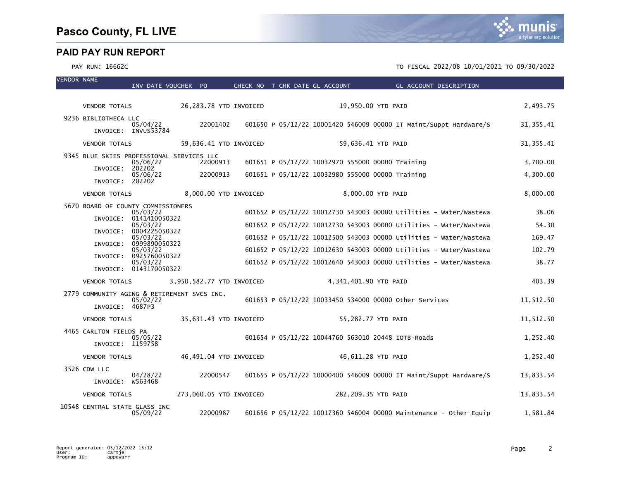VENDOR NAME

|  |                                                                            | INV DATE VOUCHER PO                            |                           |  | CHECK NO T CHK DATE GL ACCOUNT                   | GL ACCOUNT DESCRIPTION                                            |            |
|--|----------------------------------------------------------------------------|------------------------------------------------|---------------------------|--|--------------------------------------------------|-------------------------------------------------------------------|------------|
|  | <b>VENDOR TOTALS</b>                                                       |                                                | 26,283.78 YTD INVOICED    |  |                                                  | 19,950.00 YTD PAID                                                | 2,493.75   |
|  | 9236 BIBLIOTHECA LLC                                                       |                                                |                           |  |                                                  |                                                                   |            |
|  |                                                                            | 05/04/22<br>INVOICE: INVUS53784                | 22001402                  |  |                                                  | 601650 P 05/12/22 10001420 546009 00000 IT Maint/Suppt Hardware/S | 31, 355.41 |
|  | <b>VENDOR TOTALS</b>                                                       |                                                | 59,636.41 YTD INVOICED    |  |                                                  | 59,636.41 YTD PAID                                                | 31, 355.41 |
|  | 9345 BLUE SKIES PROFESSIONAL SERVICES LLC                                  | 05/06/22                                       | 22000913                  |  | 601651 P 05/12/22 10032970 555000 00000 Training |                                                                   | 3,700.00   |
|  | INVOICE: 202202                                                            |                                                |                           |  |                                                  |                                                                   |            |
|  | INVOICE: 202202                                                            | 05/06/22                                       | 22000913                  |  | 601651 P 05/12/22 10032980 555000 00000 Training |                                                                   | 4,300.00   |
|  | <b>VENDOR TOTALS</b>                                                       |                                                | 8,000.00 YTD INVOICED     |  |                                                  | 8,000.00 YTD PAID                                                 | 8,000.00   |
|  |                                                                            | 5670 BOARD OF COUNTY COMMISSIONERS<br>05/03/22 |                           |  |                                                  | 601652 P 05/12/22 10012730 543003 00000 Utilities - Water/Wastewa | 38.06      |
|  | INVOICE:                                                                   | 0141410050322<br>05/03/22                      |                           |  |                                                  | 601652 P 05/12/22 10012730 543003 00000 Utilities - Water/Wastewa | 54.30      |
|  | INVOICE:                                                                   | 0004225050322<br>05/03/22                      |                           |  |                                                  | 601652 P 05/12/22 10012500 543003 00000 Utilities - Water/Wastewa | 169.47     |
|  | INVOICE:                                                                   | 0999890050322                                  |                           |  |                                                  |                                                                   |            |
|  |                                                                            | 05/03/22<br>INVOICE: 0925760050322             |                           |  |                                                  | 601652 P 05/12/22 10012630 543003 00000 Utilities - Water/Wastewa | 102.79     |
|  |                                                                            | 05/03/22<br>INVOICE: 0143170050322             |                           |  |                                                  | 601652 P 05/12/22 10012640 543003 00000 Utilities - Water/Wastewa | 38.77      |
|  | <b>VENDOR TOTALS</b>                                                       |                                                | 3,950,582.77 YTD INVOICED |  | 4,341,401.90 YTD PAID                            |                                                                   | 403.39     |
|  | 2779 COMMUNITY AGING & RETIREMENT SVCS INC.<br>05/02/22<br>INVOICE: 4687P3 |                                                |                           |  |                                                  | 601653 P 05/12/22 10033450 534000 00000 Other Services            | 11,512.50  |
|  | <b>VENDOR TOTALS</b>                                                       |                                                | 35,631.43 YTD INVOICED    |  |                                                  | 55,282.77 YTD PAID                                                | 11,512.50  |
|  | 4465 CARLTON FIELDS PA                                                     |                                                |                           |  |                                                  |                                                                   |            |
|  | INVOICE: 1159758                                                           | 05/05/22                                       |                           |  |                                                  | 601654 P 05/12/22 10044760 563010 20448 IOTB-Roads                | 1,252.40   |
|  | <b>VENDOR TOTALS</b>                                                       |                                                | 46,491.04 YTD INVOICED    |  |                                                  | 46,611.28 YTD PAID                                                | 1,252.40   |
|  | 3526 CDW LLC                                                               |                                                |                           |  |                                                  |                                                                   |            |
|  | INVOICE: W563468                                                           | 04/28/22                                       | 22000547                  |  |                                                  | 601655 P 05/12/22 10000400 546009 00000 IT Maint/Suppt Hardware/S | 13,833.54  |
|  | <b>VENDOR TOTALS</b>                                                       |                                                | 273,060.05 YTD INVOICED   |  | 282,209.35 YTD PAID                              |                                                                   | 13,833.54  |
|  | 10548 CENTRAL STATE GLASS INC                                              | 05/09/22                                       | 22000987                  |  |                                                  | 601656 P 05/12/22 10017360 546004 00000 Maintenance - Other Equip | 1,581.84   |

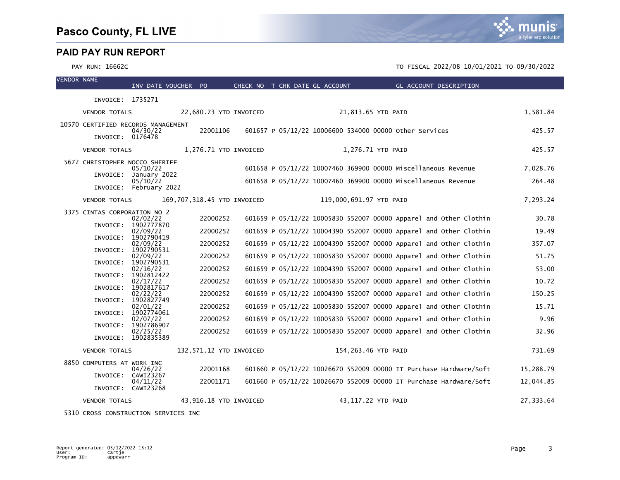

#### PAY RUN: 16662C TO FISCAL 2022/08 10/01/2021 TO 09/30/2022

| <b>VENDOR NAME</b> |                                    | INV DATE VOUCHER PO                  |                             | CHECK NO T CHK DATE GL ACCOUNT |                         | GL ACCOUNT DESCRIPTION                                            |           |
|--------------------|------------------------------------|--------------------------------------|-----------------------------|--------------------------------|-------------------------|-------------------------------------------------------------------|-----------|
|                    | INVOICE: 1735271                   |                                      |                             |                                |                         |                                                                   |           |
|                    | <b>VENDOR TOTALS</b>               |                                      | 22,680.73 YTD INVOICED      |                                | 21,813.65 YTD PAID      |                                                                   | 1,581.84  |
|                    | 10570 CERTIFIED RECORDS MANAGEMENT | 04/30/22                             | 22001106                    |                                |                         | 601657 P 05/12/22 10006600 534000 00000 Other Services            | 425.57    |
|                    | INVOICE: 0176478                   |                                      |                             |                                |                         |                                                                   |           |
|                    | <b>VENDOR TOTALS</b>               |                                      | 1,276.71 YTD INVOICED       |                                | 1,276.71 YTD PAID       |                                                                   | 425.57    |
|                    | 5672 CHRISTOPHER NOCCO SHERIFF     | 05/10/22                             |                             |                                |                         | 601658 P 05/12/22 10007460 369900 00000 Miscellaneous Revenue     | 7,028.76  |
|                    |                                    | INVOICE: January 2022<br>05/10/22    |                             |                                |                         | 601658 P 05/12/22 10007460 369900 00000 Miscellaneous Revenue     | 264.48    |
|                    |                                    | INVOICE: February 2022               |                             |                                |                         |                                                                   |           |
|                    | <b>VENDOR TOTALS</b>               |                                      | 169,707,318.45 YTD INVOICED |                                | 119,000,691.97 YTD PAID |                                                                   | 7,293.24  |
|                    | 3375 CINTAS CORPORATION NO 2       | 02/02/22                             | 22000252                    |                                |                         | 601659 P 05/12/22 10005830 552007 00000 Apparel and Other Clothin | 30.78     |
|                    | INVOICE:                           | 1902777870<br>02/09/22               | 22000252                    |                                |                         | 601659 P 05/12/22 10004390 552007 00000 Apparel and Other Clothin | 19.49     |
|                    | INVOICE:                           | 1902790419<br>02/09/22               | 22000252                    |                                |                         | 601659 P 05/12/22 10004390 552007 00000 Apparel and Other Clothin | 357.07    |
|                    | INVOICE:                           | 1902790531<br>02/09/22               | 22000252                    |                                |                         | 601659 P 05/12/22 10005830 552007 00000 Apparel and Other Clothin | 51.75     |
|                    | INVOICE:                           | 1902790531<br>02/16/22<br>1902812422 | 22000252                    |                                |                         | 601659 P 05/12/22 10004390 552007 00000 Apparel and Other Clothin | 53.00     |
|                    | INVOICE:<br>INVOICE:               | 02/17/22<br>1902817617               | 22000252                    |                                |                         | 601659 P 05/12/22 10005830 552007 00000 Apparel and Other Clothin | 10.72     |
|                    | INVOICE:                           | 02/22/22<br>1902827749               | 22000252                    |                                |                         | 601659 P 05/12/22 10004390 552007 00000 Apparel and Other Clothin | 150.25    |
|                    | INVOICE:                           | 02/01/22<br>1902774061               | 22000252                    |                                |                         | 601659 P 05/12/22 10005830 552007 00000 Apparel and Other Clothin | 15.71     |
|                    | INVOICE:                           | 02/07/22<br>1902786907               | 22000252                    |                                |                         | 601659 P 05/12/22 10005830 552007 00000 Apparel and Other Clothin | 9.96      |
|                    |                                    | 02/25/22<br>INVOICE: 1902835389      | 22000252                    |                                |                         | 601659 P 05/12/22 10005830 552007 00000 Apparel and Other Clothin | 32.96     |
|                    | <b>VENDOR TOTALS</b>               |                                      | 132,571.12 YTD INVOICED     |                                | 154,263.46 YTD PAID     |                                                                   | 731.69    |
|                    | 8850 COMPUTERS AT WORK INC         |                                      |                             |                                |                         |                                                                   |           |
|                    | INVOICE:                           | 04/26/22<br>CAWI23267                | 22001168                    |                                |                         | 601660 P 05/12/22 10026670 552009 00000 IT Purchase Hardware/Soft | 15,288.79 |
|                    |                                    | 04/11/22<br>INVOICE: CAWI23268       | 22001171                    |                                |                         | 601660 P 05/12/22 10026670 552009 00000 IT Purchase Hardware/Soft | 12,044.85 |
|                    | <b>VENDOR TOTALS</b>               |                                      | 43,916.18 YTD INVOICED      |                                | 43,117.22 YTD PAID      |                                                                   | 27,333.64 |

5310 CROSS CONSTRUCTION SERVICES INC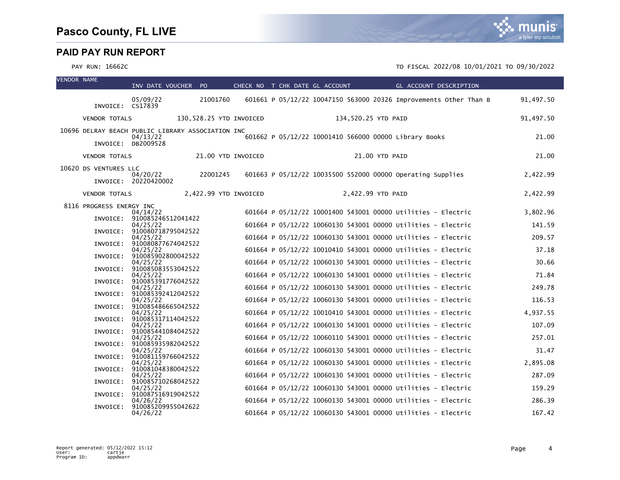| <b>VENDOR NAME</b> |                          | INV DATE VOUCHER PO                                           |                         | CHECK NO T CHK DATE GL ACCOUNT |  |                     |                | GL ACCOUNT DESCRIPTION                                            |           |
|--------------------|--------------------------|---------------------------------------------------------------|-------------------------|--------------------------------|--|---------------------|----------------|-------------------------------------------------------------------|-----------|
|                    | INVOICE: CS17839         | 05/09/22                                                      | 21001760                |                                |  |                     |                | 601661 P 05/12/22 10047150 563000 20326 Improvements Other Than B | 91,497.50 |
|                    | <b>VENDOR TOTALS</b>     |                                                               | 130,528.25 YTD INVOICED |                                |  | 134,520.25 YTD PAID |                |                                                                   | 91,497.50 |
|                    |                          | 10696 DELRAY BEACH PUBLIC LIBRARY ASSOCIATION INC<br>04/13/22 |                         |                                |  |                     |                | 601662 P 05/12/22 10001410 566000 00000 Library Books             | 21.00     |
|                    | <b>VENDOR TOTALS</b>     | INVOICE: DB2009528                                            | 21.00 YTD INVOICED      |                                |  |                     | 21.00 YTD PAID |                                                                   | 21.00     |
|                    |                          |                                                               |                         |                                |  |                     |                |                                                                   |           |
|                    | 10620 DS VENTURES LLC    | 04/20/22<br>INVOICE: 20220420002                              | 22001245                |                                |  |                     |                | 601663 P 05/12/22 10035500 552000 00000 Operating Supplies        | 2,422.99  |
|                    | <b>VENDOR TOTALS</b>     |                                                               | 2,422.99 YTD INVOICED   |                                |  | 2,422.99 YTD PAID   |                |                                                                   | 2,422.99  |
|                    | 8116 PROGRESS ENERGY INC | 04/14/22                                                      |                         |                                |  |                     |                | 601664 P 05/12/22 10001400 543001 00000 Utilities - Electric      | 3,802.96  |
|                    |                          | INVOICE: 910085246512041422<br>04/25/22                       |                         |                                |  |                     |                | 601664 P 05/12/22 10060130 543001 00000 Utilities - Electric      | 141.59    |
|                    |                          | INVOICE: 910080718795042522                                   |                         |                                |  |                     |                |                                                                   |           |
|                    | INVOICE:                 | 04/25/22<br>910080877674042522                                |                         |                                |  |                     |                | 601664 P 05/12/22 10060130 543001 00000 Utilities - Electric      | 209.57    |
|                    |                          | 04/25/22<br>INVOICE: 910085902800042522                       |                         |                                |  |                     |                | 601664 P 05/12/22 10010410 543001 00000 Utilities - Electric      | 37.18     |
|                    |                          | 04/25/22<br>INVOICE: 910085083553042522                       |                         |                                |  |                     |                | 601664 P 05/12/22 10060130 543001 00000 Utilities - Electric      | 30.66     |
|                    |                          | 04/25/22<br>INVOICE: 910085391776042522                       |                         |                                |  |                     |                | 601664 P 05/12/22 10060130 543001 00000 Utilities - Electric      | 71.84     |
|                    |                          | 04/25/22                                                      |                         |                                |  |                     |                | 601664 P 05/12/22 10060130 543001 00000 Utilities - Electric      | 249.78    |
|                    |                          | INVOICE: 910085392412042522<br>04/25/22                       |                         |                                |  |                     |                | 601664 P 05/12/22 10060130 543001 00000 Utilities - Electric      | 116.53    |
|                    |                          | INVOICE: 910085486665042522<br>04/25/22                       |                         |                                |  |                     |                | 601664 P 05/12/22 10010410 543001 00000 Utilities - Electric      | 4,937.55  |
|                    |                          | INVOICE: 910085317114042522<br>04/25/22                       |                         |                                |  |                     |                | 601664 P 05/12/22 10060130 543001 00000 Utilities - Electric      | 107.09    |
|                    |                          | INVOICE: 910085441084042522                                   |                         |                                |  |                     |                |                                                                   | 257.01    |
|                    |                          | 04/25/22<br>INVOICE: 910085935982042522                       |                         |                                |  |                     |                | 601664 P 05/12/22 10060110 543001 00000 Utilities - Electric      |           |
|                    |                          | 04/25/22<br>INVOICE: 910081159766042522                       |                         |                                |  |                     |                | 601664 P 05/12/22 10060130 543001 00000 Utilities - Electric      | 31.47     |
|                    |                          | 04/25/22<br>INVOICE: 910081048380042522                       |                         |                                |  |                     |                | 601664 P 05/12/22 10060130 543001 00000 Utilities - Electric      | 2,895.08  |
|                    |                          | 04/25/22<br>INVOICE: 910085710268042522                       |                         |                                |  |                     |                | 601664 P 05/12/22 10060130 543001 00000 Utilities - Electric      | 287.09    |
|                    |                          | 04/25/22                                                      |                         |                                |  |                     |                | 601664 P 05/12/22 10060130 543001 00000 Utilities - Electric      | 159.29    |
|                    |                          | INVOICE: 910087516919042522<br>04/26/22                       |                         |                                |  |                     |                | 601664 P 05/12/22 10060130 543001 00000 Utilities - Electric      | 286.39    |
|                    | INVOICE:                 | 910085209955042622<br>04/26/22                                |                         |                                |  |                     |                | 601664 P 05/12/22 10060130 543001 00000 Utilities - Electric      | 167.42    |

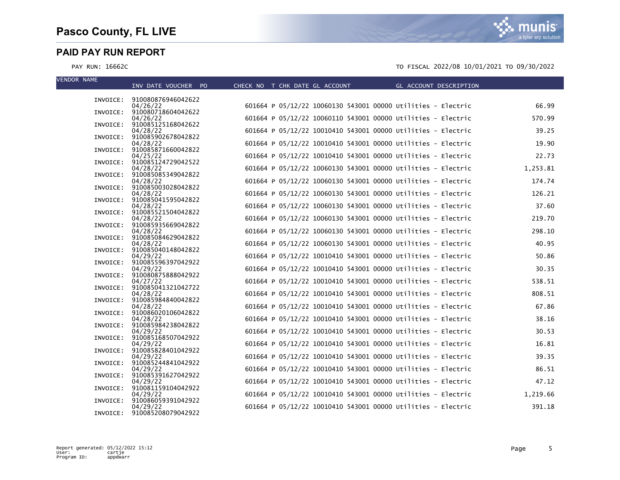VENDOR NAME

munis a tyler erp solution

|          | INV DATE VOUCHER PO                     | CHECK NO T CHK DATE GL ACCOUNT | GL ACCOUNT DESCRIPTION                                       |          |
|----------|-----------------------------------------|--------------------------------|--------------------------------------------------------------|----------|
|          | INVOICE: 910080876946042622             |                                |                                                              |          |
|          | 04/26/22                                |                                | 601664 P 05/12/22 10060130 543001 00000 Utilities - Electric | 66.99    |
|          | INVOICE: 910080718604042622             |                                |                                                              |          |
|          | 04/26/22                                |                                | 601664 P 05/12/22 10060110 543001 00000 Utilities - Electric | 570.99   |
| INVOICE: | 910085125168042622<br>04/28/22          |                                | 601664 P 05/12/22 10010410 543001 00000 Utilities - Electric | 39.25    |
| INVOICE: | 910085902678042822                      |                                |                                                              |          |
|          | 04/28/22                                |                                | 601664 P 05/12/22 10010410 543001 00000 Utilities - Electric | 19.90    |
|          | INVOICE: 910085871660042822<br>04/25/22 |                                | 601664 P 05/12/22 10010410 543001 00000 Utilities - Electric | 22.73    |
|          | INVOICE: 910085124729042522             |                                |                                                              |          |
|          | 04/28/22                                |                                | 601664 P 05/12/22 10060130 543001 00000 Utilities - Electric | 1,253.81 |
|          | INVOICE: 910085085349042822             |                                |                                                              | 174.74   |
| INVOICE: | 04/28/22<br>910085003028042822          |                                | 601664 P 05/12/22 10060130 543001 00000 Utilities - Electric |          |
|          | 04/28/22                                |                                | 601664 P 05/12/22 10060130 543001 00000 Utilities - Electric | 126.21   |
| INVOICE: | 910085041595042822                      |                                |                                                              |          |
| INVOICE: | 04/28/22<br>910085521504042822          |                                | 601664 P 05/12/22 10060130 543001 00000 Utilities - Electric | 37.60    |
|          | 04/28/22                                |                                | 601664 P 05/12/22 10060130 543001 00000 Utilities - Electric | 219.70   |
|          | INVOICE: 910085935669042822             |                                |                                                              |          |
|          | 04/28/22<br>INVOICE: 910085084629042822 |                                | 601664 P 05/12/22 10060130 543001 00000 Utilities - Electric | 298.10   |
|          | 04/28/22                                |                                | 601664 P 05/12/22 10060130 543001 00000 Utilities - Electric | 40.95    |
|          | INVOICE: 910085040148042822             |                                |                                                              |          |
|          | 04/29/22                                |                                | 601664 P 05/12/22 10010410 543001 00000 Utilities - Electric | 50.86    |
| INVOICE: | 910085596397042922<br>04/29/22          |                                | 601664 P 05/12/22 10010410 543001 00000 Utilities - Electric | 30.35    |
|          | INVOICE: 910080875888042922             |                                |                                                              |          |
|          | 04/27/22                                |                                | 601664 P 05/12/22 10010410 543001 00000 Utilities - Electric | 538.51   |
|          | INVOICE: 910085041321042722<br>04/28/22 |                                | 601664 P 05/12/22 10010410 543001 00000 Utilities - Electric | 808.51   |
|          | INVOICE: 910085984840042822             |                                |                                                              |          |
|          | 04/28/22                                |                                | 601664 P 05/12/22 10010410 543001 00000 Utilities - Electric | 67.86    |
|          | INVOICE: 910086020106042822<br>04/28/22 |                                | 601664 P 05/12/22 10010410 543001 00000 Utilities - Electric | 38.16    |
|          | INVOICE: 910085984238042822             |                                |                                                              |          |
|          | 04/29/22                                |                                | 601664 P 05/12/22 10010410 543001 00000 Utilities - Electric | 30.53    |
| INVOICE: | 910085168507042922<br>04/29/22          |                                | 601664 P 05/12/22 10010410 543001 00000 Utilities - Electric | 16.81    |
| INVOICE: | 910085828401042922                      |                                |                                                              |          |
|          | 04/29/22                                |                                | 601664 P 05/12/22 10010410 543001 00000 Utilities - Electric | 39.35    |
|          | INVOICE: 910085244841042922             |                                |                                                              |          |
|          | 04/29/22<br>INVOICE: 910085391627042922 |                                | 601664 P 05/12/22 10010410 543001 00000 Utilities - Electric | 86.51    |
|          | 04/29/22                                |                                | 601664 P 05/12/22 10010410 543001 00000 Utilities - Electric | 47.12    |
|          | INVOICE: 910081159104042922             |                                |                                                              |          |
| INVOICE: | 04/29/22<br>910086059391042922          |                                | 601664 P 05/12/22 10010410 543001 00000 Utilities - Electric | 1,219.66 |
|          | 04/29/22                                |                                | 601664 P 05/12/22 10010410 543001 00000 Utilities - Electric | 391.18   |
|          | INVOICE: 910085208079042922             |                                |                                                              |          |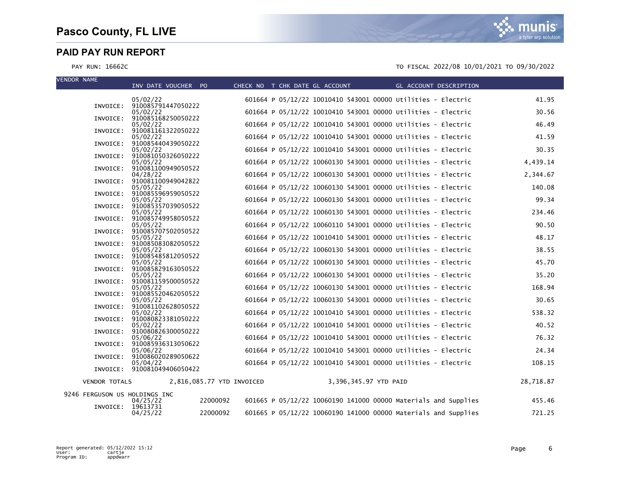VEI

| VENDUR NAME                   | INV DATE VOUCHER PO                     |  | CHECK NO T CHK DATE GL ACCOUNT | <b>Example 2016 GL ACCOUNT DESCRIPTION</b>                   |           |
|-------------------------------|-----------------------------------------|--|--------------------------------|--------------------------------------------------------------|-----------|
|                               | 05/02/22                                |  |                                | 601664 P 05/12/22 10010410 543001 00000 Utilities - Electric | 41.95     |
| INVOICE:                      | 910085791447050222<br>05/02/22          |  |                                | 601664 P 05/12/22 10010410 543001 00000 Utilities - Electric | 30.56     |
| INVOICE:                      | 910085168250050222<br>05/02/22          |  |                                | 601664 P 05/12/22 10010410 543001 00000 Utilities - Electric | 46.49     |
| INVOICE:                      | 910081161322050222                      |  |                                |                                                              |           |
| INVOICE:                      | 05/02/22<br>910085440439050222          |  |                                | 601664 P 05/12/22 10010410 543001 00000 Utilities - Electric | 41.59     |
| INVOICE:                      | 05/02/22<br>910081050326050222          |  |                                | 601664 P 05/12/22 10010410 543001 00000 Utilities - Electric | 30.35     |
| INVOICE:                      | 05/05/22<br>910081100949050522          |  |                                | 601664 P 05/12/22 10060130 543001 00000 Utilities - Electric | 4,439.14  |
|                               | 04/28/22                                |  |                                | 601664 P 05/12/22 10060130 543001 00000 Utilities - Electric | 2,344.67  |
| INVOICE:                      | 910081100949042822<br>05/05/22          |  |                                | 601664 P 05/12/22 10060130 543001 00000 Utilities - Electric | 140.08    |
| INVOICE:                      | 910085596959050522<br>05/05/22          |  |                                | 601664 P 05/12/22 10060130 543001 00000 Utilities - Electric | 99.34     |
| INVOICE:                      | 910085357039050522<br>05/05/22          |  |                                | 601664 P 05/12/22 10060130 543001 00000 Utilities - Electric | 234.46    |
| INVOICE:                      | 910085749958050522                      |  |                                |                                                              |           |
| INVOICE:                      | 05/05/22<br>910085707502050522          |  |                                | 601664 P 05/12/22 10060110 543001 00000 Utilities - Electric | 90.50     |
| INVOICE:                      | 05/05/22<br>910085083082050522          |  |                                | 601664 P 05/12/22 10010410 543001 00000 Utilities - Electric | 48.17     |
| INVOICE:                      | 05/05/22<br>910085485812050522          |  |                                | 601664 P 05/12/22 10060130 543001 00000 Utilities - Electric | 38.55     |
|                               | 05/05/22                                |  |                                | 601664 P 05/12/22 10060130 543001 00000 Utilities - Electric | 45.70     |
|                               | INVOICE: 910085829163050522<br>05/05/22 |  |                                | 601664 P 05/12/22 10060130 543001 00000 Utilities - Electric | 35.20     |
|                               | INVOICE: 910081159500050522<br>05/05/22 |  |                                | 601664 P 05/12/22 10060130 543001 00000 Utilities - Electric | 168.94    |
|                               | INVOICE: 910085520462050522<br>05/05/22 |  |                                | 601664 P 05/12/22 10060130 543001 00000 Utilities - Electric | 30.65     |
|                               | INVOICE: 910081102628050522             |  |                                |                                                              |           |
|                               | 05/02/22<br>INVOICE: 910080823381050222 |  |                                | 601664 P 05/12/22 10010410 543001 00000 Utilities - Electric | 538.32    |
| INVOICE:                      | 05/02/22<br>910080826300050222          |  |                                | 601664 P 05/12/22 10010410 543001 00000 Utilities - Electric | 40.52     |
|                               | 05/06/22<br>910085936313050622          |  |                                | 601664 P 05/12/22 10010410 543001 00000 Utilities - Electric | 76.32     |
| INVOICE:                      | 05/06/22                                |  |                                | 601664 P 05/12/22 10010410 543001 00000 Utilities - Electric | 24.34     |
| INVOICE:                      | 910086020289050622<br>05/04/22          |  |                                | 601664 P 05/12/22 10010410 543001 00000 Utilities - Electric | 108.15    |
|                               | INVOICE: 910081049406050422             |  |                                |                                                              |           |
| <b>VENDOR TOTALS</b>          | 2,816,085.77 YTD INVOICED               |  |                                | 3,396,345.97 YTD PAID                                        | 28,718.87 |
| 9246 FERGUSON US HOLDINGS INC |                                         |  |                                |                                                              |           |

| 9240 FERGUSUN US MULDINGS INC | 04/25/22             | 22000092 | 601665 P 05/12/22 10060190 141000 00000 Materials and Supplies | 455.46 |
|-------------------------------|----------------------|----------|----------------------------------------------------------------|--------|
| INVOICE:                      | 19613731<br>04/25/22 | 22000092 | 601665 P 05/12/22 10060190 141000 00000 Materials and Supplies | 721.25 |

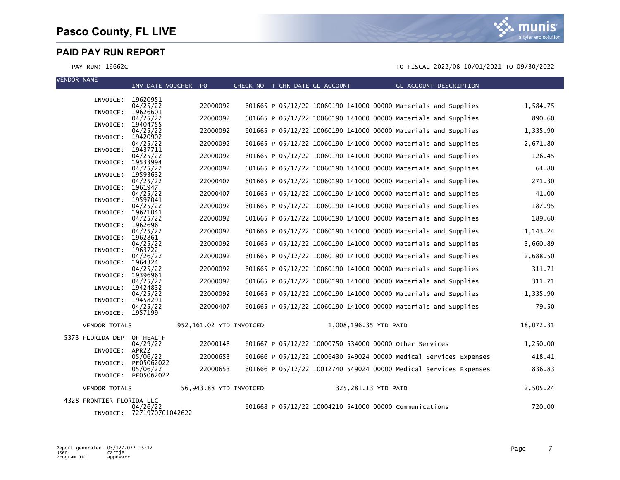mı nıs a tyler erp solution

| <b>VENDOR NAME</b> |                             |                                       |                         |  | CHECK NO T CHK DATE GL ACCOUNT |                       |                                                                   |           |
|--------------------|-----------------------------|---------------------------------------|-------------------------|--|--------------------------------|-----------------------|-------------------------------------------------------------------|-----------|
|                    |                             | INV DATE VOUCHER PO                   |                         |  |                                |                       | GL ACCOUNT DESCRIPTION                                            |           |
|                    | INVOICE: 19620951           | 04/25/22                              | 22000092                |  |                                |                       | 601665 P 05/12/22 10060190 141000 00000 Materials and Supplies    | 1,584.75  |
|                    | INVOICE:                    | 19626601<br>04/25/22                  | 22000092                |  |                                |                       | 601665 P 05/12/22 10060190 141000 00000 Materials and Supplies    | 890.60    |
|                    | INVOICE:                    | 19404755                              |                         |  |                                |                       |                                                                   |           |
|                    | INVOICE:                    | 04/25/22<br>19420902                  | 22000092                |  |                                |                       | 601665 P 05/12/22 10060190 141000 00000 Materials and Supplies    | 1,335.90  |
|                    | INVOICE:                    | 04/25/22<br>19437711                  | 22000092                |  |                                |                       | 601665 P 05/12/22 10060190 141000 00000 Materials and Supplies    | 2,671.80  |
|                    |                             | 04/25/22                              | 22000092                |  |                                |                       | 601665 P 05/12/22 10060190 141000 00000 Materials and Supplies    | 126.45    |
|                    | INVOICE:                    | 19533994<br>04/25/22                  | 22000092                |  |                                |                       | 601665 P 05/12/22 10060190 141000 00000 Materials and Supplies    | 64.80     |
|                    | INVOICE:                    | 19593632<br>04/25/22                  | 22000407                |  |                                |                       | 601665 P 05/12/22 10060190 141000 00000 Materials and Supplies    | 271.30    |
|                    | INVOICE:                    | 1961947<br>04/25/22                   | 22000407                |  |                                |                       | 601665 P 05/12/22 10060190 141000 00000 Materials and Supplies    | 41.00     |
|                    | INVOICE:                    | 19597041                              |                         |  |                                |                       |                                                                   |           |
|                    | INVOICE:                    | 04/25/22<br>19621041                  | 22000092                |  |                                |                       | 601665 P 05/12/22 10060190 141000 00000 Materials and Supplies    | 187.95    |
|                    | INVOICE:                    | 04/25/22<br>1962696                   | 22000092                |  |                                |                       | 601665 P 05/12/22 10060190 141000 00000 Materials and Supplies    | 189.60    |
|                    |                             | 04/25/22                              | 22000092                |  |                                |                       | 601665 P 05/12/22 10060190 141000 00000 Materials and Supplies    | 1,143.24  |
|                    | INVOICE:                    | 1962861<br>04/25/22                   | 22000092                |  |                                |                       | 601665 P 05/12/22 10060190 141000 00000 Materials and Supplies    | 3,660.89  |
|                    | INVOICE:                    | 1963722<br>04/26/22                   | 22000092                |  |                                |                       | 601665 P 05/12/22 10060190 141000 00000 Materials and Supplies    | 2,688.50  |
|                    | INVOICE:                    | 1964324<br>04/25/22                   | 22000092                |  |                                |                       | 601665 P 05/12/22 10060190 141000 00000 Materials and Supplies    | 311.71    |
|                    | INVOICE:                    | 19396961                              |                         |  |                                |                       |                                                                   |           |
|                    | INVOICE:                    | 04/25/22<br>19424832                  | 22000092                |  |                                |                       | 601665 P 05/12/22 10060190 141000 00000 Materials and Supplies    | 311.71    |
|                    | INVOICE:                    | 04/25/22<br>19458291                  | 22000092                |  |                                |                       | 601665 P 05/12/22 10060190 141000 00000 Materials and Supplies    | 1,335.90  |
|                    |                             | 04/25/22                              | 22000407                |  |                                |                       | 601665 P 05/12/22 10060190 141000 00000 Materials and Supplies    | 79.50     |
|                    | INVOICE: 1957199            |                                       |                         |  |                                |                       |                                                                   |           |
|                    | <b>VENDOR TOTALS</b>        |                                       | 952,161.02 YTD INVOICED |  |                                | 1,008,196.35 YTD PAID |                                                                   | 18,072.31 |
|                    | 5373 FLORIDA DEPT OF HEALTH | 04/29/22                              | 22000148                |  |                                |                       | 601667 P 05/12/22 10000750 534000 00000 other Services            | 1,250.00  |
|                    | INVOICE:                    | APR <sub>22</sub>                     |                         |  |                                |                       |                                                                   |           |
|                    | INVOICE:                    | 05/06/22<br>PE05062022                | 22000653                |  |                                |                       | 601666 P 05/12/22 10006430 549024 00000 Medical Services Expenses | 418.41    |
|                    |                             | 05/06/22<br>INVOICE: PE05062022       | 22000653                |  |                                |                       | 601666 P 05/12/22 10012740 549024 00000 Medical Services Expenses | 836.83    |
|                    | <b>VENDOR TOTALS</b>        |                                       | 56,943.88 YTD INVOICED  |  |                                | 325,281.13 YTD PAID   |                                                                   | 2,505.24  |
|                    | 4328 FRONTIER FLORIDA LLC   |                                       |                         |  |                                |                       |                                                                   |           |
|                    |                             | 04/26/22<br>INVOICE: 7271970701042622 |                         |  |                                |                       | 601668 P 05/12/22 10004210 541000 00000 Communications            | 720.00    |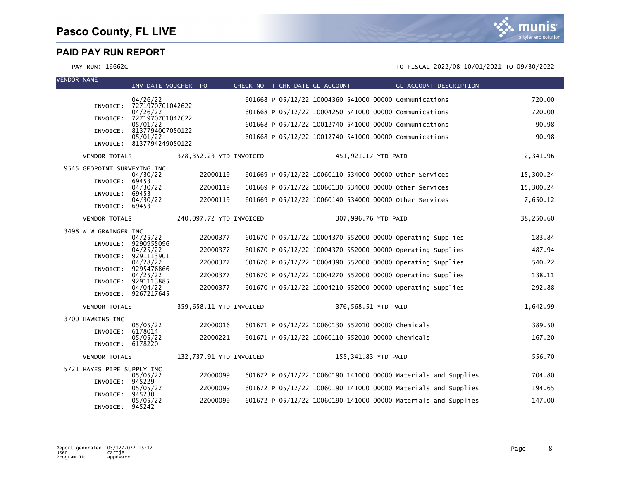VENDOR NAME

| VENUUR NAME |                             | INV DATE VOUCHER PO          |                         | CHECK NO T CHK DATE GL ACCOUNT |                                                   |                     | GL ACCOUNT DESCRIPTION                                         |           |
|-------------|-----------------------------|------------------------------|-------------------------|--------------------------------|---------------------------------------------------|---------------------|----------------------------------------------------------------|-----------|
|             |                             | 04/26/22                     |                         |                                |                                                   |                     | 601668 P 05/12/22 10004360 541000 00000 Communications         | 720.00    |
|             | INVOICE:                    | 7271970701042622<br>04/26/22 |                         |                                |                                                   |                     | 601668 P 05/12/22 10004250 541000 00000 Communications         | 720.00    |
|             | INVOICE:                    | 7271970701042622<br>05/01/22 |                         |                                |                                                   |                     | 601668 P 05/12/22 10012740 541000 00000 Communications         | 90.98     |
|             | INVOICE:                    | 8137794007050122<br>05/01/22 |                         |                                |                                                   |                     | 601668 P 05/12/22 10012740 541000 00000 Communications         | 90.98     |
|             |                             | INVOICE: 8137794249050122    |                         |                                |                                                   |                     |                                                                |           |
|             | <b>VENDOR TOTALS</b>        |                              | 378,352.23 YTD INVOICED |                                |                                                   | 451,921.17 YTD PAID |                                                                | 2,341.96  |
|             | 9545 GEOPOINT SURVEYING INC | 04/30/22                     | 22000119                |                                |                                                   |                     | 601669 P 05/12/22 10060110 534000 00000 other Services         | 15,300.24 |
|             | INVOICE:                    | 69453<br>04/30/22            | 22000119                |                                |                                                   |                     | 601669 P 05/12/22 10060130 534000 00000 other Services         | 15,300.24 |
|             | INVOICE:                    | 69453<br>04/30/22            | 22000119                |                                |                                                   |                     | 601669 P 05/12/22 10060140 534000 00000 other Services         | 7,650.12  |
|             | INVOICE: 69453              |                              |                         |                                |                                                   |                     |                                                                |           |
|             | <b>VENDOR TOTALS</b>        |                              | 240,097.72 YTD INVOICED |                                |                                                   | 307,996.76 YTD PAID |                                                                | 38,250.60 |
|             | 3498 W W GRAINGER INC       | 04/25/22                     | 22000377                |                                |                                                   |                     | 601670 P 05/12/22 10004370 552000 00000 Operating Supplies     | 183.84    |
|             | INVOICE:                    | 9290955096<br>04/25/22       | 22000377                |                                |                                                   |                     | 601670 P 05/12/22 10004370 552000 00000 Operating Supplies     | 487.94    |
|             | INVOICE:                    | 9291113901<br>04/28/22       | 22000377                |                                |                                                   |                     | 601670 P 05/12/22 10004390 552000 00000 Operating Supplies     | 540.22    |
|             | INVOICE:                    | 9295476866<br>04/25/22       | 22000377                |                                |                                                   |                     | 601670 P 05/12/22 10004270 552000 00000 Operating Supplies     | 138.11    |
|             | INVOICE:                    | 9291113885<br>04/04/22       | 22000377                |                                |                                                   |                     | 601670 P 05/12/22 10004210 552000 00000 Operating Supplies     | 292.88    |
|             |                             | INVOICE: 9267217645          |                         |                                |                                                   |                     |                                                                |           |
|             | <b>VENDOR TOTALS</b>        |                              | 359,658.11 YTD INVOICED |                                |                                                   | 376,568.51 YTD PAID |                                                                | 1,642.99  |
|             | 3700 HAWKINS INC            | 05/05/22                     | 22000016                |                                | 601671 P 05/12/22 10060130 552010 00000 Chemicals |                     |                                                                | 389.50    |
|             | INVOICE:                    | 6178014<br>05/05/22          | 22000221                |                                | 601671 P 05/12/22 10060110 552010 00000 Chemicals |                     |                                                                | 167.20    |
|             | INVOICE:                    | 6178220                      |                         |                                |                                                   |                     |                                                                |           |
|             | <b>VENDOR TOTALS</b>        |                              | 132,737.91 YTD INVOICED |                                |                                                   | 155,341.83 YTD PAID |                                                                | 556.70    |
|             | 5721 HAYES PIPE SUPPLY INC  | 05/05/22                     | 22000099                |                                |                                                   |                     | 601672 P 05/12/22 10060190 141000 00000 Materials and Supplies | 704.80    |
|             | INVOICE: 945229             | 05/05/22                     | 22000099                |                                |                                                   |                     | 601672 P 05/12/22 10060190 141000 00000 Materials and Supplies | 194.65    |
|             | INVOICE:                    | 945230<br>05/05/22           | 22000099                |                                |                                                   |                     | 601672 P 05/12/22 10060190 141000 00000 Materials and Supplies | 147.00    |
|             | INVOICE:                    | 945242                       |                         |                                |                                                   |                     |                                                                |           |

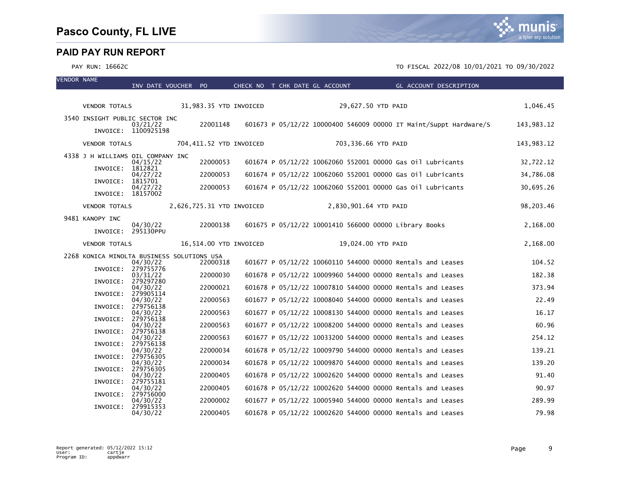VENDOR NAME



|                                           | INV DATE VOUCHER PO   |                                            | CHECK NO T CHK DATE GL ACCOUNT |                       | GL ACCOUNT DESCRIPTION                                            |            |
|-------------------------------------------|-----------------------|--------------------------------------------|--------------------------------|-----------------------|-------------------------------------------------------------------|------------|
|                                           |                       |                                            |                                |                       |                                                                   |            |
| VENDOR TOTALS                             |                       | 31,983.35 YTD INVOICED                     |                                |                       | 29,627.50 YTD PAID                                                | 1,046.45   |
| 3540 INSIGHT PUBLIC SECTOR INC            | 03/21/22              | 22001148                                   |                                |                       | 601673 P 05/12/22 10000400 546009 00000 IT Maint/Suppt Hardware/S | 143,983.12 |
|                                           | INVOICE: 1100925198   |                                            |                                |                       |                                                                   |            |
| <b>VENDOR TOTALS</b>                      |                       | 704,411.52 YTD INVOICED                    |                                |                       | 703,336.66 YTD PAID                                               | 143,983.12 |
| 4338 J H WILLIAMS OIL COMPANY INC         | 04/15/22              | 22000053                                   |                                |                       | 601674 P 05/12/22 10062060 552001 00000 Gas 011 Lubricants        | 32,722.12  |
| INVOICE:                                  | 1812821<br>04/27/22   | 22000053                                   |                                |                       | 601674 P 05/12/22 10062060 552001 00000 Gas 011 Lubricants        | 34,786.08  |
| INVOICE:                                  | 1815701<br>04/27/22   | 22000053                                   |                                |                       | 601674 P 05/12/22 10062060 552001 00000 Gas 01l Lubricants        | 30,695.26  |
| INVOICE: 18157002<br><b>VENDOR TOTALS</b> |                       | 2,626,725.31 YTD INVOICED                  |                                | 2,830,901.64 YTD PAID |                                                                   | 98,203.46  |
|                                           |                       |                                            |                                |                       |                                                                   |            |
| 9481 KANOPY INC<br>INVOICE: 295130PPU     | 04/30/22              | 22000138                                   |                                |                       | 601675 P 05/12/22 10001410 566000 00000 Library Books             | 2,168.00   |
| <b>VENDOR TOTALS</b>                      |                       | 16,514.00 YTD INVOICED                     |                                |                       | 19,024.00 YTD PAID                                                | 2,168.00   |
|                                           |                       | 2268 KONICA MINOLTA BUSINESS SOLUTIONS USA |                                |                       |                                                                   |            |
| INVOICE: 279755776                        | 04/30/22              | 22000318                                   |                                |                       | 601677 P 05/12/22 10060110 544000 00000 Rentals and Leases        | 104.52     |
|                                           | 03/31/22<br>279297280 | 22000030                                   |                                |                       | 601678 P 05/12/22 10009960 544000 00000 Rentals and Leases        | 182.38     |
| INVOICE:<br>INVOICE: 279905114            | 04/30/22              | 22000021                                   |                                |                       | 601678 P 05/12/22 10007810 544000 00000 Rentals and Leases        | 373.94     |
|                                           | 04/30/22              | 22000563                                   |                                |                       | 601677 P 05/12/22 10008040 544000 00000 Rentals and Leases        | 22.49      |
| INVOICE:<br>INVOICE: 279756138            | 279756138<br>04/30/22 | 22000563                                   |                                |                       | 601677 P 05/12/22 10008130 544000 00000 Rentals and Leases        | 16.17      |
|                                           | 04/30/22              | 22000563                                   |                                |                       | 601677 P 05/12/22 10008200 544000 00000 Rentals and Leases        | 60.96      |
| INVOICE: 279756138<br>INVOICE:            | 04/30/22<br>279756138 | 22000563                                   |                                |                       | 601677 P 05/12/22 10033200 544000 00000 Rentals and Leases        | 254.12     |
|                                           | 04/30/22              | 22000034                                   |                                |                       | 601678 P 05/12/22 10009790 544000 00000 Rentals and Leases        | 139.21     |
| INVOICE:                                  | 279756305<br>04/30/22 | 22000034                                   |                                |                       | 601678 P 05/12/22 10009870 544000 00000 Rentals and Leases        | 139.20     |
| INVOICE:                                  | 279756305<br>04/30/22 | 22000405                                   |                                |                       | 601678 P 05/12/22 10002620 544000 00000 Rentals and Leases        | 91.40      |
| INVOICE: 279755181                        | 04/30/22              | 22000405                                   |                                |                       | 601678 P 05/12/22 10002620 544000 00000 Rentals and Leases        | 90.97      |
| INVOICE: 279756000                        |                       |                                            |                                |                       |                                                                   |            |
| INVOICE: 279915353                        | 04/30/22              | 22000002                                   |                                |                       | 601677 P 05/12/22 10005940 544000 00000 Rentals and Leases        | 289.99     |
|                                           | 04/30/22              | 22000405                                   |                                |                       | 601678 P 05/12/22 10002620 544000 00000 Rentals and Leases        | 79.98      |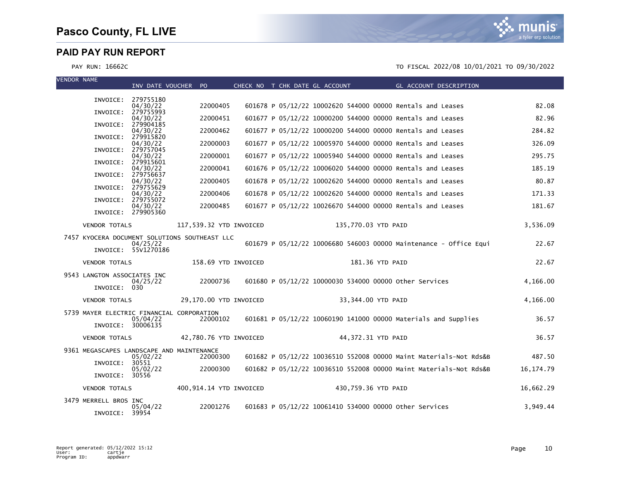

| <b>VENDOR NAME</b> |                                           | INV DATE VOUCHER PO             |                                               |  | CHECK NO T CHK DATE GL ACCOUNT |                     |                                                            | <b>Example 2</b> GL ACCOUNT DESCRIPTION                           |             |
|--------------------|-------------------------------------------|---------------------------------|-----------------------------------------------|--|--------------------------------|---------------------|------------------------------------------------------------|-------------------------------------------------------------------|-------------|
|                    |                                           | INVOICE: 279755180              |                                               |  |                                |                     |                                                            |                                                                   |             |
|                    |                                           | 04/30/22                        | 22000405                                      |  |                                |                     | 601678 P 05/12/22 10002620 544000 00000 Rentals and Leases |                                                                   | 82.08       |
|                    |                                           | INVOICE: 279755993<br>04/30/22  | 22000451                                      |  |                                |                     | 601677 P 05/12/22 10000200 544000 00000 Rentals and Leases |                                                                   | 82.96       |
|                    |                                           | INVOICE: 279904185<br>04/30/22  | 22000462                                      |  |                                |                     | 601677 P 05/12/22 10000200 544000 00000 Rentals and Leases |                                                                   | 284.82      |
|                    | INVOICE:                                  | 279915820<br>04/30/22           | 22000003                                      |  |                                |                     | 601677 P 05/12/22 10005970 544000 00000 Rentals and Leases |                                                                   | 326.09      |
|                    | INVOICE:                                  | 279757045                       |                                               |  |                                |                     |                                                            |                                                                   |             |
|                    |                                           | 04/30/22<br>INVOICE: 279915601  | 22000001                                      |  |                                |                     | 601677 P 05/12/22 10005940 544000 00000 Rentals and Leases |                                                                   | 295.75      |
|                    |                                           | 04/30/22<br>INVOICE: 279756637  | 22000041                                      |  |                                |                     | 601676 P 05/12/22 10006020 544000 00000 Rentals and Leases |                                                                   | 185.19      |
|                    |                                           | 04/30/22<br>INVOICE: 279755629  | 22000405                                      |  |                                |                     | 601678 P 05/12/22 10002620 544000 00000 Rentals and Leases |                                                                   | 80.87       |
|                    |                                           | 04/30/22                        | 22000406                                      |  |                                |                     | 601678 P 05/12/22 10002620 544000 00000 Rentals and Leases |                                                                   | 171.33      |
|                    |                                           | INVOICE: 279755072<br>04/30/22  | 22000485                                      |  |                                |                     | 601677 P 05/12/22 10026670 544000 00000 Rentals and Leases |                                                                   | 181.67      |
|                    |                                           | INVOICE: 279905360              |                                               |  |                                |                     |                                                            |                                                                   |             |
|                    | <b>VENDOR TOTALS</b>                      |                                 | 117,539.32 YTD INVOICED                       |  |                                | 135,770.03 YTD PAID |                                                            |                                                                   | 3,536.09    |
|                    |                                           |                                 | 7457 KYOCERA DOCUMENT SOLUTIONS SOUTHEAST LLC |  |                                |                     |                                                            | 601679 P 05/12/22 10006680 546003 00000 Maintenance - Office Equi | 22.67       |
|                    |                                           | 04/25/22<br>INVOICE: 55V1270186 |                                               |  |                                |                     |                                                            |                                                                   |             |
|                    | <b>VENDOR TOTALS</b>                      |                                 | 158.69 YTD INVOICED                           |  |                                | 181.36 YTD PAID     |                                                            |                                                                   | 22.67       |
|                    | 9543 LANGTON ASSOCIATES INC               |                                 |                                               |  |                                |                     |                                                            |                                                                   |             |
|                    | INVOICE: 030                              | 04/25/22                        | 22000736                                      |  |                                |                     | 601680 P 05/12/22 10000030 534000 00000 other Services     |                                                                   | 4,166.00    |
|                    |                                           |                                 |                                               |  |                                |                     |                                                            |                                                                   |             |
|                    | <b>VENDOR TOTALS</b>                      |                                 | 29,170.00 YTD INVOICED                        |  |                                | 33,344.00 YTD PAID  |                                                            |                                                                   | 4,166.00    |
|                    | 5739 MAYER ELECTRIC FINANCIAL CORPORATION | 05/04/22                        | 22000102                                      |  |                                |                     |                                                            | 601681 P 05/12/22 10060190 141000 00000 Materials and Supplies    | 36.57       |
|                    | INVOICE: 30006135                         |                                 |                                               |  |                                |                     |                                                            |                                                                   |             |
|                    | <b>VENDOR TOTALS</b>                      |                                 | 42,780.76 YTD INVOICED                        |  |                                | 44,372.31 YTD PAID  |                                                            |                                                                   | 36.57       |
|                    | 9361 MEGASCAPES LANDSCAPE AND MAINTENANCE |                                 |                                               |  |                                |                     |                                                            |                                                                   |             |
|                    | INVOICE: 30551                            | 05/02/22                        | 22000300                                      |  |                                |                     |                                                            | 601682 P 05/12/22 10036510 552008 00000 Maint Materials-Not Rds&B | 487.50      |
|                    | INVOICE: 30556                            | 05/02/22                        | 22000300                                      |  |                                |                     |                                                            | 601682 P 05/12/22 10036510 552008 00000 Maint Materials-Not Rds&B | 16, 174. 79 |
|                    | <b>VENDOR TOTALS</b>                      |                                 | 400,914.14 YTD INVOICED                       |  |                                | 430,759.36 YTD PAID |                                                            |                                                                   | 16,662.29   |
|                    |                                           |                                 |                                               |  |                                |                     |                                                            |                                                                   |             |
|                    | 3479 MERRELL BROS INC                     | 05/04/22                        | 22001276                                      |  |                                |                     | 601683 P 05/12/22 10061410 534000 00000 other Services     |                                                                   | 3.949.44    |
|                    | INVOICE: 39954                            |                                 |                                               |  |                                |                     |                                                            |                                                                   |             |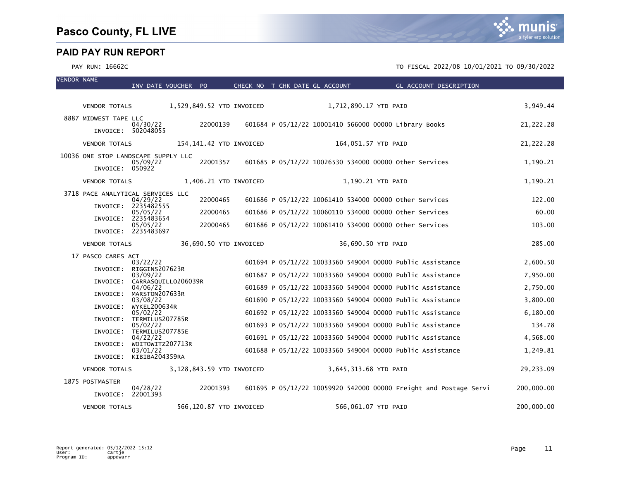VENDOR NAME



|                                     | INV DATE VOUCHER PO                      |                           | CHECK NO T CHK DATE GL ACCOUNT |                       | GL ACCOUNT DESCRIPTION                                            |            |
|-------------------------------------|------------------------------------------|---------------------------|--------------------------------|-----------------------|-------------------------------------------------------------------|------------|
| <b>VENDOR TOTALS</b>                |                                          | 1,529,849.52 YTD INVOICED |                                | 1,712,890.17 YTD PAID |                                                                   | 3,949.44   |
|                                     |                                          |                           |                                |                       |                                                                   |            |
| 8887 MIDWEST TAPE LLC               | 04/30/22                                 | 22000139                  |                                |                       | 601684 P 05/12/22 10001410 566000 00000 Library Books             | 21,222.28  |
|                                     | INVOICE: 502048055                       |                           |                                |                       |                                                                   |            |
| <b>VENDOR TOTALS</b>                |                                          | 154,141.42 YTD INVOICED   |                                | 164,051.57 YTD PAID   |                                                                   | 21,222.28  |
| 10036 ONE STOP LANDSCAPE SUPPLY LLC | 05/09/22                                 | 22001357                  |                                |                       | 601685 P 05/12/22 10026530 534000 00000 Other Services            | 1,190.21   |
| INVOICE: 050922                     |                                          |                           |                                |                       |                                                                   |            |
| <b>VENDOR TOTALS</b>                |                                          | 1,406.21 YTD INVOICED     |                                |                       | 1,190.21 YTD PAID                                                 | 1,190.21   |
| 3718 PACE ANALYTICAL SERVICES LLC   |                                          |                           |                                |                       |                                                                   |            |
|                                     | 04/29/22<br>INVOICE: 2235482555          | 22000465                  |                                |                       | 601686 P 05/12/22 10061410 534000 00000 other Services            | 122.00     |
|                                     | 05/05/22<br>INVOICE: 2235483654          | 22000465                  |                                |                       | 601686 P 05/12/22 10060110 534000 00000 other Services            | 60.00      |
|                                     | 05/05/22<br>INVOICE: 2235483697          | 22000465                  |                                |                       | 601686 P 05/12/22 10061410 534000 00000 other Services            | 103.00     |
|                                     |                                          |                           |                                |                       |                                                                   |            |
| <b>VENDOR TOTALS</b>                |                                          | 36,690.50 YTD INVOICED    |                                |                       | 36,690.50 YTD PAID                                                | 285.00     |
| 17 PASCO CARES ACT                  | 03/22/22                                 |                           |                                |                       | 601694 P 05/12/22 10033560 549004 00000 Public Assistance         | 2,600.50   |
|                                     | INVOICE: RIGGINS207623R                  |                           |                                |                       |                                                                   |            |
|                                     | 03/09/22<br>INVOICE: CARRASQUILLO206039R |                           |                                |                       | 601687 P 05/12/22 10033560 549004 00000 Public Assistance         | 7,950.00   |
| INVOICE:                            | 04/06/22<br>MARSTON207633R               |                           |                                |                       | 601689 P 05/12/22 10033560 549004 00000 Public Assistance         | 2,750.00   |
|                                     | 03/08/22                                 |                           |                                |                       | 601690 P 05/12/22 10033560 549004 00000 Public Assistance         | 3,800.00   |
| INVOICE:                            | <b>WYKEL200634R</b><br>05/02/22          |                           |                                |                       | 601692 P 05/12/22 10033560 549004 00000 Public Assistance         | 6,180.00   |
| INVOICE:                            | TERMILUS207785R<br>05/02/22              |                           |                                |                       | 601693 P 05/12/22 10033560 549004 00000 Public Assistance         | 134.78     |
| INVOICE:                            | TERMILUS207785E<br>04/22/22              |                           |                                |                       | 601691 P 05/12/22 10033560 549004 00000 Public Assistance         | 4,568.00   |
| INVOICE:                            | WOITOWITZ207713R                         |                           |                                |                       |                                                                   |            |
|                                     | 03/01/22<br>INVOICE: KIBIBA204359RA      |                           |                                |                       | 601688 P 05/12/22 10033560 549004 00000 Public Assistance         | 1,249.81   |
| <b>VENDOR TOTALS</b>                |                                          | 3,128,843.59 YTD INVOICED |                                | 3,645,313.68 YTD PAID |                                                                   | 29,233.09  |
| 1875 POSTMASTER                     |                                          |                           |                                |                       |                                                                   |            |
| INVOICE: 22001393                   | 04/28/22                                 | 22001393                  |                                |                       | 601695 P 05/12/22 10059920 542000 00000 Freight and Postage Servi | 200,000.00 |
| <b>VENDOR TOTALS</b>                |                                          | 566,120.87 YTD INVOICED   |                                | 566,061.07 YTD PAID   |                                                                   | 200,000.00 |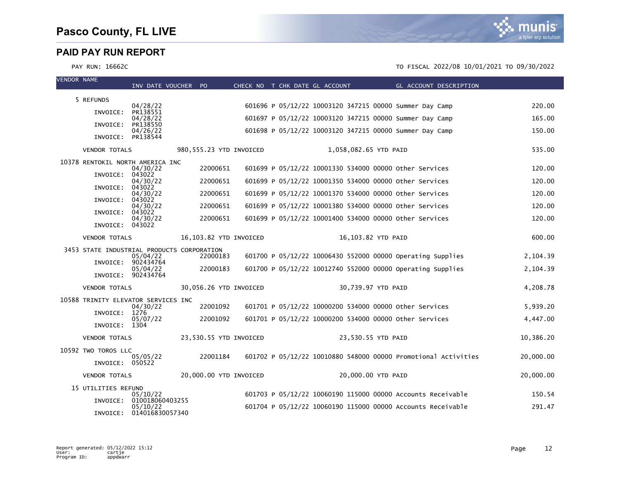| <b>VENDOR NAME</b> |                                            | INV DATE VOUCHER PO                  |                         |  | CHECK NO T CHK DATE GL ACCOUNT |                                                             | GL ACCOUNT DESCRIPTION                                         |           |
|--------------------|--------------------------------------------|--------------------------------------|-------------------------|--|--------------------------------|-------------------------------------------------------------|----------------------------------------------------------------|-----------|
|                    |                                            |                                      |                         |  |                                |                                                             |                                                                |           |
|                    | 5 REFUNDS                                  | 04/28/22                             |                         |  |                                | 601696 P 05/12/22 10003120 347215 00000 Summer Day Camp     |                                                                | 220.00    |
|                    | INVOICE:                                   | PR138551<br>04/28/22                 |                         |  |                                | 601697 P 05/12/22 10003120 347215 00000 Summer Day Camp     |                                                                | 165.00    |
|                    | INVOICE:                                   | PR138550                             |                         |  |                                |                                                             |                                                                |           |
|                    | INVOICE:                                   | 04/26/22<br>PR138544                 |                         |  |                                | 601698 P 05/12/22 10003120 347215 00000 Summer Day Camp     |                                                                | 150.00    |
|                    | <b>VENDOR TOTALS</b>                       |                                      | 980,555.23 YTD INVOICED |  |                                | 1,058,082.65 YTD PAID                                       |                                                                | 535.00    |
|                    | 10378 RENTOKIL NORTH AMERICA INC           |                                      |                         |  |                                |                                                             |                                                                |           |
|                    | INVOICE:                                   | 04/30/22<br>043022                   | 22000651                |  |                                | 601699 P 05/12/22 10001330 534000 00000 Other Services      |                                                                | 120.00    |
|                    | INVOICE:                                   | 04/30/22<br>043022                   | 22000651                |  |                                | 601699 P 05/12/22 10001350 534000 00000 other Services      |                                                                | 120.00    |
|                    | INVOICE:                                   | 04/30/22<br>043022                   | 22000651                |  |                                | 601699 P 05/12/22 10001370 534000 00000 other Services      |                                                                | 120.00    |
|                    |                                            | 04/30/22                             | 22000651                |  |                                | 601699 P 05/12/22 10001380 534000 00000 Other Services      |                                                                | 120.00    |
|                    | INVOICE:                                   | 043022<br>04/30/22                   | 22000651                |  |                                | 601699 P 05/12/22 10001400 534000 00000 other Services      |                                                                | 120.00    |
|                    | INVOICE: 043022                            |                                      |                         |  |                                |                                                             |                                                                |           |
|                    | <b>VENDOR TOTALS</b>                       |                                      | 16,103.82 YTD INVOICED  |  |                                | 16,103.82 YTD PAID                                          |                                                                | 600.00    |
|                    | 3453 STATE INDUSTRIAL PRODUCTS CORPORATION | 05/04/22                             | 22000183                |  |                                | 601700 P 05/12/22 10006430 552000 00000 Operating Supplies  |                                                                | 2,104.39  |
|                    | INVOICE:                                   | 902434764                            |                         |  |                                |                                                             |                                                                |           |
|                    |                                            | 05/04/22<br>INVOICE: 902434764       | 22000183                |  |                                | 601700 P 05/12/22 10012740 552000 00000 Operating Supplies  |                                                                | 2,104.39  |
|                    | <b>VENDOR TOTALS</b>                       |                                      | 30,056.26 YTD INVOICED  |  |                                | 30,739.97 YTD PAID                                          |                                                                | 4,208.78  |
|                    | 10588 TRINITY ELEVATOR SERVICES INC        |                                      |                         |  |                                |                                                             |                                                                |           |
|                    | INVOICE:                                   | 04/30/22<br>1276                     | 22001092                |  |                                | 601701 P 05/12/22 10000200 534000 00000 other Services      |                                                                | 5,939.20  |
|                    | INVOICE: 1304                              | 05/07/22                             | 22001092                |  |                                | 601701 P 05/12/22 10000200 534000 00000 other Services      |                                                                | 4,447.00  |
|                    | <b>VENDOR TOTALS</b>                       |                                      | 23,530.55 YTD INVOICED  |  |                                | 23,530.55 YTD PAID                                          |                                                                | 10,386.20 |
|                    | 10592 TWO TOROS LLC                        |                                      |                         |  |                                |                                                             |                                                                |           |
|                    | INVOICE: 050522                            | 05/05/22                             | 22001184                |  |                                |                                                             | 601702 P 05/12/22 10010880 548000 00000 Promotional Activities | 20,000.00 |
|                    | <b>VENDOR TOTALS</b>                       |                                      | 20,000.00 YTD INVOICED  |  |                                | 20,000.00 YTD PAID                                          |                                                                | 20,000.00 |
|                    | 15 UTILITIES REFUND                        |                                      |                         |  |                                |                                                             |                                                                |           |
|                    | INVOICE:                                   | 05/10/22<br>010018060403255          |                         |  |                                | 601703 P 05/12/22 10060190 115000 00000 Accounts Receivable |                                                                | 150.54    |
|                    |                                            | 05/10/22<br>INVOICE: 014016830057340 |                         |  |                                | 601704 P 05/12/22 10060190 115000 00000 Accounts Receivable |                                                                | 291.47    |

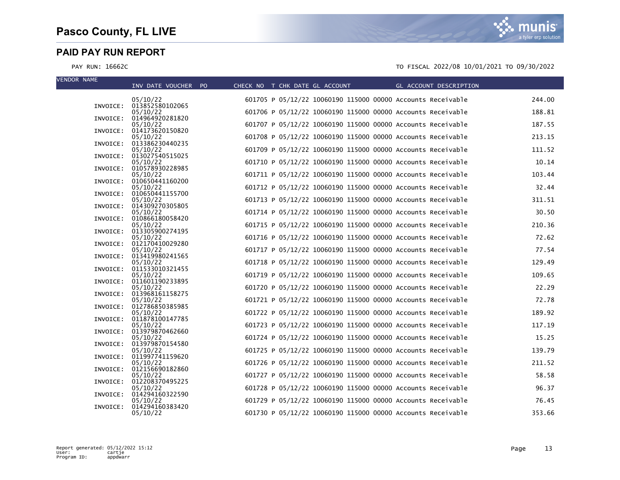| <b>VENDOR NAME</b> |          | INV DATE VOUCHER PO                  | CHECK NO T CHK DATE GL ACCOUNT |                                                             | GL ACCOUNT DESCRIPTION |        |
|--------------------|----------|--------------------------------------|--------------------------------|-------------------------------------------------------------|------------------------|--------|
|                    |          | 05/10/22                             |                                | 601705 P 05/12/22 10060190 115000 00000 Accounts Receivable |                        | 244.00 |
|                    | INVOICE: | 013852580102065<br>05/10/22          |                                | 601706 P 05/12/22 10060190 115000 00000 Accounts Receivable |                        | 188.81 |
|                    | INVOICE: | 014964920281820<br>05/10/22          |                                | 601707 P 05/12/22 10060190 115000 00000 Accounts Receivable |                        | 187.55 |
|                    | INVOICE: | 014173620150820<br>05/10/22          |                                | 601708 P 05/12/22 10060190 115000 00000 Accounts Receivable |                        | 213.15 |
|                    | INVOICE: | 013386230440235                      |                                |                                                             |                        |        |
|                    | INVOICE: | 05/10/22<br>013027540515025          |                                | 601709 P 05/12/22 10060190 115000 00000 Accounts Receivable |                        | 111.52 |
|                    | INVOICE: | 05/10/22<br>010578930228985          |                                | 601710 P 05/12/22 10060190 115000 00000 Accounts Receivable |                        | 10.14  |
|                    | INVOICE: | 05/10/22<br>010650441160200          |                                | 601711 P 05/12/22 10060190 115000 00000 Accounts Receivable |                        | 103.44 |
|                    | INVOICE: | 05/10/22<br>010650441155700          |                                | 601712 P 05/12/22 10060190 115000 00000 Accounts Receivable |                        | 32.44  |
|                    |          | 05/10/22                             |                                | 601713 P 05/12/22 10060190 115000 00000 Accounts Receivable |                        | 311.51 |
|                    | INVOICE: | 014309270305805<br>05/10/22          |                                | 601714 P 05/12/22 10060190 115000 00000 Accounts Receivable |                        | 30.50  |
|                    | INVOICE: | 010866180058420<br>05/10/22          |                                | 601715 P 05/12/22 10060190 115000 00000 Accounts Receivable |                        | 210.36 |
|                    | INVOICE: | 013305900274195<br>05/10/22          |                                | 601716 P 05/12/22 10060190 115000 00000 Accounts Receivable |                        | 72.62  |
|                    | INVOICE: | 012170410029280<br>05/10/22          |                                | 601717 P 05/12/22 10060190 115000 00000 Accounts Receivable |                        | 77.54  |
|                    | INVOICE: | 013419980241565                      |                                |                                                             |                        |        |
|                    |          | 05/10/22<br>INVOICE: 011533010321455 |                                | 601718 P 05/12/22 10060190 115000 00000 Accounts Receivable |                        | 129.49 |
|                    | INVOICE: | 05/10/22<br>011601190233895          |                                | 601719 P 05/12/22 10060190 115000 00000 Accounts Receivable |                        | 109.65 |
|                    | INVOICE: | 05/10/22<br>013968161158275          |                                | 601720 P 05/12/22 10060190 115000 00000 Accounts Receivable |                        | 22.29  |
|                    | INVOICE: | 05/10/22<br>012786850385985          |                                | 601721 P 05/12/22 10060190 115000 00000 Accounts Receivable |                        | 72.78  |
|                    |          | 05/10/22                             |                                | 601722 P 05/12/22 10060190 115000 00000 Accounts Receivable |                        | 189.92 |
|                    | INVOICE: | 011878100147785<br>05/10/22          |                                | 601723 P 05/12/22 10060190 115000 00000 Accounts Receivable |                        | 117.19 |
|                    | INVOICE: | 013979870462660<br>05/10/22          |                                | 601724 P 05/12/22 10060190 115000 00000 Accounts Receivable |                        | 15.25  |
|                    | INVOICE: | 013979870154580<br>05/10/22          |                                | 601725 P 05/12/22 10060190 115000 00000 Accounts Receivable |                        | 139.79 |
|                    | INVOICE: | 011997741159620<br>05/10/22          |                                | 601726 P 05/12/22 10060190 115000 00000 Accounts Receivable |                        | 211.52 |
|                    | INVOICE: | 012156690182860                      |                                |                                                             |                        |        |
|                    | INVOICE: | 05/10/22<br>012208370495225          |                                | 601727 P 05/12/22 10060190 115000 00000 Accounts Receivable |                        | 58.58  |
|                    | INVOICE: | 05/10/22<br>014294160322590          |                                | 601728 P 05/12/22 10060190 115000 00000 Accounts Receivable |                        | 96.37  |
|                    | INVOICE: | 05/10/22<br>014294160383420          |                                | 601729 P 05/12/22 10060190 115000 00000 Accounts Receivable |                        | 76.45  |
|                    |          | 05/10/22                             |                                | 601730 P 05/12/22 10060190 115000 00000 Accounts Receivable |                        | 353.66 |

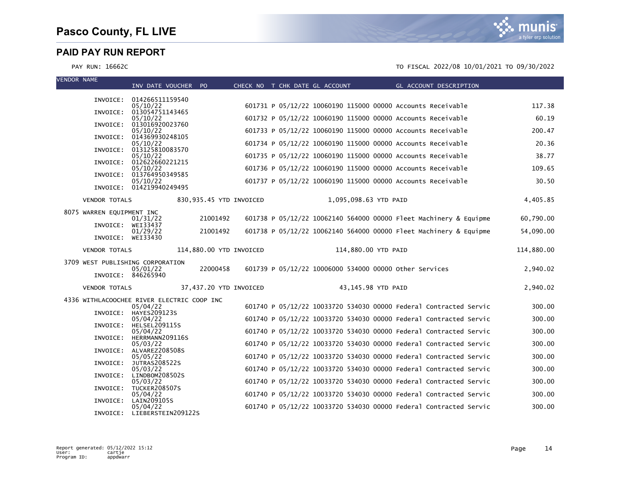| <b>VENDOR NAME</b>               | INV DATE VOUCHER PO                                    |                         |  | CHECK NO T CHK DATE GL ACCOUNT |                       | <b>Example 2018 GL ACCOUNT DESCRIPTION</b>                        |            |
|----------------------------------|--------------------------------------------------------|-------------------------|--|--------------------------------|-----------------------|-------------------------------------------------------------------|------------|
|                                  |                                                        |                         |  |                                |                       |                                                                   |            |
|                                  | INVOICE: 014266511159540<br>05/10/22                   |                         |  |                                |                       | 601731 P 05/12/22 10060190 115000 00000 Accounts Receivable       | 117.38     |
| INVOICE:                         | 013054751143465<br>05/10/22                            |                         |  |                                |                       | 601732 P 05/12/22 10060190 115000 00000 Accounts Receivable       | 60.19      |
|                                  | INVOICE: 013016920023760                               |                         |  |                                |                       |                                                                   |            |
| INVOICE:                         | 05/10/22<br>014369930248105                            |                         |  |                                |                       | 601733 P 05/12/22 10060190 115000 00000 Accounts Receivable       | 200.47     |
|                                  | 05/10/22<br>INVOICE: 013125810083570                   |                         |  |                                |                       | 601734 P 05/12/22 10060190 115000 00000 Accounts Receivable       | 20.36      |
|                                  | 05/10/22                                               |                         |  |                                |                       | 601735 P 05/12/22 10060190 115000 00000 Accounts Receivable       | 38.77      |
|                                  | INVOICE: 012622660221215<br>05/10/22                   |                         |  |                                |                       | 601736 P 05/12/22 10060190 115000 00000 Accounts Receivable       | 109.65     |
| INVOICE:                         | 013764950349585<br>05/10/22                            |                         |  |                                |                       | 601737 P 05/12/22 10060190 115000 00000 Accounts Receivable       | 30.50      |
|                                  | INVOICE: 014219940249495                               |                         |  |                                |                       |                                                                   |            |
| <b>VENDOR TOTALS</b>             |                                                        | 830,935.45 YTD INVOICED |  |                                | 1,095,098.63 YTD PAID |                                                                   | 4,405.85   |
| 8075 WARREN EQUIPMENT INC        | 01/31/22                                               | 21001492                |  |                                |                       | 601738 P 05/12/22 10062140 564000 00000 Fleet Machinery & Equipme | 60,790.00  |
| INVOICE: WEI33437                |                                                        |                         |  |                                |                       |                                                                   |            |
| INVOICE: WEI33430                | 01/29/22                                               | 21001492                |  |                                |                       | 601738 P 05/12/22 10062140 564000 00000 Fleet Machinery & Equipme | 54,090.00  |
| <b>VENDOR TOTALS</b>             |                                                        | 114,880.00 YTD INVOICED |  |                                | 114,880.00 YTD PAID   |                                                                   | 114,880.00 |
| 3709 WEST PUBLISHING CORPORATION | 05/01/22<br>INVOICE: 846265940                         | 22000458                |  |                                |                       | 601739 P 05/12/22 10006000 534000 00000 other Services            | 2,940.02   |
|                                  |                                                        | 37,437.20 YTD INVOICED  |  |                                | 43,145.98 YTD PAID    |                                                                   | 2,940.02   |
| <b>VENDOR TOTALS</b>             |                                                        |                         |  |                                |                       |                                                                   |            |
|                                  | 4336 WITHLACOOCHEE RIVER ELECTRIC COOP INC<br>05/04/22 |                         |  |                                |                       | 601740 P 05/12/22 10033720 534030 00000 Federal Contracted Servic | 300.00     |
|                                  | INVOICE: HAYES209123S<br>05/04/22                      |                         |  |                                |                       | 601740 P 05/12/22 10033720 534030 00000 Federal Contracted Servic | 300.00     |
|                                  | INVOICE: HELSEL209115S                                 |                         |  |                                |                       |                                                                   |            |
|                                  | 05/04/22<br>INVOICE: HERRMANN209116S                   |                         |  |                                |                       | 601740 P 05/12/22 10033720 534030 00000 Federal Contracted Servic | 300.00     |
| INVOICE:                         | 05/03/22<br>ALVAREZ208508S                             |                         |  |                                |                       | 601740 P 05/12/22 10033720 534030 00000 Federal Contracted Servic | 300.00     |
| INVOICE:                         | 05/05/22<br><b>JUTRAS208522S</b>                       |                         |  |                                |                       | 601740 P 05/12/22 10033720 534030 00000 Federal Contracted Servic | 300.00     |
|                                  | 05/03/22                                               |                         |  |                                |                       | 601740 P 05/12/22 10033720 534030 00000 Federal Contracted Servic | 300.00     |
| INVOICE:                         | LINDBOM208502S<br>05/03/22                             |                         |  |                                |                       | 601740 P 05/12/22 10033720 534030 00000 Federal Contracted Servic | 300.00     |
|                                  | INVOICE: TUCKER208507S<br>05/04/22                     |                         |  |                                |                       | 601740 P 05/12/22 10033720 534030 00000 Federal Contracted Servic | 300.00     |
| INVOICE:                         | LAIN209105S                                            |                         |  |                                |                       |                                                                   |            |
|                                  | 05/04/22<br>INVOICE: LIEBERSTEIN209122S                |                         |  |                                |                       | 601740 P 05/12/22 10033720 534030 00000 Federal Contracted Servic | 300.00     |

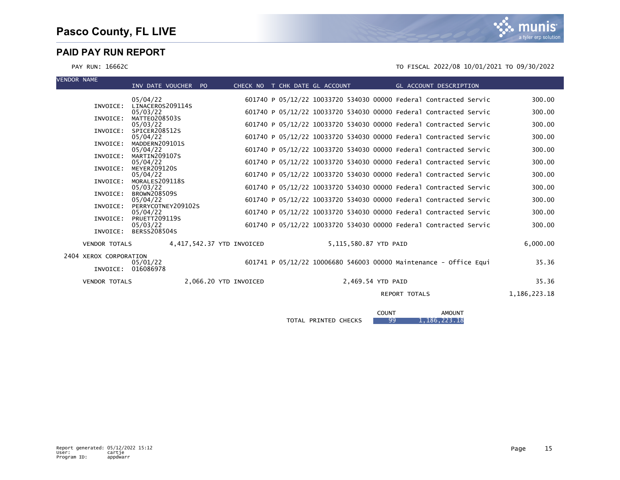PAY RUN: 16662C TO FISCAL 2022/08 10/01/2021 TO 09/30/2022

| <b>VENDOR NAME</b> |                                              | INV DATE VOUCHER PO                               |                           | CHECK NO T CHK DATE GL ACCOUNT |  |                       | GL ACCOUNT DESCRIPTION                                                                                                                 |                  |
|--------------------|----------------------------------------------|---------------------------------------------------|---------------------------|--------------------------------|--|-----------------------|----------------------------------------------------------------------------------------------------------------------------------------|------------------|
|                    |                                              | 05/04/22                                          |                           |                                |  |                       | 601740 P 05/12/22 10033720 534030 00000 Federal Contracted Servic                                                                      | 300.00           |
|                    | INVOICE:                                     | LINACEROS209114S<br>05/03/22                      |                           |                                |  |                       | 601740 P 05/12/22 10033720 534030 00000 Federal Contracted Servic                                                                      | 300.00           |
|                    | INVOICE:<br>INVOICE:                         | <b>MATTEO208503S</b><br>05/03/22<br>SPICER208512S |                           |                                |  |                       | 601740 P 05/12/22 10033720 534030 00000 Federal Contracted Servic                                                                      | 300.00           |
|                    | INVOICE:                                     | 05/04/22<br>MADDERN209101S                        |                           |                                |  |                       | 601740 P 05/12/22 10033720 534030 00000 Federal Contracted Servic                                                                      | 300.00           |
|                    | INVOICE:                                     | 05/04/22<br>MARTIN209107S                         |                           |                                |  |                       | 601740 P 05/12/22 10033720 534030 00000 Federal Contracted Servic                                                                      | 300.00           |
|                    | INVOICE:                                     | 05/04/22<br><b>MEYER209120S</b>                   |                           |                                |  |                       | 601740 P 05/12/22 10033720 534030 00000 Federal Contracted Servic                                                                      | 300.00           |
|                    | INVOICE:                                     | 05/04/22<br>MORALES209118S                        |                           |                                |  |                       | 601740 P 05/12/22 10033720 534030 00000 Federal Contracted Servic                                                                      | 300.00           |
|                    | INVOICE:                                     | 05/03/22<br><b>BROWN208509S</b>                   |                           |                                |  |                       | 601740 P 05/12/22 10033720 534030 00000 Federal Contracted Servic                                                                      | 300.00           |
|                    | INVOICE:                                     | 05/04/22<br>PERRYCOTNEY209102S                    |                           |                                |  |                       | 601740 P 05/12/22 10033720 534030 00000 Federal Contracted Servic                                                                      | 300.00           |
|                    | INVOICE:                                     | 05/04/22<br><b>PRUETT209119S</b><br>05/03/22      |                           |                                |  |                       | 601740 P 05/12/22 10033720 534030 00000 Federal Contracted Servic<br>601740 P 05/12/22 10033720 534030 00000 Federal Contracted Servic | 300.00<br>300.00 |
|                    | INVOICE:                                     | <b>BERSS208504S</b>                               |                           |                                |  |                       |                                                                                                                                        |                  |
|                    | <b>VENDOR TOTALS</b>                         |                                                   | 4,417,542.37 YTD INVOICED |                                |  | 5.115.580.87 YTD PAID |                                                                                                                                        | 6.000.00         |
|                    | 2404 XEROX CORPORATION<br>INVOICE: 016086978 | 05/01/22                                          |                           |                                |  |                       | 601741 P 05/12/22 10006680 546003 00000 Maintenance - Office Equi                                                                      | 35.36            |
|                    | <b>VENDOR TOTALS</b>                         |                                                   | 2.066.20 YTD INVOICED     |                                |  | 2.469.54 YTD PAID     |                                                                                                                                        | 35.36            |
|                    |                                              |                                                   |                           |                                |  |                       | <b>REPORT TOTALS</b>                                                                                                                   | 1,186,223.18     |
|                    |                                              |                                                   |                           |                                |  | <b>COUNT</b>          | <b>AMOUNT</b>                                                                                                                          |                  |

TOTAL PRINTED CHECKS 99 1, 186, 223.18

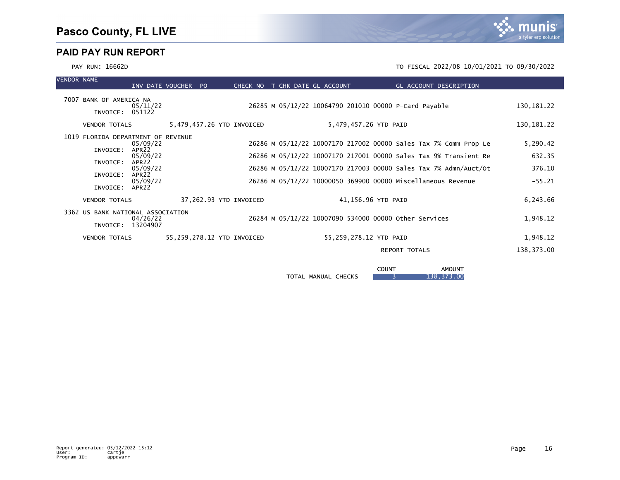| <b>VENDOR NAME</b> |                                                                                          | INV DATE VOUCHER PO                                                                                         |  | CHECK NO T CHK DATE GL ACCOUNT |  |  |                                                                                                                                                                                                      | GL ACCOUNT DESCRIPTION |                                                                  |                                          |
|--------------------|------------------------------------------------------------------------------------------|-------------------------------------------------------------------------------------------------------------|--|--------------------------------|--|--|------------------------------------------------------------------------------------------------------------------------------------------------------------------------------------------------------|------------------------|------------------------------------------------------------------|------------------------------------------|
|                    | 7007 BANK OF AMERICA NA<br>INVOICE: 051122                                               | 05/11/22                                                                                                    |  |                                |  |  | 26285 M 05/12/22 10064790 201010 00000 P-Card Payable                                                                                                                                                |                        |                                                                  | 130, 181. 22                             |
|                    | <b>VENDOR TOTALS</b>                                                                     |                                                                                                             |  | 5,479,457.26 YTD INVOICED      |  |  | 5,479,457.26 YTD PAID                                                                                                                                                                                |                        |                                                                  | 130, 181. 22                             |
|                    | 1019 FLORIDA DEPARTMENT OF REVENUE<br>INVOICE:<br>INVOICE:<br>INVOICE:<br>INVOICE: APR22 | 05/09/22<br>APR <sub>22</sub><br>05/09/22<br>APR <sub>22</sub><br>05/09/22<br>APR <sub>22</sub><br>05/09/22 |  |                                |  |  | 26286 M 05/12/22 10007170 217002 00000 Sales Tax 7% Comm Prop Le<br>26286 M 05/12/22 10007170 217001 00000 Sales Tax 9% Transient Re<br>26286 M 05/12/22 10000050 369900 00000 Miscellaneous Revenue |                        | 26286 M 05/12/22 10007170 217003 00000 Sales Tax 7% Admn/Auct/Ot | 5,290.42<br>632.35<br>376.10<br>$-55.21$ |
|                    | <b>VENDOR TOTALS</b>                                                                     |                                                                                                             |  | 37,262.93 YTD INVOICED         |  |  | 41,156.96 YTD PAID                                                                                                                                                                                   |                        |                                                                  | 6,243.66                                 |
|                    | 3362 US BANK NATIONAL ASSOCIATION<br>INVOICE: 13204907                                   | 04/26/22                                                                                                    |  |                                |  |  | 26284 M 05/12/22 10007090 534000 00000 other Services                                                                                                                                                |                        |                                                                  | 1,948.12                                 |
|                    | <b>VENDOR TOTALS</b>                                                                     |                                                                                                             |  | 55,259,278.12 YTD INVOICED     |  |  | 55,259,278.12 YTD PAID                                                                                                                                                                               |                        |                                                                  | 1,948.12                                 |
|                    |                                                                                          |                                                                                                             |  |                                |  |  | <b>REPORT TOTALS</b>                                                                                                                                                                                 |                        |                                                                  | 138,373.00                               |
|                    |                                                                                          |                                                                                                             |  |                                |  |  |                                                                                                                                                                                                      |                        |                                                                  |                                          |

|                                         | COUNT | <b>AMOUNT</b> |
|-----------------------------------------|-------|---------------|
| <b>TOTAL</b><br><b>CHECKS</b><br>MANUAL |       | 138.373.00    |

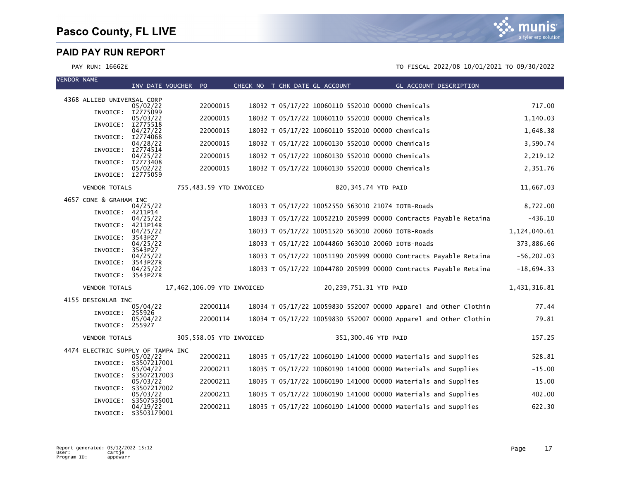



| <b>VENDOR NAME</b> |                                   | INV DATE VOUCHER PO              |                            |  | CHECK NO T CHK DATE GL ACCOUNT                    | GL ACCOUNT DESCRIPTION                                           |               |
|--------------------|-----------------------------------|----------------------------------|----------------------------|--|---------------------------------------------------|------------------------------------------------------------------|---------------|
|                    | 4368 ALLIED UNIVERSAL CORP        |                                  |                            |  |                                                   |                                                                  |               |
|                    | INVOICE: I2775099                 | 05/02/22                         | 22000015                   |  | 18032 T 05/17/22 10060110 552010 00000 Chemicals  |                                                                  | 717.00        |
|                    | INVOICE:                          | 05/03/22<br>I2775518             | 22000015                   |  | 18032 T 05/17/22 10060110 552010 00000 Chemicals  |                                                                  | 1,140.03      |
|                    | INVOICE:                          | 04/27/22<br>I2774068             | 22000015                   |  | 18032 T 05/17/22 10060110 552010 00000 Chemicals  |                                                                  | 1,648.38      |
|                    | INVOICE:                          | 04/28/22<br>I2774514             | 22000015                   |  | 18032 T 05/17/22 10060130 552010 00000 Chemicals  |                                                                  | 3,590.74      |
|                    | INVOICE:                          | 04/25/22<br>I2773408             | 22000015                   |  | 18032 T 05/17/22 10060130 552010 00000 Chemicals  |                                                                  | 2,219.12      |
|                    | INVOICE: I2775059                 | 05/02/22                         | 22000015                   |  | 18032 T 05/17/22 10060130 552010 00000 Chemicals  |                                                                  | 2,351.76      |
|                    | <b>VENDOR TOTALS</b>              |                                  | 755,483.59 YTD INVOICED    |  | 820,345.74 YTD PAID                               |                                                                  | 11,667.03     |
|                    | 4657 CONE & GRAHAM INC            |                                  |                            |  |                                                   |                                                                  |               |
|                    | INVOICE:                          | 04/25/22<br>4211P14              |                            |  | 18033 T 05/17/22 10052550 563010 21074 IOTB-Roads |                                                                  | 8,722.00      |
|                    | INVOICE:                          | 04/25/22<br>4211P14R             |                            |  |                                                   | 18033 T 05/17/22 10052210 205999 00000 Contracts Payable Retaina | $-436.10$     |
|                    | INVOICE: 3543P27                  | 04/25/22                         |                            |  | 18033 T 05/17/22 10051520 563010 20060 IOTB-Roads |                                                                  | 1,124,040.61  |
|                    | INVOICE:                          | 04/25/22<br>3543P27              |                            |  | 18033 T 05/17/22 10044860 563010 20060 IOTB-Roads |                                                                  | 373,886.66    |
|                    | INVOICE:                          | 04/25/22<br>3543P27R             |                            |  |                                                   | 18033 T 05/17/22 10051190 205999 00000 Contracts Payable Retaina | $-56, 202.03$ |
|                    | INVOICE: 3543P27R                 | 04/25/22                         |                            |  |                                                   | 18033 T 05/17/22 10044780 205999 00000 Contracts Payable Retaina | $-18,694.33$  |
|                    | <b>VENDOR TOTALS</b>              |                                  | 17,462,106.09 YTD INVOICED |  | 20,239,751.31 YTD PAID                            |                                                                  | 1,431,316.81  |
|                    | 4155 DESIGNLAB INC                |                                  |                            |  |                                                   |                                                                  |               |
|                    | INVOICE:                          | 05/04/22<br>255926               | 22000114                   |  |                                                   | 18034 T 05/17/22 10059830 552007 00000 Apparel and Other Clothin | 77.44         |
|                    | INVOICE: 255927                   | 05/04/22                         | 22000114                   |  |                                                   | 18034 T 05/17/22 10059830 552007 00000 Apparel and Other Clothin | 79.81         |
|                    | <b>VENDOR TOTALS</b>              |                                  | 305,558.05 YTD INVOICED    |  | 351,300.46 YTD PAID                               |                                                                  | 157.25        |
|                    | 4474 ELECTRIC SUPPLY OF TAMPA INC |                                  |                            |  |                                                   |                                                                  |               |
|                    |                                   | 05/02/22<br>INVOICE: S3507217001 | 22000211                   |  |                                                   | 18035 T 05/17/22 10060190 141000 00000 Materials and Supplies    | 528.81        |
|                    |                                   | 05/04/22<br>INVOICE: S3507217003 | 22000211                   |  |                                                   | 18035 T 05/17/22 10060190 141000 00000 Materials and Supplies    | $-15.00$      |
|                    |                                   | 05/03/22<br>INVOICE: S3507217002 | 22000211                   |  |                                                   | 18035 T 05/17/22 10060190 141000 00000 Materials and Supplies    | 15.00         |
|                    |                                   | 05/03/22<br>INVOICE: S3507535001 | 22000211                   |  |                                                   | 18035 T 05/17/22 10060190 141000 00000 Materials and Supplies    | 402.00        |
|                    | INVOICE:                          | 04/19/22<br>\$3503179001         | 22000211                   |  |                                                   | 18035 T 05/17/22 10060190 141000 00000 Materials and Supplies    | 622.30        |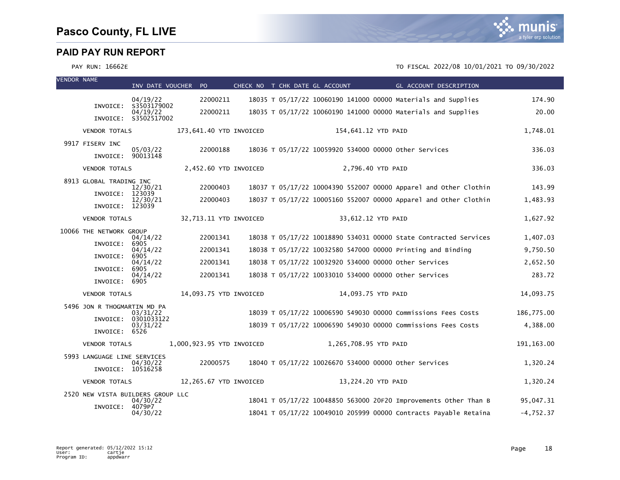

| <b>VENDOR NAME</b> |                                   | INV DATE VOUCHER PO     |                           | CHECK NO T CHK DATE GL ACCOUNT |                       | GL ACCOUNT DESCRIPTION                                           |             |
|--------------------|-----------------------------------|-------------------------|---------------------------|--------------------------------|-----------------------|------------------------------------------------------------------|-------------|
|                    |                                   | 04/19/22                | 22000211                  |                                |                       | 18035 T 05/17/22 10060190 141000 00000 Materials and Supplies    | 174.90      |
|                    | INVOICE:                          | S3503179002<br>04/19/22 | 22000211                  |                                |                       | 18035 T 05/17/22 10060190 141000 00000 Materials and Supplies    | 20.00       |
|                    |                                   | INVOICE: S3502517002    |                           |                                |                       |                                                                  |             |
|                    | <b>VENDOR TOTALS</b>              |                         | 173,641.40 YTD INVOICED   |                                | 154,641.12 YTD PAID   |                                                                  | 1,748.01    |
|                    | 9917 FISERV INC                   | 05/03/22                | 22000188                  |                                |                       | 18036 T 05/17/22 10059920 534000 00000 other Services            | 336.03      |
|                    | INVOICE: 90013148                 |                         |                           |                                |                       |                                                                  |             |
|                    | <b>VENDOR TOTALS</b>              |                         | 2,452.60 YTD INVOICED     |                                |                       | 2,796.40 YTD PAID                                                | 336.03      |
|                    | 8913 GLOBAL TRADING INC           | 12/30/21                | 22000403                  |                                |                       | 18037 T 05/17/22 10004390 552007 00000 Apparel and Other Clothin | 143.99      |
|                    | INVOICE:                          | 123039<br>12/30/21      | 22000403                  |                                |                       | 18037 T 05/17/22 10005160 552007 00000 Apparel and Other Clothin | 1,483.93    |
|                    | INVOICE: 123039                   |                         |                           |                                |                       |                                                                  |             |
|                    | <b>VENDOR TOTALS</b>              |                         | 32,713.11 YTD INVOICED    |                                |                       | 33,612.12 YTD PAID                                               | 1,627.92    |
|                    | 10066 THE NETWORK GROUP           | 04/14/22                | 22001341                  |                                |                       | 18038 T 05/17/22 10018890 534031 00000 State Contracted Services | 1,407.03    |
|                    | INVOICE:                          | 6905                    |                           |                                |                       |                                                                  |             |
|                    | INVOICE:                          | 04/14/22<br>6905        | 22001341                  |                                |                       | 18038 T 05/17/22 10032580 547000 00000 Printing and Binding      | 9,750.50    |
|                    | INVOICE:                          | 04/14/22<br>6905        | 22001341                  |                                |                       | 18038 T 05/17/22 10032920 534000 00000 other Services            | 2,652.50    |
|                    | INVOICE: 6905                     | 04/14/22                | 22001341                  |                                |                       | 18038 T 05/17/22 10033010 534000 00000 other Services            | 283.72      |
|                    | <b>VENDOR TOTALS</b>              |                         | 14,093.75 YTD INVOICED    |                                |                       | 14,093.75 YTD PAID                                               | 14,093.75   |
|                    | 5496 JON R THOGMARTIN MD PA       |                         |                           |                                |                       |                                                                  |             |
|                    | INVOICE:                          | 03/31/22<br>0301033122  |                           |                                |                       | 18039 T 05/17/22 10006590 549030 00000 Commissions Fees Costs    | 186,775.00  |
|                    | INVOICE: 6526                     | 03/31/22                |                           |                                |                       | 18039 T 05/17/22 10006590 549030 00000 Commissions Fees Costs    | 4,388.00    |
|                    | <b>VENDOR TOTALS</b>              |                         | 1,000,923.95 YTD INVOICED |                                | 1,265,708.95 YTD PAID |                                                                  | 191, 163.00 |
|                    | 5993 LANGUAGE LINE SERVICES       |                         |                           |                                |                       |                                                                  |             |
|                    | INVOICE: 10516258                 | 04/30/22                | 22000575                  |                                |                       | 18040 T 05/17/22 10026670 534000 00000 other Services            | 1,320.24    |
|                    | <b>VENDOR TOTALS</b>              |                         | 12,265.67 YTD INVOICED    |                                |                       | 13,224.20 YTD PAID                                               | 1,320.24    |
|                    | 2520 NEW VISTA BUILDERS GROUP LLC |                         |                           |                                |                       |                                                                  |             |
|                    | INVOICE: 4079P7                   | 04/30/22                |                           |                                |                       | 18041 T 05/17/22 10048850 563000 20F20 Improvements Other Than B | 95,047.31   |
|                    |                                   | 04/30/22                |                           |                                |                       | 18041 T 05/17/22 10049010 205999 00000 Contracts Payable Retaina | $-4,752.37$ |

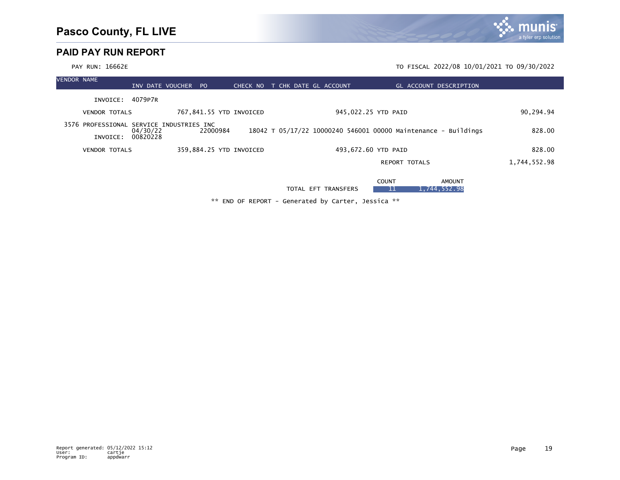|                    | PAY RUN: 16662E                          |                     |                         |          |  |                       |                                                                |                        | TO FISCAL 2022/08 10/01/2021 TO 09/30/2022 |  |
|--------------------|------------------------------------------|---------------------|-------------------------|----------|--|-----------------------|----------------------------------------------------------------|------------------------|--------------------------------------------|--|
| <b>VENDOR NAME</b> |                                          | INV DATE VOUCHER PO |                         | CHECK NO |  | T CHK DATE GL ACCOUNT |                                                                | GL ACCOUNT DESCRIPTION |                                            |  |
|                    | INVOICE: 4079P7R                         |                     |                         |          |  |                       |                                                                |                        |                                            |  |
|                    | <b>VENDOR TOTALS</b>                     |                     | 767,841.55 YTD INVOICED |          |  |                       | 945,022.25 YTD PAID                                            |                        | 90,294.94                                  |  |
|                    | 3576 PROFESSIONAL SERVICE INDUSTRIES INC | 04/30/22            | 22000984                |          |  |                       | 18042 T 05/17/22 10000240 546001 00000 Maintenance - Buildings |                        | 828.00                                     |  |
|                    | INVOICE: 00820228                        |                     |                         |          |  |                       |                                                                |                        |                                            |  |
|                    | <b>VENDOR TOTALS</b>                     |                     | 359,884.25 YTD INVOICED |          |  |                       | 493,672.60 YTD PAID                                            |                        | 828.00                                     |  |
|                    |                                          |                     |                         |          |  |                       | <b>REPORT TOTALS</b>                                           |                        | 1,744,552.98                               |  |
|                    |                                          |                     |                         |          |  |                       | <b>COUNT</b>                                                   | <b>AMOUNT</b>          |                                            |  |

TOTAL EFT TRANSFERS 11 1,744,552.98

\*\* END OF REPORT - Generated by Carter, Jessica \*\*

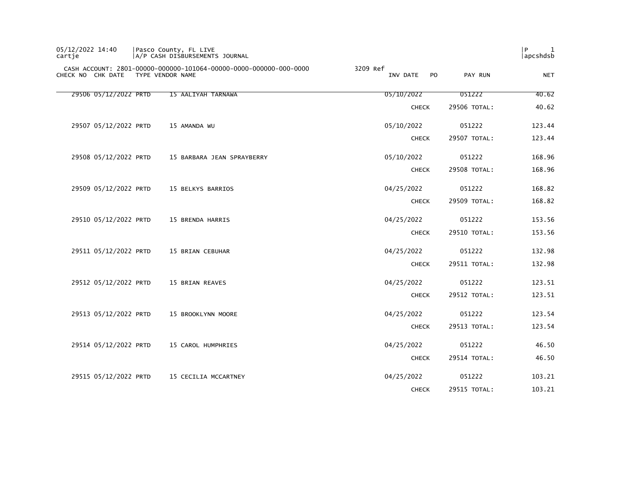| cartje                | A/P CASH DISBURSEMENTS JOURNAL                                                        |                                        |              | apcshdsb   |
|-----------------------|---------------------------------------------------------------------------------------|----------------------------------------|--------------|------------|
| CHECK NO CHK DATE     | CASH ACCOUNT: 2801-00000-000000-101064-00000-0000-000000-000-0000<br>TYPE VENDOR NAME | 3209 Ref<br>INV DATE<br>P <sub>O</sub> | PAY RUN      | <b>NET</b> |
| 29506 05/12/2022 PRTD | 15 AALIYAH TARNAWA                                                                    | 05/10/2022                             | 051222       | 40.62      |
|                       |                                                                                       | <b>CHECK</b>                           | 29506 TOTAL: | 40.62      |
| 29507 05/12/2022 PRTD | 15 AMANDA WU                                                                          | 05/10/2022                             | 051222       | 123.44     |
|                       |                                                                                       | <b>CHECK</b>                           | 29507 TOTAL: | 123.44     |
| 29508 05/12/2022 PRTD | 15 BARBARA JEAN SPRAYBERRY                                                            | 05/10/2022                             | 051222       | 168.96     |
|                       |                                                                                       | <b>CHECK</b>                           | 29508 TOTAL: | 168.96     |
| 29509 05/12/2022 PRTD | 15 BELKYS BARRIOS                                                                     | 04/25/2022                             | 051222       | 168.82     |
|                       |                                                                                       | <b>CHECK</b>                           | 29509 TOTAL: | 168.82     |
| 29510 05/12/2022 PRTD | 15 BRENDA HARRIS                                                                      | 04/25/2022                             | 051222       | 153.56     |
|                       |                                                                                       | <b>CHECK</b>                           | 29510 TOTAL: | 153.56     |
| 29511 05/12/2022 PRTD | 15 BRIAN CEBUHAR                                                                      | 04/25/2022                             | 051222       | 132.98     |
|                       |                                                                                       | <b>CHECK</b>                           | 29511 TOTAL: | 132.98     |
| 29512 05/12/2022 PRTD | 15 BRIAN REAVES                                                                       | 04/25/2022                             | 051222       | 123.51     |
|                       |                                                                                       | <b>CHECK</b>                           | 29512 TOTAL: | 123.51     |
| 29513 05/12/2022 PRTD | 15 BROOKLYNN MOORE                                                                    | 04/25/2022                             | 051222       | 123.54     |
|                       |                                                                                       | <b>CHECK</b>                           | 29513 TOTAL: | 123.54     |
| 29514 05/12/2022 PRTD | 15 CAROL HUMPHRIES                                                                    | 04/25/2022                             | 051222       | 46.50      |
|                       |                                                                                       | <b>CHECK</b>                           | 29514 TOTAL: | 46.50      |
| 29515 05/12/2022 PRTD | 15 CECILIA MCCARTNEY                                                                  | 04/25/2022                             | 051222       | 103.21     |
|                       |                                                                                       | <b>CHECK</b>                           | 29515 TOTAL: | 103.21     |

05/12/2022 14:40 Pasco County, FL LIVE |P 1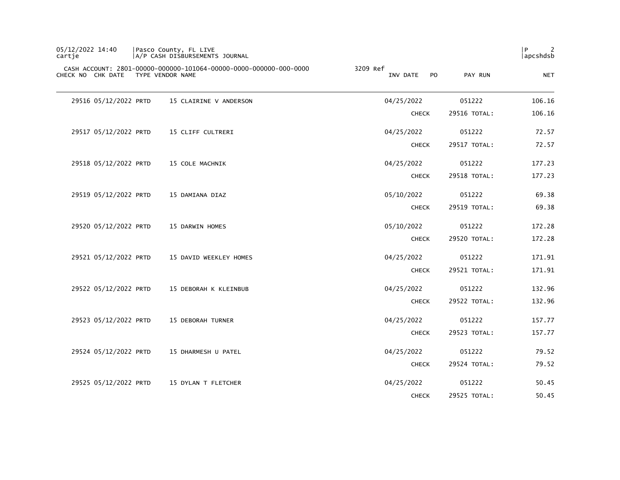| 05/12/2022 14:40<br>cartie         | Pasco County, FL LIVE<br>A/P CASH DISBURSEMENTS JOURNAL           |                             |              | l P<br>2<br>apcshdsb |
|------------------------------------|-------------------------------------------------------------------|-----------------------------|--------------|----------------------|
| CHECK NO CHK DATE TYPE VENDOR NAME | CASH ACCOUNT: 2801-00000-000000-101064-00000-0000-000000-000-0000 | 3209 Ref<br>INV DATE<br>PO. | PAY RUN      | <b>NET</b>           |
| 29516 05/12/2022 PRTD              | 15 CLAIRINE V ANDERSON                                            | 04/25/2022                  | 051222       | 106.16               |
|                                    |                                                                   | <b>CHECK</b>                | 29516 TOTAL: | 106.16               |
| 29517 05/12/2022 PRTD              | 15 CLIFF CULTRERI                                                 | 04/25/2022                  | 051222       | 72.57                |
|                                    |                                                                   | <b>CHECK</b>                | 29517 TOTAL: | 72.57                |
| 29518 05/12/2022 PRTD              | 15 COLE MACHNIK                                                   | 04/25/2022                  | 051222       | 177.23               |
|                                    |                                                                   | <b>CHECK</b>                | 29518 TOTAL: | 177.23               |
| 29519 05/12/2022 PRTD              | 15 DAMIANA DIAZ                                                   | 05/10/2022                  | 051222       | 69.38                |
|                                    |                                                                   | <b>CHECK</b>                | 29519 TOTAL: | 69.38                |
| 29520 05/12/2022 PRTD              | 15 DARWIN HOMES                                                   | 05/10/2022                  | 051222       | 172.28               |
|                                    |                                                                   | <b>CHECK</b>                | 29520 TOTAL: | 172.28               |
| 29521 05/12/2022 PRTD              | 15 DAVID WEEKLEY HOMES                                            | 04/25/2022                  | 051222       | 171.91               |
|                                    |                                                                   | <b>CHECK</b>                | 29521 TOTAL: | 171.91               |
| 29522 05/12/2022 PRTD              | 15 DEBORAH K KLEINBUB                                             | 04/25/2022                  | 051222       | 132.96               |
|                                    |                                                                   | <b>CHECK</b>                | 29522 TOTAL: | 132.96               |
| 29523 05/12/2022 PRTD              | 15 DEBORAH TURNER                                                 | 04/25/2022                  | 051222       | 157.77               |
|                                    |                                                                   | <b>CHECK</b>                | 29523 TOTAL: | 157.77               |
| 29524 05/12/2022 PRTD              | 15 DHARMESH U PATEL                                               | 04/25/2022                  | 051222       | 79.52                |
|                                    |                                                                   | <b>CHECK</b>                | 29524 TOTAL: | 79.52                |
| 29525 05/12/2022 PRTD              | 15 DYLAN T FLETCHER                                               | 04/25/2022                  | 051222       | 50.45                |
|                                    |                                                                   | <b>CHECK</b>                | 29525 TOTAL: | 50.45                |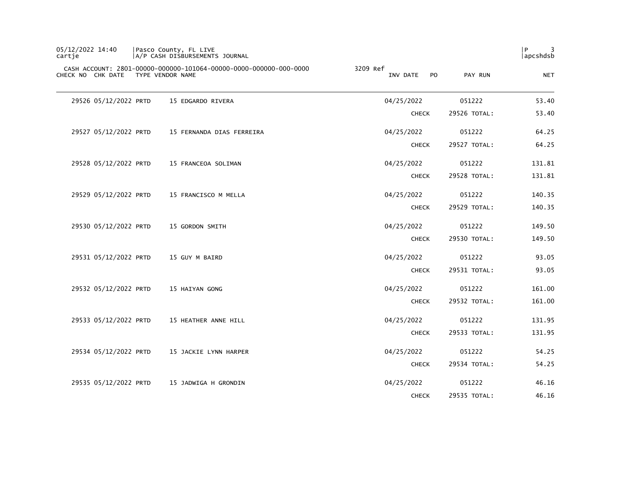| 05/12/2022 14:40<br>cartje |                       | Pasco County, FL LIVE<br>A/P CASH DISBURSEMENTS JOURNAL                               |                                   |              | P<br>3<br>apcshdsb |
|----------------------------|-----------------------|---------------------------------------------------------------------------------------|-----------------------------------|--------------|--------------------|
| CHECK NO CHK DATE          |                       | CASH ACCOUNT: 2801-00000-000000-101064-00000-0000-000000-000-0000<br>TYPE VENDOR NAME | 3209 Ref<br>INV DATE<br><b>PO</b> | PAY RUN      | <b>NET</b>         |
|                            | 29526 05/12/2022 PRTD | 15 EDGARDO RIVERA                                                                     | 04/25/2022                        | 051222       | 53.40              |
|                            |                       |                                                                                       | <b>CHECK</b>                      | 29526 TOTAL: | 53.40              |
|                            | 29527 05/12/2022 PRTD | 15 FERNANDA DIAS FERREIRA                                                             | 04/25/2022                        | 051222       | 64.25              |
|                            |                       |                                                                                       | <b>CHECK</b>                      | 29527 TOTAL: | 64.25              |
|                            | 29528 05/12/2022 PRTD | 15 FRANCEOA SOLIMAN                                                                   | 04/25/2022                        | 051222       | 131.81             |
|                            |                       |                                                                                       | <b>CHECK</b>                      | 29528 TOTAL: | 131.81             |
|                            | 29529 05/12/2022 PRTD | 15 FRANCISCO M MELLA                                                                  | 04/25/2022                        | 051222       | 140.35             |
|                            |                       |                                                                                       | <b>CHECK</b>                      | 29529 TOTAL: | 140.35             |
|                            | 29530 05/12/2022 PRTD | 15 GORDON SMITH                                                                       | 04/25/2022                        | 051222       | 149.50             |
|                            |                       |                                                                                       | <b>CHECK</b>                      | 29530 TOTAL: | 149.50             |
|                            | 29531 05/12/2022 PRTD | 15 GUY M BAIRD                                                                        | 04/25/2022                        | 051222       | 93.05              |
|                            |                       |                                                                                       | <b>CHECK</b>                      | 29531 TOTAL: | 93.05              |
|                            | 29532 05/12/2022 PRTD | 15 HAIYAN GONG                                                                        | 04/25/2022                        | 051222       | 161.00             |
|                            |                       |                                                                                       | <b>CHECK</b>                      | 29532 TOTAL: | 161.00             |
|                            | 29533 05/12/2022 PRTD | 15 HEATHER ANNE HILL                                                                  | 04/25/2022                        | 051222       | 131.95             |
|                            |                       |                                                                                       | <b>CHECK</b>                      | 29533 TOTAL: | 131.95             |
|                            | 29534 05/12/2022 PRTD | 15 JACKIE LYNN HARPER                                                                 | 04/25/2022                        | 051222       | 54.25              |
|                            |                       |                                                                                       | <b>CHECK</b>                      | 29534 TOTAL: | 54.25              |
|                            | 29535 05/12/2022 PRTD | 15 JADWIGA H GRONDIN                                                                  | 04/25/2022                        | 051222       | 46.16              |
|                            |                       |                                                                                       | <b>CHECK</b>                      | 29535 TOTAL: | 46.16              |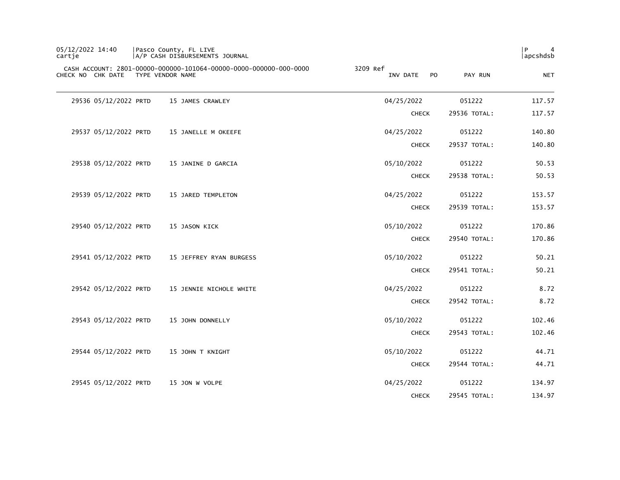| 05/12/2022 14:40<br>cartje | Pasco County, FL LIVE<br>A/P CASH DISBURSEMENTS JOURNAL                               |                                        |              | P<br>4<br>apcshdsb |
|----------------------------|---------------------------------------------------------------------------------------|----------------------------------------|--------------|--------------------|
| CHECK NO CHK DATE          | CASH ACCOUNT: 2801-00000-000000-101064-00000-0000-000000-000-0000<br>TYPE VENDOR NAME | 3209 Ref<br>INV DATE<br>P <sub>O</sub> | PAY RUN      | <b>NET</b>         |
| 29536 05/12/2022 PRTD      | 15 JAMES CRAWLEY                                                                      | 04/25/2022                             | 051222       | 117.57             |
|                            |                                                                                       | <b>CHECK</b>                           | 29536 TOTAL: | 117.57             |
| 29537 05/12/2022 PRTD      | 15 JANELLE M OKEEFE                                                                   | 04/25/2022                             | 051222       | 140.80             |
|                            |                                                                                       | <b>CHECK</b>                           | 29537 TOTAL: | 140.80             |
| 29538 05/12/2022 PRTD      | 15 JANINE D GARCIA                                                                    | 05/10/2022                             | 051222       | 50.53              |
|                            |                                                                                       | <b>CHECK</b>                           | 29538 TOTAL: | 50.53              |
| 29539 05/12/2022 PRTD      | 15 JARED TEMPLETON                                                                    | 04/25/2022                             | 051222       | 153.57             |
|                            |                                                                                       | <b>CHECK</b>                           | 29539 TOTAL: | 153.57             |
| 29540 05/12/2022 PRTD      | 15 JASON KICK                                                                         | 05/10/2022                             | 051222       | 170.86             |
|                            |                                                                                       | <b>CHECK</b>                           | 29540 TOTAL: | 170.86             |
| 29541 05/12/2022 PRTD      | 15 JEFFREY RYAN BURGESS                                                               | 05/10/2022                             | 051222       | 50.21              |
|                            |                                                                                       | <b>CHECK</b>                           | 29541 TOTAL: | 50.21              |
| 29542 05/12/2022 PRTD      | 15 JENNIE NICHOLE WHITE                                                               | 04/25/2022                             | 051222       | 8.72               |
|                            |                                                                                       | <b>CHECK</b>                           | 29542 TOTAL: | 8.72               |
| 29543 05/12/2022 PRTD      | 15 JOHN DONNELLY                                                                      | 05/10/2022                             | 051222       | 102.46             |
|                            |                                                                                       | <b>CHECK</b>                           | 29543 TOTAL: | 102.46             |
| 29544 05/12/2022 PRTD      | 15 JOHN T KNIGHT                                                                      | 05/10/2022                             | 051222       | 44.71              |
|                            |                                                                                       | <b>CHECK</b>                           | 29544 TOTAL: | 44.71              |
| 29545 05/12/2022 PRTD      | 15 JON W VOLPE                                                                        | 04/25/2022                             | 051222       | 134.97             |
|                            |                                                                                       | <b>CHECK</b>                           | 29545 TOTAL: | 134.97             |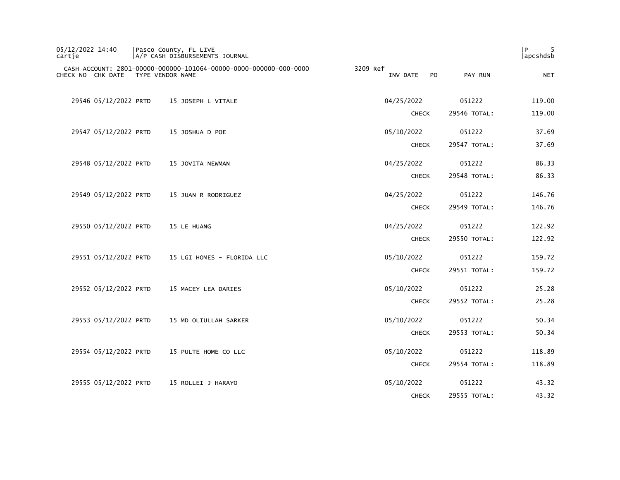| P<br> apcshdsb |              |                                        | Pasco County, FL LIVE<br> A/P CASH DISBURSEMENTS JOURNAL                              | 05/12/2022 14:40<br>cartje |
|----------------|--------------|----------------------------------------|---------------------------------------------------------------------------------------|----------------------------|
| <b>NET</b>     | PAY RUN      | 3209 Ref<br>INV DATE<br>P <sub>O</sub> | CASH ACCOUNT: 2801-00000-000000-101064-00000-0000-000000-000-0000<br>TYPE VENDOR NAME | CHECK NO CHK DATE          |
| 119.00         | 051222       | 04/25/2022                             | 15 JOSEPH L VITALE                                                                    | 29546 05/12/2022 PRTD      |
| 119.00         | 29546 TOTAL: | <b>CHECK</b>                           |                                                                                       |                            |
| 37.69          | 051222       | 05/10/2022                             | 15 JOSHUA D POE                                                                       | 29547 05/12/2022 PRTD      |
| 37.69          | 29547 TOTAL: | <b>CHECK</b>                           |                                                                                       |                            |
| 86.33          | 051222       | 04/25/2022                             | 15 JOVITA NEWMAN                                                                      | 29548 05/12/2022 PRTD      |
| 86.33          | 29548 TOTAL: | <b>CHECK</b>                           |                                                                                       |                            |
| 146.76         | 051222       | 04/25/2022                             | 15 JUAN R RODRIGUEZ                                                                   | 29549 05/12/2022 PRTD      |
| 146.76         | 29549 TOTAL: | <b>CHECK</b>                           |                                                                                       |                            |
| 122.92         | 051222       | 04/25/2022                             | 15 LE HUANG                                                                           | 29550 05/12/2022 PRTD      |
| 122.92         | 29550 TOTAL: | <b>CHECK</b>                           |                                                                                       |                            |
| 159.72         | 051222       | 05/10/2022                             | 15 LGI HOMES - FLORIDA LLC                                                            | 29551 05/12/2022 PRTD      |
| 159.72         | 29551 TOTAL: | <b>CHECK</b>                           |                                                                                       |                            |
| 25.28          | 051222       | 05/10/2022                             | 15 MACEY LEA DARIES                                                                   | 29552 05/12/2022 PRTD      |
| 25.28          | 29552 TOTAL: | <b>CHECK</b>                           |                                                                                       |                            |
| 50.34          | 051222       | 05/10/2022                             | 15 MD OLIULLAH SARKER                                                                 | 29553 05/12/2022 PRTD      |
| 50.34          | 29553 TOTAL: | <b>CHECK</b>                           |                                                                                       |                            |
| 118.89         | 051222       | 05/10/2022                             | 15 PULTE HOME CO LLC                                                                  | 29554 05/12/2022 PRTD      |
| 118.89         | 29554 TOTAL: | <b>CHECK</b>                           |                                                                                       |                            |
| 43.32          | 051222       | 05/10/2022                             | 15 ROLLEI J HARAYO                                                                    | 29555 05/12/2022 PRTD      |
| 43.32          | 29555 TOTAL: | <b>CHECK</b>                           |                                                                                       |                            |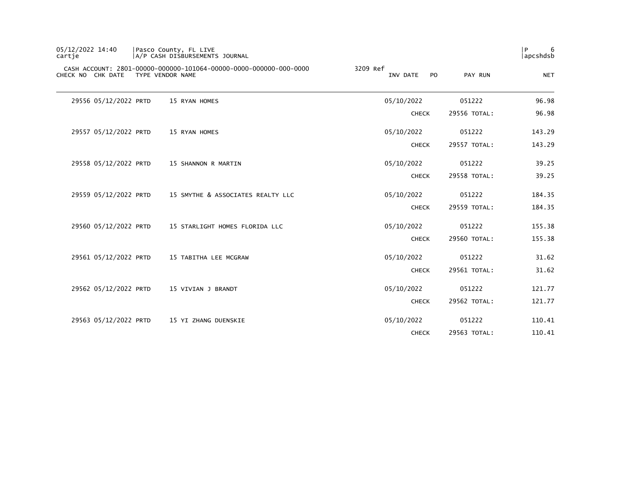| 05/12/2022 14:40<br>cartje | Pasco County, FL LIVE | A/P CASH DISBURSEMENTS JOURNAL                                    |                                   |              | l P<br>6<br>apcshdsb |
|----------------------------|-----------------------|-------------------------------------------------------------------|-----------------------------------|--------------|----------------------|
| CHECK NO CHK DATE          | TYPE VENDOR NAME      | CASH ACCOUNT: 2801-00000-000000-101064-00000-0000-000000-000-0000 | 3209 Ref<br><b>PO</b><br>INV DATE | PAY RUN      | <b>NET</b>           |
| 29556 05/12/2022 PRTD      |                       | 15 RYAN HOMES                                                     | 05/10/2022                        | 051222       | 96.98                |
|                            |                       |                                                                   | <b>CHECK</b>                      | 29556 TOTAL: | 96.98                |
| 29557 05/12/2022 PRTD      |                       | 15 RYAN HOMES                                                     | 05/10/2022                        | 051222       | 143.29               |
|                            |                       |                                                                   | <b>CHECK</b>                      | 29557 TOTAL: | 143.29               |
| 29558 05/12/2022 PRTD      |                       | 15 SHANNON R MARTIN                                               | 05/10/2022                        | 051222       | 39.25                |
|                            |                       |                                                                   | <b>CHECK</b>                      | 29558 TOTAL: | 39.25                |
| 29559 05/12/2022 PRTD      |                       | 15 SMYTHE & ASSOCIATES REALTY LLC                                 | 05/10/2022                        | 051222       | 184.35               |
|                            |                       |                                                                   | <b>CHECK</b>                      | 29559 TOTAL: | 184.35               |
| 29560 05/12/2022 PRTD      |                       | 15 STARLIGHT HOMES FLORIDA LLC                                    | 05/10/2022                        | 051222       | 155.38               |
|                            |                       |                                                                   | <b>CHECK</b>                      | 29560 TOTAL: | 155.38               |
| 29561 05/12/2022 PRTD      |                       | 15 TABITHA LEE MCGRAW                                             | 05/10/2022                        | 051222       | 31.62                |
|                            |                       |                                                                   | <b>CHECK</b>                      | 29561 TOTAL: | 31.62                |
| 29562 05/12/2022 PRTD      |                       | 15 VIVIAN J BRANDT                                                | 05/10/2022                        | 051222       | 121.77               |
|                            |                       |                                                                   | <b>CHECK</b>                      | 29562 TOTAL: | 121.77               |
| 29563 05/12/2022 PRTD      |                       | 15 YI ZHANG DUENSKIE                                              | 05/10/2022                        | 051222       | 110.41               |
|                            |                       |                                                                   | <b>CHECK</b>                      | 29563 TOTAL: | 110.41               |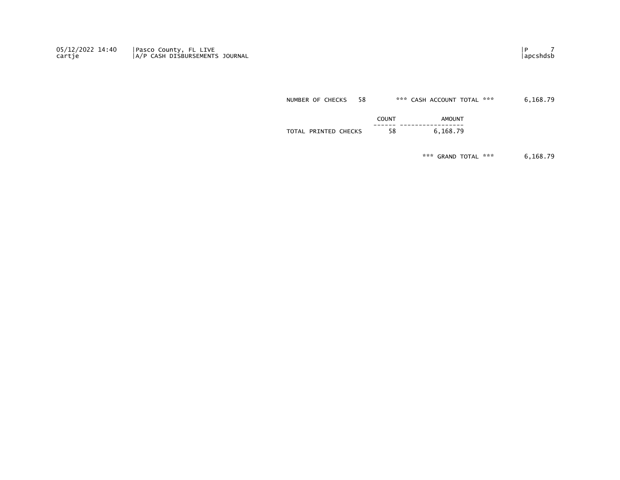05/12/2022 14:40 Pasco County, FL LIVE Production of the control of the control of the control of the control o cartje |A/P CASH DISBURSEMENTS JOURNAL |apcshdsb

NUMBER OF CHECKS 58 \*\*\* CASH ACCOUNT TOTAL \*\*\* 6,168.79

|                                                  | COUNT | <b>AMOUNT</b>              |
|--------------------------------------------------|-------|----------------------------|
|                                                  |       | ------- ------------------ |
| <b>CHECKS</b><br>PRINTED<br><b>TOTAL</b><br>ברוש | 58    | 70<br>168                  |

\*\*\* GRAND TOTAL \*\*\* 6,168.79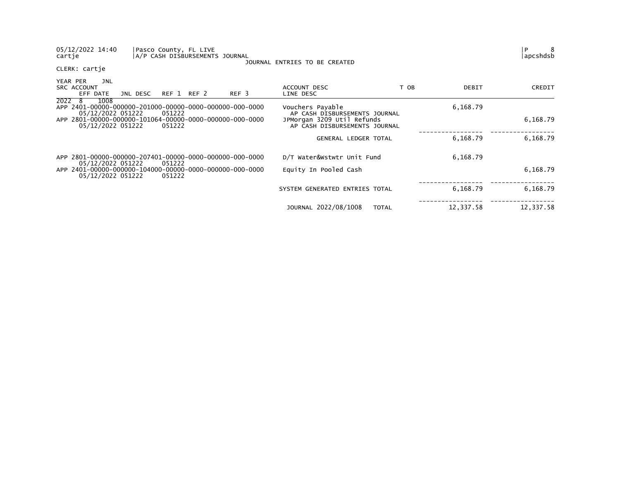| 05/12/2022 14:40<br>cartje                                                   |          | Pasco County, FL LIVE <br>A/P CASH DISBURSEMENTS JOURNAL |                  | JOURNAL ENTRIES TO BE CREATED                               |              |           | $\mathsf{P}$<br>8<br> apcshdsb |
|------------------------------------------------------------------------------|----------|----------------------------------------------------------|------------------|-------------------------------------------------------------|--------------|-----------|--------------------------------|
| CLERK: cartje                                                                |          |                                                          |                  |                                                             |              |           |                                |
| YEAR PER<br>JNL<br>SRC ACCOUNT<br>EFF DATE                                   | JNL DESC | REF 1 REF 2                                              | REF <sub>3</sub> | ACCOUNT DESC<br>LINE DESC                                   | T OB         | DEBIT     | CREDIT                         |
| $\overline{20}22$ 8<br>1008<br>05/12/2022 051222                             |          | 051222                                                   |                  | Vouchers Payable<br>AP CASH DISBURSEMENTS JOURNAL           |              | 6,168.79  |                                |
| APP 2801-00000-000000-101064-00000-0000-000000-000-0000<br>05/12/2022 051222 |          | 051222                                                   |                  | JPMorgan 3209 Util Refunds<br>AP CASH DISBURSEMENTS JOURNAL |              |           | 6,168.79                       |
|                                                                              |          |                                                          |                  | GENERAL LEDGER TOTAL                                        |              | 6,168.79  | 6,168.79                       |
| APP 2801-00000-000000-207401-00000-0000-000000-000-0000<br>05/12/2022 051222 |          | 051222                                                   |                  | D/T Water&Wstwtr Unit Fund                                  |              | 6,168.79  |                                |
| 05/12/2022 051222                                                            |          | 051222                                                   |                  | Equity In Pooled Cash                                       |              |           | 6,168.79                       |
|                                                                              |          |                                                          |                  | SYSTEM GENERATED ENTRIES TOTAL                              |              | 6,168.79  | 6,168.79                       |
|                                                                              |          |                                                          |                  | JOURNAL 2022/08/1008                                        | <b>TOTAL</b> | 12,337.58 | 12,337.58                      |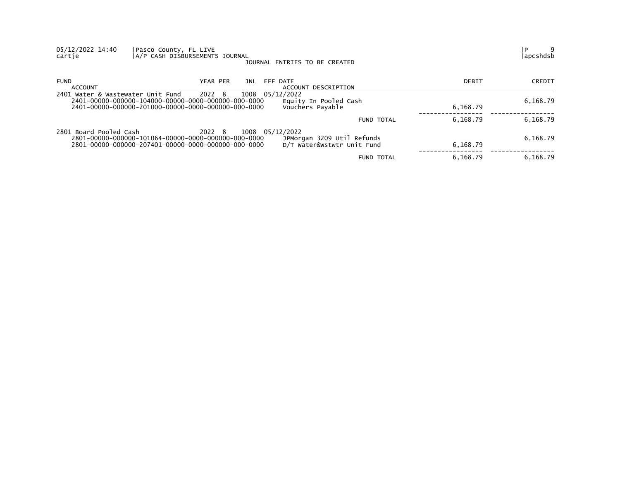| 05/12/2022 14:40<br>cartje        | Pasco County, FL LIVE<br>A/P CASH DISBURSEMENTS JOURNAL                                                                                 | JOURNAL ENTRIES TO BE CREATED                            |          | 9<br>P<br>apcshdsb |
|-----------------------------------|-----------------------------------------------------------------------------------------------------------------------------------------|----------------------------------------------------------|----------|--------------------|
| <b>FUND</b><br>ACCOUNT            | YEAR PER<br>EFF DATE<br>JNL                                                                                                             | ACCOUNT DESCRIPTION                                      | DEBIT    | CREDIT             |
| 2401 Water & Wastewater Unit Fund | 05/12/2022<br>2022<br>1008<br>- ბ                                                                                                       | Equity In Pooled Cash<br>Vouchers Payable                | 6,168.79 | 6,168.79           |
|                                   |                                                                                                                                         | <b>FUND TOTAL</b>                                        | 6,168.79 | 6,168.79           |
| 2801 Board Pooled Cash            | 2022 8<br>1008 05/12/2022<br>2801-00000-000000-101064-00000-0000-000000-000-0000<br>2801-00000-000000-207401-00000-0000-000000-000-0000 | JPMorgan 3209 Util Refunds<br>D/T Water&Wstwtr Unit Fund | 6,168.79 | 6,168.79           |
|                                   |                                                                                                                                         | <b>FUND TOTAL</b>                                        | 6,168.79 | 6,168.79           |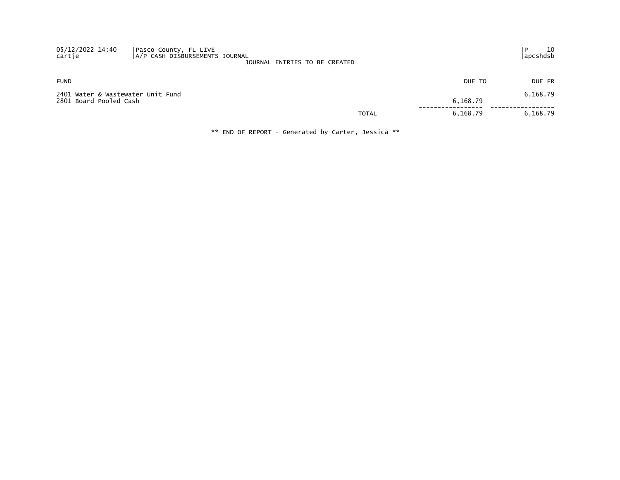| 05/12/2022 14:40<br>cartje                                  | Pasco County, FL LIVE<br>A/P CASH DISBURSEMENTS JOURNAL | JOURNAL ENTRIES TO BE CREATED |              |          | 10<br>  apcshdsb |
|-------------------------------------------------------------|---------------------------------------------------------|-------------------------------|--------------|----------|------------------|
| <b>FUND</b>                                                 |                                                         |                               |              | DUE TO   | DUE FR           |
| 2401 Water & Wastewater Unit Fund<br>2801 Board Pooled Cash |                                                         |                               |              | 6,168.79 | 6,168.79         |
|                                                             |                                                         |                               | <b>TOTAL</b> | 6,168.79 | 6,168.79         |

\*\* END OF REPORT - Generated by Carter, Jessica \*\*